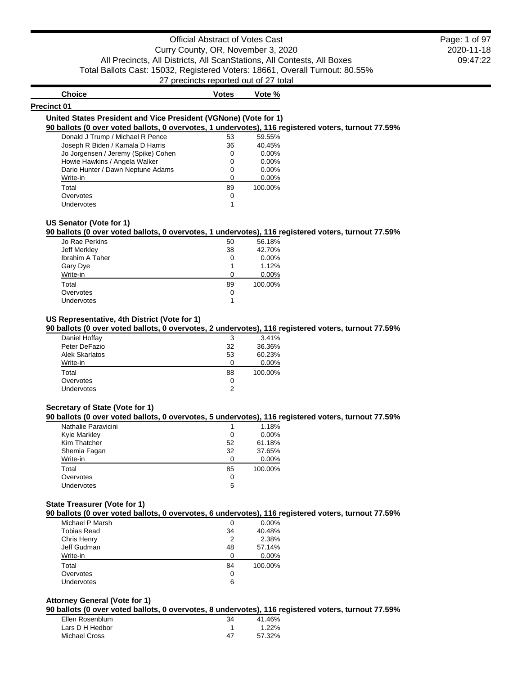# Official Abstract of Votes Cast Curry County, OR, November 3, 2020 All Precincts, All Districts, All ScanStations, All Contests, All Boxes Total Ballots Cast: 15032, Registered Voters: 18661, Overall Turnout: 80.55% 27 precincts reported out of 27 total

2020-11-18 09:47:22 Page: 1 of 97

| <b>Choice</b>                                                                                       | <b>Votes</b> | Vote %   |  |
|-----------------------------------------------------------------------------------------------------|--------------|----------|--|
| <b>Precinct 01</b>                                                                                  |              |          |  |
| United States President and Vice President (VGNone) (Vote for 1)                                    |              |          |  |
| 90 ballots (0 over voted ballots, 0 overvotes, 1 undervotes), 116 registered voters, turnout 77.59% |              |          |  |
| Donald J Trump / Michael R Pence                                                                    | 53           | 59.55%   |  |
| Joseph R Biden / Kamala D Harris                                                                    | 36           | 40.45%   |  |
| Jo Jorgensen / Jeremy (Spike) Cohen                                                                 |              | $0.00\%$ |  |
| Howie Hawkins / Angela Walker                                                                       | 0            | $0.00\%$ |  |
| Dario Hunter / Dawn Neptune Adams                                                                   | 0            | $0.00\%$ |  |
| Write-in                                                                                            |              | $0.00\%$ |  |
| Total                                                                                               | 89           | 100.00%  |  |
| Overvotes                                                                                           | 0            |          |  |
| Undervotes                                                                                          |              |          |  |

# **90 ballots (0 over voted ballots, 0 overvotes, 1 undervotes), 116 registered voters, turnout 77.59%**

|                        |    | . .     |
|------------------------|----|---------|
| Jo Rae Perkins         | 50 | 56.18%  |
| Jeff Merkley           | 38 | 42.70%  |
| <b>Ibrahim A Taher</b> | 0  | 0.00%   |
| Gary Dye               |    | 1.12%   |
| Write-in               | n  | 0.00%   |
| Total                  | 89 | 100.00% |
| Overvotes              | 0  |         |
| Undervotes             |    |         |
|                        |    |         |

# **US Representative, 4th District (Vote for 1)**

# **90 ballots (0 over voted ballots, 0 overvotes, 2 undervotes), 116 registered voters, turnout 77.59%**

|                       |    | . .     |
|-----------------------|----|---------|
| Daniel Hoffay         | 3  | 3.41%   |
| Peter DeFazio         | 32 | 36.36%  |
| <b>Alek Skarlatos</b> | 53 | 60.23%  |
| Write-in              | O  | 0.00%   |
| Total                 | 88 | 100.00% |
| Overvotes             | 0  |         |
| <b>Undervotes</b>     |    |         |

# **Secretary of State (Vote for 1)**

# **90 ballots (0 over voted ballots, 0 overvotes, 5 undervotes), 116 registered voters, turnout 77.59%**

| $M = 100$ and $M = 100$ and $M = 100$ and $M = 100$ and $M = 100$ and $M = 100$ and $M = 100$ and $M = 100$ and $M = 100$ and $M = 100$ and $M = 100$ and $M = 100$ and $M = 100$ and $M = 100$ and $M = 100$ and $M = 100$ and $M = 100$ and |    |         |
|-----------------------------------------------------------------------------------------------------------------------------------------------------------------------------------------------------------------------------------------------|----|---------|
| Nathalie Paravicini                                                                                                                                                                                                                           |    | 1.18%   |
| <b>Kyle Markley</b>                                                                                                                                                                                                                           | 0  | 0.00%   |
| Kim Thatcher                                                                                                                                                                                                                                  | 52 | 61.18%  |
| Shemia Fagan                                                                                                                                                                                                                                  | 32 | 37.65%  |
| Write-in                                                                                                                                                                                                                                      | 0  | 0.00%   |
| Total                                                                                                                                                                                                                                         | 85 | 100.00% |
| Overvotes                                                                                                                                                                                                                                     | 0  |         |
| Undervotes                                                                                                                                                                                                                                    | 5  |         |
|                                                                                                                                                                                                                                               |    |         |

# **State Treasurer (Vote for 1)**

# **90 ballots (0 over voted ballots, 0 overvotes, 6 undervotes), 116 registered voters, turnout 77.59%**

|                    |    | . .      |
|--------------------|----|----------|
| Michael P Marsh    | 0  | $0.00\%$ |
| <b>Tobias Read</b> | 34 | 40.48%   |
| Chris Henry        | 2  | 2.38%    |
| Jeff Gudman        | 48 | 57.14%   |
| Write-in           | ∩  | 0.00%    |
| Total              | 84 | 100.00%  |
| Overvotes          | 0  |          |
| Undervotes         | 6  |          |
|                    |    |          |

# **Attorney General (Vote for 1)**

# **90 ballots (0 over voted ballots, 0 overvotes, 8 undervotes), 116 registered voters, turnout 77.59%**

| Ellen Rosenblum | 34 | 41.46% |
|-----------------|----|--------|
| Lars D H Hedbor |    | 1.22%  |
| Michael Cross   | Δ7 | 57.32% |
|                 |    |        |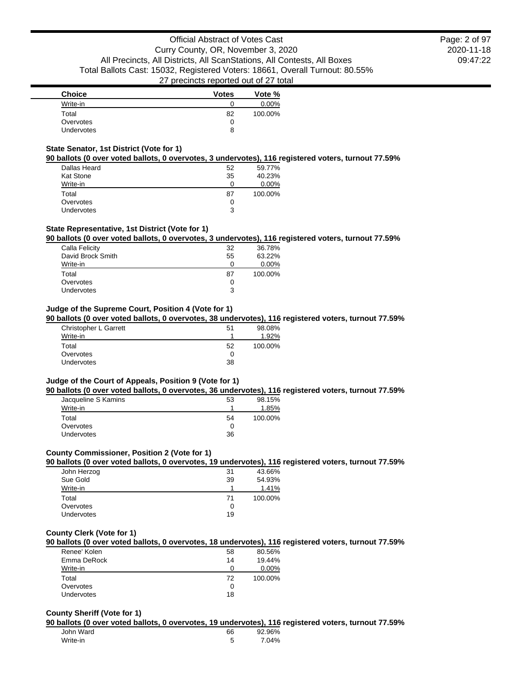2020-11-18 09:47:22 Page: 2 of 97

| <b>Choice</b>     | <b>Votes</b> | Vote %   |
|-------------------|--------------|----------|
| Write-in          |              | $0.00\%$ |
| Total             | 82           | 100.00%  |
| Overvotes         |              |          |
| <b>Undervotes</b> | 8            |          |

### **State Senator, 1st District (Vote for 1)**

### **90 ballots (0 over voted ballots, 0 overvotes, 3 undervotes), 116 registered voters, turnout 77.59%**

|                  |    | . .     |
|------------------|----|---------|
| Dallas Heard     | 52 | 59.77%  |
| <b>Kat Stone</b> | 35 | 40.23%  |
| Write-in         |    | 0.00%   |
| Total            | 87 | 100.00% |
| Overvotes        |    |         |
| Undervotes       | 3  |         |

# **State Representative, 1st District (Vote for 1)**

### **90 ballots (0 over voted ballots, 0 overvotes, 3 undervotes), 116 registered voters, turnout 77.59%**

| Calla Felicity    | 32 | 36.78%  |
|-------------------|----|---------|
| David Brock Smith | 55 | 63.22%  |
| Write-in          | O  | 0.00%   |
| Total             | 87 | 100.00% |
| Overvotes         | 0  |         |
| Undervotes        | 3  |         |
|                   |    |         |

# **Judge of the Supreme Court, Position 4 (Vote for 1)**

# **90 ballots (0 over voted ballots, 0 overvotes, 38 undervotes), 116 registered voters, turnout 77.59%**

| Christopher L Garrett<br>Write-in | 51 | 98.08%<br>1.92% |
|-----------------------------------|----|-----------------|
| Total                             | 52 | 100.00%         |
| Overvotes                         |    |                 |
| Undervotes                        | 38 |                 |

### **Judge of the Court of Appeals, Position 9 (Vote for 1)**

#### **90 ballots (0 over voted ballots, 0 overvotes, 36 undervotes), 116 registered voters, turnout 77.59%**

| Jacqueline S Kamins | 53 | 98.15%  |
|---------------------|----|---------|
| Write-in            |    | 1.85%   |
| Total               | 54 | 100.00% |
| Overvotes           |    |         |
| <b>Undervotes</b>   | 36 |         |

## **County Commissioner, Position 2 (Vote for 1)**

### **90 ballots (0 over voted ballots, 0 overvotes, 19 undervotes), 116 registered voters, turnout 77.59%**

| John Herzog | 31 | 43.66%  |
|-------------|----|---------|
| Sue Gold    | 39 | 54.93%  |
| Write-in    |    | 1.41%   |
| Total       | 71 | 100.00% |
| Overvotes   |    |         |
| Undervotes  | 19 |         |
|             |    |         |

### **County Clerk (Vote for 1)**

### **90 ballots (0 over voted ballots, 0 overvotes, 18 undervotes), 116 registered voters, turnout 77.59%**

| Renee' Kolen      | 58 | 80.56%   |
|-------------------|----|----------|
| Emma DeRock       | 14 | 19.44%   |
| Write-in          |    | $0.00\%$ |
| Total             | 72 | 100.00%  |
| Overvotes         |    |          |
| <b>Undervotes</b> | 18 |          |

### **County Sheriff (Vote for 1)**

#### **90 ballots (0 over voted ballots, 0 overvotes, 19 undervotes), 116 registered voters, turnout 77.59%**

| John Ward | 66 | 92.96% |
|-----------|----|--------|
| Write-in  |    | 7.04%  |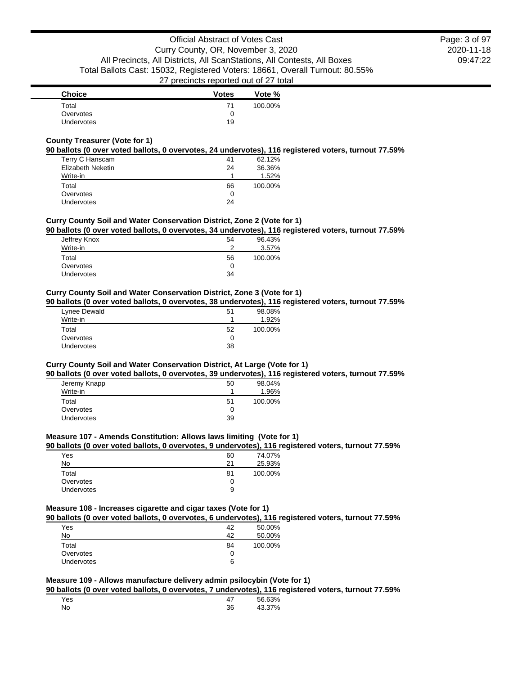| <b>Choice</b>     | <b>Votes</b> | Vote %  |
|-------------------|--------------|---------|
| Total             | 71           | 100.00% |
| Overvotes         |              |         |
| <b>Undervotes</b> | 19           |         |

### **County Treasurer (Vote for 1)**

## **90 ballots (0 over voted ballots, 0 overvotes, 24 undervotes), 116 registered voters, turnout 77.59%**

| Terry C Hanscam   | 41 | 62.12%  |
|-------------------|----|---------|
| Elizabeth Neketin | 24 | 36.36%  |
| Write-in          |    | 1.52%   |
| Total             | 66 | 100.00% |
| Overvotes         | 0  |         |
| Undervotes        | 24 |         |

# **Curry County Soil and Water Conservation District, Zone 2 (Vote for 1)**

# **90 ballots (0 over voted ballots, 0 overvotes, 34 undervotes), 116 registered voters, turnout 77.59%**

| Jeffrey Knox | 54 | 96.43%  |
|--------------|----|---------|
| Write-in     | ົ  | 3.57%   |
| Total        | 56 | 100.00% |
| Overvotes    | 0  |         |
| Undervotes   | 34 |         |

### **Curry County Soil and Water Conservation District, Zone 3 (Vote for 1)**

### **90 ballots (0 over voted ballots, 0 overvotes, 38 undervotes), 116 registered voters, turnout 77.59%**

| Lynee Dewald      | 51 | 98.08%  |
|-------------------|----|---------|
| Write-in          |    | 1.92%   |
| Total             | 52 | 100.00% |
| Overvotes         |    |         |
| <b>Undervotes</b> | 38 |         |

# **Curry County Soil and Water Conservation District, At Large (Vote for 1)**

### **90 ballots (0 over voted ballots, 0 overvotes, 39 undervotes), 116 registered voters, turnout 77.59%**

| Jeremy Knapp      | 50 | 98.04%  |
|-------------------|----|---------|
| Write-in          |    | 1.96%   |
| Total             | 51 | 100.00% |
| Overvotes         | 0  |         |
| <b>Undervotes</b> | 39 |         |

### **Measure 107 - Amends Constitution: Allows laws limiting (Vote for 1)**

# **90 ballots (0 over voted ballots, 0 overvotes, 9 undervotes), 116 registered voters, turnout 77.59%**

| 60 | 74.07%  |
|----|---------|
| 21 | 25.93%  |
| 81 | 100.00% |
|    |         |
| 9  |         |
|    |         |

### **Measure 108 - Increases cigarette and cigar taxes (Vote for 1)**

## **90 ballots (0 over voted ballots, 0 overvotes, 6 undervotes), 116 registered voters, turnout 77.59%**

| Yes               | 42 | 50.00%  |
|-------------------|----|---------|
| No                | 42 | 50.00%  |
| Total             | 84 | 100.00% |
| Overvotes         | O  |         |
| <b>Undervotes</b> | 6  |         |

### **Measure 109 - Allows manufacture delivery admin psilocybin (Vote for 1)**

**90 ballots (0 over voted ballots, 0 overvotes, 7 undervotes), 116 registered voters, turnout 77.59%**

| Yes |    | 56.63% |
|-----|----|--------|
| No  | 36 | 43.37% |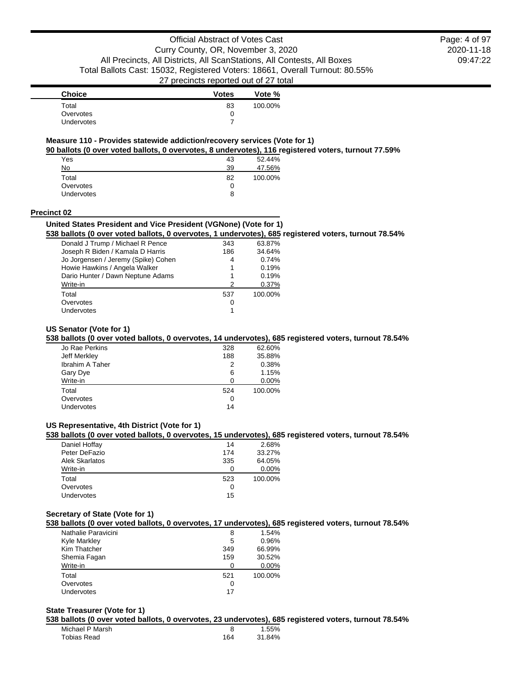2020-11-18 09:47:22 Page: 4 of 97

| <b>Choice</b>     | <b>Votes</b> | Vote %  |
|-------------------|--------------|---------|
| Total             | 83           | 100.00% |
| Overvotes         |              |         |
| <b>Undervotes</b> |              |         |

# **Measure 110 - Provides statewide addiction/recovery services (Vote for 1)**

**90 ballots (0 over voted ballots, 0 overvotes, 8 undervotes), 116 registered voters, turnout 77.59%**

| Yes        | 43 | 52.44%  |
|------------|----|---------|
| No         | 39 | 47.56%  |
| Total      | 82 | 100.00% |
| Overvotes  | 0  |         |
| Undervotes | 8  |         |
|            |    |         |

#### **Precinct 02**

### **United States President and Vice President (VGNone) (Vote for 1)**

**538 ballots (0 over voted ballots, 0 overvotes, 1 undervotes), 685 registered voters, turnout 78.54%**

| Donald J Trump / Michael R Pence    | 343 | 63.87%  |
|-------------------------------------|-----|---------|
| Joseph R Biden / Kamala D Harris    | 186 | 34.64%  |
| Jo Jorgensen / Jeremy (Spike) Cohen | 4   | 0.74%   |
| Howie Hawkins / Angela Walker       | 1   | 0.19%   |
| Dario Hunter / Dawn Neptune Adams   | 1   | 0.19%   |
| Write-in                            | 2   | 0.37%   |
| Total                               | 537 | 100.00% |
| Overvotes                           | 0   |         |
| Undervotes                          |     |         |
|                                     |     |         |

### **US Senator (Vote for 1)**

### **538 ballots (0 over voted ballots, 0 overvotes, 14 undervotes), 685 registered voters, turnout 78.54%**

| Jo Rae Perkins  | 328 | 62.60%  |
|-----------------|-----|---------|
| Jeff Merkley    | 188 | 35.88%  |
| Ibrahim A Taher | 2   | 0.38%   |
| Gary Dye        | 6   | 1.15%   |
| Write-in        | 0   | 0.00%   |
| Total           | 524 | 100.00% |
| Overvotes       | 0   |         |
| Undervotes      | 14  |         |
|                 |     |         |

# **US Representative, 4th District (Vote for 1)**

# **538 ballots (0 over voted ballots, 0 overvotes, 15 undervotes), 685 registered voters, turnout 78.54%**

| Daniel Hoffay         | 14  | 2.68%   |
|-----------------------|-----|---------|
| Peter DeFazio         | 174 | 33.27%  |
| <b>Alek Skarlatos</b> | 335 | 64.05%  |
| Write-in              |     | 0.00%   |
| Total                 | 523 | 100.00% |
| Overvotes             | O   |         |
| <b>Undervotes</b>     | 15  |         |

### **Secretary of State (Vote for 1)**

**538 ballots (0 over voted ballots, 0 overvotes, 17 undervotes), 685 registered voters, turnout 78.54%**

| Nathalie Paravicini | 8   | 1.54%   |
|---------------------|-----|---------|
| <b>Kyle Markley</b> | 5   | 0.96%   |
| Kim Thatcher        | 349 | 66.99%  |
| Shemia Fagan        | 159 | 30.52%  |
| Write-in            |     | 0.00%   |
| Total               | 521 | 100.00% |
| Overvotes           | 0   |         |
| Undervotes          | 17  |         |

### **State Treasurer (Vote for 1)**

**538 ballots (0 over voted ballots, 0 overvotes, 23 undervotes), 685 registered voters, turnout 78.54%**

| Michael P Marsh |     | 1.55%  |
|-----------------|-----|--------|
| Tobias Read     | 164 | 31.84% |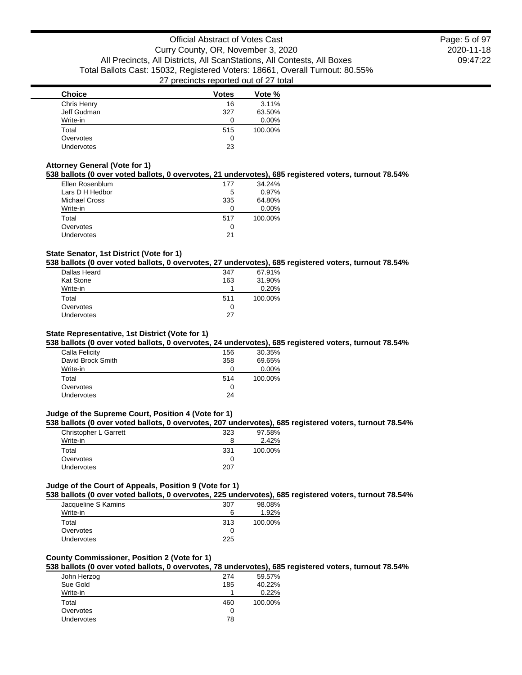2020-11-18 09:47:22 Page: 5 of 97

| <b>Choice</b>     | <b>Votes</b> | Vote %   |
|-------------------|--------------|----------|
| Chris Henry       | 16           | 3.11%    |
| Jeff Gudman       | 327          | 63.50%   |
| Write-in          |              | $0.00\%$ |
| Total             | 515          | 100.00%  |
| Overvotes         | 0            |          |
| <b>Undervotes</b> | 23           |          |

### **Attorney General (Vote for 1)**

# **538 ballots (0 over voted ballots, 0 overvotes, 21 undervotes), 685 registered voters, turnout 78.54%**

| Ellen Rosenblum      | 177 | 34.24%  |
|----------------------|-----|---------|
| Lars D H Hedbor      | 5   | 0.97%   |
| <b>Michael Cross</b> | 335 | 64.80%  |
| Write-in             |     | 0.00%   |
| Total                | 517 | 100.00% |
| Overvotes            | 0   |         |
| <b>Undervotes</b>    | 21  |         |
|                      |     |         |

### **State Senator, 1st District (Vote for 1)**

# **538 ballots (0 over voted ballots, 0 overvotes, 27 undervotes), 685 registered voters, turnout 78.54%**

| Dallas Heard     | 347 | 67.91%  |
|------------------|-----|---------|
| <b>Kat Stone</b> | 163 | 31.90%  |
| Write-in         |     | 0.20%   |
| Total            | 511 | 100.00% |
| Overvotes        | 0   |         |
| Undervotes       | 27  |         |

### **State Representative, 1st District (Vote for 1)**

### **538 ballots (0 over voted ballots, 0 overvotes, 24 undervotes), 685 registered voters, turnout 78.54%**

| Calla Felicity    | 156 | 30.35%  |
|-------------------|-----|---------|
| David Brock Smith | 358 | 69.65%  |
| Write-in          | O   | 0.00%   |
| Total             | 514 | 100.00% |
| Overvotes         | 0   |         |
| Undervotes        | 24  |         |
|                   |     |         |

#### **Judge of the Supreme Court, Position 4 (Vote for 1)**

#### **538 ballots (0 over voted ballots, 0 overvotes, 207 undervotes), 685 registered voters, turnout 78.54%**

| Christopher L Garrett | 323 | 97.58%  |
|-----------------------|-----|---------|
| Write-in              | 8   | 2.42%   |
| Total                 | 331 | 100.00% |
| Overvotes             |     |         |
| <b>Undervotes</b>     | 207 |         |

# **Judge of the Court of Appeals, Position 9 (Vote for 1)**

**538 ballots (0 over voted ballots, 0 overvotes, 225 undervotes), 685 registered voters, turnout 78.54%**

| Jacqueline S Kamins | 307 | 98.08%  |
|---------------------|-----|---------|
| Write-in            |     | 1.92%   |
| Total               | 313 | 100.00% |
| Overvotes           |     |         |
| <b>Undervotes</b>   | 225 |         |

### **County Commissioner, Position 2 (Vote for 1)**

# **538 ballots (0 over voted ballots, 0 overvotes, 78 undervotes), 685 registered voters, turnout 78.54%**

| John Herzog | 274 | 59.57%  |
|-------------|-----|---------|
| Sue Gold    | 185 | 40.22%  |
| Write-in    |     | 0.22%   |
| Total       | 460 | 100.00% |
| Overvotes   | 0   |         |
| Undervotes  | 78  |         |
|             |     |         |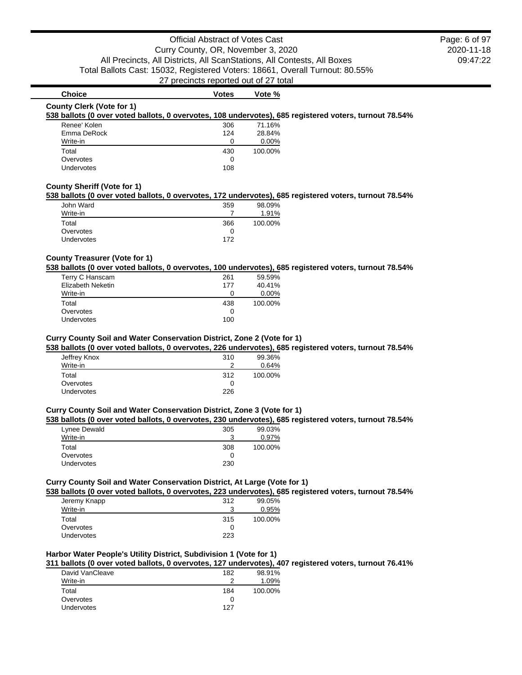2020-11-18 09:47:22 Page: 6 of 97

# **Choice Votes Votes Vote %**

#### **County Clerk (Vote for 1)**

#### **538 ballots (0 over voted ballots, 0 overvotes, 108 undervotes), 685 registered voters, turnout 78.54%**

| Renee' Kolen | 306 | 71.16%   |
|--------------|-----|----------|
| Emma DeRock  | 124 | 28.84%   |
| Write-in     | O   | $0.00\%$ |
| Total        | 430 | 100.00%  |
| Overvotes    | O   |          |
| Undervotes   | 108 |          |

## **County Sheriff (Vote for 1)**

### **538 ballots (0 over voted ballots, 0 overvotes, 172 undervotes), 685 registered voters, turnout 78.54%**

| John Ward         | 359 | 98.09%  |
|-------------------|-----|---------|
| Write-in          |     | 1.91%   |
| Total             | 366 | 100.00% |
| Overvotes         |     |         |
| <b>Undervotes</b> | 172 |         |

### **County Treasurer (Vote for 1)**

#### **538 ballots (0 over voted ballots, 0 overvotes, 100 undervotes), 685 registered voters, turnout 78.54%**

| 261 | 59.59%  |
|-----|---------|
| 177 | 40.41%  |
|     | 0.00%   |
| 438 | 100.00% |
|     |         |
|     |         |
|     | 100     |

#### **Curry County Soil and Water Conservation District, Zone 2 (Vote for 1)**

### **538 ballots (0 over voted ballots, 0 overvotes, 226 undervotes), 685 registered voters, turnout 78.54%**

| Jeffrey Knox | 310 | 99.36%  |
|--------------|-----|---------|
| Write-in     | າ   | 0.64%   |
| Total        | 312 | 100.00% |
| Overvotes    | 0   |         |
| Undervotes   | 226 |         |
|              |     |         |

#### **Curry County Soil and Water Conservation District, Zone 3 (Vote for 1)**

#### **538 ballots (0 over voted ballots, 0 overvotes, 230 undervotes), 685 registered voters, turnout 78.54%**

| Lynee Dewald      | 305 | 99.03%  |
|-------------------|-----|---------|
| Write-in          | ີ   | 0.97%   |
| Total             | 308 | 100.00% |
| Overvotes         |     |         |
| <b>Undervotes</b> | 230 |         |

### **Curry County Soil and Water Conservation District, At Large (Vote for 1)**

# **538 ballots (0 over voted ballots, 0 overvotes, 223 undervotes), 685 registered voters, turnout 78.54%**

| Jeremy Knapp      | 312 | 99.05%  |
|-------------------|-----|---------|
| Write-in          | ີ   | 0.95%   |
| Total             | 315 | 100.00% |
| Overvotes         |     |         |
| <b>Undervotes</b> | 223 |         |

### **Harbor Water People's Utility District, Subdivision 1 (Vote for 1)**

# **311 ballots (0 over voted ballots, 0 overvotes, 127 undervotes), 407 registered voters, turnout 76.41%**

| David VanCleave   | 182 | 98.91%  |
|-------------------|-----|---------|
| Write-in          | າ   | 1.09%   |
| Total             | 184 | 100.00% |
| Overvotes         | 0   |         |
| <b>Undervotes</b> | 127 |         |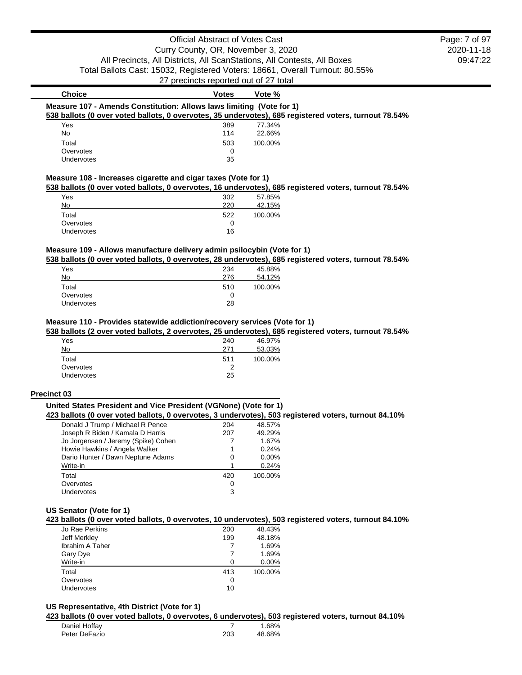# Official Abstract of Votes Cast Curry County, OR, November 3, 2020 All Precincts, All Districts, All ScanStations, All Contests, All Boxes Total Ballots Cast: 15032, Registered Voters: 18661, Overall Turnout: 80.55% 27 precincts reported out of 27 total

2020-11-18 09:47:22 Page: 7 of 97

| <b>Choice</b>                                                                                         | <b>Votes</b> | Vote %  |  |
|-------------------------------------------------------------------------------------------------------|--------------|---------|--|
| Measure 107 - Amends Constitution: Allows laws limiting (Vote for 1)                                  |              |         |  |
| 538 ballots (0 over voted ballots, 0 overvotes, 35 undervotes), 685 registered voters, turnout 78.54% |              |         |  |
| Yes                                                                                                   | 389          | 77.34%  |  |
| No                                                                                                    | 114          | 22.66%  |  |
| Total                                                                                                 | 503          | 100.00% |  |
| Overvotes                                                                                             | 0            |         |  |

#### **Measure 108 - Increases cigarette and cigar taxes (Vote for 1)**

Undervotes 35

### **538 ballots (0 over voted ballots, 0 overvotes, 16 undervotes), 685 registered voters, turnout 78.54%**

|            |     | .       |
|------------|-----|---------|
| Yes        | 302 | 57.85%  |
| No         | 220 | 42.15%  |
| Total      | 522 | 100.00% |
| Overvotes  | 0   |         |
| Undervotes | 16  |         |

### **Measure 109 - Allows manufacture delivery admin psilocybin (Vote for 1)**

#### **538 ballots (0 over voted ballots, 0 overvotes, 28 undervotes), 685 registered voters, turnout 78.54%**

| Yes        | 234 | 45.88%  |
|------------|-----|---------|
| No         | 276 | 54.12%  |
| Total      | 510 | 100.00% |
| Overvotes  | O   |         |
| Undervotes | 28  |         |

#### **Measure 110 - Provides statewide addiction/recovery services (Vote for 1)**

# **538 ballots (2 over voted ballots, 2 overvotes, 25 undervotes), 685 registered voters, turnout 78.54%**

| Yes               | 240 | 46.97%  |
|-------------------|-----|---------|
| No                | 271 | 53.03%  |
| Total             | 511 | 100.00% |
| Overvotes         | っ   |         |
| <b>Undervotes</b> | 25  |         |

#### **Precinct 03**

### **United States President and Vice President (VGNone) (Vote for 1)**

#### **423 ballots (0 over voted ballots, 0 overvotes, 3 undervotes), 503 registered voters, turnout 84.10%**

| Donald J Trump / Michael R Pence    | 204 | 48.57%  |
|-------------------------------------|-----|---------|
| Joseph R Biden / Kamala D Harris    | 207 | 49.29%  |
| Jo Jorgensen / Jeremy (Spike) Cohen |     | 1.67%   |
| Howie Hawkins / Angela Walker       | 1   | 0.24%   |
| Dario Hunter / Dawn Neptune Adams   | 0   | 0.00%   |
| Write-in                            |     | 0.24%   |
| Total                               | 420 | 100.00% |
| Overvotes                           | 0   |         |
| Undervotes                          | 3   |         |
|                                     |     |         |

### **US Senator (Vote for 1)**

### **423 ballots (0 over voted ballots, 0 overvotes, 10 undervotes), 503 registered voters, turnout 84.10%**

| Jo Rae Perkins         | 200 | 48.43%  |
|------------------------|-----|---------|
| Jeff Merkley           | 199 | 48.18%  |
| <b>Ibrahim A Taher</b> |     | 1.69%   |
| Gary Dye               |     | 1.69%   |
| Write-in               | O   | 0.00%   |
| Total                  | 413 | 100.00% |
| Overvotes              | 0   |         |
| Undervotes             | 10  |         |

#### **US Representative, 4th District (Vote for 1)**

#### **423 ballots (0 over voted ballots, 0 overvotes, 6 undervotes), 503 registered voters, turnout 84.10%**

| Daniel Hoffay |     | 1.68%  |
|---------------|-----|--------|
| Peter DeFazio | 203 | 48.68% |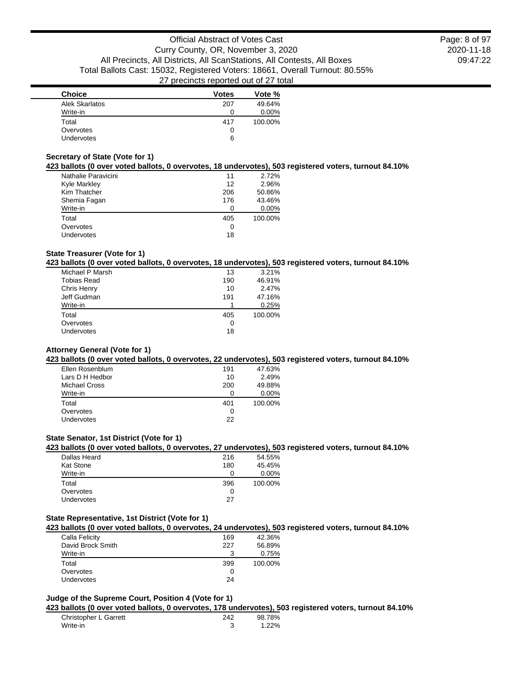2020-11-18 09:47:22 Page: 8 of 97

| <b>Choice</b>     | <b>Votes</b> | Vote %   |
|-------------------|--------------|----------|
| Alek Skarlatos    | 207          | 49.64%   |
| Write-in          |              | $0.00\%$ |
| Total             | 417          | 100.00%  |
| Overvotes         | 0            |          |
| <b>Undervotes</b> | 6            |          |

# **Secretary of State (Vote for 1)**

### **423 ballots (0 over voted ballots, 0 overvotes, 18 undervotes), 503 registered voters, turnout 84.10%**

| Nathalie Paravicini | 11  | 2.72%   |
|---------------------|-----|---------|
| Kyle Markley        | 12  | 2.96%   |
| Kim Thatcher        | 206 | 50.86%  |
| Shemia Fagan        | 176 | 43.46%  |
| Write-in            |     | 0.00%   |
| Total               | 405 | 100.00% |
| Overvotes           | 0   |         |
| Undervotes          | 18  |         |

### **State Treasurer (Vote for 1)**

# **423 ballots (0 over voted ballots, 0 overvotes, 18 undervotes), 503 registered voters, turnout 84.10%**

| Michael P Marsh    | 13  | 3.21%   |
|--------------------|-----|---------|
| <b>Tobias Read</b> | 190 | 46.91%  |
| Chris Henry        | 10  | 2.47%   |
| Jeff Gudman        | 191 | 47.16%  |
| Write-in           |     | 0.25%   |
| Total              | 405 | 100.00% |
| Overvotes          | 0   |         |
| Undervotes         | 18  |         |
|                    |     |         |

## **Attorney General (Vote for 1)**

#### **423 ballots (0 over voted ballots, 0 overvotes, 22 undervotes), 503 registered voters, turnout 84.10%**

| Ellen Rosenblum      | 191 | 47.63%  |
|----------------------|-----|---------|
| Lars D H Hedbor      | 10  | 2.49%   |
| <b>Michael Cross</b> | 200 | 49.88%  |
| Write-in             |     | 0.00%   |
| Total                | 401 | 100.00% |
| Overvotes            | O   |         |
| Undervotes           | 22  |         |

#### **State Senator, 1st District (Vote for 1)**

# **423 ballots (0 over voted ballots, 0 overvotes, 27 undervotes), 503 registered voters, turnout 84.10%**

| Dallas Heard      | 216 | 54.55%  |
|-------------------|-----|---------|
| <b>Kat Stone</b>  | 180 | 45.45%  |
| Write-in          |     | 0.00%   |
| Total             | 396 | 100.00% |
| Overvotes         |     |         |
| <b>Undervotes</b> | 27  |         |
|                   |     |         |

### **State Representative, 1st District (Vote for 1)**

#### **423 ballots (0 over voted ballots, 0 overvotes, 24 undervotes), 503 registered voters, turnout 84.10%**

| Calla Felicity    | 169 | 42.36%  |
|-------------------|-----|---------|
| David Brock Smith | 227 | 56.89%  |
| Write-in          |     | 0.75%   |
| Total             | 399 | 100.00% |
| Overvotes         |     |         |
| Undervotes        | 24  |         |

#### **Judge of the Supreme Court, Position 4 (Vote for 1)**

**423 ballots (0 over voted ballots, 0 overvotes, 178 undervotes), 503 registered voters, turnout 84.10%**

| Christopher L Garrett | 242 | 98.78% |
|-----------------------|-----|--------|
| Write-in              |     | 1.22%  |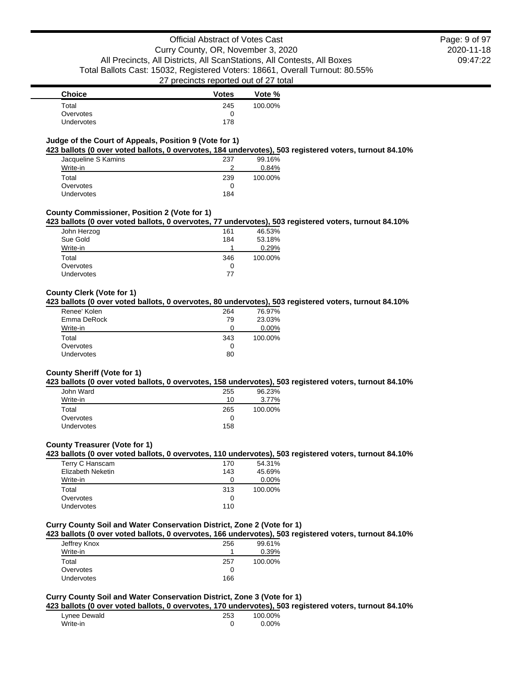2020-11-18 09:47:22 Page: 9 of 97

| <b>Choice</b>     | <b>Votes</b> | Vote %  |
|-------------------|--------------|---------|
| Total             | 245          | 100.00% |
| Overvotes         |              |         |
| <b>Undervotes</b> | 178          |         |

# **Judge of the Court of Appeals, Position 9 (Vote for 1)**

#### **423 ballots (0 over voted ballots, 0 overvotes, 184 undervotes), 503 registered voters, turnout 84.10%**

| Jacqueline S Kamins | 237 | 99.16%  |
|---------------------|-----|---------|
| Write-in            | ≘   | 0.84%   |
| Total               | 239 | 100.00% |
| Overvotes           |     |         |
| Undervotes          | 184 |         |

### **County Commissioner, Position 2 (Vote for 1)**

# **423 ballots (0 over voted ballots, 0 overvotes, 77 undervotes), 503 registered voters, turnout 84.10%**

| John Herzog       | 161 | 46.53%  |
|-------------------|-----|---------|
| Sue Gold          | 184 | 53.18%  |
| Write-in          |     | 0.29%   |
| Total             | 346 | 100.00% |
| Overvotes         | O   |         |
| <b>Undervotes</b> | 77  |         |
|                   |     |         |

### **County Clerk (Vote for 1)**

### **423 ballots (0 over voted ballots, 0 overvotes, 80 undervotes), 503 registered voters, turnout 84.10%**

| Renee' Kolen      | 264 | 76.97%  |
|-------------------|-----|---------|
| Emma DeRock       | 79  | 23.03%  |
| Write-in          |     | 0.00%   |
| Total             | 343 | 100.00% |
| Overvotes         | O   |         |
| <b>Undervotes</b> | 80  |         |

#### **County Sheriff (Vote for 1)**

#### **423 ballots (0 over voted ballots, 0 overvotes, 158 undervotes), 503 registered voters, turnout 84.10%**

| John Ward         | 255 | 96.23%  |
|-------------------|-----|---------|
| Write-in          | 10  | 3.77%   |
| Total             | 265 | 100.00% |
| Overvotes         | O   |         |
| <b>Undervotes</b> | 158 |         |

### **County Treasurer (Vote for 1)**

#### **423 ballots (0 over voted ballots, 0 overvotes, 110 undervotes), 503 registered voters, turnout 84.10%**

| Terry C Hanscam   | 170 | 54.31%   |
|-------------------|-----|----------|
| Elizabeth Neketin | 143 | 45.69%   |
| Write-in          | O   | $0.00\%$ |
| Total             | 313 | 100.00%  |
| Overvotes         | O   |          |
| <b>Undervotes</b> | 110 |          |

### **Curry County Soil and Water Conservation District, Zone 2 (Vote for 1)**

### **423 ballots (0 over voted ballots, 0 overvotes, 166 undervotes), 503 registered voters, turnout 84.10%**

| Jeffrey Knox      | 256 | 99.61%  |
|-------------------|-----|---------|
| Write-in          |     | 0.39%   |
| Total             | 257 | 100.00% |
| Overvotes         | O   |         |
| <b>Undervotes</b> | 166 |         |

### **Curry County Soil and Water Conservation District, Zone 3 (Vote for 1)**

#### **423 ballots (0 over voted ballots, 0 overvotes, 170 undervotes), 503 registered voters, turnout 84.10%**

| Lynee Dewald | 253 | 100.00% |
|--------------|-----|---------|
| Write-in     |     | 0.00%   |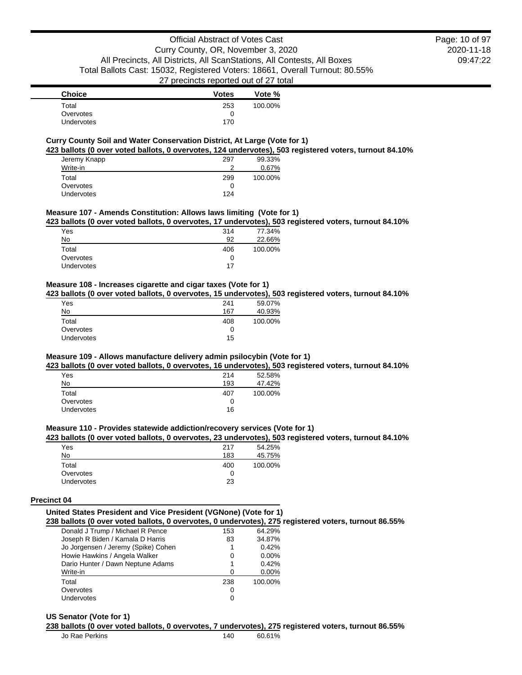| Choice     | <b>Votes</b> | Vote %  |
|------------|--------------|---------|
| Total      | 253          | 100.00% |
| Overvotes  | O            |         |
| Undervotes | 170          |         |

### **Curry County Soil and Water Conservation District, At Large (Vote for 1)**

**423 ballots (0 over voted ballots, 0 overvotes, 124 undervotes), 503 registered voters, turnout 84.10%**

| Jeremy Knapp | 297 | 99.33%  |
|--------------|-----|---------|
| Write-in     | າ   | 0.67%   |
| Total        | 299 | 100.00% |
| Overvotes    | 0   |         |
| Undervotes   | 124 |         |

#### **Measure 107 - Amends Constitution: Allows laws limiting (Vote for 1)**

**423 ballots (0 over voted ballots, 0 overvotes, 17 undervotes), 503 registered voters, turnout 84.10%**

| 314 | 77.34%  |
|-----|---------|
| 92  | 22.66%  |
| 406 | 100.00% |
| 0   |         |
| 17  |         |
|     |         |

## **Measure 108 - Increases cigarette and cigar taxes (Vote for 1)**

**423 ballots (0 over voted ballots, 0 overvotes, 15 undervotes), 503 registered voters, turnout 84.10%**

| Yes        | 241 | 59.07%  |
|------------|-----|---------|
| No         | 167 | 40.93%  |
| Total      | 408 | 100.00% |
| Overvotes  | 0   |         |
| Undervotes | 15  |         |

### **Measure 109 - Allows manufacture delivery admin psilocybin (Vote for 1)**

**423 ballots (0 over voted ballots, 0 overvotes, 16 undervotes), 503 registered voters, turnout 84.10%**

| Yes               | 214 | 52.58%  |
|-------------------|-----|---------|
| No                | 193 | 47.42%  |
| Total             | 407 | 100.00% |
| Overvotes         |     |         |
| <b>Undervotes</b> | 16  |         |

### **Measure 110 - Provides statewide addiction/recovery services (Vote for 1)**

#### **423 ballots (0 over voted ballots, 0 overvotes, 23 undervotes), 503 registered voters, turnout 84.10%**

| Yes        | 217 | 54.25%  |
|------------|-----|---------|
| No         | 183 | 45.75%  |
| Total      | 400 | 100.00% |
| Overvotes  |     |         |
| Undervotes | 23  |         |

#### **Precinct 04**

| United States President and Vice President (VGNone) (Vote for 1)                                     |  |  |
|------------------------------------------------------------------------------------------------------|--|--|
| 238 ballots (0 over voted ballots, 0 overvotes, 0 undervotes), 275 registered voters, turnout 86.55% |  |  |
|                                                                                                      |  |  |

| Donald J Trump / Michael R Pence    | 153 | 64.29%  |
|-------------------------------------|-----|---------|
| Joseph R Biden / Kamala D Harris    | 83  | 34.87%  |
| Jo Jorgensen / Jeremy (Spike) Cohen | 1   | 0.42%   |
| Howie Hawkins / Angela Walker       | 0   | 0.00%   |
| Dario Hunter / Dawn Neptune Adams   | 1   | 0.42%   |
| Write-in                            | ∩   | 0.00%   |
| Total                               | 238 | 100.00% |
| Overvotes                           | 0   |         |
| Undervotes                          | 0   |         |

#### **US Senator (Vote for 1)**

# **238 ballots (0 over voted ballots, 0 overvotes, 7 undervotes), 275 registered voters, turnout 86.55%**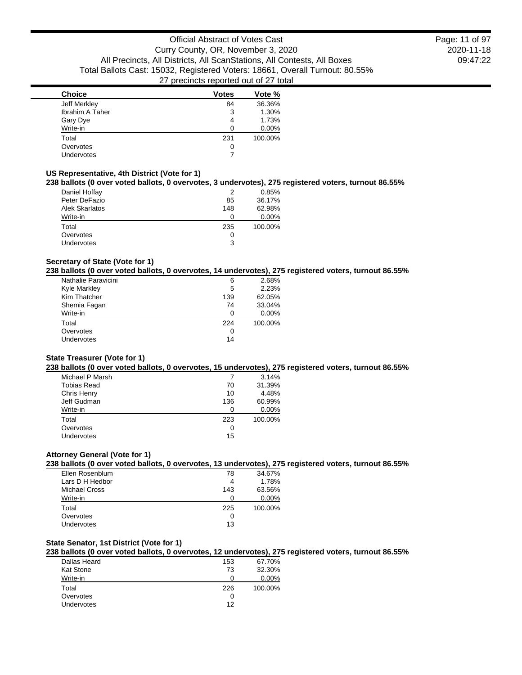2020-11-18 09:47:22 Page: 11 of 97

| <b>Choice</b>          | <b>Votes</b> | Vote %  |
|------------------------|--------------|---------|
| Jeff Merkley           | 84           | 36.36%  |
| <b>Ibrahim A Taher</b> | 3            | 1.30%   |
| Gary Dye               | 4            | 1.73%   |
| Write-in               | 0            | 0.00%   |
| Total                  | 231          | 100.00% |
| Overvotes              | 0            |         |
| Undervotes             |              |         |
|                        |              |         |

### **US Representative, 4th District (Vote for 1)**

# **238 ballots (0 over voted ballots, 0 overvotes, 3 undervotes), 275 registered voters, turnout 86.55%**

| Daniel Hoffay     |     | 0.85%   |
|-------------------|-----|---------|
| Peter DeFazio     | 85  | 36.17%  |
| Alek Skarlatos    | 148 | 62.98%  |
| Write-in          | O   | 0.00%   |
| Total             | 235 | 100.00% |
| Overvotes         | O   |         |
| <b>Undervotes</b> | 3   |         |

# **Secretary of State (Vote for 1)**

### **238 ballots (0 over voted ballots, 0 overvotes, 14 undervotes), 275 registered voters, turnout 86.55%**

| Nathalie Paravicini | 6   | 2.68%   |
|---------------------|-----|---------|
| Kyle Markley        | 5   | 2.23%   |
| Kim Thatcher        | 139 | 62.05%  |
| Shemia Fagan        | 74  | 33.04%  |
| Write-in            | n   | 0.00%   |
| Total               | 224 | 100.00% |
| Overvotes           | O   |         |
| Undervotes          | 14  |         |
|                     |     |         |

### **State Treasurer (Vote for 1)**

#### **238 ballots (0 over voted ballots, 0 overvotes, 15 undervotes), 275 registered voters, turnout 86.55%**

| Michael P Marsh |     | 3.14%   |
|-----------------|-----|---------|
| Tobias Read     | 70  | 31.39%  |
| Chris Henry     | 10  | 4.48%   |
| Jeff Gudman     | 136 | 60.99%  |
| Write-in        | ∩   | 0.00%   |
| Total           | 223 | 100.00% |
| Overvotes       | 0   |         |
| Undervotes      | 15  |         |
|                 |     |         |

# **Attorney General (Vote for 1)**

# **238 ballots (0 over voted ballots, 0 overvotes, 13 undervotes), 275 registered voters, turnout 86.55%**

| Ellen Rosenblum | 78  | 34.67%  |
|-----------------|-----|---------|
| Lars D H Hedbor | 4   | 1.78%   |
| Michael Cross   | 143 | 63.56%  |
| Write-in        |     | 0.00%   |
| Total           | 225 | 100.00% |
| Overvotes       | O   |         |
| Undervotes      | 13  |         |

# **State Senator, 1st District (Vote for 1)**

### **238 ballots (0 over voted ballots, 0 overvotes, 12 undervotes), 275 registered voters, turnout 86.55%**

| Dallas Heard      | 153 | 67.70%  |
|-------------------|-----|---------|
| <b>Kat Stone</b>  | 73  | 32.30%  |
| Write-in          |     | 0.00%   |
| Total             | 226 | 100.00% |
| Overvotes         |     |         |
| <b>Undervotes</b> | 12  |         |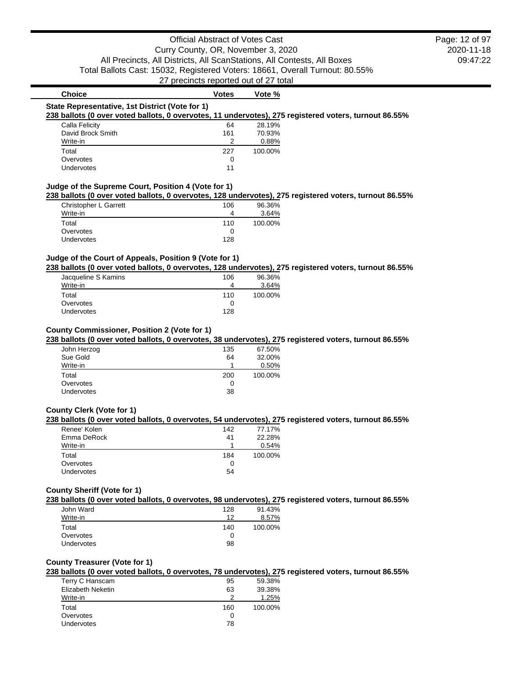# **Choice Votes Votes Vote** % **State Representative, 1st District (Vote for 1) 238 ballots (0 over voted ballots, 0 overvotes, 11 undervotes), 275 registered voters, turnout 86.55%** Calla Felicity **64** 28.19% David Brock Smith 161 70.93% Write-in 2 0.88% Total 227 100.00% Overvotes and the contract of the contract of the contract of the contract of the contract of the contract of the contract of the contract of the contract of the contract of the contract of the contract of the contract of Undervotes 11 **Judge of the Supreme Court, Position 4 (Vote for 1) 238 ballots (0 over voted ballots, 0 overvotes, 128 undervotes), 275 registered voters, turnout 86.55%** Christopher L Garrett 106 96.36%

|                   | .   | .       |
|-------------------|-----|---------|
| Write-in          | 4   | 3.64%   |
| Total             | 110 | 100.00% |
| Overvotes         |     |         |
| <b>Undervotes</b> | 128 |         |

# **Judge of the Court of Appeals, Position 9 (Vote for 1)**

**238 ballots (0 over voted ballots, 0 overvotes, 128 undervotes), 275 registered voters, turnout 86.55%**

| Jacqueline S Kamins | 106 | 96.36%  |
|---------------------|-----|---------|
| Write-in            |     | 3.64%   |
| Total               | 110 | 100.00% |
| Overvotes           |     |         |
| <b>Undervotes</b>   | 128 |         |

#### **County Commissioner, Position 2 (Vote for 1)**

**238 ballots (0 over voted ballots, 0 overvotes, 38 undervotes), 275 registered voters, turnout 86.55%**

| John Herzog | 135 | 67.50%  |
|-------------|-----|---------|
| Sue Gold    | 64  | 32.00%  |
| Write-in    |     | 0.50%   |
| Total       | 200 | 100.00% |
| Overvotes   | 0   |         |
| Undervotes  | 38  |         |

### **County Clerk (Vote for 1)**

#### **238 ballots (0 over voted ballots, 0 overvotes, 54 undervotes), 275 registered voters, turnout 86.55%**

| Renee' Kolen      | 142 | 77.17%  |
|-------------------|-----|---------|
| Emma DeRock       | 41  | 22.28%  |
| Write-in          |     | 0.54%   |
| Total             | 184 | 100.00% |
| Overvotes         | O   |         |
| <b>Undervotes</b> | 54  |         |
|                   |     |         |

#### **County Sheriff (Vote for 1)**

**238 ballots (0 over voted ballots, 0 overvotes, 98 undervotes), 275 registered voters, turnout 86.55%**

| John Ward         | 128 | 91.43%  |
|-------------------|-----|---------|
| Write-in          | 12  | 8.57%   |
| Total             | 140 | 100.00% |
| Overvotes         |     |         |
| <b>Undervotes</b> | 98  |         |

### **County Treasurer (Vote for 1)**

**238 ballots (0 over voted ballots, 0 overvotes, 78 undervotes), 275 registered voters, turnout 86.55%**

| Terry C Hanscam   | 95  | 59.38%  |
|-------------------|-----|---------|
| Elizabeth Neketin | 63  | 39.38%  |
| Write-in          | 2   | 1.25%   |
| Total             | 160 | 100.00% |
| Overvotes         | O   |         |
| <b>Undervotes</b> | 78  |         |
|                   |     |         |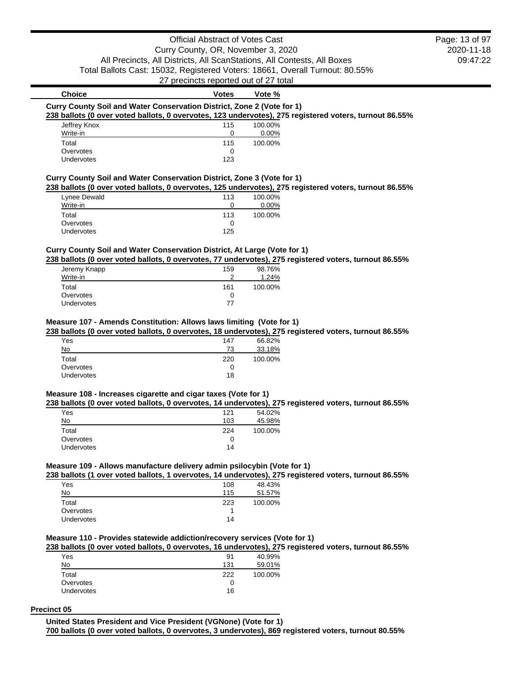# Official Abstract of Votes Cast Curry County, OR, November 3, 2020 All Precincts, All Districts, All ScanStations, All Contests, All Boxes Total Ballots Cast: 15032, Registered Voters: 18661, Overall Turnout: 80.55%

27 precincts reported out of 27 total

# **Choice Votes Votes Vote** % **Curry County Soil and Water Conservation District, Zone 2 (Vote for 1) 238 ballots (0 over voted ballots, 0 overvotes, 123 undervotes), 275 registered voters, turnout 86.55%** Jeffrey Knox 115 100.00%

| <b>JEILLEY MILLY</b> | .   | <b>IUU.UU70</b> |
|----------------------|-----|-----------------|
| Write-in             |     | 0.00%           |
| Total                | 115 | 100.00%         |
| Overvotes            |     |                 |
| Undervotes           | 123 |                 |
|                      |     |                 |

# **Curry County Soil and Water Conservation District, Zone 3 (Vote for 1)**

### **238 ballots (0 over voted ballots, 0 overvotes, 125 undervotes), 275 registered voters, turnout 86.55%**

|                   |     | --       |
|-------------------|-----|----------|
| Lynee Dewald      | 113 | 100.00%  |
| Write-in          |     | $0.00\%$ |
| Total             | 113 | 100.00%  |
| Overvotes         |     |          |
| <b>Undervotes</b> | 125 |          |

### **Curry County Soil and Water Conservation District, At Large (Vote for 1)**

**238 ballots (0 over voted ballots, 0 overvotes, 77 undervotes), 275 registered voters, turnout 86.55%**

| Jeremy Knapp<br>Write-in | 159<br>ົ | 98.76%<br>1.24% |
|--------------------------|----------|-----------------|
| Total                    | 161      | 100.00%         |
| Overvotes                | O        |                 |
| <b>Undervotes</b>        | 77       |                 |

### **Measure 107 - Amends Constitution: Allows laws limiting (Vote for 1)**

#### **238 ballots (0 over voted ballots, 0 overvotes, 18 undervotes), 275 registered voters, turnout 86.55%**

| Yes               | 147 | 66.82%  |
|-------------------|-----|---------|
| No                | 73  | 33.18%  |
| Total             | 220 | 100.00% |
| Overvotes         | O   |         |
| <b>Undervotes</b> | 18  |         |
|                   |     |         |

# **Measure 108 - Increases cigarette and cigar taxes (Vote for 1)**

### **238 ballots (0 over voted ballots, 0 overvotes, 14 undervotes), 275 registered voters, turnout 86.55%**

| Yes        | 121 | 54.02%  |
|------------|-----|---------|
| No         | 103 | 45.98%  |
| Total      | 224 | 100.00% |
| Overvotes  | O   |         |
| Undervotes | 14  |         |

### **Measure 109 - Allows manufacture delivery admin psilocybin (Vote for 1)**

#### **238 ballots (1 over voted ballots, 1 overvotes, 14 undervotes), 275 registered voters, turnout 86.55%**

| Yes               | 108 | 48.43%  |
|-------------------|-----|---------|
| No                | 115 | 51.57%  |
| Total             | 223 | 100.00% |
| Overvotes         |     |         |
| <b>Undervotes</b> | 14  |         |

## **Measure 110 - Provides statewide addiction/recovery services (Vote for 1)**

### **238 ballots (0 over voted ballots, 0 overvotes, 16 undervotes), 275 registered voters, turnout 86.55%**

| Yes               | 91  | 40.99%  |
|-------------------|-----|---------|
| No                | 131 | 59.01%  |
| Total             | 222 | 100.00% |
| Overvotes         | 0   |         |
| <b>Undervotes</b> | 16  |         |

#### **Precinct 05**

**United States President and Vice President (VGNone) (Vote for 1)**

**700 ballots (0 over voted ballots, 0 overvotes, 3 undervotes), 869 registered voters, turnout 80.55%**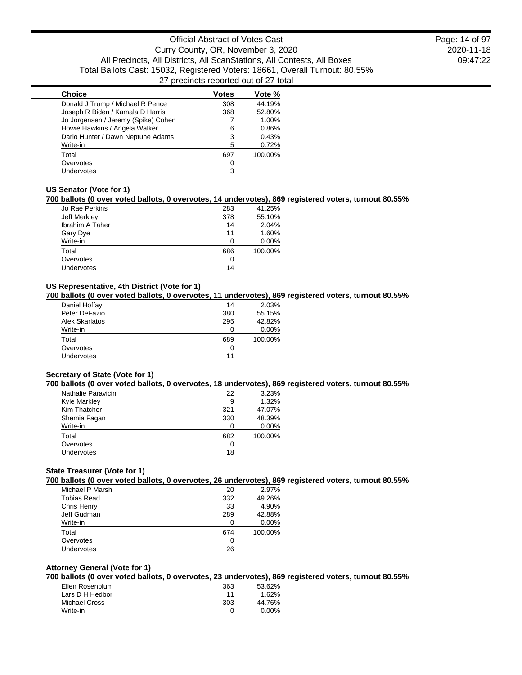| <b>Choice</b>                       | Votes | Vote %  |
|-------------------------------------|-------|---------|
| Donald J Trump / Michael R Pence    | 308   | 44.19%  |
| Joseph R Biden / Kamala D Harris    | 368   | 52.80%  |
| Jo Jorgensen / Jeremy (Spike) Cohen |       | 1.00%   |
| Howie Hawkins / Angela Walker       | 6     | 0.86%   |
| Dario Hunter / Dawn Neptune Adams   | 3     | 0.43%   |
| Write-in                            | 5     | 0.72%   |
| Total                               | 697   | 100.00% |
| Overvotes                           | 0     |         |
| Undervotes                          | 3     |         |

### **US Senator (Vote for 1)**

### **700 ballots (0 over voted ballots, 0 overvotes, 14 undervotes), 869 registered voters, turnout 80.55%**

| Jo Rae Perkins  | 283 | 41.25%  |
|-----------------|-----|---------|
| Jeff Merkley    | 378 | 55.10%  |
| Ibrahim A Taher | 14  | 2.04%   |
| Gary Dye        | 11  | 1.60%   |
| Write-in        | O   | 0.00%   |
| Total           | 686 | 100.00% |
| Overvotes       | 0   |         |
| Undervotes      | 14  |         |

# **US Representative, 4th District (Vote for 1)**

# **700 ballots (0 over voted ballots, 0 overvotes, 11 undervotes), 869 registered voters, turnout 80.55%**

| Daniel Hoffay         | 14  | 2.03%   |
|-----------------------|-----|---------|
| Peter DeFazio         | 380 | 55.15%  |
| <b>Alek Skarlatos</b> | 295 | 42.82%  |
| Write-in              | 0   | 0.00%   |
| Total                 | 689 | 100.00% |
| Overvotes             | 0   |         |
| <b>Undervotes</b>     | 11  |         |

# **Secretary of State (Vote for 1)**

#### **700 ballots (0 over voted ballots, 0 overvotes, 18 undervotes), 869 registered voters, turnout 80.55%**

| Nathalie Paravicini | 22  | 3.23%    |
|---------------------|-----|----------|
| Kyle Markley        | 9   | 1.32%    |
| Kim Thatcher        | 321 | 47.07%   |
| Shemia Fagan        | 330 | 48.39%   |
| Write-in            | 0   | $0.00\%$ |
| Total               | 682 | 100.00%  |
| Overvotes           | 0   |          |
| Undervotes          | 18  |          |

### **State Treasurer (Vote for 1)**

#### **700 ballots (0 over voted ballots, 0 overvotes, 26 undervotes), 869 registered voters, turnout 80.55%**

| Michael P Marsh | 20  | 2.97%   |
|-----------------|-----|---------|
| Tobias Read     | 332 | 49.26%  |
| Chris Henry     | 33  | 4.90%   |
| Jeff Gudman     | 289 | 42.88%  |
| Write-in        | ∩   | 0.00%   |
| Total           | 674 | 100.00% |
| Overvotes       | 0   |         |
| Undervotes      | 26  |         |

# **Attorney General (Vote for 1)**

# **700 ballots (0 over voted ballots, 0 overvotes, 23 undervotes), 869 registered voters, turnout 80.55%**

| Ellen Rosenblum | 363 | 53.62%   |
|-----------------|-----|----------|
| Lars D H Hedbor | 11  | 1.62%    |
| Michael Cross   | 303 | 44.76%   |
| Write-in        | O   | $0.00\%$ |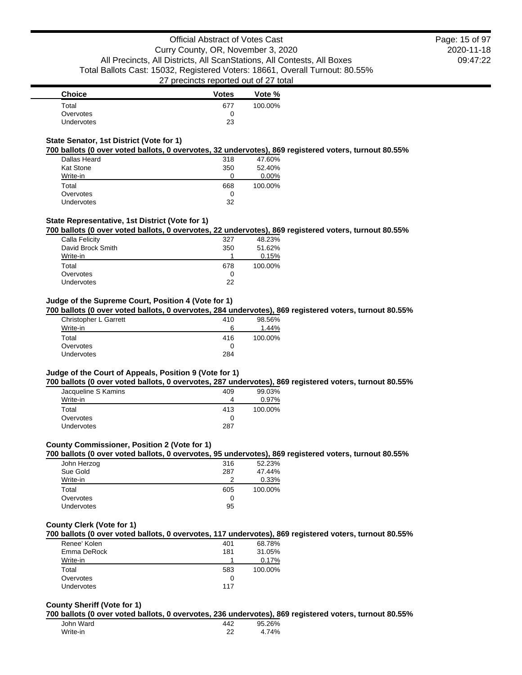| Choice            | <b>Votes</b> | Vote %  |
|-------------------|--------------|---------|
| Total             | 677          | 100.00% |
| Overvotes         |              |         |
| <b>Undervotes</b> | 23           |         |

### **State Senator, 1st District (Vote for 1)**

#### **700 ballots (0 over voted ballots, 0 overvotes, 32 undervotes), 869 registered voters, turnout 80.55%**

| Dallas Heard      | 318 | 47.60%  |
|-------------------|-----|---------|
| <b>Kat Stone</b>  | 350 | 52.40%  |
| Write-in          | O   | 0.00%   |
| Total             | 668 | 100.00% |
| Overvotes         | O   |         |
| <b>Undervotes</b> | 32  |         |

### **State Representative, 1st District (Vote for 1)**

#### **700 ballots (0 over voted ballots, 0 overvotes, 22 undervotes), 869 registered voters, turnout 80.55%**

| Calla Felicity    | 327 | 48.23%  |
|-------------------|-----|---------|
| David Brock Smith | 350 | 51.62%  |
| Write-in          |     | 0.15%   |
| Total             | 678 | 100.00% |
| Overvotes         | O   |         |
| <b>Undervotes</b> | 22  |         |

#### **Judge of the Supreme Court, Position 4 (Vote for 1)**

**700 ballots (0 over voted ballots, 0 overvotes, 284 undervotes), 869 registered voters, turnout 80.55%**

| Christopher L Garrett | 410 | 98.56%  |
|-----------------------|-----|---------|
| Write-in              | 6   | 1.44%   |
| Total                 | 416 | 100.00% |
| Overvotes             |     |         |
| Undervotes            | 284 |         |

#### **Judge of the Court of Appeals, Position 9 (Vote for 1)**

**700 ballots (0 over voted ballots, 0 overvotes, 287 undervotes), 869 registered voters, turnout 80.55%**

| Jacqueline S Kamins | 409 | 99.03%  |
|---------------------|-----|---------|
| Write-in            | 4   | 0.97%   |
| Total               | 413 | 100.00% |
| Overvotes           | Ω   |         |
| <b>Undervotes</b>   | 287 |         |

#### **County Commissioner, Position 2 (Vote for 1)**

#### **700 ballots (0 over voted ballots, 0 overvotes, 95 undervotes), 869 registered voters, turnout 80.55%**

| John Herzog | 316 | 52.23%  |
|-------------|-----|---------|
| Sue Gold    | 287 | 47.44%  |
| Write-in    | 2   | 0.33%   |
| Total       | 605 | 100.00% |
| Overvotes   | O   |         |
| Undervotes  | 95  |         |

### **County Clerk (Vote for 1)**

### **700 ballots (0 over voted ballots, 0 overvotes, 117 undervotes), 869 registered voters, turnout 80.55%**

| Renee' Kolen      | 401 | 68.78%  |
|-------------------|-----|---------|
| Emma DeRock       | 181 | 31.05%  |
| Write-in          |     | 0.17%   |
| Total             | 583 | 100.00% |
| Overvotes         |     |         |
| <b>Undervotes</b> | 117 |         |

#### **County Sheriff (Vote for 1)**

**700 ballots (0 over voted ballots, 0 overvotes, 236 undervotes), 869 registered voters, turnout 80.55%**

| John Ward | 442 | 95.26% |
|-----------|-----|--------|
| Write-in  | ົ   | 4.74%  |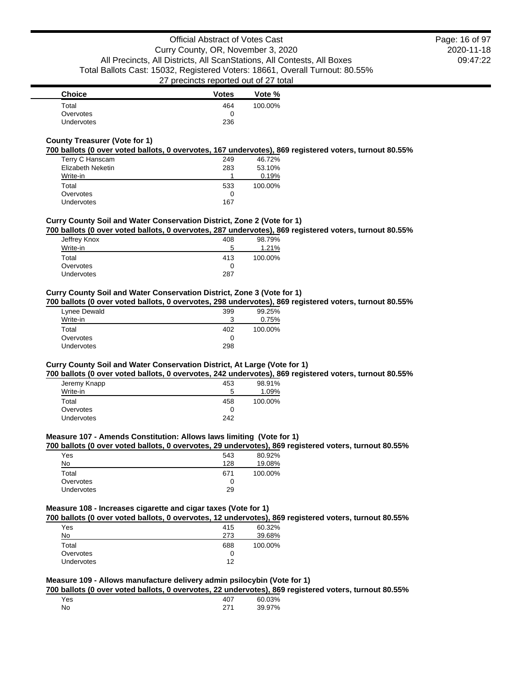| <b>Choice</b>     | <b>Votes</b> | Vote %  |
|-------------------|--------------|---------|
| Total             | 464          | 100.00% |
| Overvotes         |              |         |
| <b>Undervotes</b> | 236          |         |

# **County Treasurer (Vote for 1)**

#### **700 ballots (0 over voted ballots, 0 overvotes, 167 undervotes), 869 registered voters, turnout 80.55%**

| Terry C Hanscam   | 249 | 46.72%  |
|-------------------|-----|---------|
| Elizabeth Neketin | 283 | 53.10%  |
| Write-in          |     | 0.19%   |
| Total             | 533 | 100.00% |
| Overvotes         | 0   |         |
| Undervotes        | 167 |         |

### **Curry County Soil and Water Conservation District, Zone 2 (Vote for 1)**

### **700 ballots (0 over voted ballots, 0 overvotes, 287 undervotes), 869 registered voters, turnout 80.55%**

| Jeffrey Knox | 408 | 98.79%  |
|--------------|-----|---------|
| Write-in     | 5   | 1.21%   |
| Total        | 413 | 100.00% |
| Overvotes    | 0   |         |
| Undervotes   | 287 |         |

### **Curry County Soil and Water Conservation District, Zone 3 (Vote for 1)**

### **700 ballots (0 over voted ballots, 0 overvotes, 298 undervotes), 869 registered voters, turnout 80.55%**

| Lynee Dewald      | 399 | 99.25%  |
|-------------------|-----|---------|
| Write-in          | ີ   | 0.75%   |
| Total             | 402 | 100.00% |
| Overvotes         |     |         |
| <b>Undervotes</b> | 298 |         |

# **Curry County Soil and Water Conservation District, At Large (Vote for 1)**

#### **700 ballots (0 over voted ballots, 0 overvotes, 242 undervotes), 869 registered voters, turnout 80.55%**

| 453 | 98.91%  |
|-----|---------|
| 5   | 1.09%   |
| 458 | 100.00% |
| 0   |         |
| 242 |         |
|     |         |

#### **Measure 107 - Amends Constitution: Allows laws limiting (Vote for 1)**

### **700 ballots (0 over voted ballots, 0 overvotes, 29 undervotes), 869 registered voters, turnout 80.55%**

| Yes               | 543 | 80.92%  |
|-------------------|-----|---------|
| No                | 128 | 19.08%  |
| Total             | 671 | 100.00% |
| Overvotes         |     |         |
| <b>Undervotes</b> | 29  |         |

# **Measure 108 - Increases cigarette and cigar taxes (Vote for 1)**

**700 ballots (0 over voted ballots, 0 overvotes, 12 undervotes), 869 registered voters, turnout 80.55%**

| Yes               | 415 | 60.32%  |
|-------------------|-----|---------|
| No                | 273 | 39.68%  |
| Total             | 688 | 100.00% |
| Overvotes         | 0   |         |
| <b>Undervotes</b> | 12  |         |

## **Measure 109 - Allows manufacture delivery admin psilocybin (Vote for 1)**

**700 ballots (0 over voted ballots, 0 overvotes, 22 undervotes), 869 registered voters, turnout 80.55%**

| Yes | 407 | 60.03% |
|-----|-----|--------|
| No  | 271 | 39.97% |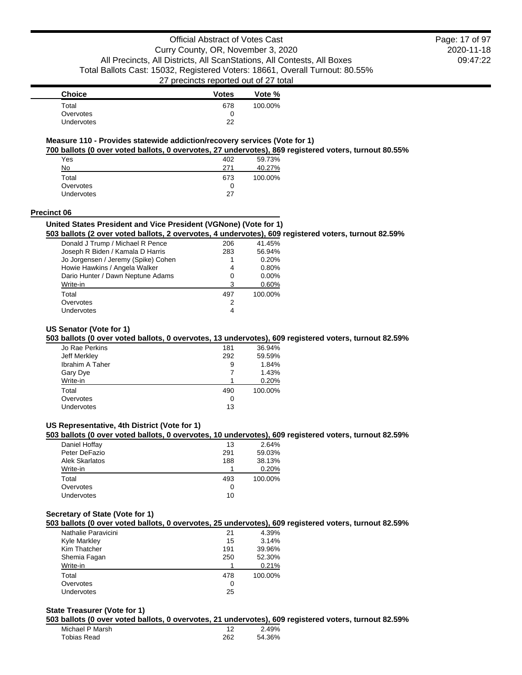2020-11-18 09:47:22 Page: 17 of 97

| <b>Choice</b>     | <b>Votes</b> | Vote %  |
|-------------------|--------------|---------|
| Total             | 678          | 100.00% |
| Overvotes         | 0            |         |
| <b>Undervotes</b> | つつ           |         |

# **Measure 110 - Provides statewide addiction/recovery services (Vote for 1)**

**700 ballots (0 over voted ballots, 0 overvotes, 27 undervotes), 869 registered voters, turnout 80.55%**

| Yes        | 402 | 59.73%  |
|------------|-----|---------|
| No         | 271 | 40.27%  |
| Total      | 673 | 100.00% |
| Overvotes  | O   |         |
| Undervotes | 27  |         |

#### **Precinct 06**

#### **United States President and Vice President (VGNone) (Vote for 1)**

**503 ballots (2 over voted ballots, 2 overvotes, 4 undervotes), 609 registered voters, turnout 82.59%**

| Donald J Trump / Michael R Pence    | 206 | 41.45%  |
|-------------------------------------|-----|---------|
| Joseph R Biden / Kamala D Harris    | 283 | 56.94%  |
| Jo Jorgensen / Jeremy (Spike) Cohen |     | 0.20%   |
| Howie Hawkins / Angela Walker       | 4   | 0.80%   |
| Dario Hunter / Dawn Neptune Adams   | 0   | 0.00%   |
| Write-in                            | 3   | 0.60%   |
| Total                               | 497 | 100.00% |
| Overvotes                           | 2   |         |
| <b>Undervotes</b>                   | 4   |         |
|                                     |     |         |

### **US Senator (Vote for 1)**

### **503 ballots (0 over voted ballots, 0 overvotes, 13 undervotes), 609 registered voters, turnout 82.59%**

| 36.94%  |
|---------|
| 59.59%  |
| 1.84%   |
| 1.43%   |
| 0.20%   |
| 100.00% |
|         |
|         |
|         |

# **US Representative, 4th District (Vote for 1)**

# **503 ballots (0 over voted ballots, 0 overvotes, 10 undervotes), 609 registered voters, turnout 82.59%**

| Daniel Hoffay  | 13  | 2.64%   |
|----------------|-----|---------|
| Peter DeFazio  | 291 | 59.03%  |
| Alek Skarlatos | 188 | 38.13%  |
| Write-in       |     | 0.20%   |
| Total          | 493 | 100.00% |
| Overvotes      | O   |         |
| Undervotes     | 10  |         |

### **Secretary of State (Vote for 1)**

**503 ballots (0 over voted ballots, 0 overvotes, 25 undervotes), 609 registered voters, turnout 82.59%**

| Nathalie Paravicini | 21  | 4.39%   |
|---------------------|-----|---------|
| Kyle Markley        | 15  | 3.14%   |
| Kim Thatcher        | 191 | 39.96%  |
| Shemia Fagan        | 250 | 52.30%  |
| Write-in            |     | 0.21%   |
| Total               | 478 | 100.00% |
| Overvotes           | 0   |         |
| Undervotes          | 25  |         |

# **State Treasurer (Vote for 1)**

**503 ballots (0 over voted ballots, 0 overvotes, 21 undervotes), 609 registered voters, turnout 82.59%**

| Michael P Marsh |     | 2.49%  |
|-----------------|-----|--------|
| Tobias Read     | 262 | 54.36% |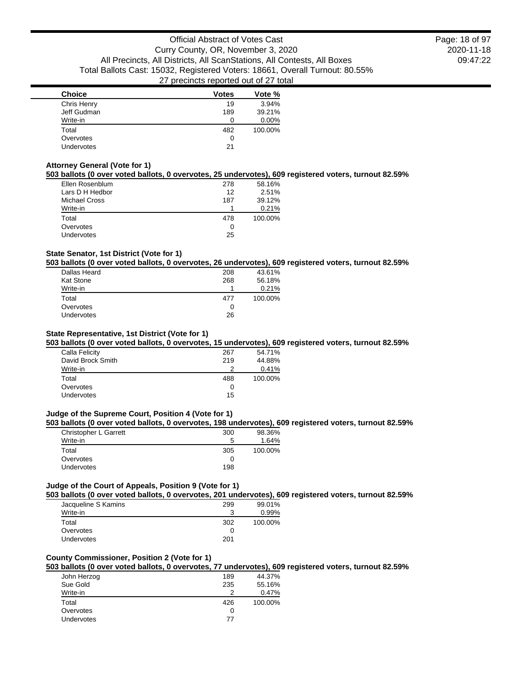| <b>Choice</b> | <b>Votes</b> | Vote %  |
|---------------|--------------|---------|
| Chris Henry   | 19           | 3.94%   |
| Jeff Gudman   | 189          | 39.21%  |
| Write-in      |              | 0.00%   |
| Total         | 482          | 100.00% |
| Overvotes     | O            |         |
| Undervotes    | 21           |         |

### **Attorney General (Vote for 1)**

# **503 ballots (0 over voted ballots, 0 overvotes, 25 undervotes), 609 registered voters, turnout 82.59%**

| Ellen Rosenblum      | 278 | 58.16%  |
|----------------------|-----|---------|
| Lars D H Hedbor      | 12  | 2.51%   |
| <b>Michael Cross</b> | 187 | 39.12%  |
| Write-in             |     | 0.21%   |
| Total                | 478 | 100.00% |
| Overvotes            | O   |         |
| <b>Undervotes</b>    | 25  |         |

# **State Senator, 1st District (Vote for 1)**

# **503 ballots (0 over voted ballots, 0 overvotes, 26 undervotes), 609 registered voters, turnout 82.59%**

| 208 | 43.61%  |
|-----|---------|
| 268 | 56.18%  |
|     | 0.21%   |
| 477 | 100.00% |
| O   |         |
|     |         |
|     | 26      |

### **State Representative, 1st District (Vote for 1)**

### **503 ballots (0 over voted ballots, 0 overvotes, 15 undervotes), 609 registered voters, turnout 82.59%**

| Calla Felicity    | 267 | 54.71%  |
|-------------------|-----|---------|
| David Brock Smith | 219 | 44.88%  |
| Write-in          | ာ   | 0.41%   |
| Total             | 488 | 100.00% |
| Overvotes         | 0   |         |
| Undervotes        | 15  |         |
|                   |     |         |

### **Judge of the Supreme Court, Position 4 (Vote for 1)**

#### **503 ballots (0 over voted ballots, 0 overvotes, 198 undervotes), 609 registered voters, turnout 82.59%**

| Christopher L Garrett | 300 | 98.36%  |
|-----------------------|-----|---------|
| Write-in              | 5   | 1.64%   |
| Total                 | 305 | 100.00% |
| Overvotes             |     |         |
| <b>Undervotes</b>     | 198 |         |

# **Judge of the Court of Appeals, Position 9 (Vote for 1)**

**503 ballots (0 over voted ballots, 0 overvotes, 201 undervotes), 609 registered voters, turnout 82.59%**

| Jacqueline S Kamins | 299 | 99.01%  |
|---------------------|-----|---------|
| Write-in            | ີ   | 0.99%   |
| Total               | 302 | 100.00% |
| Overvotes           |     |         |
| <b>Undervotes</b>   | 201 |         |

### **County Commissioner, Position 2 (Vote for 1)**

# **503 ballots (0 over voted ballots, 0 overvotes, 77 undervotes), 609 registered voters, turnout 82.59%**

| John Herzog       | 189 | 44.37%  |
|-------------------|-----|---------|
| Sue Gold          | 235 | 55.16%  |
| Write-in          | 2   | 0.47%   |
| Total             | 426 | 100.00% |
| Overvotes         | 0   |         |
| <b>Undervotes</b> | 77  |         |
|                   |     |         |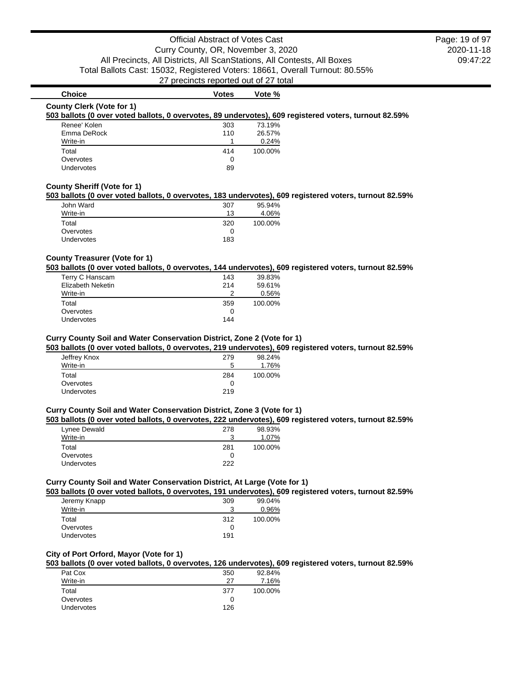# **Choice Votes Votes Vote %**

#### **County Clerk (Vote for 1)**

#### **503 ballots (0 over voted ballots, 0 overvotes, 89 undervotes), 609 registered voters, turnout 82.59%**

| Renee' Kolen | 303 | 73.19%  |
|--------------|-----|---------|
| Emma DeRock  | 110 | 26.57%  |
| Write-in     |     | 0.24%   |
| Total        | 414 | 100.00% |
| Overvotes    | 0   |         |
| Undervotes   | 89  |         |

## **County Sheriff (Vote for 1)**

### **503 ballots (0 over voted ballots, 0 overvotes, 183 undervotes), 609 registered voters, turnout 82.59%**

| John Ward         | 307 | 95.94%  |
|-------------------|-----|---------|
| Write-in          | 13  | 4.06%   |
| Total             | 320 | 100.00% |
| Overvotes         |     |         |
| <b>Undervotes</b> | 183 |         |

## **County Treasurer (Vote for 1)**

#### **503 ballots (0 over voted ballots, 0 overvotes, 144 undervotes), 609 registered voters, turnout 82.59%**

| Terry C Hanscam   | 143 | 39.83%  |
|-------------------|-----|---------|
| Elizabeth Neketin | 214 | 59.61%  |
| Write-in          |     | 0.56%   |
| Total             | 359 | 100.00% |
| Overvotes         |     |         |
| <b>Undervotes</b> | 144 |         |
|                   |     |         |

#### **Curry County Soil and Water Conservation District, Zone 2 (Vote for 1)**

#### **503 ballots (0 over voted ballots, 0 overvotes, 219 undervotes), 609 registered voters, turnout 82.59%**

| 279 | 98.24%  |
|-----|---------|
| 5   | 1.76%   |
| 284 | 100.00% |
| 0   |         |
| 219 |         |
|     |         |

#### **Curry County Soil and Water Conservation District, Zone 3 (Vote for 1)**

#### **503 ballots (0 over voted ballots, 0 overvotes, 222 undervotes), 609 registered voters, turnout 82.59%**

| Lynee Dewald      | 278 | 98.93%  |
|-------------------|-----|---------|
| Write-in          | ີ   | 1.07%   |
| Total             | 281 | 100.00% |
| Overvotes         |     |         |
| <b>Undervotes</b> | フフフ |         |

### **Curry County Soil and Water Conservation District, At Large (Vote for 1)**

# **503 ballots (0 over voted ballots, 0 overvotes, 191 undervotes), 609 registered voters, turnout 82.59%**

| Jeremy Knapp      | 309 | 99.04%  |
|-------------------|-----|---------|
| Write-in          | າ   | 0.96%   |
| Total             | 312 | 100.00% |
| Overvotes         |     |         |
| <b>Undervotes</b> | 191 |         |

# **City of Port Orford, Mayor (Vote for 1)**

# **503 ballots (0 over voted ballots, 0 overvotes, 126 undervotes), 609 registered voters, turnout 82.59%**

| Pat Cox           | 350 | 92.84%  |
|-------------------|-----|---------|
| Write-in          | 27  | 7.16%   |
| Total             | 377 | 100.00% |
| Overvotes         | 0   |         |
| <b>Undervotes</b> | 126 |         |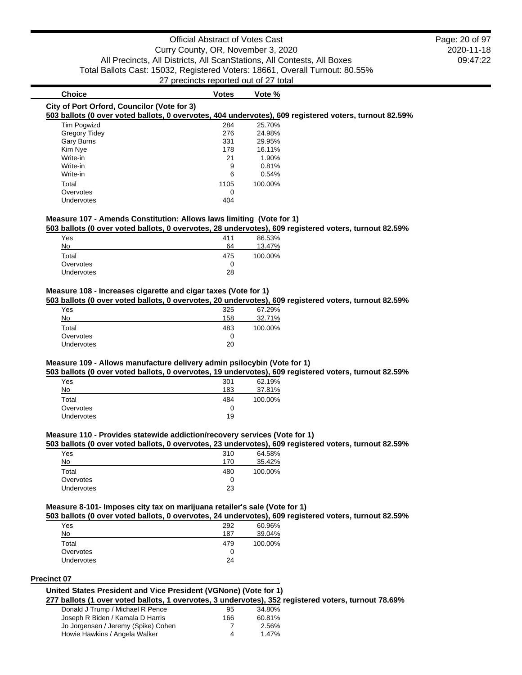2020-11-18 09:47:22 Page: 20 of 97

# **Choice Votes Votes Vote** % **City of Port Orford, Councilor (Vote for 3)**

# **503 ballots (0 over voted ballots, 0 overvotes, 404 undervotes), 609 registered voters, turnout 82.59%**

| $\sigma$ bandle to over your bandle, o over yours, for analytical, a |  |      |         |
|----------------------------------------------------------------------|--|------|---------|
| <b>Tim Pogwizd</b>                                                   |  | 284  | 25.70%  |
| <b>Gregory Tidey</b>                                                 |  | 276  | 24.98%  |
| Gary Burns                                                           |  | 331  | 29.95%  |
| Kim Nye                                                              |  | 178  | 16.11%  |
| Write-in                                                             |  | 21   | 1.90%   |
| Write-in                                                             |  | 9    | 0.81%   |
| Write-in                                                             |  | 6    | 0.54%   |
| Total                                                                |  | 1105 | 100.00% |
| Overvotes                                                            |  | O    |         |
| Undervotes                                                           |  | 404  |         |

### **Measure 107 - Amends Constitution: Allows laws limiting (Vote for 1)**

#### **503 ballots (0 over voted ballots, 0 overvotes, 28 undervotes), 609 registered voters, turnout 82.59%**

| Yes               | 411 | 86.53%  |
|-------------------|-----|---------|
| No                | 64  | 13.47%  |
| Total             | 475 | 100.00% |
| Overvotes         | 0   |         |
| <b>Undervotes</b> | 28  |         |

### **Measure 108 - Increases cigarette and cigar taxes (Vote for 1)**

#### **503 ballots (0 over voted ballots, 0 overvotes, 20 undervotes), 609 registered voters, turnout 82.59%**

| Yes               | 325 | 67.29%  |
|-------------------|-----|---------|
| No                | 158 | 32.71%  |
| Total             | 483 | 100.00% |
| Overvotes         | 0   |         |
| <b>Undervotes</b> | 20  |         |

#### **Measure 109 - Allows manufacture delivery admin psilocybin (Vote for 1)**

### **503 ballots (0 over voted ballots, 0 overvotes, 19 undervotes), 609 registered voters, turnout 82.59%**

| Yes        | 301 | 62.19%  |
|------------|-----|---------|
| No         | 183 | 37.81%  |
| Total      | 484 | 100.00% |
| Overvotes  | 0   |         |
| Undervotes | 19  |         |

### **Measure 110 - Provides statewide addiction/recovery services (Vote for 1)**

### **503 ballots (0 over voted ballots, 0 overvotes, 23 undervotes), 609 registered voters, turnout 82.59%**

| Yes        | 310 | 64.58%  |
|------------|-----|---------|
| No         | 170 | 35.42%  |
| Total      | 480 | 100.00% |
| Overvotes  | 0   |         |
| Undervotes | 23  |         |

## **Measure 8-101- Imposes city tax on marijuana retailer's sale (Vote for 1)**

**503 ballots (0 over voted ballots, 0 overvotes, 24 undervotes), 609 registered voters, turnout 82.59%**

| Yes        | 292 | 60.96%  |
|------------|-----|---------|
| No         | 187 | 39.04%  |
| Total      | 479 | 100.00% |
| Overvotes  | 0   |         |
| Undervotes | 24  |         |
|            |     |         |

#### **Precinct 07**

### **United States President and Vice President (VGNone) (Vote for 1)**

**277 ballots (1 over voted ballots, 1 overvotes, 3 undervotes), 352 registered voters, turnout 78.69%**

| Donald J Trump / Michael R Pence    | 95  | 34.80% |
|-------------------------------------|-----|--------|
| Joseph R Biden / Kamala D Harris    | 166 | 60.81% |
| Jo Jorgensen / Jeremy (Spike) Cohen |     | 2.56%  |
| Howie Hawkins / Angela Walker       | 4   | 1.47%  |
|                                     |     |        |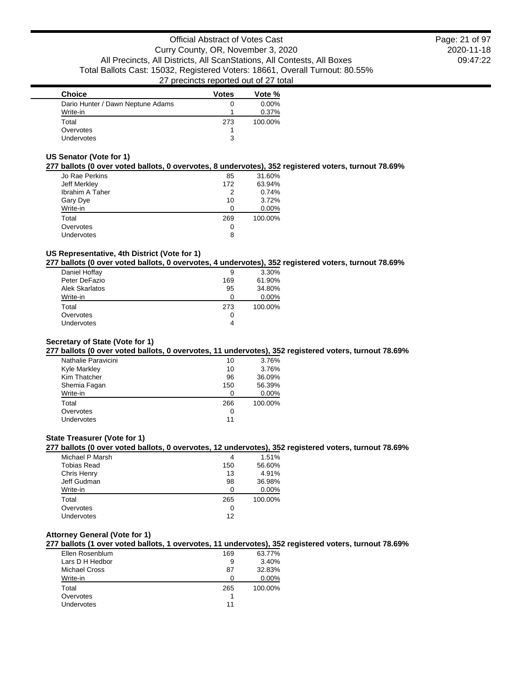2020-11-18 09:47:22 Page: 21 of 97

| <b>Choice</b>                     | <b>Votes</b> | Vote %   |
|-----------------------------------|--------------|----------|
| Dario Hunter / Dawn Neptune Adams |              | $0.00\%$ |
| Write-in                          |              | 0.37%    |
| Total                             | 273          | 100.00%  |
| Overvotes                         |              |          |
| Undervotes                        | ີ            |          |

## **US Senator (Vote for 1)**

### **277 ballots (0 over voted ballots, 0 overvotes, 8 undervotes), 352 registered voters, turnout 78.69%**

| Jo Rae Perkins         | 85  | 31.60%  |
|------------------------|-----|---------|
| Jeff Merkley           | 172 | 63.94%  |
| <b>Ibrahim A Taher</b> | 2   | 0.74%   |
| Gary Dye               | 10  | 3.72%   |
| Write-in               | n   | 0.00%   |
| Total                  | 269 | 100.00% |
| Overvotes              | 0   |         |
| Undervotes             | 8   |         |

## **US Representative, 4th District (Vote for 1)**

### **277 ballots (0 over voted ballots, 0 overvotes, 4 undervotes), 352 registered voters, turnout 78.69%**

| Daniel Hoffay     | 9   | 3.30%   |
|-------------------|-----|---------|
| Peter DeFazio     | 169 | 61.90%  |
| Alek Skarlatos    | 95  | 34.80%  |
| Write-in          | ∩   | 0.00%   |
| Total             | 273 | 100.00% |
| Overvotes         | 0   |         |
| <b>Undervotes</b> | 4   |         |
|                   |     |         |

# **Secretary of State (Vote for 1)**

# **277 ballots (0 over voted ballots, 0 overvotes, 11 undervotes), 352 registered voters, turnout 78.69%**

| Nathalie Paravicini | 10  | 3.76%   |
|---------------------|-----|---------|
| <b>Kyle Markley</b> | 10  | 3.76%   |
| Kim Thatcher        | 96  | 36.09%  |
| Shemia Fagan        | 150 | 56.39%  |
| Write-in            |     | 0.00%   |
| Total               | 266 | 100.00% |
| Overvotes           | O   |         |
| Undervotes          | 11  |         |

### **State Treasurer (Vote for 1)**

### **277 ballots (0 over voted ballots, 0 overvotes, 12 undervotes), 352 registered voters, turnout 78.69%**

| Michael P Marsh    | 4   | 1.51%   |
|--------------------|-----|---------|
| <b>Tobias Read</b> | 150 | 56.60%  |
| Chris Henry        | 13  | 4.91%   |
| Jeff Gudman        | 98  | 36.98%  |
| Write-in           |     | 0.00%   |
| Total              | 265 | 100.00% |
| Overvotes          | 0   |         |
| <b>Undervotes</b>  | 12  |         |
|                    |     |         |

# **Attorney General (Vote for 1)**

# **277 ballots (1 over voted ballots, 1 overvotes, 11 undervotes), 352 registered voters, turnout 78.69%**

| Ellen Rosenblum | 169 | 63.77%  |
|-----------------|-----|---------|
| Lars D H Hedbor | 9   | 3.40%   |
| Michael Cross   | 87  | 32.83%  |
| Write-in        |     | 0.00%   |
| Total           | 265 | 100.00% |
| Overvotes       |     |         |
| Undervotes      | 11  |         |
|                 |     |         |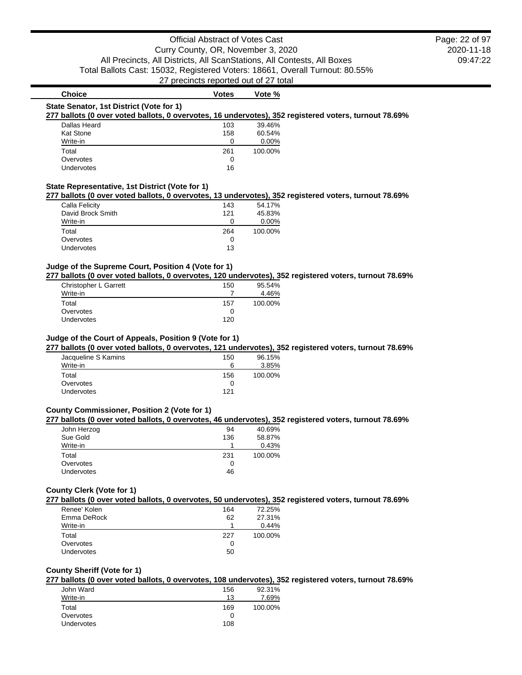2020-11-18 09:47:22 Page: 22 of 97

# **Choice Votes Votes Vote** %

#### **State Senator, 1st District (Vote for 1)**

### **277 ballots (0 over voted ballots, 0 overvotes, 16 undervotes), 352 registered voters, turnout 78.69%**

| Dallas Heard     | 103 | 39.46%   |
|------------------|-----|----------|
| <b>Kat Stone</b> | 158 | 60.54%   |
| Write-in         | 0   | $0.00\%$ |
| Total            | 261 | 100.00%  |
| Overvotes        | 0   |          |
| Undervotes       | 16  |          |

### **State Representative, 1st District (Vote for 1)**

#### **277 ballots (0 over voted ballots, 0 overvotes, 13 undervotes), 352 registered voters, turnout 78.69%**

| Calla Felicity    | 143 | 54.17%  |
|-------------------|-----|---------|
| David Brock Smith | 121 | 45.83%  |
| Write-in          |     | 0.00%   |
| Total             | 264 | 100.00% |
| Overvotes         | 0   |         |
| <b>Undervotes</b> | 13  |         |

### **Judge of the Supreme Court, Position 4 (Vote for 1)**

#### **277 ballots (0 over voted ballots, 0 overvotes, 120 undervotes), 352 registered voters, turnout 78.69%**

| Christopher L Garrett | 150 | 95.54%  |
|-----------------------|-----|---------|
| Write-in              |     | 4.46%   |
| Total                 | 157 | 100.00% |
| Overvotes             |     |         |
| <b>Undervotes</b>     | 120 |         |

#### **Judge of the Court of Appeals, Position 9 (Vote for 1)**

### **277 ballots (0 over voted ballots, 0 overvotes, 121 undervotes), 352 registered voters, turnout 78.69%**

| Jacqueline S Kamins | 150 | 96.15%  |
|---------------------|-----|---------|
| Write-in            | 6   | 3.85%   |
| Total               | 156 | 100.00% |
| Overvotes           |     |         |
| <b>Undervotes</b>   | 121 |         |
|                     |     |         |

### **County Commissioner, Position 2 (Vote for 1)**

### **277 ballots (0 over voted ballots, 0 overvotes, 46 undervotes), 352 registered voters, turnout 78.69%**

| John Herzog       | 94  | 40.69%  |
|-------------------|-----|---------|
| Sue Gold          | 136 | 58.87%  |
| Write-in          |     | 0.43%   |
| Total             | 231 | 100.00% |
| Overvotes         |     |         |
| <b>Undervotes</b> | 46  |         |
|                   |     |         |

#### **County Clerk (Vote for 1)**

**277 ballots (0 over voted ballots, 0 overvotes, 50 undervotes), 352 registered voters, turnout 78.69%**

| Renee' Kolen      | 164      | 72.25%  |
|-------------------|----------|---------|
| Emma DeRock       | 62       | 27.31%  |
| Write-in          |          | 0.44%   |
| Total             | 227      | 100.00% |
| Overvotes         | $\Omega$ |         |
| <b>Undervotes</b> | 50       |         |

#### **County Sheriff (Vote for 1)**

### **277 ballots (0 over voted ballots, 0 overvotes, 108 undervotes), 352 registered voters, turnout 78.69%**

| John Ward         | 156 | 92.31%  |
|-------------------|-----|---------|
| Write-in          | 13  | 7.69%   |
| Total             | 169 | 100.00% |
| Overvotes         |     |         |
| <b>Undervotes</b> | 108 |         |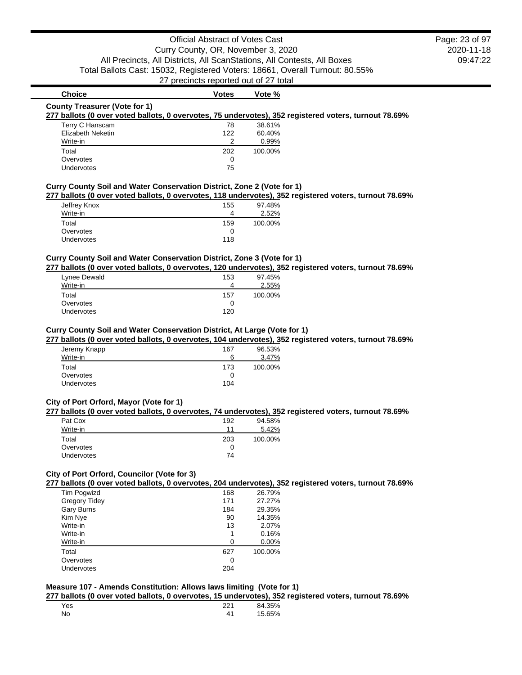# **Choice Votes Votes Vote** % **County Treasurer (Vote for 1) 277 ballots (0 over voted ballots, 0 overvotes, 75 undervotes), 352 registered voters, turnout 78.69%** Terry C Hanscam and the control of the 1980 of the 1980 of the 1980 of the 1980 of the 1980 of the 1980 of the 1

| rerry C Hanscam   | 78  | 38.01%  |
|-------------------|-----|---------|
| Elizabeth Neketin | 122 | 60.40%  |
| Write-in          |     | 0.99%   |
| Total             | 202 | 100.00% |
| Overvotes         | 0   |         |
| <b>Undervotes</b> | 75  |         |
|                   |     |         |

# **Curry County Soil and Water Conservation District, Zone 2 (Vote for 1)**

**277 ballots (0 over voted ballots, 0 overvotes, 118 undervotes), 352 registered voters, turnout 78.69%**

| Jeffrey Knox      | 155 | 97.48%  |
|-------------------|-----|---------|
| Write-in          | 4   | 2.52%   |
| Total             | 159 | 100.00% |
| Overvotes         | 0   |         |
| <b>Undervotes</b> | 118 |         |

# **Curry County Soil and Water Conservation District, Zone 3 (Vote for 1)**

**277 ballots (0 over voted ballots, 0 overvotes, 120 undervotes), 352 registered voters, turnout 78.69%**

| Lynee Dewald      | 153 | 97.45%  |
|-------------------|-----|---------|
| Write-in          |     | 2.55%   |
| Total             | 157 | 100.00% |
| Overvotes         |     |         |
| <b>Undervotes</b> | 120 |         |

#### **Curry County Soil and Water Conservation District, At Large (Vote for 1)**

**277 ballots (0 over voted ballots, 0 overvotes, 104 undervotes), 352 registered voters, turnout 78.69%**

| 167<br>6 | 96.53%<br>3.47% |
|----------|-----------------|
| 173      | 100.00%         |
| 0        |                 |
| 104      |                 |
|          |                 |

## **City of Port Orford, Mayor (Vote for 1)**

#### **277 ballots (0 over voted ballots, 0 overvotes, 74 undervotes), 352 registered voters, turnout 78.69%**

| Pat Cox           | 192 | 94.58%  |
|-------------------|-----|---------|
| Write-in          | 11  | 5.42%   |
| Total             | 203 | 100.00% |
| Overvotes         | 0   |         |
| <b>Undervotes</b> | 74  |         |

### **City of Port Orford, Councilor (Vote for 3)**

**277 ballots (0 over voted ballots, 0 overvotes, 204 undervotes), 352 registered voters, turnout 78.69%**

| Tim Pogwizd          | 168 | 26.79%  |
|----------------------|-----|---------|
| <b>Gregory Tidey</b> | 171 | 27.27%  |
| Gary Burns           | 184 | 29.35%  |
| Kim Nye              | 90  | 14.35%  |
| Write-in             | 13  | 2.07%   |
| Write-in             | 1   | 0.16%   |
| Write-in             | 0   | 0.00%   |
| Total                | 627 | 100.00% |
| Overvotes            | 0   |         |
| Undervotes           | 204 |         |

# **Measure 107 - Amends Constitution: Allows laws limiting (Vote for 1)**

**277 ballots (0 over voted ballots, 0 overvotes, 15 undervotes), 352 registered voters, turnout 78.69%**

| Yes |                | 84.35% |
|-----|----------------|--------|
| No  | $\overline{ }$ | 15.65% |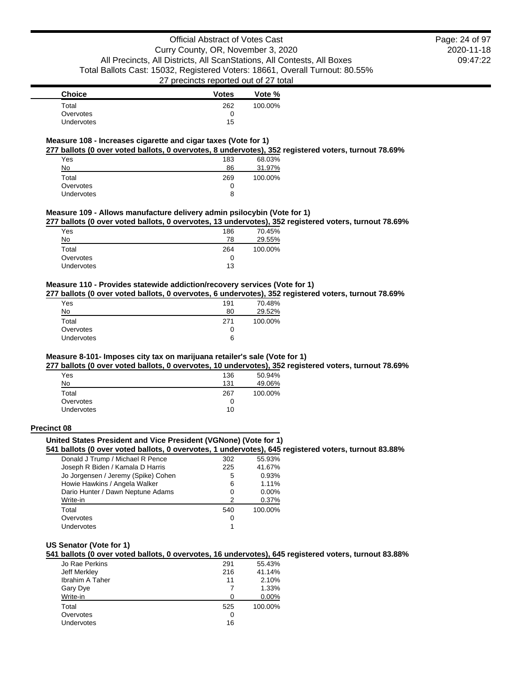2020-11-18 09:47:22 Page: 24 of 97

| <b>Choice</b>     | <b>Votes</b> | Vote %  |
|-------------------|--------------|---------|
| Total             | 262          | 100.00% |
| Overvotes         | O            |         |
| <b>Undervotes</b> | 15           |         |

### **Measure 108 - Increases cigarette and cigar taxes (Vote for 1)**

**277 ballots (0 over voted ballots, 0 overvotes, 8 undervotes), 352 registered voters, turnout 78.69%**

| Yes        | 183 | 68.03%  |
|------------|-----|---------|
|            |     |         |
| No         | 86  | 31.97%  |
| Total      | 269 | 100.00% |
| Overvotes  | 0   |         |
| Undervotes | 8   |         |

### **Measure 109 - Allows manufacture delivery admin psilocybin (Vote for 1)**

**277 ballots (0 over voted ballots, 0 overvotes, 13 undervotes), 352 registered voters, turnout 78.69%**

| 70.45%  |
|---------|
| 29.55%  |
| 100.00% |
|         |
|         |
|         |

# **Measure 110 - Provides statewide addiction/recovery services (Vote for 1)**

**277 ballots (0 over voted ballots, 0 overvotes, 6 undervotes), 352 registered voters, turnout 78.69%**

| Yes               | 191 | 70.48%  |
|-------------------|-----|---------|
| No                | 80  | 29.52%  |
| Total             | 271 | 100.00% |
| Overvotes         |     |         |
| <b>Undervotes</b> | 6   |         |

### **Measure 8-101- Imposes city tax on marijuana retailer's sale (Vote for 1)**

**277 ballots (0 over voted ballots, 0 overvotes, 10 undervotes), 352 registered voters, turnout 78.69%**

| Yes               | 136 | 50.94%  |
|-------------------|-----|---------|
| No                | 131 | 49.06%  |
| Total             | 267 | 100.00% |
| Overvotes         |     |         |
| <b>Undervotes</b> | 10  |         |

#### **Precinct 08**

# **United States President and Vice President (VGNone) (Vote for 1)**

**541 ballots (0 over voted ballots, 0 overvotes, 1 undervotes), 645 registered voters, turnout 83.88%**

| Donald J Trump / Michael R Pence    | 302 | 55.93%  |
|-------------------------------------|-----|---------|
| Joseph R Biden / Kamala D Harris    | 225 | 41.67%  |
| Jo Jorgensen / Jeremy (Spike) Cohen | 5   | 0.93%   |
| Howie Hawkins / Angela Walker       | 6   | 1.11%   |
| Dario Hunter / Dawn Neptune Adams   | O   | 0.00%   |
| Write-in                            | 2   | 0.37%   |
| Total                               | 540 | 100.00% |
| Overvotes                           | O   |         |
| <b>Undervotes</b>                   |     |         |
|                                     |     |         |

### **US Senator (Vote for 1)**

**541 ballots (0 over voted ballots, 0 overvotes, 16 undervotes), 645 registered voters, turnout 83.88%**

| Jo Rae Perkins         | 291 | 55.43%  |
|------------------------|-----|---------|
| Jeff Merkley           | 216 | 41.14%  |
| <b>Ibrahim A Taher</b> | 11  | 2.10%   |
| Gary Dye               |     | 1.33%   |
| Write-in               | O   | 0.00%   |
| Total                  | 525 | 100.00% |
| Overvotes              | O   |         |
| <b>Undervotes</b>      | 16  |         |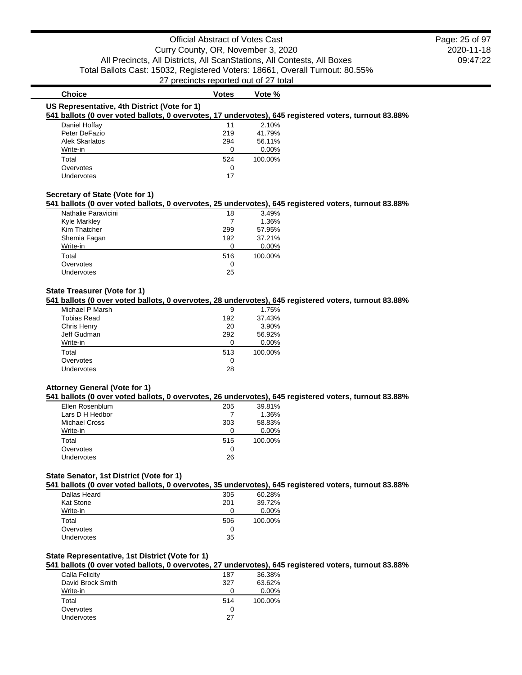2020-11-18 09:47:22 Page: 25 of 97

| <b>Choice</b>                                                                                                                                         | <b>Votes</b> | Vote %   |  |
|-------------------------------------------------------------------------------------------------------------------------------------------------------|--------------|----------|--|
| US Representative, 4th District (Vote for 1)<br>541 ballots (0 over voted ballots, 0 overvotes, 17 undervotes), 645 registered voters, turnout 83.88% |              |          |  |
| Daniel Hoffay                                                                                                                                         | 11           | 2.10%    |  |
| Peter DeFazio                                                                                                                                         | 219          | 41.79%   |  |
| Alek Skarlatos                                                                                                                                        | 294          | 56.11%   |  |
| Write-in                                                                                                                                              |              | $0.00\%$ |  |
| Total                                                                                                                                                 | 524          | 100.00%  |  |
| Overvotes                                                                                                                                             | 0            |          |  |
| Undervotes                                                                                                                                            | 17           |          |  |
|                                                                                                                                                       |              |          |  |

#### **Secretary of State (Vote for 1)**

**541 ballots (0 over voted ballots, 0 overvotes, 25 undervotes), 645 registered voters, turnout 83.88%**

| Nathalie Paravicini | 18  | 3.49%   |
|---------------------|-----|---------|
| <b>Kyle Markley</b> |     | 1.36%   |
| Kim Thatcher        | 299 | 57.95%  |
| Shemia Fagan        | 192 | 37.21%  |
| Write-in            | O   | 0.00%   |
| Total               | 516 | 100.00% |
| Overvotes           | 0   |         |
| Undervotes          | 25  |         |
|                     |     |         |

### **State Treasurer (Vote for 1)**

**541 ballots (0 over voted ballots, 0 overvotes, 28 undervotes), 645 registered voters, turnout 83.88%**

| Michael P Marsh    | 9   | 1.75%   |
|--------------------|-----|---------|
| <b>Tobias Read</b> | 192 | 37.43%  |
| Chris Henry        | 20  | 3.90%   |
| Jeff Gudman        | 292 | 56.92%  |
| Write-in           |     | 0.00%   |
| Total              | 513 | 100.00% |
| Overvotes          | 0   |         |
| Undervotes         | 28  |         |
|                    |     |         |

#### **Attorney General (Vote for 1)**

#### **541 ballots (0 over voted ballots, 0 overvotes, 26 undervotes), 645 registered voters, turnout 83.88%**

| Ellen Rosenblum      | 205 | 39.81%  |
|----------------------|-----|---------|
| Lars D H Hedbor      |     | 1.36%   |
| <b>Michael Cross</b> | 303 | 58.83%  |
| Write-in             | O   | 0.00%   |
| Total                | 515 | 100.00% |
| Overvotes            | O   |         |
| <b>Undervotes</b>    | 26  |         |
|                      |     |         |

### **State Senator, 1st District (Vote for 1)**

**541 ballots (0 over voted ballots, 0 overvotes, 35 undervotes), 645 registered voters, turnout 83.88%**

| Dallas Heard | 305 | 60.28%  |
|--------------|-----|---------|
| Kat Stone    | 201 | 39.72%  |
| Write-in     |     | 0.00%   |
| Total        | 506 | 100.00% |
| Overvotes    |     |         |
| Undervotes   | 35  |         |

#### **State Representative, 1st District (Vote for 1)**

### **541 ballots (0 over voted ballots, 0 overvotes, 27 undervotes), 645 registered voters, turnout 83.88%**

| Calla Felicity    | 187 | 36.38%  |
|-------------------|-----|---------|
| David Brock Smith | 327 | 63.62%  |
| Write-in          |     | 0.00%   |
| Total             | 514 | 100.00% |
| Overvotes         | O   |         |
| <b>Undervotes</b> | 27  |         |
|                   |     |         |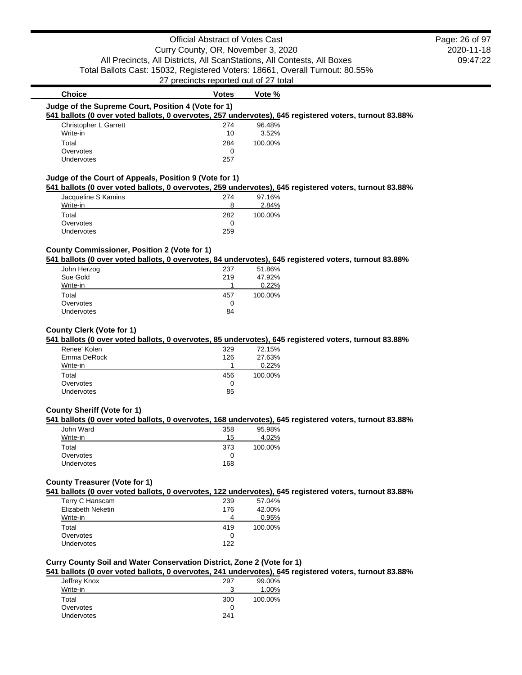# Official Abstract of Votes Cast Curry County, OR, November 3, 2020 All Precincts, All Districts, All ScanStations, All Contests, All Boxes Total Ballots Cast: 15032, Registered Voters: 18661, Overall Turnout: 80.55% 27 precincts reported out of 27 total

2020-11-18 09:47:22 Page: 26 of 97

| Christopher L Garrett                                                                                                                                                                   | 274 | 96.48%  |  |
|-----------------------------------------------------------------------------------------------------------------------------------------------------------------------------------------|-----|---------|--|
| Write-in                                                                                                                                                                                | 10  | 3.52%   |  |
| Total                                                                                                                                                                                   | 284 | 100.00% |  |
| Overvotes                                                                                                                                                                               | 0   |         |  |
|                                                                                                                                                                                         |     |         |  |
| Undervotes                                                                                                                                                                              | 257 |         |  |
| Judge of the Court of Appeals, Position 9 (Vote for 1)<br>541 ballots (0 over voted ballots, 0 overvotes, 259 undervotes), 645 registered voters, turnout 83.88%<br>Jacqueline S Kamins | 274 | 97.16%  |  |

**Choice Votes Votes Vote** %

#### **County Commissioner, Position 2 (Vote for 1)**

Overvotes and the contract of the contract of the contract of the contract of the contract of the contract of the contract of the contract of the contract of the contract of the contract of the contract of the contract of Undervotes 259

#### **541 ballots (0 over voted ballots, 0 overvotes, 84 undervotes), 645 registered voters, turnout 83.88%**

| John Herzog       | 237 | 51.86%  |
|-------------------|-----|---------|
| Sue Gold          | 219 | 47.92%  |
| Write-in          |     | 0.22%   |
| Total             | 457 | 100.00% |
| Overvotes         | 0   |         |
| <b>Undervotes</b> | 84  |         |

### **County Clerk (Vote for 1)**

### **541 ballots (0 over voted ballots, 0 overvotes, 85 undervotes), 645 registered voters, turnout 83.88%**

| Renee' Kolen      | 329 | 72.15%  |
|-------------------|-----|---------|
| Emma DeRock       | 126 | 27.63%  |
| Write-in          |     | 0.22%   |
| Total             | 456 | 100.00% |
| Overvotes         | O   |         |
| <b>Undervotes</b> | 85  |         |

### **County Sheriff (Vote for 1)**

#### **541 ballots (0 over voted ballots, 0 overvotes, 168 undervotes), 645 registered voters, turnout 83.88%**

| John Ward         | 358 | 95.98%  |
|-------------------|-----|---------|
| Write-in          | 15  | 4.02%   |
| Total             | 373 | 100.00% |
| Overvotes         |     |         |
| <b>Undervotes</b> | 168 |         |

# **County Treasurer (Vote for 1)**

**541 ballots (0 over voted ballots, 0 overvotes, 122 undervotes), 645 registered voters, turnout 83.88%**

| Terry C Hanscam   | 239 | 57.04%  |
|-------------------|-----|---------|
| Elizabeth Neketin | 176 | 42.00%  |
| Write-in          | 4   | 0.95%   |
| Total             | 419 | 100.00% |
| Overvotes         | O   |         |
| <b>Undervotes</b> | 122 |         |

### **Curry County Soil and Water Conservation District, Zone 2 (Vote for 1)**

### **541 ballots (0 over voted ballots, 0 overvotes, 241 undervotes), 645 registered voters, turnout 83.88%**

|              |       | . .     |
|--------------|-------|---------|
| Jeffrey Knox | 297   | 99.00%  |
| Write-in     | 2<br> | 1.00%   |
| Total        | 300   | 100.00% |
| Overvotes    | 0     |         |
| Undervotes   | 241   |         |
|              |       |         |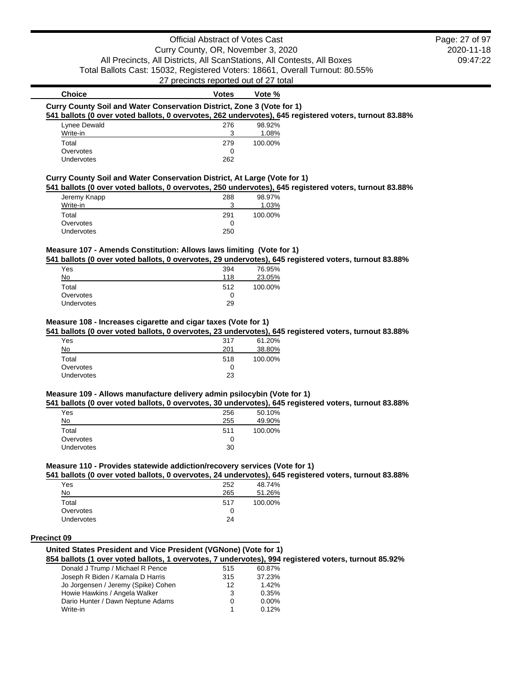# Official Abstract of Votes Cast Curry County, OR, November 3, 2020 All Precincts, All Districts, All ScanStations, All Contests, All Boxes Total Ballots Cast: 15032, Registered Voters: 18661, Overall Turnout: 80.55%

27 precincts reported out of 27 total

# **Choice Votes Votes Vote** % **Curry County Soil and Water Conservation District, Zone 3 (Vote for 1) 541 ballots (0 over voted ballots, 0 overvotes, 262 undervotes), 645 registered voters, turnout 83.88%** Lynee Dewald 276 98.92%

| Write-in          | ≏   | 1.08%   |
|-------------------|-----|---------|
| Total             | 279 | 100.00% |
| Overvotes         |     |         |
| <b>Undervotes</b> | 262 |         |

### **Curry County Soil and Water Conservation District, At Large (Vote for 1)**

**541 ballots (0 over voted ballots, 0 overvotes, 250 undervotes), 645 registered voters, turnout 83.88%**

| Jeremy Knapp      | 288 | 98.97%  |
|-------------------|-----|---------|
| Write-in          | ີ   | 1.03%   |
| Total             | 291 | 100.00% |
| Overvotes         |     |         |
| <b>Undervotes</b> | 250 |         |

### **Measure 107 - Amends Constitution: Allows laws limiting (Vote for 1)**

**541 ballots (0 over voted ballots, 0 overvotes, 29 undervotes), 645 registered voters, turnout 83.88%**

| Yes        | 394 | 76.95%  |
|------------|-----|---------|
| No         | 118 | 23.05%  |
| Total      | 512 | 100.00% |
| Overvotes  | 0   |         |
| Undervotes | 29  |         |

## **Measure 108 - Increases cigarette and cigar taxes (Vote for 1)**

**541 ballots (0 over voted ballots, 0 overvotes, 23 undervotes), 645 registered voters, turnout 83.88%**

| Yes               | 317 | 61.20%  |
|-------------------|-----|---------|
| No                | 201 | 38.80%  |
| Total             | 518 | 100.00% |
| Overvotes         | 0   |         |
| <b>Undervotes</b> | 23  |         |
|                   |     |         |

# **Measure 109 - Allows manufacture delivery admin psilocybin (Vote for 1)**

**541 ballots (0 over voted ballots, 0 overvotes, 30 undervotes), 645 registered voters, turnout 83.88%**

| Yes        | 256 | 50.10%  |
|------------|-----|---------|
| No         | 255 | 49.90%  |
| Total      | 511 | 100.00% |
| Overvotes  | 0   |         |
| Undervotes | 30  |         |

## **Measure 110 - Provides statewide addiction/recovery services (Vote for 1)**

**541 ballots (0 over voted ballots, 0 overvotes, 24 undervotes), 645 registered voters, turnout 83.88%**

|                   |     | . .     |
|-------------------|-----|---------|
| Yes               | 252 | 48.74%  |
| No                | 265 | 51.26%  |
| Total             | 517 | 100.00% |
| Overvotes         |     |         |
| <b>Undervotes</b> | 24  |         |
|                   |     |         |

#### **Precinct 09**

## **United States President and Vice President (VGNone) (Vote for 1)**

**854 ballots (1 over voted ballots, 1 overvotes, 7 undervotes), 994 registered voters, turnout 85.92%**

| Donald J Trump / Michael R Pence    | 515 | 60.87%   |
|-------------------------------------|-----|----------|
| Joseph R Biden / Kamala D Harris    | 315 | 37.23%   |
| Jo Jorgensen / Jeremy (Spike) Cohen | 12  | 1.42%    |
| Howie Hawkins / Angela Walker       | 3   | 0.35%    |
| Dario Hunter / Dawn Neptune Adams   | 0   | $0.00\%$ |
| Write-in                            |     | 0.12%    |
|                                     |     |          |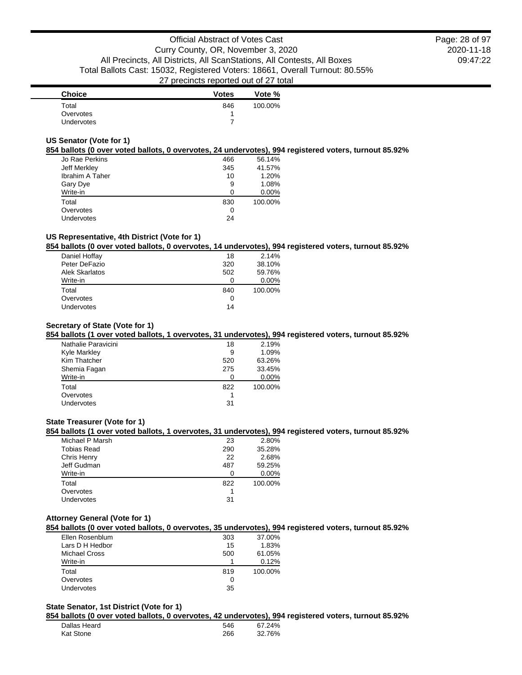| <b>Choice</b> | <b>Votes</b> | Vote %  |
|---------------|--------------|---------|
| Total         | 846          | 100.00% |
| Overvotes     |              |         |
| Undervotes    |              |         |

### **US Senator (Vote for 1)**

#### **854 ballots (0 over voted ballots, 0 overvotes, 24 undervotes), 994 registered voters, turnout 85.92%**

| Jo Rae Perkins         | 466 | 56.14%  |
|------------------------|-----|---------|
| Jeff Merkley           | 345 | 41.57%  |
| <b>Ibrahim A Taher</b> | 10  | 1.20%   |
| Gary Dye               | 9   | 1.08%   |
| Write-in               | O   | 0.00%   |
| Total                  | 830 | 100.00% |
| Overvotes              | 0   |         |
| <b>Undervotes</b>      | 24  |         |

# **US Representative, 4th District (Vote for 1)**

### **854 ballots (0 over voted ballots, 0 overvotes, 14 undervotes), 994 registered voters, turnout 85.92%**

| Daniel Hoffay         | 18  | 2.14%   |
|-----------------------|-----|---------|
| Peter DeFazio         | 320 | 38.10%  |
| <b>Alek Skarlatos</b> | 502 | 59.76%  |
| Write-in              |     | 0.00%   |
| Total                 | 840 | 100.00% |
| Overvotes             | 0   |         |
| <b>Undervotes</b>     | 14  |         |
|                       |     |         |

### **Secretary of State (Vote for 1)**

# **854 ballots (1 over voted ballots, 1 overvotes, 31 undervotes), 994 registered voters, turnout 85.92%**

| Nathalie Paravicini | 18  | 2.19%   |
|---------------------|-----|---------|
| Kyle Markley        | 9   | 1.09%   |
| Kim Thatcher        | 520 | 63.26%  |
| Shemia Fagan        | 275 | 33.45%  |
| Write-in            | O   | 0.00%   |
| Total               | 822 | 100.00% |
| Overvotes           |     |         |
| Undervotes          | 31  |         |
|                     |     |         |

#### **State Treasurer (Vote for 1)**

### **854 ballots (1 over voted ballots, 1 overvotes, 31 undervotes), 994 registered voters, turnout 85.92%**

| Michael P Marsh    | 23  | 2.80%   |
|--------------------|-----|---------|
| <b>Tobias Read</b> | 290 | 35.28%  |
| Chris Henry        | 22  | 2.68%   |
| Jeff Gudman        | 487 | 59.25%  |
| Write-in           |     | 0.00%   |
| Total              | 822 | 100.00% |
| Overvotes          |     |         |
| <b>Undervotes</b>  | 31  |         |
|                    |     |         |

### **Attorney General (Vote for 1)**

#### **854 ballots (0 over voted ballots, 0 overvotes, 35 undervotes), 994 registered voters, turnout 85.92%**

| Ellen Rosenblum | 303 | 37.00%  |
|-----------------|-----|---------|
| Lars D H Hedbor | 15  | 1.83%   |
| Michael Cross   | 500 | 61.05%  |
| Write-in        |     | 0.12%   |
| Total           | 819 | 100.00% |
| Overvotes       |     |         |
| Undervotes      | 35  |         |
|                 |     |         |

#### **State Senator, 1st District (Vote for 1)**

#### **854 ballots (0 over voted ballots, 0 overvotes, 42 undervotes), 994 registered voters, turnout 85.92%**

| Dallas Heard | 546 | 24%<br>67 |
|--------------|-----|-----------|
| Kat Stone    | 266 | 32.76%    |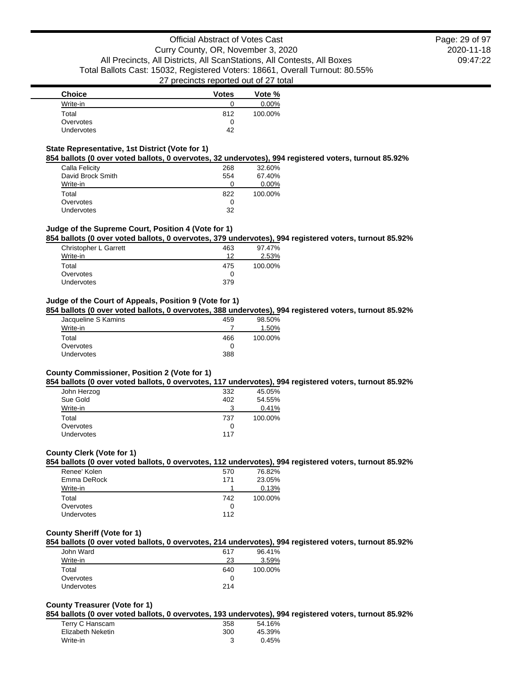| <b>Choice</b>     | <b>Votes</b> | Vote %   |
|-------------------|--------------|----------|
| Write-in          |              | $0.00\%$ |
| Total             | 812          | 100.00%  |
| Overvotes         |              |          |
| <b>Undervotes</b> | 42           |          |

### **State Representative, 1st District (Vote for 1)**

# **854 ballots (0 over voted ballots, 0 overvotes, 32 undervotes), 994 registered voters, turnout 85.92%**

| Calla Felicity    | 268 | 32.60%  |
|-------------------|-----|---------|
| David Brock Smith | 554 | 67.40%  |
| Write-in          |     | 0.00%   |
| Total             | 822 | 100.00% |
| Overvotes         | O   |         |
| <b>Undervotes</b> | 32  |         |

# **Judge of the Supreme Court, Position 4 (Vote for 1)**

#### **854 ballots (0 over voted ballots, 0 overvotes, 379 undervotes), 994 registered voters, turnout 85.92%**

| Christopher L Garrett | 463 | 97.47%  |
|-----------------------|-----|---------|
| Write-in              | 12  | 2.53%   |
| Total                 | 475 | 100.00% |
| Overvotes             | O   |         |
| Undervotes            | 379 |         |

### **Judge of the Court of Appeals, Position 9 (Vote for 1)**

#### **854 ballots (0 over voted ballots, 0 overvotes, 388 undervotes), 994 registered voters, turnout 85.92%**

| Jacqueline S Kamins | 459 | 98.50%  |
|---------------------|-----|---------|
| Write-in            |     | 1.50%   |
| Total               | 466 | 100.00% |
| Overvotes           | 0   |         |
| Undervotes          | 388 |         |

### **County Commissioner, Position 2 (Vote for 1)**

#### **854 ballots (0 over voted ballots, 0 overvotes, 117 undervotes), 994 registered voters, turnout 85.92%**

| John Herzog | 332 | 45.05%  |
|-------------|-----|---------|
| Sue Gold    | 402 | 54.55%  |
| Write-in    | 3   | 0.41%   |
| Total       | 737 | 100.00% |
| Overvotes   |     |         |
| Undervotes  | 117 |         |

#### **County Clerk (Vote for 1)**

### **854 ballots (0 over voted ballots, 0 overvotes, 112 undervotes), 994 registered voters, turnout 85.92%**

| Renee' Kolen      | 570 | 76.82%  |
|-------------------|-----|---------|
| Emma DeRock       | 171 | 23.05%  |
| Write-in          |     | 0.13%   |
| Total             | 742 | 100.00% |
| Overvotes         |     |         |
| <b>Undervotes</b> | 112 |         |

# **County Sheriff (Vote for 1)**

# **854 ballots (0 over voted ballots, 0 overvotes, 214 undervotes), 994 registered voters, turnout 85.92%**

| John Ward         | 617 | 96.41%  |
|-------------------|-----|---------|
| Write-in          | 23  | 3.59%   |
| Total             | 640 | 100.00% |
| Overvotes         |     |         |
| <b>Undervotes</b> | 214 |         |

# **County Treasurer (Vote for 1)**

### **854 ballots (0 over voted ballots, 0 overvotes, 193 undervotes), 994 registered voters, turnout 85.92%**

| Terry C Hanscam   | 358 | 54.16%   |
|-------------------|-----|----------|
| Elizabeth Neketin | 300 | 45.39%   |
| Write-in          |     | $0.45\%$ |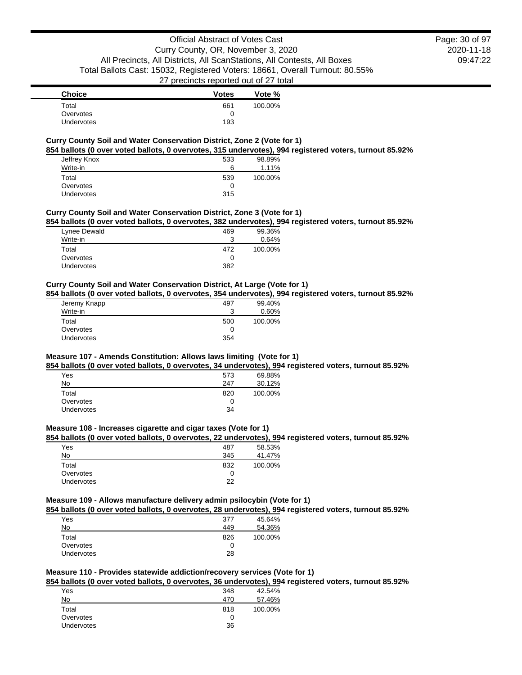2020-11-18 09:47:22 Page: 30 of 97

| <b>Choice</b>     | <b>Votes</b> | Vote %  |
|-------------------|--------------|---------|
| Total             | 661          | 100.00% |
| Overvotes         | O            |         |
| <b>Undervotes</b> | 193          |         |

### **Curry County Soil and Water Conservation District, Zone 2 (Vote for 1)**

**854 ballots (0 over voted ballots, 0 overvotes, 315 undervotes), 994 registered voters, turnout 85.92%**

| Jeffrey Knox<br>Write-in | 533<br>6 | 98.89%<br>1.11% |
|--------------------------|----------|-----------------|
| Total                    | 539      | 100.00%         |
| Overvotes                | 0        |                 |
| Undervotes               | 315      |                 |

### **Curry County Soil and Water Conservation District, Zone 3 (Vote for 1)**

**854 ballots (0 over voted ballots, 0 overvotes, 382 undervotes), 994 registered voters, turnout 85.92%**

| Lynee Dewald<br>Write-in | 469<br>3 | 99.36%<br>0.64% |
|--------------------------|----------|-----------------|
| Total                    | 472      | 100.00%         |
| Overvotes                |          |                 |
| Undervotes               | 382      |                 |

### **Curry County Soil and Water Conservation District, At Large (Vote for 1)**

**854 ballots (0 over voted ballots, 0 overvotes, 354 undervotes), 994 registered voters, turnout 85.92%**

| Jeremy Knapp      | 497 | 99.40%  |
|-------------------|-----|---------|
| Write-in          | 2   | 0.60%   |
| Total             | 500 | 100.00% |
| Overvotes         |     |         |
| <b>Undervotes</b> | 354 |         |

# **Measure 107 - Amends Constitution: Allows laws limiting (Vote for 1)**

**854 ballots (0 over voted ballots, 0 overvotes, 34 undervotes), 994 registered voters, turnout 85.92%**

| 573 | 69.88%  |
|-----|---------|
| 247 | 30.12%  |
| 820 | 100.00% |
|     |         |
| 34  |         |
|     |         |

### **Measure 108 - Increases cigarette and cigar taxes (Vote for 1)**

# **854 ballots (0 over voted ballots, 0 overvotes, 22 undervotes), 994 registered voters, turnout 85.92%**

| Yes               | 487 | 58.53%  |
|-------------------|-----|---------|
| No                | 345 | 41.47%  |
| Total             | 832 | 100.00% |
| Overvotes         |     |         |
| <b>Undervotes</b> | つつ  |         |

**Measure 109 - Allows manufacture delivery admin psilocybin (Vote for 1)**

**854 ballots (0 over voted ballots, 0 overvotes, 28 undervotes), 994 registered voters, turnout 85.92%**

| Yes               | 377 | 45.64%  |
|-------------------|-----|---------|
| No                | 449 | 54.36%  |
| Total             | 826 | 100.00% |
| Overvotes         | 0   |         |
| <b>Undervotes</b> | 28  |         |

# **Measure 110 - Provides statewide addiction/recovery services (Vote for 1)**

**854 ballots (0 over voted ballots, 0 overvotes, 36 undervotes), 994 registered voters, turnout 85.92%**

| Yes               | 348 | 42.54%  |
|-------------------|-----|---------|
| No                | 470 | 57.46%  |
| Total             | 818 | 100.00% |
| Overvotes         | 0   |         |
| <b>Undervotes</b> | 36  |         |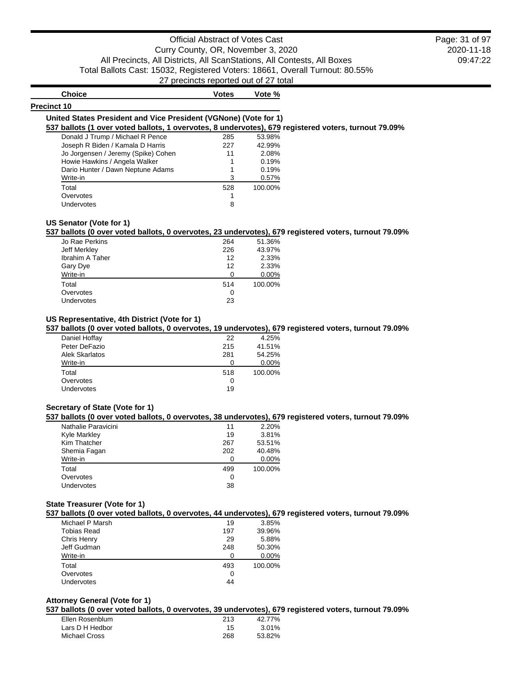# Official Abstract of Votes Cast Curry County, OR, November 3, 2020 All Precincts, All Districts, All ScanStations, All Contests, All Boxes Total Ballots Cast: 15032, Registered Voters: 18661, Overall Turnout: 80.55% 27 precincts reported out of 27 total

2020-11-18 09:47:22 Page: 31 of 97

| <b>Choice</b>                                                                                        | Votes | Vote %  |  |
|------------------------------------------------------------------------------------------------------|-------|---------|--|
| <b>Precinct 10</b>                                                                                   |       |         |  |
| United States President and Vice President (VGNone) (Vote for 1)                                     |       |         |  |
| 537 ballots (1 over voted ballots, 1 overvotes, 8 undervotes), 679 registered voters, turnout 79.09% |       |         |  |
| Donald J Trump / Michael R Pence                                                                     | 285   | 53.98%  |  |
| Joseph R Biden / Kamala D Harris                                                                     | 227   | 42.99%  |  |
| Jo Jorgensen / Jeremy (Spike) Cohen                                                                  | 11    | 2.08%   |  |
| Howie Hawkins / Angela Walker                                                                        |       | 0.19%   |  |
| Dario Hunter / Dawn Neptune Adams                                                                    |       | 0.19%   |  |
| Write-in                                                                                             | 3     | 0.57%   |  |
| Total                                                                                                | 528   | 100.00% |  |
| Overvotes                                                                                            |       |         |  |
| Undervotes                                                                                           | 8     |         |  |
|                                                                                                      |       |         |  |

# **US Senator (Vote for 1)**

### **537 ballots (0 over voted ballots, 0 overvotes, 23 undervotes), 679 registered voters, turnout 79.09%**

| Jo Rae Perkins  | 264 | 51.36%  |
|-----------------|-----|---------|
| Jeff Merkley    | 226 | 43.97%  |
| Ibrahim A Taher | 12  | 2.33%   |
| Gary Dye        | 12  | 2.33%   |
| Write-in        | ∩   | 0.00%   |
| Total           | 514 | 100.00% |
| Overvotes       | O   |         |
| Undervotes      | 23  |         |
|                 |     |         |

# **US Representative, 4th District (Vote for 1)**

### **537 ballots (0 over voted ballots, 0 overvotes, 19 undervotes), 679 registered voters, turnout 79.09%**

| Daniel Hoffay         | 22       | 4.25%   |
|-----------------------|----------|---------|
| Peter DeFazio         | 215      | 41.51%  |
| <b>Alek Skarlatos</b> | 281      | 54.25%  |
| Write-in              | $\Omega$ | 0.00%   |
| Total                 | 518      | 100.00% |
| Overvotes             | O        |         |
| <b>Undervotes</b>     | 19       |         |

### **Secretary of State (Vote for 1)**

# **537 ballots (0 over voted ballots, 0 overvotes, 38 undervotes), 679 registered voters, turnout 79.09%**

| Nathalie Paravicini | 11  | 2.20%   |
|---------------------|-----|---------|
| Kyle Markley        | 19  | 3.81%   |
| Kim Thatcher        | 267 | 53.51%  |
| Shemia Fagan        | 202 | 40.48%  |
| Write-in            |     | 0.00%   |
| Total               | 499 | 100.00% |
| Overvotes           | 0   |         |
| Undervotes          | 38  |         |
|                     |     |         |

### **State Treasurer (Vote for 1)**

#### **537 ballots (0 over voted ballots, 0 overvotes, 44 undervotes), 679 registered voters, turnout 79.09%**

|                 |     | . .     |
|-----------------|-----|---------|
| Michael P Marsh | 19  | 3.85%   |
| Tobias Read     | 197 | 39.96%  |
| Chris Henry     | 29  | 5.88%   |
| Jeff Gudman     | 248 | 50.30%  |
| Write-in        |     | 0.00%   |
| Total           | 493 | 100.00% |
| Overvotes       | O   |         |
| Undervotes      | 44  |         |
|                 |     |         |

### **Attorney General (Vote for 1)**

### **537 ballots (0 over voted ballots, 0 overvotes, 39 undervotes), 679 registered voters, turnout 79.09%**

| 213<br>Ellen Rosenblum | 42.77% |
|------------------------|--------|
| Lars D H Hedbor<br>15  | 3.01%  |
| Michael Cross<br>268   | 53.82% |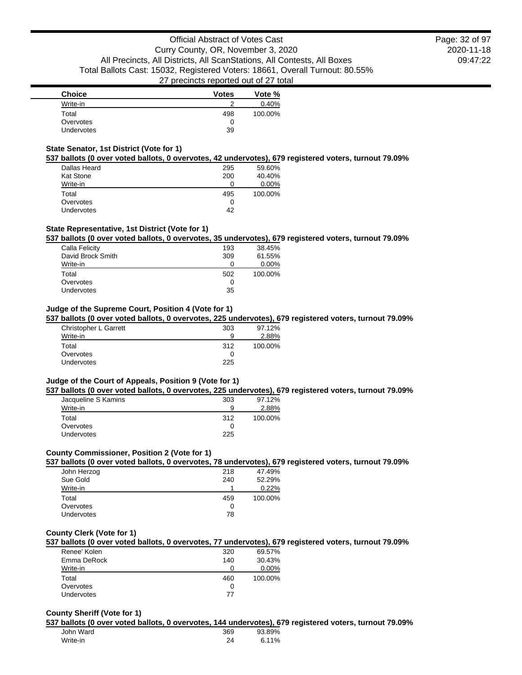| <b>Choice</b> | <b>Votes</b> | Vote %  |
|---------------|--------------|---------|
| Write-in      | ◠            | 0.40%   |
| Total         | 498          | 100.00% |
| Overvotes     |              |         |
| Undervotes    | 39           |         |

### **State Senator, 1st District (Vote for 1)**

#### **537 ballots (0 over voted ballots, 0 overvotes, 42 undervotes), 679 registered voters, turnout 79.09%**

|                  |     | . .     |
|------------------|-----|---------|
| Dallas Heard     | 295 | 59.60%  |
| <b>Kat Stone</b> | 200 | 40.40%  |
| Write-in         |     | 0.00%   |
| Total            | 495 | 100.00% |
| Overvotes        |     |         |
| Undervotes       | 42  |         |

# **State Representative, 1st District (Vote for 1)**

# **537 ballots (0 over voted ballots, 0 overvotes, 35 undervotes), 679 registered voters, turnout 79.09%**

| Calla Felicity    | 193 | 38.45%   |
|-------------------|-----|----------|
| David Brock Smith | 309 | 61.55%   |
| Write-in          | O   | $0.00\%$ |
| Total             | 502 | 100.00%  |
| Overvotes         | O   |          |
| Undervotes        | 35  |          |

# **Judge of the Supreme Court, Position 4 (Vote for 1)**

### **537 ballots (0 over voted ballots, 0 overvotes, 225 undervotes), 679 registered voters, turnout 79.09%**

| Christopher L Garrett | 303 | 97.12%  |
|-----------------------|-----|---------|
| Write-in              | 9   | 2.88%   |
| Total                 | 312 | 100.00% |
| Overvotes             | O   |         |
| Undervotes            | 225 |         |

### **Judge of the Court of Appeals, Position 9 (Vote for 1)**

#### **537 ballots (0 over voted ballots, 0 overvotes, 225 undervotes), 679 registered voters, turnout 79.09%**

| Jacqueline S Kamins | 303 | 97.12%  |
|---------------------|-----|---------|
| Write-in            | a   | 2.88%   |
| Total               | 312 | 100.00% |
| Overvotes           |     |         |
| Undervotes          | 225 |         |

# **County Commissioner, Position 2 (Vote for 1)**

# **537 ballots (0 over voted ballots, 0 overvotes, 78 undervotes), 679 registered voters, turnout 79.09%**

| John Herzog       | 218 | 47.49%  |
|-------------------|-----|---------|
| Sue Gold          | 240 | 52.29%  |
| Write-in          |     | 0.22%   |
| Total             | 459 | 100.00% |
| Overvotes         |     |         |
| <b>Undervotes</b> | 78  |         |
|                   |     |         |

# **County Clerk (Vote for 1)**

# **537 ballots (0 over voted ballots, 0 overvotes, 77 undervotes), 679 registered voters, turnout 79.09%**

| Renee' Kolen | 320 | 69.57%   |
|--------------|-----|----------|
| Emma DeRock  | 140 | 30.43%   |
| Write-in     |     | $0.00\%$ |
| Total        | 460 | 100.00%  |
| Overvotes    |     |          |
| Undervotes   | 77  |          |

### **County Sheriff (Vote for 1)**

#### **537 ballots (0 over voted ballots, 0 overvotes, 144 undervotes), 679 registered voters, turnout 79.09%**

| John Ward | 369 | 93.89%   |
|-----------|-----|----------|
| Write-in  | 24  | $6.11\%$ |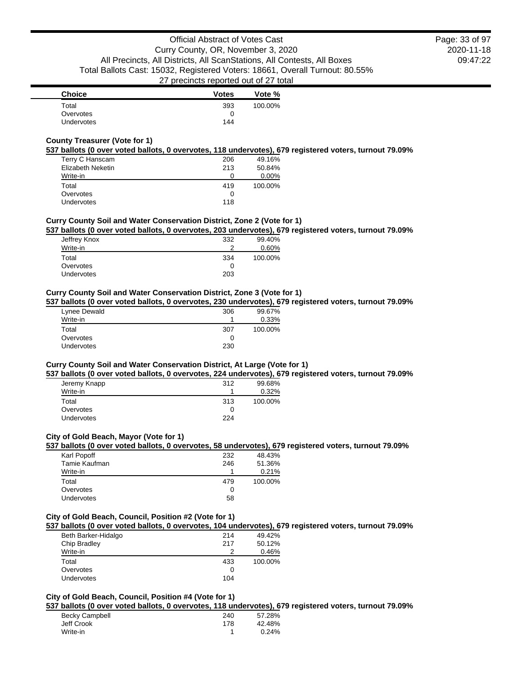| <b>Choice</b>     | <b>Votes</b> | Vote %  |
|-------------------|--------------|---------|
| Total             | 393          | 100.00% |
| Overvotes         |              |         |
| <b>Undervotes</b> | 144          |         |

# **County Treasurer (Vote for 1)**

#### **537 ballots (0 over voted ballots, 0 overvotes, 118 undervotes), 679 registered voters, turnout 79.09%**

| Terry C Hanscam   | 206 | 49.16%  |
|-------------------|-----|---------|
| Elizabeth Neketin | 213 | 50.84%  |
| Write-in          | 0   | 0.00%   |
| Total             | 419 | 100.00% |
| Overvotes         | O   |         |
| Undervotes        | 118 |         |

### **Curry County Soil and Water Conservation District, Zone 2 (Vote for 1)**

#### **537 ballots (0 over voted ballots, 0 overvotes, 203 undervotes), 679 registered voters, turnout 79.09%**

| Jeffrey Knox | 332 | 99.40%  |
|--------------|-----|---------|
| Write-in     | ົ   | 0.60%   |
| Total        | 334 | 100.00% |
| Overvotes    | 0   |         |
| Undervotes   | 203 |         |

### **Curry County Soil and Water Conservation District, Zone 3 (Vote for 1)**

### **537 ballots (0 over voted ballots, 0 overvotes, 230 undervotes), 679 registered voters, turnout 79.09%**

| Lynee Dewald      | 306 | 99.67%  |
|-------------------|-----|---------|
| Write-in          |     | 0.33%   |
| Total             | 307 | 100.00% |
| Overvotes         |     |         |
| <b>Undervotes</b> | 230 |         |

### **Curry County Soil and Water Conservation District, At Large (Vote for 1)**

### **537 ballots (0 over voted ballots, 0 overvotes, 224 undervotes), 679 registered voters, turnout 79.09%**

| 312 | 99.68%  |
|-----|---------|
|     | 0.32%   |
| 313 | 100.00% |
|     |         |
| 224 |         |
|     |         |

#### **City of Gold Beach, Mayor (Vote for 1)**

### **537 ballots (0 over voted ballots, 0 overvotes, 58 undervotes), 679 registered voters, turnout 79.09%**

| Karl Popoff   | 232 | 48.43%  |
|---------------|-----|---------|
| Tamie Kaufman | 246 | 51.36%  |
| Write-in      |     | 0.21%   |
| Total         | 479 | 100.00% |
| Overvotes     | 0   |         |
| Undervotes    | 58  |         |
|               |     |         |

#### **City of Gold Beach, Council, Position #2 (Vote for 1)**

#### **537 ballots (0 over voted ballots, 0 overvotes, 104 undervotes), 679 registered voters, turnout 79.09%**

| Beth Barker-Hidalgo | 214 | 49.42%  |
|---------------------|-----|---------|
| Chip Bradley        | 217 | 50.12%  |
| Write-in            | 2   | 0.46%   |
| Total               | 433 | 100.00% |
| Overvotes           | O   |         |
| <b>Undervotes</b>   | 104 |         |

### **City of Gold Beach, Council, Position #4 (Vote for 1)**

**537 ballots (0 over voted ballots, 0 overvotes, 118 undervotes), 679 registered voters, turnout 79.09%**

| Becky Campbell | 240 | 57.28% |
|----------------|-----|--------|
| Jeff Crook     | 178 | 42.48% |
| Write-in       |     | 0.24%  |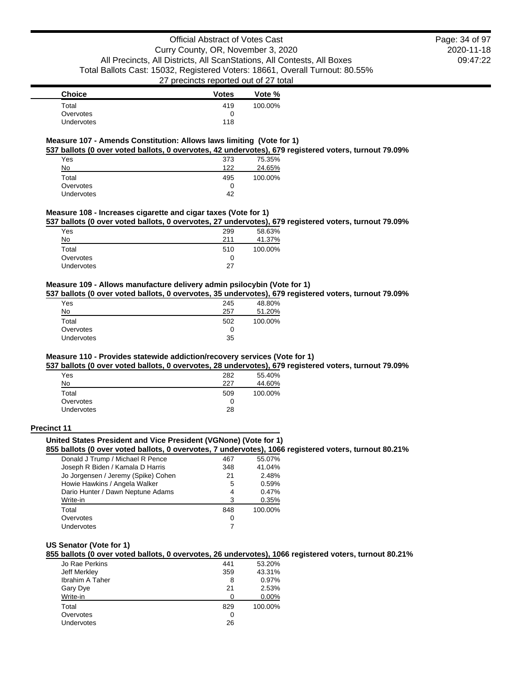| <b>Choice</b> | <b>Votes</b> | Vote %  |
|---------------|--------------|---------|
| Total         | 419          | 100.00% |
| Overvotes     | 0            |         |
| Undervotes    | 118          |         |

### **Measure 107 - Amends Constitution: Allows laws limiting (Vote for 1)**

**537 ballots (0 over voted ballots, 0 overvotes, 42 undervotes), 679 registered voters, turnout 79.09%**

| Yes        | 373 | 75.35%  |
|------------|-----|---------|
| No         | 122 | 24.65%  |
| Total      | 495 | 100.00% |
| Overvotes  | 0   |         |
| Undervotes | 42  |         |

#### **Measure 108 - Increases cigarette and cigar taxes (Vote for 1)**

**537 ballots (0 over voted ballots, 0 overvotes, 27 undervotes), 679 registered voters, turnout 79.09%**

| Yes        | 299 | 58.63%  |
|------------|-----|---------|
| No         | 211 | 41.37%  |
| Total      | 510 | 100.00% |
| Overvotes  | 0   |         |
| Undervotes | 27  |         |
|            |     |         |

## **Measure 109 - Allows manufacture delivery admin psilocybin (Vote for 1)**

**537 ballots (0 over voted ballots, 0 overvotes, 35 undervotes), 679 registered voters, turnout 79.09%**

| Yes               | 245 | 48.80%  |
|-------------------|-----|---------|
| No                | 257 | 51.20%  |
| Total             | 502 | 100.00% |
| Overvotes         | 0   |         |
| <b>Undervotes</b> | 35  |         |

### **Measure 110 - Provides statewide addiction/recovery services (Vote for 1)**

**537 ballots (0 over voted ballots, 0 overvotes, 28 undervotes), 679 registered voters, turnout 79.09%**

| Yes        | 282 | 55.40%  |
|------------|-----|---------|
| No         | 227 | 44.60%  |
| Total      | 509 | 100.00% |
| Overvotes  |     |         |
| Undervotes | 28  |         |
|            |     |         |

#### **Precinct 11**

# **United States President and Vice President (VGNone) (Vote for 1)**

**855 ballots (0 over voted ballots, 0 overvotes, 7 undervotes), 1066 registered voters, turnout 80.21%**

| Donald J Trump / Michael R Pence    | 467 | 55.07%  |
|-------------------------------------|-----|---------|
| Joseph R Biden / Kamala D Harris    | 348 | 41.04%  |
| Jo Jorgensen / Jeremy (Spike) Cohen | 21  | 2.48%   |
| Howie Hawkins / Angela Walker       | 5   | 0.59%   |
| Dario Hunter / Dawn Neptune Adams   | 4   | 0.47%   |
| Write-in                            | 3   | 0.35%   |
| Total                               | 848 | 100.00% |
| Overvotes                           | 0   |         |
| Undervotes                          |     |         |
|                                     |     |         |

### **US Senator (Vote for 1)**

**855 ballots (0 over voted ballots, 0 overvotes, 26 undervotes), 1066 registered voters, turnout 80.21%**

| Jo Rae Perkins         | 441 | 53.20%  |
|------------------------|-----|---------|
| Jeff Merkley           | 359 | 43.31%  |
| <b>Ibrahim A Taher</b> | 8   | 0.97%   |
| Gary Dye               | 21  | 2.53%   |
| Write-in               |     | 0.00%   |
| Total                  | 829 | 100.00% |
| Overvotes              | O   |         |
| Undervotes             | 26  |         |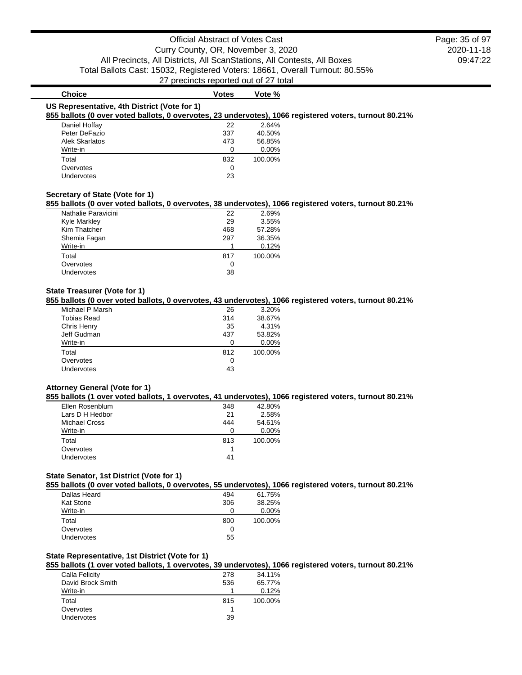| <b>Choice</b>                                | <b>Votes</b> | Vote %   |                                                                                                        |
|----------------------------------------------|--------------|----------|--------------------------------------------------------------------------------------------------------|
| US Representative, 4th District (Vote for 1) |              |          | 855 ballots (0 over voted ballots, 0 overvotes, 23 undervotes), 1066 registered voters, turnout 80.21% |
| Daniel Hoffay                                | 22           | 2.64%    |                                                                                                        |
| Peter DeFazio                                | 337          | 40.50%   |                                                                                                        |
| Alek Skarlatos                               | 473          | 56.85%   |                                                                                                        |
| Write-in                                     | 0            | $0.00\%$ |                                                                                                        |
| Total                                        | 832          | 100.00%  |                                                                                                        |
| Overvotes                                    | 0            |          |                                                                                                        |
| Undervotes                                   | 23           |          |                                                                                                        |
|                                              |              |          |                                                                                                        |

### **Secretary of State (Vote for 1)**

**855 ballots (0 over voted ballots, 0 overvotes, 38 undervotes), 1066 registered voters, turnout 80.21%**

| Nathalie Paravicini | 22  | 2.69%   |
|---------------------|-----|---------|
| <b>Kyle Markley</b> | 29  | 3.55%   |
| Kim Thatcher        | 468 | 57.28%  |
| Shemia Fagan        | 297 | 36.35%  |
| Write-in            |     | 0.12%   |
| Total               | 817 | 100.00% |
| Overvotes           | O   |         |
| Undervotes          | 38  |         |
|                     |     |         |

### **State Treasurer (Vote for 1)**

**855 ballots (0 over voted ballots, 0 overvotes, 43 undervotes), 1066 registered voters, turnout 80.21%**

| Michael P Marsh    | 26  | 3.20%   |
|--------------------|-----|---------|
| <b>Tobias Read</b> | 314 | 38.67%  |
| Chris Henry        | 35  | 4.31%   |
| Jeff Gudman        | 437 | 53.82%  |
| Write-in           | 0   | 0.00%   |
| Total              | 812 | 100.00% |
| Overvotes          | 0   |         |
| Undervotes         | 43  |         |
|                    |     |         |

#### **Attorney General (Vote for 1)**

### **855 ballots (1 over voted ballots, 1 overvotes, 41 undervotes), 1066 registered voters, turnout 80.21%**

| Ellen Rosenblum      | 348 | 42.80%  |
|----------------------|-----|---------|
| Lars D H Hedbor      | 21  | 2.58%   |
| <b>Michael Cross</b> | 444 | 54.61%  |
| Write-in             |     | 0.00%   |
| Total                | 813 | 100.00% |
| Overvotes            |     |         |
| <b>Undervotes</b>    | 41  |         |
|                      |     |         |

#### **State Senator, 1st District (Vote for 1)**

**855 ballots (0 over voted ballots, 0 overvotes, 55 undervotes), 1066 registered voters, turnout 80.21%**

| Dallas Heard      | 494 | 61.75%  |
|-------------------|-----|---------|
| Kat Stone         | 306 | 38.25%  |
| Write-in          |     | 0.00%   |
| Total             | 800 | 100.00% |
| Overvotes         | 0   |         |
| <b>Undervotes</b> | 55  |         |

### **State Representative, 1st District (Vote for 1)**

### **855 ballots (1 over voted ballots, 1 overvotes, 39 undervotes), 1066 registered voters, turnout 80.21%**

| 278 | 34.11%  |
|-----|---------|
| 536 | 65.77%  |
|     | 0.12%   |
| 815 | 100.00% |
|     |         |
|     |         |
|     | 39      |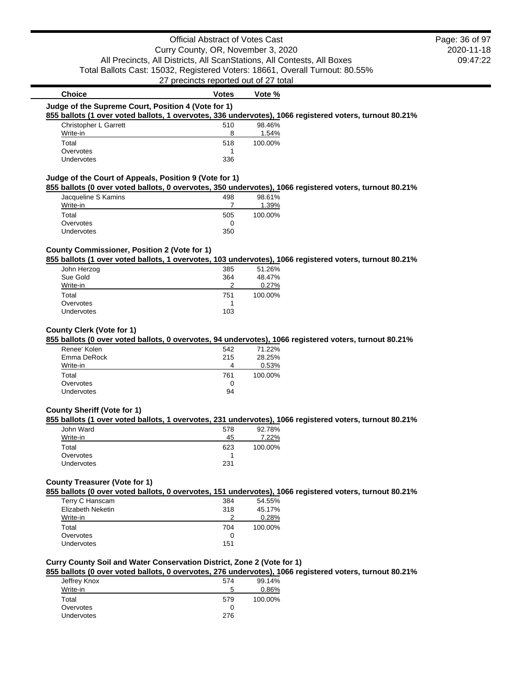# Official Abstract of Votes Cast Curry County, OR, November 3, 2020 All Precincts, All Districts, All ScanStations, All Contests, All Boxes Total Ballots Cast: 15032, Registered Voters: 18661, Overall Turnout: 80.55% 27 precincts reported out of 27 total

# **Judge of the Supreme Court, Position 4 (Vote for 1) 855 ballots (1 over voted ballots, 1 overvotes, 336 undervotes), 1066 registered voters, turnout 80.21%** Christopher L Garrett 510 98.46% Write-in 2008 and 2008 and 2008 and 2008 and 2008 and 2008 and 2008 and 2008 and 2008 and 2008 and 2008 and 20 Total 518 100.00% Overvotes and the set of the set of the set of the set of the set of the set of the set of the set of the set of the set of the set of the set of the set of the set of the set of the set of the set of the set of the set of Undervotes 336 **Judge of the Court of Appeals, Position 9 (Vote for 1) 855 ballots (0 over voted ballots, 0 overvotes, 350 undervotes), 1066 registered voters, turnout 80.21%** Jacqueline S Kamins 498 98.61% Write-in 7

**Choice Votes Votes Vote** %

# Total 505 100.00% Overvotes and the contract of the contract of the contract of the contract of the contract of the contract of the contract of the contract of the contract of the contract of the contract of the contract of the contract of Undervotes 350

### **County Commissioner, Position 2 (Vote for 1)**

#### **855 ballots (1 over voted ballots, 1 overvotes, 103 undervotes), 1066 registered voters, turnout 80.21%**

| 385 | 51.26%  |
|-----|---------|
| 364 | 48.47%  |
| ာ   | 0.27%   |
| 751 | 100.00% |
|     |         |
|     |         |
|     |         |

#### **County Clerk (Vote for 1)**

#### **855 ballots (0 over voted ballots, 0 overvotes, 94 undervotes), 1066 registered voters, turnout 80.21%**

| Renee' Kolen | 542 | 71.22%  |
|--------------|-----|---------|
| Emma DeRock  | 215 | 28.25%  |
| Write-in     | 4   | 0.53%   |
| Total        | 761 | 100.00% |
| Overvotes    | O   |         |
| Undervotes   | 94  |         |

### **County Sheriff (Vote for 1)**

#### **855 ballots (1 over voted ballots, 1 overvotes, 231 undervotes), 1066 registered voters, turnout 80.21%**

| John Ward         | 578 | 92.78%  |
|-------------------|-----|---------|
| Write-in          | 45  | 7.22%   |
| Total             | 623 | 100.00% |
| Overvotes         |     |         |
| <b>Undervotes</b> | 231 |         |

# **County Treasurer (Vote for 1)**

**855 ballots (0 over voted ballots, 0 overvotes, 151 undervotes), 1066 registered voters, turnout 80.21%**

| Terry C Hanscam   | 384 | 54.55%  |
|-------------------|-----|---------|
| Elizabeth Neketin | 318 | 45.17%  |
| Write-in          |     | 0.28%   |
| Total             | 704 | 100.00% |
| Overvotes         | 0   |         |
| Undervotes        | 151 |         |

# **Curry County Soil and Water Conservation District, Zone 2 (Vote for 1)**

# **855 ballots (0 over voted ballots, 0 overvotes, 276 undervotes), 1066 registered voters, turnout 80.21%**

| Jeffrey Knox | 574 | 99.14%  |
|--------------|-----|---------|
| Write-in     | 5   | 0.86%   |
| Total        | 579 | 100.00% |
| Overvotes    | 0   |         |
| Undervotes   | 276 |         |
|              |     |         |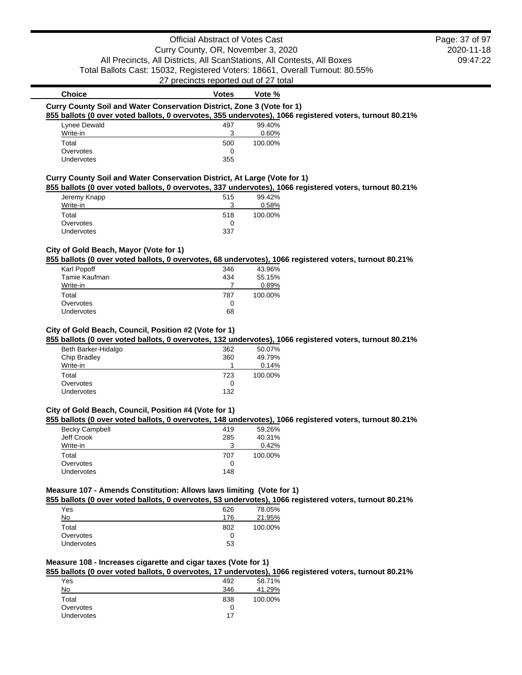## Official Abstract of Votes Cast

Curry County, OR, November 3, 2020 All Precincts, All Districts, All ScanStations, All Contests, All Boxes Total Ballots Cast: 15032, Registered Voters: 18661, Overall Turnout: 80.55%

27 precincts reported out of 27 total

# **Choice Votes Votes Vote** % **Curry County Soil and Water Conservation District, Zone 3 (Vote for 1)**

## **855 ballots (0 over voted ballots, 0 overvotes, 355 undervotes), 1066 registered voters, turnout 80.21%**

| Lynee Dewald      | 497 | 99.40%  |
|-------------------|-----|---------|
| Write-in          | ີ   | 0.60%   |
| Total             | 500 | 100.00% |
| Overvotes         |     |         |
| <b>Undervotes</b> | 355 |         |

## **Curry County Soil and Water Conservation District, At Large (Vote for 1)**

#### **855 ballots (0 over voted ballots, 0 overvotes, 337 undervotes), 1066 registered voters, turnout 80.21%**

| Jeremy Knapp      | 515 | 99.42%  |
|-------------------|-----|---------|
| Write-in          |     | 0.58%   |
| Total             | 518 | 100.00% |
| Overvotes         |     |         |
| <b>Undervotes</b> | 337 |         |

## **City of Gold Beach, Mayor (Vote for 1)**

#### **855 ballots (0 over voted ballots, 0 overvotes, 68 undervotes), 1066 registered voters, turnout 80.21%**

| Karl Popoff   | 346 | 43.96%  |
|---------------|-----|---------|
| Tamie Kaufman | 434 | 55.15%  |
| Write-in      |     | 0.89%   |
| Total         | 787 | 100.00% |
|               |     |         |
| Overvotes     | 0   |         |

#### **City of Gold Beach, Council, Position #2 (Vote for 1)**

## **855 ballots (0 over voted ballots, 0 overvotes, 132 undervotes), 1066 registered voters, turnout 80.21%**

| Beth Barker-Hidalgo | 362 | 50.07%  |
|---------------------|-----|---------|
| Chip Bradley        | 360 | 49.79%  |
| Write-in            |     | 0.14%   |
| Total               | 723 | 100.00% |
| Overvotes           | 0   |         |
| <b>Undervotes</b>   | 132 |         |

#### **City of Gold Beach, Council, Position #4 (Vote for 1)**

#### **855 ballots (0 over voted ballots, 0 overvotes, 148 undervotes), 1066 registered voters, turnout 80.21%**

| 419 | 59.26%  |
|-----|---------|
| 285 | 40.31%  |
|     | 0.42%   |
| 707 | 100.00% |
|     |         |
| 148 |         |
|     |         |

#### **Measure 107 - Amends Constitution: Allows laws limiting (Vote for 1)**

#### **855 ballots (0 over voted ballots, 0 overvotes, 53 undervotes), 1066 registered voters, turnout 80.21%**

| Yes               | 626 | 78.05%  |
|-------------------|-----|---------|
| No                | 176 | 21.95%  |
| Total             | 802 | 100.00% |
| Overvotes         |     |         |
| <b>Undervotes</b> | 53  |         |

#### **Measure 108 - Increases cigarette and cigar taxes (Vote for 1)**

## **855 ballots (0 over voted ballots, 0 overvotes, 17 undervotes), 1066 registered voters, turnout 80.21%**

| Yes        |  | 492 | 58.71%  |
|------------|--|-----|---------|
| <b>No</b>  |  | 346 | 41.29%  |
| Total      |  | 838 | 100.00% |
| Overvotes  |  | O   |         |
| Undervotes |  | 17  |         |
|            |  |     |         |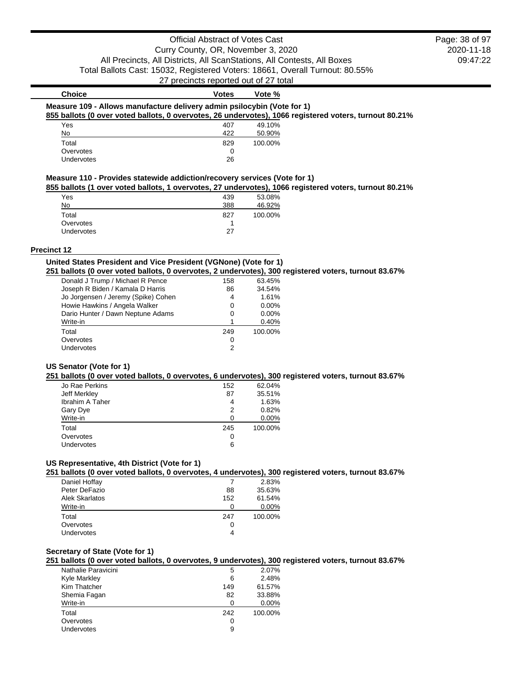2020-11-18 09:47:22 Page: 38 of 97

| <b>Choice</b>                                                           | Votes | Vote %  |                                                                                                        |
|-------------------------------------------------------------------------|-------|---------|--------------------------------------------------------------------------------------------------------|
| Measure 109 - Allows manufacture delivery admin psilocybin (Vote for 1) |       |         |                                                                                                        |
|                                                                         |       |         | 855 ballots (0 over voted ballots, 0 overvotes, 26 undervotes), 1066 registered voters, turnout 80.21% |
| Yes                                                                     | 407   | 49.10%  |                                                                                                        |
| No                                                                      | 422   | 50.90%  |                                                                                                        |
| Total                                                                   | 829   | 100.00% |                                                                                                        |
| Overvotes                                                               | 0     |         |                                                                                                        |

## **Measure 110 - Provides statewide addiction/recovery services (Vote for 1)**

**855 ballots (1 over voted ballots, 1 overvotes, 27 undervotes), 1066 registered voters, turnout 80.21%**

|                   |     | . .     |
|-------------------|-----|---------|
| Yes               | 439 | 53.08%  |
| No                | 388 | 46.92%  |
| Total             | 827 | 100.00% |
| Overvotes         |     |         |
| <b>Undervotes</b> | 27  |         |
|                   |     |         |

Undervotes 26

#### **Precinct 12**

## **United States President and Vice President (VGNone) (Vote for 1)**

**251 ballots (0 over voted ballots, 0 overvotes, 2 undervotes), 300 registered voters, turnout 83.67%**

| Donald J Trump / Michael R Pence    | 158 | 63.45%  |
|-------------------------------------|-----|---------|
| Joseph R Biden / Kamala D Harris    | 86  | 34.54%  |
| Jo Jorgensen / Jeremy (Spike) Cohen | 4   | 1.61%   |
| Howie Hawkins / Angela Walker       | 0   | 0.00%   |
| Dario Hunter / Dawn Neptune Adams   | 0   | 0.00%   |
| Write-in                            |     | 0.40%   |
| Total                               | 249 | 100.00% |
| Overvotes                           | 0   |         |
| Undervotes                          | 2   |         |

#### **US Senator (Vote for 1)**

#### **251 ballots (0 over voted ballots, 0 overvotes, 6 undervotes), 300 registered voters, turnout 83.67%**

| Jo Rae Perkins         | 152 | 62.04%  |
|------------------------|-----|---------|
| Jeff Merkley           | 87  | 35.51%  |
| <b>Ibrahim A Taher</b> | 4   | 1.63%   |
| Gary Dye               | 2   | 0.82%   |
| Write-in               | ∩   | 0.00%   |
| Total                  | 245 | 100.00% |
| Overvotes              | 0   |         |
| Undervotes             | 6   |         |
|                        |     |         |

## **US Representative, 4th District (Vote for 1)**

**251 ballots (0 over voted ballots, 0 overvotes, 4 undervotes), 300 registered voters, turnout 83.67%**

| Daniel Hoffay  |     | 2.83%   |
|----------------|-----|---------|
| Peter DeFazio  | 88  | 35.63%  |
| Alek Skarlatos | 152 | 61.54%  |
| Write-in       |     | 0.00%   |
| Total          | 247 | 100.00% |
| Overvotes      | O   |         |
| Undervotes     |     |         |

#### **Secretary of State (Vote for 1)**

#### **251 ballots (0 over voted ballots, 0 overvotes, 9 undervotes), 300 registered voters, turnout 83.67%**

| Nathalie Paravicini | 5   | 2.07%   |
|---------------------|-----|---------|
| <b>Kyle Markley</b> | 6   | 2.48%   |
| Kim Thatcher        | 149 | 61.57%  |
| Shemia Fagan        | 82  | 33.88%  |
| Write-in            |     | 0.00%   |
| Total               | 242 | 100.00% |
| Overvotes           | 0   |         |
| Undervotes          | 9   |         |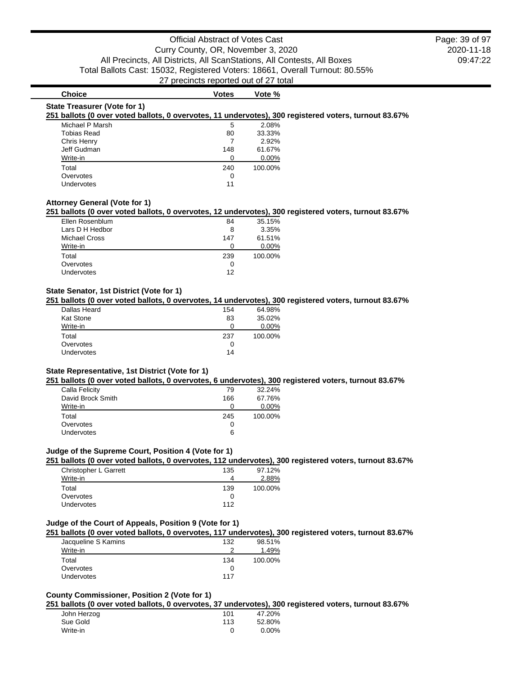## **Choice Votes Votes Vote** %

#### **State Treasurer (Vote for 1)**

#### **251 ballots (0 over voted ballots, 0 overvotes, 11 undervotes), 300 registered voters, turnout 83.67%**

| Michael P Marsh    | 5   | 2.08%   |
|--------------------|-----|---------|
| <b>Tobias Read</b> | 80  | 33.33%  |
| Chris Henry        |     | 2.92%   |
| Jeff Gudman        | 148 | 61.67%  |
| Write-in           |     | 0.00%   |
| Total              | 240 | 100.00% |
| Overvotes          | O   |         |
| <b>Undervotes</b>  | 11  |         |

#### **Attorney General (Vote for 1)**

#### **251 ballots (0 over voted ballots, 0 overvotes, 12 undervotes), 300 registered voters, turnout 83.67%**

| Ellen Rosenblum      | 84  | 35.15%  |
|----------------------|-----|---------|
| Lars D H Hedbor      | 8   | 3.35%   |
| <b>Michael Cross</b> | 147 | 61.51%  |
| Write-in             | 0   | 0.00%   |
| Total                | 239 | 100.00% |
| Overvotes            | O   |         |
| <b>Undervotes</b>    | 12  |         |

#### **State Senator, 1st District (Vote for 1)**

#### **251 ballots (0 over voted ballots, 0 overvotes, 14 undervotes), 300 registered voters, turnout 83.67%**

| 154 | 64.98%  |
|-----|---------|
| 83  | 35.02%  |
| O   | 0.00%   |
| 237 | 100.00% |
| 0   |         |
| 14  |         |
|     |         |

#### **State Representative, 1st District (Vote for 1)**

#### **251 ballots (0 over voted ballots, 0 overvotes, 6 undervotes), 300 registered voters, turnout 83.67%**

| Calla Felicity    | 79  | 32.24%  |
|-------------------|-----|---------|
| David Brock Smith | 166 | 67.76%  |
| Write-in          |     | 0.00%   |
| Total             | 245 | 100.00% |
| Overvotes         |     |         |
| <b>Undervotes</b> | 6   |         |

#### **Judge of the Supreme Court, Position 4 (Vote for 1)**

## **251 ballots (0 over voted ballots, 0 overvotes, 112 undervotes), 300 registered voters, turnout 83.67%**

| Christopher L Garrett | 135 | 97.12%  |
|-----------------------|-----|---------|
| Write-in              |     | 2.88%   |
| Total                 | 139 | 100.00% |
| Overvotes             |     |         |
| Undervotes            | 112 |         |
|                       |     |         |

#### **Judge of the Court of Appeals, Position 9 (Vote for 1)**

#### **251 ballots (0 over voted ballots, 0 overvotes, 117 undervotes), 300 registered voters, turnout 83.67%**

| Jacqueline S Kamins | 132 | 98.51%  |
|---------------------|-----|---------|
| Write-in            | ≘   | 1.49%   |
| Total               | 134 | 100.00% |
| Overvotes           |     |         |
| <b>Undervotes</b>   | 117 |         |

## **County Commissioner, Position 2 (Vote for 1)**

#### **251 ballots (0 over voted ballots, 0 overvotes, 37 undervotes), 300 registered voters, turnout 83.67%**

| John Herzog | 101 | 47.20% |
|-------------|-----|--------|
| Sue Gold    | 113 | 52.80% |
| Write-in    |     | 0.00%  |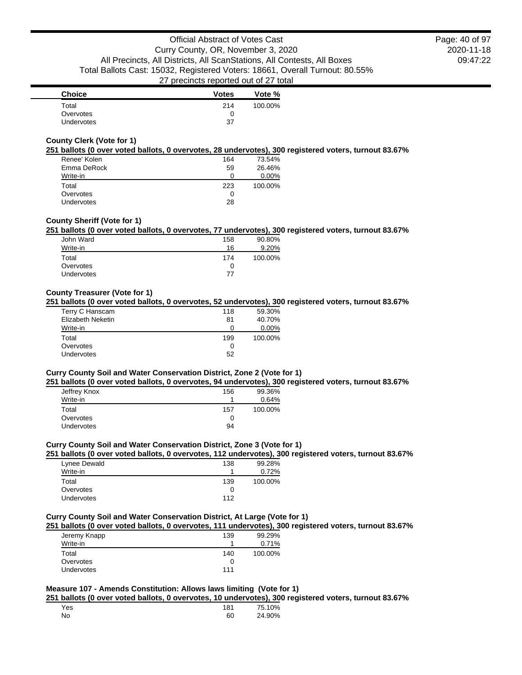| <b>Choice</b> | <b>Votes</b> | Vote %  |
|---------------|--------------|---------|
| Total         | 214          | 100.00% |
| Overvotes     |              |         |
| Undervotes    | 37           |         |

## **County Clerk (Vote for 1)**

#### **251 ballots (0 over voted ballots, 0 overvotes, 28 undervotes), 300 registered voters, turnout 83.67%**

| Renee' Kolen      | 164 | 73.54%  |
|-------------------|-----|---------|
| Emma DeRock       | 59  | 26.46%  |
| Write-in          | 0   | 0.00%   |
| Total             | 223 | 100.00% |
| Overvotes         | O   |         |
| <b>Undervotes</b> | 28  |         |

## **County Sheriff (Vote for 1)**

## **251 ballots (0 over voted ballots, 0 overvotes, 77 undervotes), 300 registered voters, turnout 83.67%**

| John Ward         | 158 | 90.80%  |
|-------------------|-----|---------|
| Write-in          | 16  | 9.20%   |
| Total             | 174 | 100.00% |
| Overvotes         | 0   |         |
| <b>Undervotes</b> | 77  |         |

## **County Treasurer (Vote for 1)**

#### **251 ballots (0 over voted ballots, 0 overvotes, 52 undervotes), 300 registered voters, turnout 83.67%**

| Terry C Hanscam   | 118 | 59.30%  |
|-------------------|-----|---------|
| Elizabeth Neketin | 81  | 40.70%  |
| Write-in          | O   | 0.00%   |
| Total             | 199 | 100.00% |
| Overvotes         | 0   |         |
| <b>Undervotes</b> | 52  |         |

## **Curry County Soil and Water Conservation District, Zone 2 (Vote for 1)**

#### **251 ballots (0 over voted ballots, 0 overvotes, 94 undervotes), 300 registered voters, turnout 83.67%**

| Jeffrey Knox      | 156 | 99.36%  |
|-------------------|-----|---------|
| Write-in          |     | 0.64%   |
| Total             | 157 | 100.00% |
| Overvotes         | 0   |         |
| <b>Undervotes</b> | 94  |         |

## **Curry County Soil and Water Conservation District, Zone 3 (Vote for 1)**

#### **251 ballots (0 over voted ballots, 0 overvotes, 112 undervotes), 300 registered voters, turnout 83.67%**

| Lynee Dewald      | 138 | 99.28%  |
|-------------------|-----|---------|
| Write-in          |     | 0.72%   |
| Total             | 139 | 100.00% |
| Overvotes         | 0   |         |
| <b>Undervotes</b> | 112 |         |

#### **Curry County Soil and Water Conservation District, At Large (Vote for 1)**

#### **251 ballots (0 over voted ballots, 0 overvotes, 111 undervotes), 300 registered voters, turnout 83.67%**

|              |     | --      |
|--------------|-----|---------|
| Jeremy Knapp | 139 | 99.29%  |
| Write-in     |     | 0.71%   |
| Total        | 140 | 100.00% |
| Overvotes    |     |         |
| Undervotes   | 111 |         |

## **Measure 107 - Amends Constitution: Allows laws limiting (Vote for 1)**

#### **251 ballots (0 over voted ballots, 0 overvotes, 10 undervotes), 300 registered voters, turnout 83.67%**

| Yes | 181 | 75.10% |
|-----|-----|--------|
| No  | 60  | 24.90% |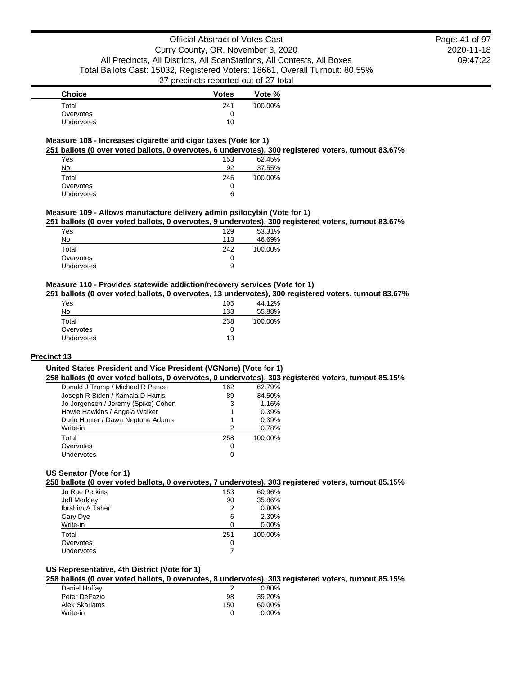2020-11-18 09:47:22 Page: 41 of 97

| <b>Choice</b> | Votes | Vote %  |
|---------------|-------|---------|
| Total         | 241   | 100.00% |
| Overvotes     |       |         |
| Undervotes    | 10    |         |

#### **Measure 108 - Increases cigarette and cigar taxes (Vote for 1)**

**251 ballots (0 over voted ballots, 0 overvotes, 6 undervotes), 300 registered voters, turnout 83.67%**

| Yes        | 153 | 62.45%  |
|------------|-----|---------|
| No         | 92  | 37.55%  |
| Total      | 245 | 100.00% |
| Overvotes  | 0   |         |
| Undervotes | 6   |         |

#### **Measure 109 - Allows manufacture delivery admin psilocybin (Vote for 1)**

**251 ballots (0 over voted ballots, 0 overvotes, 9 undervotes), 300 registered voters, turnout 83.67%**

| 129 | 53.31%  |
|-----|---------|
| 113 | 46.69%  |
| 242 | 100.00% |
| 0   |         |
| 9   |         |
|     |         |

## **Measure 110 - Provides statewide addiction/recovery services (Vote for 1)**

#### **251 ballots (0 over voted ballots, 0 overvotes, 13 undervotes), 300 registered voters, turnout 83.67%**

| Yes               | 105 | 44.12%  |
|-------------------|-----|---------|
| No                | 133 | 55.88%  |
| Total             | 238 | 100.00% |
| Overvotes         | 0   |         |
| <b>Undervotes</b> | 13  |         |

#### **Precinct 13**

## **United States President and Vice President (VGNone) (Vote for 1)**

**258 ballots (0 over voted ballots, 0 overvotes, 0 undervotes), 303 registered voters, turnout 85.15%**

| Donald J Trump / Michael R Pence    | 162 | 62.79%  |
|-------------------------------------|-----|---------|
| Joseph R Biden / Kamala D Harris    | 89  | 34.50%  |
| Jo Jorgensen / Jeremy (Spike) Cohen | 3   | 1.16%   |
| Howie Hawkins / Angela Walker       | 1   | 0.39%   |
| Dario Hunter / Dawn Neptune Adams   | 1   | 0.39%   |
| Write-in                            | 2   | 0.78%   |
| Total                               | 258 | 100.00% |
| Overvotes                           | 0   |         |
| Undervotes                          | 0   |         |

## **US Senator (Vote for 1)**

## **258 ballots (0 over voted ballots, 0 overvotes, 7 undervotes), 303 registered voters, turnout 85.15%**

| Jo Rae Perkins         | 153 | 60.96%  |
|------------------------|-----|---------|
| Jeff Merkley           | 90  | 35.86%  |
| <b>Ibrahim A Taher</b> | 2   | 0.80%   |
| Gary Dye               | 6   | 2.39%   |
| Write-in               |     | 0.00%   |
| Total                  | 251 | 100.00% |
| Overvotes              | O   |         |
| Undervotes             |     |         |
|                        |     |         |

## **US Representative, 4th District (Vote for 1)**

**258 ballots (0 over voted ballots, 0 overvotes, 8 undervotes), 303 registered voters, turnout 85.15%**

| Daniel Hoffay  |     | $0.80\%$ |
|----------------|-----|----------|
| Peter DeFazio  | 98  | 39.20%   |
| Alek Skarlatos | 150 | 60.00%   |
| Write-in       |     | $0.00\%$ |
|                |     |          |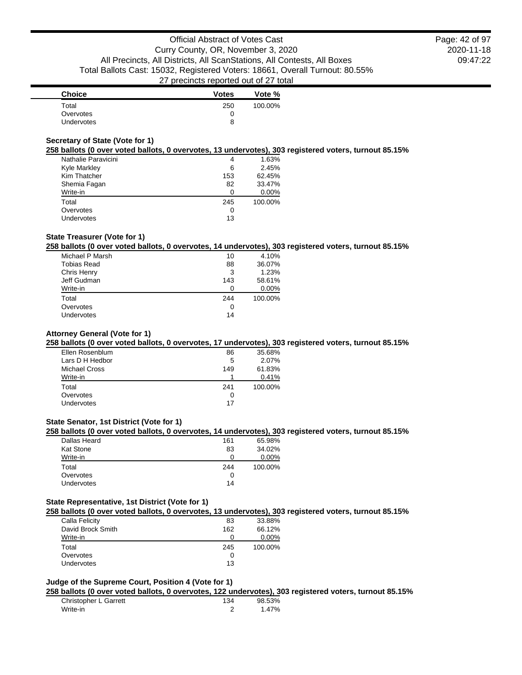2020-11-18 09:47:22 Page: 42 of 97

| <b>Choice</b>     | <b>Votes</b> | Vote %  |
|-------------------|--------------|---------|
| Total             | 250          | 100.00% |
| Overvotes         | 0            |         |
| <b>Undervotes</b> | 8            |         |

## **Secretary of State (Vote for 1)**

#### **258 ballots (0 over voted ballots, 0 overvotes, 13 undervotes), 303 registered voters, turnout 85.15%**

| Nathalie Paravicini | 4   | 1.63%   |
|---------------------|-----|---------|
| Kyle Markley        | 6   | 2.45%   |
| Kim Thatcher        | 153 | 62.45%  |
| Shemia Fagan        | 82  | 33.47%  |
| Write-in            | O   | 0.00%   |
| Total               | 245 | 100.00% |
| Overvotes           | 0   |         |
| Undervotes          | 13  |         |

## **State Treasurer (Vote for 1)**

#### **258 ballots (0 over voted ballots, 0 overvotes, 14 undervotes), 303 registered voters, turnout 85.15%**

| Michael P Marsh    | 10  | 4.10%   |
|--------------------|-----|---------|
| <b>Tobias Read</b> | 88  | 36.07%  |
| Chris Henry        | 3   | 1.23%   |
| Jeff Gudman        | 143 | 58.61%  |
| Write-in           | 0   | 0.00%   |
| Total              | 244 | 100.00% |
| Overvotes          | 0   |         |
| Undervotes         | 14  |         |
|                    |     |         |

## **Attorney General (Vote for 1)**

#### **258 ballots (0 over voted ballots, 0 overvotes, 17 undervotes), 303 registered voters, turnout 85.15%**

| Ellen Rosenblum      | 86  | 35.68%  |
|----------------------|-----|---------|
| Lars D H Hedbor      | 5   | 2.07%   |
| <b>Michael Cross</b> | 149 | 61.83%  |
| Write-in             |     | 0.41%   |
| Total                | 241 | 100.00% |
| Overvotes            | 0   |         |
| <b>Undervotes</b>    | 17  |         |
|                      |     |         |

#### **State Senator, 1st District (Vote for 1)**

#### **258 ballots (0 over voted ballots, 0 overvotes, 14 undervotes), 303 registered voters, turnout 85.15%**

| Dallas Heard      | 161 | 65.98%  |
|-------------------|-----|---------|
| <b>Kat Stone</b>  | 83  | 34.02%  |
| Write-in          |     | 0.00%   |
| Total             | 244 | 100.00% |
| Overvotes         | O   |         |
| <b>Undervotes</b> | 14  |         |
|                   |     |         |

#### **State Representative, 1st District (Vote for 1)**

#### **258 ballots (0 over voted ballots, 0 overvotes, 13 undervotes), 303 registered voters, turnout 85.15%**

| Calla Felicity    | 83  | 33.88%  |
|-------------------|-----|---------|
| David Brock Smith | 162 | 66.12%  |
| Write-in          |     | 0.00%   |
| Total             | 245 | 100.00% |
| Overvotes         | 0   |         |
| <b>Undervotes</b> | 13  |         |
|                   |     |         |

#### **Judge of the Supreme Court, Position 4 (Vote for 1)**

#### **258 ballots (0 over voted ballots, 0 overvotes, 122 undervotes), 303 registered voters, turnout 85.15%**

| Christopher L Garrett | 134 | 98.53% |
|-----------------------|-----|--------|
| Write-in              |     | 1.47%  |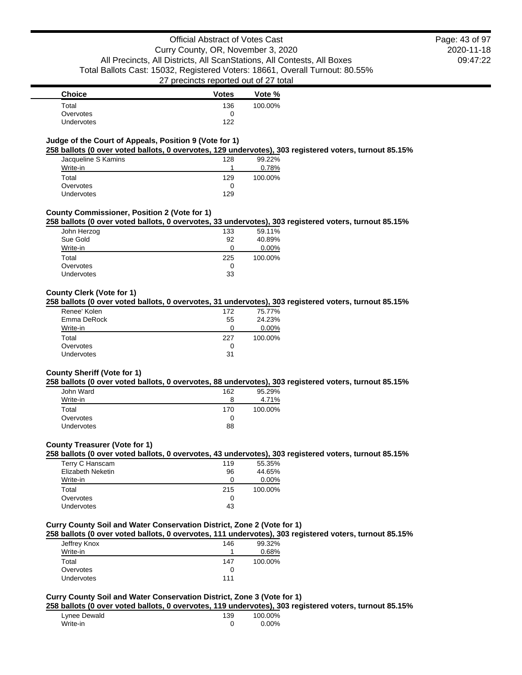2020-11-18 09:47:22 Page: 43 of 97

| <b>Choice</b> | <b>Votes</b> | Vote %  |
|---------------|--------------|---------|
| Total         | 136          | 100.00% |
| Overvotes     |              |         |
| Undervotes    | 122          |         |

## **Judge of the Court of Appeals, Position 9 (Vote for 1)**

#### **258 ballots (0 over voted ballots, 0 overvotes, 129 undervotes), 303 registered voters, turnout 85.15%**

| Jacqueline S Kamins | 128 | 99.22%  |
|---------------------|-----|---------|
| Write-in            |     | 0.78%   |
| Total               | 129 | 100.00% |
| Overvotes           | O   |         |
| Undervotes          | 129 |         |

#### **County Commissioner, Position 2 (Vote for 1)**

#### **258 ballots (0 over voted ballots, 0 overvotes, 33 undervotes), 303 registered voters, turnout 85.15%**

| John Herzog | 133 | 59.11%  |
|-------------|-----|---------|
| Sue Gold    | 92  | 40.89%  |
| Write-in    | O   | 0.00%   |
| Total       | 225 | 100.00% |
| Overvotes   | O   |         |
| Undervotes  | 33  |         |
|             |     |         |

#### **County Clerk (Vote for 1)**

#### **258 ballots (0 over voted ballots, 0 overvotes, 31 undervotes), 303 registered voters, turnout 85.15%**

| Renee' Kolen | 172          | 75.77%  |
|--------------|--------------|---------|
| Emma DeRock  | 55           | 24.23%  |
| Write-in     |              | 0.00%   |
| Total        | 227          | 100.00% |
| Overvotes    | $\mathbf{I}$ |         |
| Undervotes   | 31           |         |

#### **County Sheriff (Vote for 1)**

#### **258 ballots (0 over voted ballots, 0 overvotes, 88 undervotes), 303 registered voters, turnout 85.15%**

| John Ward  | 162 | 95.29%  |
|------------|-----|---------|
| Write-in   | 8   | 4.71%   |
| Total      | 170 | 100.00% |
| Overvotes  | 0   |         |
| Undervotes | 88  |         |

#### **County Treasurer (Vote for 1)**

#### **258 ballots (0 over voted ballots, 0 overvotes, 43 undervotes), 303 registered voters, turnout 85.15%**

| Terry C Hanscam   | 119 | 55.35%   |
|-------------------|-----|----------|
| Elizabeth Neketin | 96  | 44.65%   |
| Write-in          | 0   | $0.00\%$ |
| Total             | 215 | 100.00%  |
| Overvotes         | O   |          |
| Undervotes        | 43  |          |

## **Curry County Soil and Water Conservation District, Zone 2 (Vote for 1)**

#### **258 ballots (0 over voted ballots, 0 overvotes, 111 undervotes), 303 registered voters, turnout 85.15%**

| Jeffrey Knox | 146 | 99.32%  |
|--------------|-----|---------|
| Write-in     |     | 0.68%   |
| Total        | 147 | 100.00% |
| Overvotes    |     |         |
| Undervotes   | 111 |         |

## **Curry County Soil and Water Conservation District, Zone 3 (Vote for 1)**

#### **258 ballots (0 over voted ballots, 0 overvotes, 119 undervotes), 303 registered voters, turnout 85.15%**

| Lynee Dewald | 139 | 100.00% |
|--------------|-----|---------|
| Write-in     |     | 0.00%   |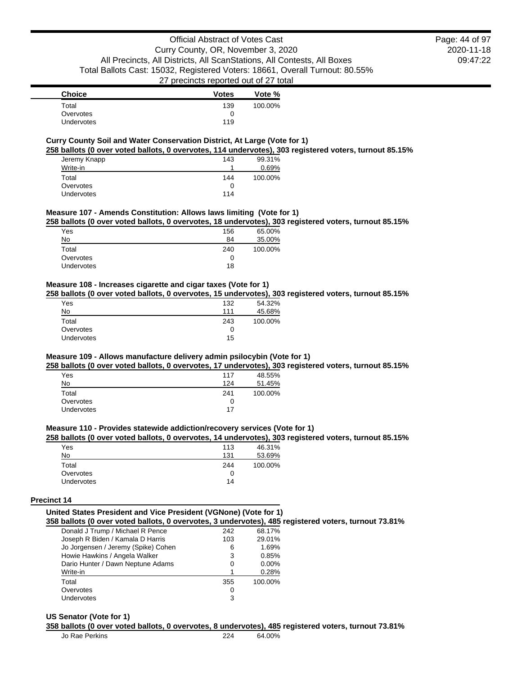| <b>Choice</b> | <b>Votes</b> | Vote %  |
|---------------|--------------|---------|
| Total         | 139          | 100.00% |
| Overvotes     |              |         |
| Undervotes    | 119          |         |

#### **Curry County Soil and Water Conservation District, At Large (Vote for 1)**

**258 ballots (0 over voted ballots, 0 overvotes, 114 undervotes), 303 registered voters, turnout 85.15%**

| Jeremy Knapp | 143 | 99.31%  |
|--------------|-----|---------|
| Write-in     |     | 0.69%   |
| Total        | 144 | 100.00% |
| Overvotes    | 0   |         |
| Undervotes   | 114 |         |

## **Measure 107 - Amends Constitution: Allows laws limiting (Vote for 1)**

**258 ballots (0 over voted ballots, 0 overvotes, 18 undervotes), 303 registered voters, turnout 85.15%**

| Yes        | 156 | 65.00%  |
|------------|-----|---------|
| No         | 84  | 35.00%  |
| Total      | 240 | 100.00% |
| Overvotes  | 0   |         |
| Undervotes | 18  |         |
|            |     |         |

#### **Measure 108 - Increases cigarette and cigar taxes (Vote for 1)**

**258 ballots (0 over voted ballots, 0 overvotes, 15 undervotes), 303 registered voters, turnout 85.15%**

| Yes        | 132 | 54.32%  |
|------------|-----|---------|
| No         | 111 | 45.68%  |
| Total      | 243 | 100.00% |
| Overvotes  | 0   |         |
| Undervotes | 15  |         |

#### **Measure 109 - Allows manufacture delivery admin psilocybin (Vote for 1)**

**258 ballots (0 over voted ballots, 0 overvotes, 17 undervotes), 303 registered voters, turnout 85.15%**

| Yes               | 117 | 48.55%  |
|-------------------|-----|---------|
| No                | 124 | 51.45%  |
| Total             | 241 | 100.00% |
| Overvotes         | 0   |         |
| <b>Undervotes</b> | 17  |         |

#### **Measure 110 - Provides statewide addiction/recovery services (Vote for 1)**

#### **258 ballots (0 over voted ballots, 0 overvotes, 14 undervotes), 303 registered voters, turnout 85.15%**

| Yes               | 113 | 46.31%  |
|-------------------|-----|---------|
| No                | 131 | 53.69%  |
| Total             | 244 | 100.00% |
| Overvotes         |     |         |
| <b>Undervotes</b> | 14  |         |

#### **Precinct 14**

#### **United States President and Vice President (VGNone) (Vote for 1) 358 ballots (0 over voted ballots, 0 overvotes, 3 undervotes), 485 registered voters, turnout 73.81%**

| Donald J Trump / Michael R Pence    | 242 | 68.17%  |
|-------------------------------------|-----|---------|
| Joseph R Biden / Kamala D Harris    | 103 | 29.01%  |
| Jo Jorgensen / Jeremy (Spike) Cohen | 6   | 1.69%   |
| Howie Hawkins / Angela Walker       | 3   | 0.85%   |
| Dario Hunter / Dawn Neptune Adams   | 0   | 0.00%   |
| Write-in                            | 1   | 0.28%   |
| Total                               | 355 | 100.00% |
| Overvotes                           | 0   |         |
| Undervotes                          | 3   |         |

#### **US Senator (Vote for 1)**

#### **358 ballots (0 over voted ballots, 0 overvotes, 8 undervotes), 485 registered voters, turnout 73.81%**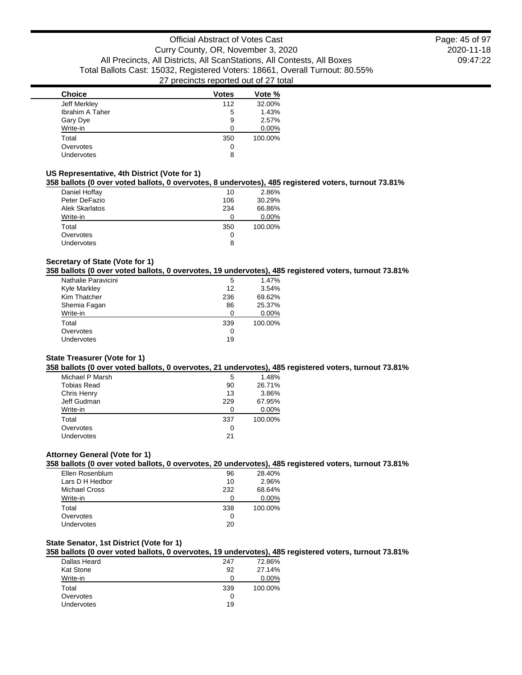| <b>Choice</b>     | <b>Votes</b> | Vote %  |
|-------------------|--------------|---------|
| Jeff Merkley      | 112          | 32.00%  |
| Ibrahim A Taher   | 5            | 1.43%   |
| Gary Dye          | 9            | 2.57%   |
| Write-in          | n            | 0.00%   |
| Total             | 350          | 100.00% |
| Overvotes         | 0            |         |
| <b>Undervotes</b> | 8            |         |
|                   |              |         |

#### **US Representative, 4th District (Vote for 1)**

## **358 ballots (0 over voted ballots, 0 overvotes, 8 undervotes), 485 registered voters, turnout 73.81%**

| Daniel Hoffay     | 10  | 2.86%   |
|-------------------|-----|---------|
| Peter DeFazio     | 106 | 30.29%  |
| Alek Skarlatos    | 234 | 66.86%  |
| Write-in          | O   | 0.00%   |
| Total             | 350 | 100.00% |
| Overvotes         | O   |         |
| <b>Undervotes</b> | 8   |         |

## **Secretary of State (Vote for 1)**

## **358 ballots (0 over voted ballots, 0 overvotes, 19 undervotes), 485 registered voters, turnout 73.81%**

| Nathalie Paravicini | 5   | 1.47%   |
|---------------------|-----|---------|
| <b>Kyle Markley</b> | 12  | 3.54%   |
| Kim Thatcher        | 236 | 69.62%  |
| Shemia Fagan        | 86  | 25.37%  |
| Write-in            | n   | 0.00%   |
| Total               | 339 | 100.00% |
| Overvotes           | O   |         |
| Undervotes          | 19  |         |
|                     |     |         |

#### **State Treasurer (Vote for 1)**

#### **358 ballots (0 over voted ballots, 0 overvotes, 21 undervotes), 485 registered voters, turnout 73.81%**

| Michael P Marsh    | 5   | 1.48%   |
|--------------------|-----|---------|
| <b>Tobias Read</b> | 90  | 26.71%  |
| Chris Henry        | 13  | 3.86%   |
| Jeff Gudman        | 229 | 67.95%  |
| Write-in           | ŋ   | 0.00%   |
| Total              | 337 | 100.00% |
| Overvotes          | O   |         |
| Undervotes         | 21  |         |
|                    |     |         |

## **Attorney General (Vote for 1)**

## **358 ballots (0 over voted ballots, 0 overvotes, 20 undervotes), 485 registered voters, turnout 73.81%**

| Ellen Rosenblum | 96  | 28.40%  |
|-----------------|-----|---------|
| Lars D H Hedbor | 10  | 2.96%   |
| Michael Cross   | 232 | 68.64%  |
| Write-in        |     | 0.00%   |
| Total           | 338 | 100.00% |
| Overvotes       |     |         |
| Undervotes      | 20  |         |

## **State Senator, 1st District (Vote for 1)**

#### **358 ballots (0 over voted ballots, 0 overvotes, 19 undervotes), 485 registered voters, turnout 73.81%**

| Dallas Heard     | 247 | 72.86%  |
|------------------|-----|---------|
| <b>Kat Stone</b> | 92  | 27.14%  |
| Write-in         |     | 0.00%   |
| Total            | 339 | 100.00% |
| Overvotes        | 0   |         |
| Undervotes       | 19  |         |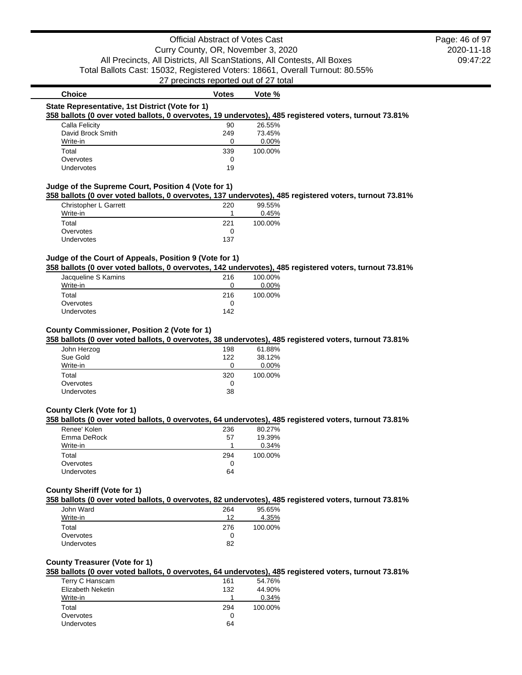## **Choice Votes Votes Vote** % **State Representative, 1st District (Vote for 1) 358 ballots (0 over voted ballots, 0 overvotes, 19 undervotes), 485 registered voters, turnout 73.81%** Calla Felicity 26.55% David Brock Smith 249 73.45% Write-in 0 0.00% Total 339 100.00% Overvotes 0<br>Undervotes 19 Undervotes **Judge of the Supreme Court, Position 4 (Vote for 1)**

#### **358 ballots (0 over voted ballots, 0 overvotes, 137 undervotes), 485 registered voters, turnout 73.81%**

| Christopher L Garrett | 220 | 99.55%  |
|-----------------------|-----|---------|
| Write-in              |     | 0.45%   |
| Total                 | 221 | 100.00% |
| Overvotes             |     |         |
| <b>Undervotes</b>     | 137 |         |

## **Judge of the Court of Appeals, Position 9 (Vote for 1)**

**358 ballots (0 over voted ballots, 0 overvotes, 142 undervotes), 485 registered voters, turnout 73.81%**

| Jacqueline S Kamins | 216 | 100.00% |
|---------------------|-----|---------|
| Write-in            |     | 0.00%   |
| Total               | 216 | 100.00% |
| Overvotes           |     |         |
| <b>Undervotes</b>   | 142 |         |

#### **County Commissioner, Position 2 (Vote for 1)**

#### **358 ballots (0 over voted ballots, 0 overvotes, 38 undervotes), 485 registered voters, turnout 73.81%**

| John Herzog | 198 | 61.88%   |
|-------------|-----|----------|
| Sue Gold    | 122 | 38.12%   |
| Write-in    | 0   | $0.00\%$ |
| Total       | 320 | 100.00%  |
| Overvotes   | 0   |          |
| Undervotes  | 38  |          |

## **County Clerk (Vote for 1)**

#### **358 ballots (0 over voted ballots, 0 overvotes, 64 undervotes), 485 registered voters, turnout 73.81%**

| Renee' Kolen      | 236 | 80.27%  |
|-------------------|-----|---------|
| Emma DeRock       | 57  | 19.39%  |
| Write-in          |     | 0.34%   |
| Total             | 294 | 100.00% |
| Overvotes         |     |         |
| <b>Undervotes</b> | 64  |         |
|                   |     |         |

#### **County Sheriff (Vote for 1)**

#### **358 ballots (0 over voted ballots, 0 overvotes, 82 undervotes), 485 registered voters, turnout 73.81%**

| John Ward         | 264 | 95.65%  |
|-------------------|-----|---------|
| Write-in          | 12  | 4.35%   |
| Total             | 276 | 100.00% |
| Overvotes         |     |         |
| <b>Undervotes</b> | 82  |         |

#### **County Treasurer (Vote for 1)**

#### **358 ballots (0 over voted ballots, 0 overvotes, 64 undervotes), 485 registered voters, turnout 73.81%**

| Terry C Hanscam   | 161 | 54.76%  |
|-------------------|-----|---------|
| Elizabeth Neketin | 132 | 44.90%  |
| Write-in          |     | 0.34%   |
| Total             | 294 | 100.00% |
| Overvotes         | O   |         |
| Undervotes        | 64  |         |
|                   |     |         |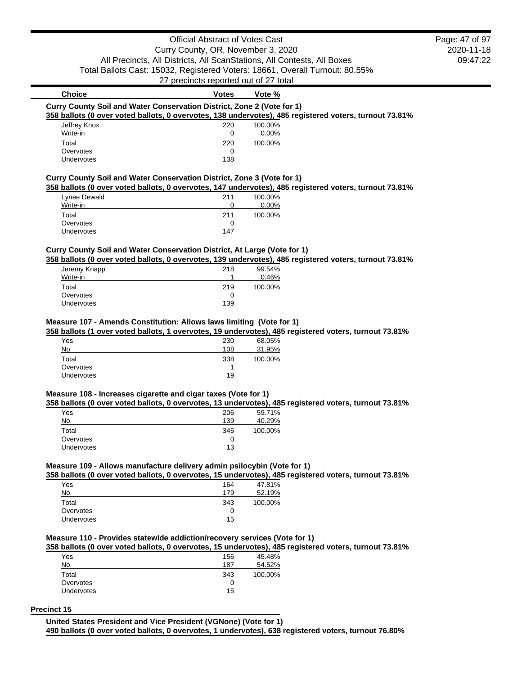## Official Abstract of Votes Cast Curry County, OR, November 3, 2020 All Precincts, All Districts, All ScanStations, All Contests, All Boxes Total Ballots Cast: 15032, Registered Voters: 18661, Overall Turnout: 80.55%

27 precincts reported out of 27 total

## **Choice Votes Votes Vote** % **Curry County Soil and Water Conservation District, Zone 2 (Vote for 1) 358 ballots (0 over voted ballots, 0 overvotes, 138 undervotes), 485 registered voters, turnout 73.81%** Jeffrey Knox 220 100.00%

| Write-in          |     | $0.00\%$ |
|-------------------|-----|----------|
| Total             | 220 | 100.00%  |
| Overvotes         |     |          |
| <b>Undervotes</b> | 138 |          |

## **Curry County Soil and Water Conservation District, Zone 3 (Vote for 1)**

#### **358 ballots (0 over voted ballots, 0 overvotes, 147 undervotes), 485 registered voters, turnout 73.81%**

| Lynee Dewald      | 211 | 100.00% |
|-------------------|-----|---------|
| Write-in          |     | 0.00%   |
| Total             | 211 | 100.00% |
| Overvotes         |     |         |
| <b>Undervotes</b> | 147 |         |

## **Curry County Soil and Water Conservation District, At Large (Vote for 1)**

**358 ballots (0 over voted ballots, 0 overvotes, 139 undervotes), 485 registered voters, turnout 73.81%**

| 218 | 99.54%  |
|-----|---------|
|     | 0.46%   |
| 219 | 100.00% |
| 0   |         |
| 139 |         |
|     |         |

#### **Measure 107 - Amends Constitution: Allows laws limiting (Vote for 1)**

#### **358 ballots (1 over voted ballots, 1 overvotes, 19 undervotes), 485 registered voters, turnout 73.81%**

| Yes               | 230 | 68.05%  |
|-------------------|-----|---------|
| No                | 108 | 31.95%  |
| Total             | 338 | 100.00% |
| Overvotes         |     |         |
| <b>Undervotes</b> | 19  |         |
|                   |     |         |

## **Measure 108 - Increases cigarette and cigar taxes (Vote for 1)**

## **358 ballots (0 over voted ballots, 0 overvotes, 13 undervotes), 485 registered voters, turnout 73.81%**

| Yes        | 206 | 59.71%  |
|------------|-----|---------|
| No         | 139 | 40.29%  |
| Total      | 345 | 100.00% |
| Overvotes  | O   |         |
| Undervotes | 13  |         |

#### **Measure 109 - Allows manufacture delivery admin psilocybin (Vote for 1)**

#### **358 ballots (0 over voted ballots, 0 overvotes, 15 undervotes), 485 registered voters, turnout 73.81%**

| Yes               | 164 | 47.81%  |
|-------------------|-----|---------|
| No                | 179 | 52.19%  |
| Total             | 343 | 100.00% |
| Overvotes         | 0   |         |
| <b>Undervotes</b> | 15  |         |

## **Measure 110 - Provides statewide addiction/recovery services (Vote for 1)**

#### **358 ballots (0 over voted ballots, 0 overvotes, 15 undervotes), 485 registered voters, turnout 73.81%**

| Yes               | 156 | 45.48%  |
|-------------------|-----|---------|
| No                | 187 | 54.52%  |
| Total             | 343 | 100.00% |
| Overvotes         | 0   |         |
| <b>Undervotes</b> | 15  |         |

#### **Precinct 15**

## **United States President and Vice President (VGNone) (Vote for 1)**

**490 ballots (0 over voted ballots, 0 overvotes, 1 undervotes), 638 registered voters, turnout 76.80%**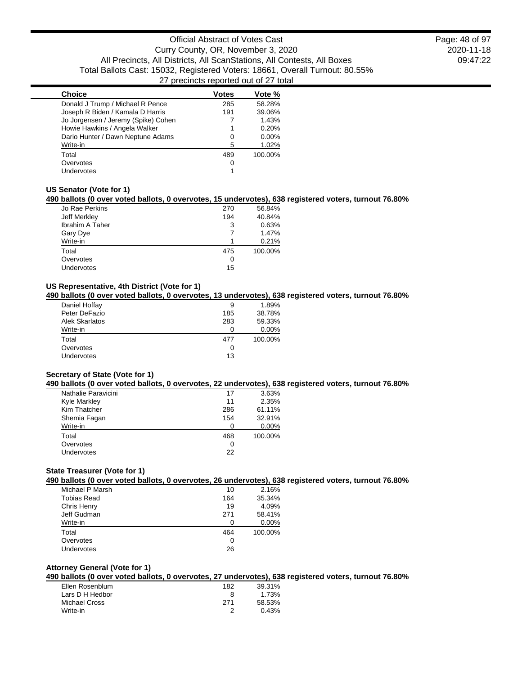| <b>Choice</b>                       | <b>Votes</b> | Vote %   |
|-------------------------------------|--------------|----------|
| Donald J Trump / Michael R Pence    | 285          | 58.28%   |
| Joseph R Biden / Kamala D Harris    | 191          | 39.06%   |
| Jo Jorgensen / Jeremy (Spike) Cohen |              | 1.43%    |
| Howie Hawkins / Angela Walker       |              | 0.20%    |
| Dario Hunter / Dawn Neptune Adams   | 0            | $0.00\%$ |
| Write-in                            | 5            | 1.02%    |
| Total                               | 489          | 100.00%  |
| Overvotes                           | 0            |          |
| Undervotes                          |              |          |

#### **US Senator (Vote for 1)**

#### **490 ballots (0 over voted ballots, 0 overvotes, 15 undervotes), 638 registered voters, turnout 76.80%**

| Jo Rae Perkins  | 270 | 56.84%  |
|-----------------|-----|---------|
| Jeff Merkley    | 194 | 40.84%  |
| Ibrahim A Taher | 3   | 0.63%   |
| Gary Dye        |     | 1.47%   |
| Write-in        |     | 0.21%   |
| Total           | 475 | 100.00% |
| Overvotes       | 0   |         |
| Undervotes      | 15  |         |

## **US Representative, 4th District (Vote for 1)**

## **490 ballots (0 over voted ballots, 0 overvotes, 13 undervotes), 638 registered voters, turnout 76.80%**

| Daniel Hoffay     | 9   | 1.89%   |
|-------------------|-----|---------|
| Peter DeFazio     | 185 | 38.78%  |
| Alek Skarlatos    | 283 | 59.33%  |
| Write-in          | ŋ   | 0.00%   |
| Total             | 477 | 100.00% |
| Overvotes         | O   |         |
| <b>Undervotes</b> | 13  |         |
|                   |     |         |

## **Secretary of State (Vote for 1)**

#### **490 ballots (0 over voted ballots, 0 overvotes, 22 undervotes), 638 registered voters, turnout 76.80%**

| Nathalie Paravicini | 17  | 3.63%    |
|---------------------|-----|----------|
| Kyle Markley        | 11  | 2.35%    |
| Kim Thatcher        | 286 | 61.11%   |
| Shemia Fagan        | 154 | 32.91%   |
| Write-in            | O   | $0.00\%$ |
| Total               | 468 | 100.00%  |
| Overvotes           | 0   |          |
| Undervotes          | 22  |          |

#### **State Treasurer (Vote for 1)**

#### **490 ballots (0 over voted ballots, 0 overvotes, 26 undervotes), 638 registered voters, turnout 76.80%**

|           | Michael P Marsh | 10  | 2.16%   |
|-----------|-----------------|-----|---------|
|           | Tobias Read     | 164 | 35.34%  |
|           | Chris Henry     | 19  | 4.09%   |
|           | Jeff Gudman     | 271 | 58.41%  |
| Write-in  |                 | O   | 0.00%   |
| Total     |                 | 464 | 100.00% |
| Overvotes |                 | 0   |         |
|           | Undervotes      | 26  |         |
|           |                 |     |         |

## **Attorney General (Vote for 1)**

## **490 ballots (0 over voted ballots, 0 overvotes, 27 undervotes), 638 registered voters, turnout 76.80%**

| Ellen Rosenblum | 182 | 39.31% |
|-----------------|-----|--------|
| Lars D H Hedbor | 8   | 1.73%  |
| Michael Cross   | 271 | 58.53% |
| Write-in        |     | 0.43%  |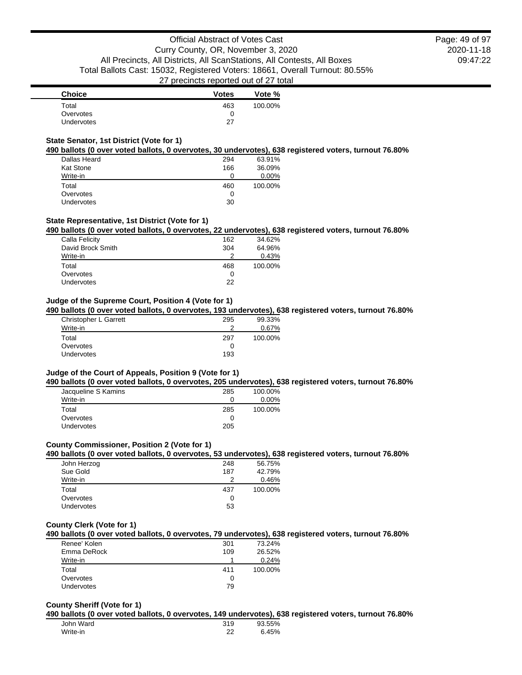| <b>Choice</b> | <b>Votes</b> | Vote %  |
|---------------|--------------|---------|
| Total         | 463          | 100.00% |
| Overvotes     |              |         |
| Undervotes    | 27           |         |

## **State Senator, 1st District (Vote for 1)**

#### **490 ballots (0 over voted ballots, 0 overvotes, 30 undervotes), 638 registered voters, turnout 76.80%**

| Dallas Heard     | 294 | 63.91%  |
|------------------|-----|---------|
| <b>Kat Stone</b> | 166 | 36.09%  |
| Write-in         | ∩   | 0.00%   |
| Total            | 460 | 100.00% |
| Overvotes        | 0   |         |
| Undervotes       | 30  |         |

#### **State Representative, 1st District (Vote for 1)**

#### **490 ballots (0 over voted ballots, 0 overvotes, 22 undervotes), 638 registered voters, turnout 76.80%**

| Calla Felicity    | 162 | 34.62%  |
|-------------------|-----|---------|
| David Brock Smith | 304 | 64.96%  |
| Write-in          | າ   | 0.43%   |
| Total             | 468 | 100.00% |
| Overvotes         | O   |         |
| Undervotes        | 22  |         |

#### **Judge of the Supreme Court, Position 4 (Vote for 1)**

**490 ballots (0 over voted ballots, 0 overvotes, 193 undervotes), 638 registered voters, turnout 76.80%**

| Christopher L Garrett | 295 | 99.33%  |
|-----------------------|-----|---------|
| Write-in              | ◠   | 0.67%   |
| Total                 | 297 | 100.00% |
| Overvotes             |     |         |
| <b>Undervotes</b>     | 193 |         |

#### **Judge of the Court of Appeals, Position 9 (Vote for 1)**

**490 ballots (0 over voted ballots, 0 overvotes, 205 undervotes), 638 registered voters, turnout 76.80%**

| Jacqueline S Kamins | 285 | 100.00%  |
|---------------------|-----|----------|
| Write-in            | O   | $0.00\%$ |
| Total               | 285 | 100.00%  |
| Overvotes           | 0   |          |
| <b>Undervotes</b>   | 205 |          |

#### **County Commissioner, Position 2 (Vote for 1)**

#### **490 ballots (0 over voted ballots, 0 overvotes, 53 undervotes), 638 registered voters, turnout 76.80%**

| John Herzog | 248 | 56.75%  |
|-------------|-----|---------|
| Sue Gold    | 187 | 42.79%  |
| Write-in    | っ   | 0.46%   |
| Total       | 437 | 100.00% |
| Overvotes   | O   |         |
|             |     |         |

## **County Clerk (Vote for 1)**

#### **490 ballots (0 over voted ballots, 0 overvotes, 79 undervotes), 638 registered voters, turnout 76.80%**

| Renee' Kolen      | 301 | 73.24%  |
|-------------------|-----|---------|
| Emma DeRock       | 109 | 26.52%  |
| Write-in          |     | 0.24%   |
| Total             | 411 | 100.00% |
| Overvotes         |     |         |
| <b>Undervotes</b> | 79  |         |

#### **County Sheriff (Vote for 1)**

**490 ballots (0 over voted ballots, 0 overvotes, 149 undervotes), 638 registered voters, turnout 76.80%**

| John Ward | 319     | 93.55% |
|-----------|---------|--------|
| Write-in  | າາ<br>້ | 6.45%  |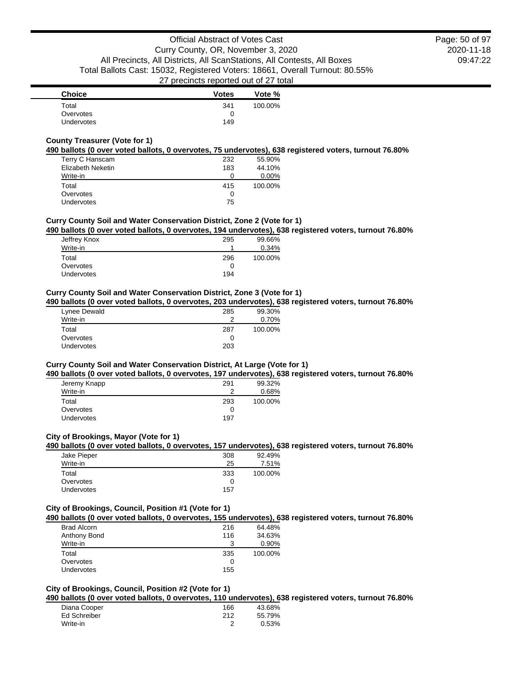| <b>Choice</b> | <b>Votes</b> | Vote %  |
|---------------|--------------|---------|
| Total         | 341          | 100.00% |
| Overvotes     |              |         |
| Undervotes    | 149          |         |

## **County Treasurer (Vote for 1)**

#### **490 ballots (0 over voted ballots, 0 overvotes, 75 undervotes), 638 registered voters, turnout 76.80%**

| Terry C Hanscam   | 232 | 55.90%  |
|-------------------|-----|---------|
| Elizabeth Neketin | 183 | 44.10%  |
| Write-in          | O   | 0.00%   |
| Total             | 415 | 100.00% |
| Overvotes         | 0   |         |
| Undervotes        | 75  |         |

## **Curry County Soil and Water Conservation District, Zone 2 (Vote for 1)**

## **490 ballots (0 over voted ballots, 0 overvotes, 194 undervotes), 638 registered voters, turnout 76.80%**

| Jeffrey Knox | 295 | 99.66%  |
|--------------|-----|---------|
| Write-in     |     | 0.34%   |
| Total        | 296 | 100.00% |
| Overvotes    | 0   |         |
| Undervotes   | 194 |         |

#### **Curry County Soil and Water Conservation District, Zone 3 (Vote for 1)**

#### **490 ballots (0 over voted ballots, 0 overvotes, 203 undervotes), 638 registered voters, turnout 76.80%**

| Lynee Dewald      | 285 | 99.30%  |
|-------------------|-----|---------|
| Write-in          | ≘   | 0.70%   |
| Total             | 287 | 100.00% |
| Overvotes         |     |         |
| <b>Undervotes</b> | 203 |         |

## **Curry County Soil and Water Conservation District, At Large (Vote for 1)**

#### **490 ballots (0 over voted ballots, 0 overvotes, 197 undervotes), 638 registered voters, turnout 76.80%**

| 291 | 99.32%  |
|-----|---------|
| っ   | 0.68%   |
| 293 | 100.00% |
|     |         |
| 197 |         |
|     |         |

#### **City of Brookings, Mayor (Vote for 1)**

#### **490 ballots (0 over voted ballots, 0 overvotes, 157 undervotes), 638 registered voters, turnout 76.80%**

| Jake Pieper       | 308 | 92.49%  |
|-------------------|-----|---------|
| Write-in          | 25  | 7.51%   |
| Total             | 333 | 100.00% |
| Overvotes         |     |         |
| <b>Undervotes</b> | 157 |         |

#### **City of Brookings, Council, Position #1 (Vote for 1)**

## **490 ballots (0 over voted ballots, 0 overvotes, 155 undervotes), 638 registered voters, turnout 76.80%**

|                    |     | . .     |
|--------------------|-----|---------|
| <b>Brad Alcorn</b> | 216 | 64.48%  |
| Anthony Bond       | 116 | 34.63%  |
| Write-in           |     | 0.90%   |
| Total              | 335 | 100.00% |
| Overvotes          |     |         |
| Undervotes         | 155 |         |

## **City of Brookings, Council, Position #2 (Vote for 1)**

## **490 ballots (0 over voted ballots, 0 overvotes, 110 undervotes), 638 registered voters, turnout 76.80%**

| Diana Cooper | 166 | 43.68% |
|--------------|-----|--------|
| Ed Schreiber | 212 | 55.79% |
| Write-in     |     | 0.53%  |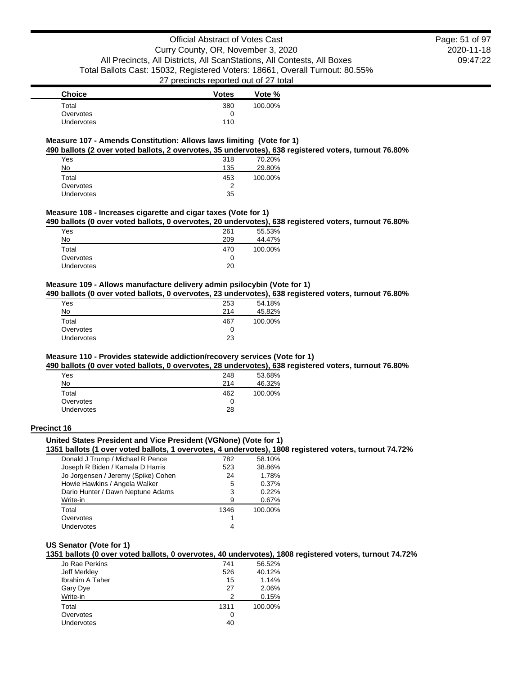2020-11-18 09:47:22 Page: 51 of 97

| <b>Choice</b>     | <b>Votes</b> | Vote %  |
|-------------------|--------------|---------|
| Total             | 380          | 100.00% |
| Overvotes         |              |         |
| <b>Undervotes</b> | 110          |         |

#### **Measure 107 - Amends Constitution: Allows laws limiting (Vote for 1)**

**490 ballots (2 over voted ballots, 2 overvotes, 35 undervotes), 638 registered voters, turnout 76.80%**

| Yes        | 318 | 70.20%  |
|------------|-----|---------|
| No         | 135 | 29.80%  |
| Total      | 453 | 100.00% |
| Overvotes  | 2   |         |
| Undervotes | 35  |         |

#### **Measure 108 - Increases cigarette and cigar taxes (Vote for 1)**

**490 ballots (0 over voted ballots, 0 overvotes, 20 undervotes), 638 registered voters, turnout 76.80%**

| Yes        | 261 | 55.53%  |
|------------|-----|---------|
| No         | 209 | 44.47%  |
| Total      | 470 | 100.00% |
| Overvotes  | 0   |         |
| Undervotes | 20  |         |

## **Measure 109 - Allows manufacture delivery admin psilocybin (Vote for 1)**

**490 ballots (0 over voted ballots, 0 overvotes, 23 undervotes), 638 registered voters, turnout 76.80%**

| Yes               | 253 | 54.18%  |
|-------------------|-----|---------|
| No                | 214 | 45.82%  |
| Total             | 467 | 100.00% |
| Overvotes         | 0   |         |
| <b>Undervotes</b> | 23  |         |

## **Measure 110 - Provides statewide addiction/recovery services (Vote for 1)**

**490 ballots (0 over voted ballots, 0 overvotes, 28 undervotes), 638 registered voters, turnout 76.80%**

| Yes               | 248 | 53.68%  |
|-------------------|-----|---------|
| No                | 214 | 46.32%  |
| Total             | 462 | 100.00% |
| Overvotes         |     |         |
| <b>Undervotes</b> | 28  |         |
|                   |     |         |

#### **Precinct 16**

## **United States President and Vice President (VGNone) (Vote for 1)**

#### **1351 ballots (1 over voted ballots, 1 overvotes, 4 undervotes), 1808 registered voters, turnout 74.72%**

| Donald J Trump / Michael R Pence    | 782  | 58.10%  |
|-------------------------------------|------|---------|
| Joseph R Biden / Kamala D Harris    | 523  | 38.86%  |
| Jo Jorgensen / Jeremy (Spike) Cohen | 24   | 1.78%   |
| Howie Hawkins / Angela Walker       | 5    | 0.37%   |
| Dario Hunter / Dawn Neptune Adams   | 3    | 0.22%   |
| Write-in                            | 9    | 0.67%   |
| Total                               | 1346 | 100.00% |
| Overvotes                           |      |         |
| Undervotes                          | 4    |         |
|                                     |      |         |

#### **US Senator (Vote for 1)**

**1351 ballots (0 over voted ballots, 0 overvotes, 40 undervotes), 1808 registered voters, turnout 74.72%**

| Jo Rae Perkins         | 741  | 56.52%  |
|------------------------|------|---------|
| Jeff Merkley           | 526  | 40.12%  |
| <b>Ibrahim A Taher</b> | 15   | 1.14%   |
| Gary Dye               | 27   | 2.06%   |
| Write-in               | 2    | 0.15%   |
| Total                  | 1311 | 100.00% |
| Overvotes              | O    |         |
| <b>Undervotes</b>      | 40   |         |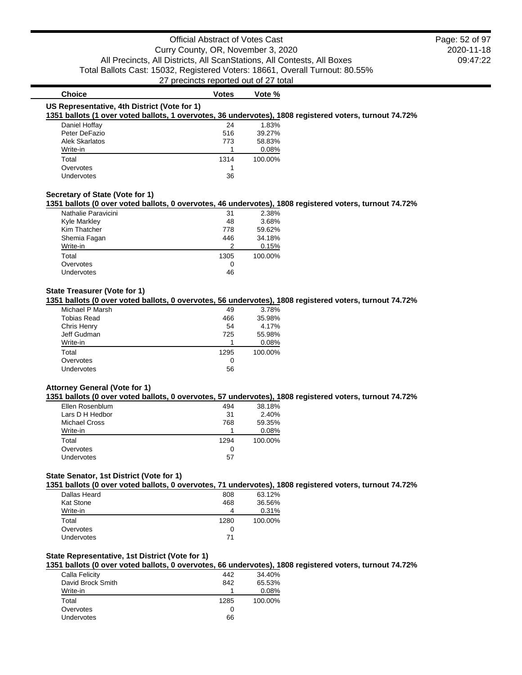| <b>Choice</b>                                | <b>Votes</b> | Vote %                                                                                                  |
|----------------------------------------------|--------------|---------------------------------------------------------------------------------------------------------|
| US Representative, 4th District (Vote for 1) |              | 1351 ballots (1 over voted ballots, 1 overvotes, 36 undervotes), 1808 registered voters, turnout 74.72% |
| Daniel Hoffay                                | 24           | 1.83%                                                                                                   |
| Peter DeFazio                                | 516          | 39.27%                                                                                                  |
| Alek Skarlatos                               | 773          | 58.83%                                                                                                  |
| Write-in                                     |              | 0.08%                                                                                                   |
| Total                                        | 1314         | 100.00%                                                                                                 |
| Overvotes                                    |              |                                                                                                         |
| Undervotes                                   | 36           |                                                                                                         |

#### **Secretary of State (Vote for 1)**

#### **1351 ballots (0 over voted ballots, 0 overvotes, 46 undervotes), 1808 registered voters, turnout 74.72%**

| Nathalie Paravicini | 31   | 2.38%   |
|---------------------|------|---------|
| <b>Kyle Markley</b> | 48   | 3.68%   |
| Kim Thatcher        | 778  | 59.62%  |
| Shemia Fagan        | 446  | 34.18%  |
| Write-in            | 2    | 0.15%   |
| Total               | 1305 | 100.00% |
| Overvotes           | O    |         |
| Undervotes          | 46   |         |
|                     |      |         |

#### **State Treasurer (Vote for 1)**

## **1351 ballots (0 over voted ballots, 0 overvotes, 56 undervotes), 1808 registered voters, turnout 74.72%**

| Michael P Marsh    | 49   | 3.78%   |
|--------------------|------|---------|
| <b>Tobias Read</b> | 466  | 35.98%  |
| Chris Henry        | 54   | 4.17%   |
| Jeff Gudman        | 725  | 55.98%  |
| Write-in           |      | 0.08%   |
| Total              | 1295 | 100.00% |
| Overvotes          | O    |         |
| Undervotes         | 56   |         |
|                    |      |         |

#### **Attorney General (Vote for 1)**

#### **1351 ballots (0 over voted ballots, 0 overvotes, 57 undervotes), 1808 registered voters, turnout 74.72%**

| Ellen Rosenblum   | 494  | 38.18%  |
|-------------------|------|---------|
| Lars D H Hedbor   | 31   | 2.40%   |
| Michael Cross     | 768  | 59.35%  |
| Write-in          |      | 0.08%   |
| Total             | 1294 | 100.00% |
| Overvotes         | O    |         |
| <b>Undervotes</b> | 57   |         |

#### **State Senator, 1st District (Vote for 1)**

#### **1351 ballots (0 over voted ballots, 0 overvotes, 71 undervotes), 1808 registered voters, turnout 74.72%**

| Dallas Heard     | 808  | 63.12%  |
|------------------|------|---------|
| <b>Kat Stone</b> | 468  | 36.56%  |
| Write-in         |      | 0.31%   |
| Total            | 1280 | 100.00% |
| Overvotes        |      |         |
| Undervotes       | 71   |         |

#### **State Representative, 1st District (Vote for 1)**

#### **1351 ballots (0 over voted ballots, 0 overvotes, 66 undervotes), 1808 registered voters, turnout 74.72%**

| Calla Felicity    | 442  | 34.40%  |
|-------------------|------|---------|
| David Brock Smith | 842  | 65.53%  |
| Write-in          |      | 0.08%   |
| Total             | 1285 | 100.00% |
| Overvotes         | 0    |         |
| Undervotes        | 66   |         |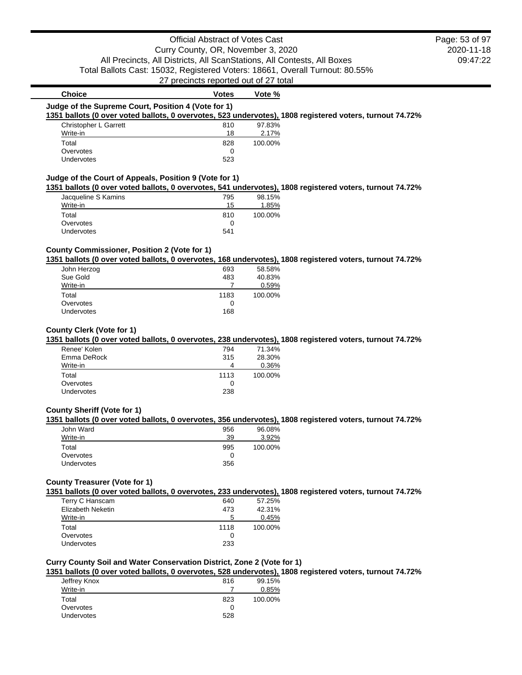## Official Abstract of Votes Cast Curry County, OR, November 3, 2020 All Precincts, All Districts, All ScanStations, All Contests, All Boxes Total Ballots Cast: 15032, Registered Voters: 18661, Overall Turnout: 80.55% 27 precincts reported out of 27 total

| <b>Christopher L Garrett</b>                           | 810 | 97.83%  |                                                                                                          |
|--------------------------------------------------------|-----|---------|----------------------------------------------------------------------------------------------------------|
| Write-in                                               | 18  | 2.17%   |                                                                                                          |
| Total                                                  | 828 | 100.00% |                                                                                                          |
| Overvotes                                              | 0   |         |                                                                                                          |
| <b>Undervotes</b>                                      | 523 |         |                                                                                                          |
| Judge of the Court of Appeals, Position 9 (Vote for 1) |     |         | 1351 ballots (0 over voted ballots, 0 overvotes, 541 undervotes), 1808 registered voters, turnout 74.72% |
|                                                        |     |         |                                                                                                          |
| Jacqueline S Kamins                                    | 795 | 98.15%  |                                                                                                          |

| $\alpha$          | .   | <u>vv. IV / U</u> |
|-------------------|-----|-------------------|
| Write-in          | 15  | 1.85%             |
| Total             | 810 | 100.00%           |
| Overvotes         |     |                   |
| <b>Undervotes</b> | 541 |                   |

**Choice Votes Votes Vote** %

#### **County Commissioner, Position 2 (Vote for 1)**

## **1351 ballots (0 over voted ballots, 0 overvotes, 168 undervotes), 1808 registered voters, turnout 74.72%**

| John Herzog | 693  | 58.58%  |
|-------------|------|---------|
| Sue Gold    | 483  | 40.83%  |
| Write-in    |      | 0.59%   |
| Total       | 1183 | 100.00% |
| Overvotes   |      |         |
| Undervotes  | 168  |         |
|             |      |         |

#### **County Clerk (Vote for 1)**

#### **1351 ballots (0 over voted ballots, 0 overvotes, 238 undervotes), 1808 registered voters, turnout 74.72%**

| Renee' Kolen | 794  | 71.34%  |
|--------------|------|---------|
| Emma DeRock  | 315  | 28.30%  |
| Write-in     | 4    | 0.36%   |
| Total        | 1113 | 100.00% |
| Overvotes    | 0    |         |
| Undervotes   | 238  |         |

## **County Sheriff (Vote for 1)**

#### **1351 ballots (0 over voted ballots, 0 overvotes, 356 undervotes), 1808 registered voters, turnout 74.72%**

| John Ward  | 956 | 96.08%  |
|------------|-----|---------|
| Write-in   | 39  | 3.92%   |
| Total      | 995 | 100.00% |
| Overvotes  |     |         |
| Undervotes | 356 |         |

## **County Treasurer (Vote for 1)**

**1351 ballots (0 over voted ballots, 0 overvotes, 233 undervotes), 1808 registered voters, turnout 74.72%**

| Terry C Hanscam   | 640          | 57.25%  |
|-------------------|--------------|---------|
| Elizabeth Neketin | 473          | 42.31%  |
| Write-in          | $\mathbf{b}$ | 0.45%   |
| Total             | 1118         | 100.00% |
| Overvotes         |              |         |
| <b>Undervotes</b> | 233          |         |

## **Curry County Soil and Water Conservation District, Zone 2 (Vote for 1)**

## **1351 ballots (0 over voted ballots, 0 overvotes, 528 undervotes), 1808 registered voters, turnout 74.72%**

|              |     | . .     |
|--------------|-----|---------|
| Jeffrey Knox | 816 | 99.15%  |
| Write-in     |     | 0.85%   |
| Total        | 823 | 100.00% |
| Overvotes    | 0   |         |
| Undervotes   | 528 |         |
|              |     |         |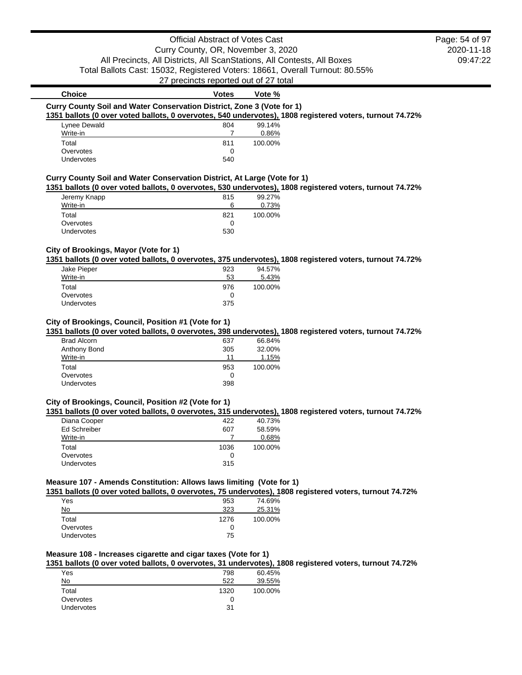## Official Abstract of Votes Cast

Curry County, OR, November 3, 2020 All Precincts, All Districts, All ScanStations, All Contests, All Boxes Total Ballots Cast: 15032, Registered Voters: 18661, Overall Turnout: 80.55%

27 precincts reported out of 27 total

## **Choice Votes Votes Vote** % **Curry County Soil and Water Conservation District, Zone 3 (Vote for 1) 1351 ballots (0 over voted ballots, 0 overvotes, 540 undervotes), 1808 registered voters, turnout 74.72%** Lynee Dewald 804

|                   | ----- | .       |
|-------------------|-------|---------|
| Write-in          |       | 0.86%   |
| Total             | 811   | 100.00% |
| Overvotes         |       |         |
| <b>Undervotes</b> | 540   |         |
|                   |       |         |

## **Curry County Soil and Water Conservation District, At Large (Vote for 1)**

**1351 ballots (0 over voted ballots, 0 overvotes, 530 undervotes), 1808 registered voters, turnout 74.72%**

| Jeremy Knapp      | 815 | 99.27%  |
|-------------------|-----|---------|
| Write-in          | 6   | 0.73%   |
| Total             | 821 | 100.00% |
| Overvotes         |     |         |
| <b>Undervotes</b> | 530 |         |
|                   |     |         |

## **City of Brookings, Mayor (Vote for 1)**

**1351 ballots (0 over voted ballots, 0 overvotes, 375 undervotes), 1808 registered voters, turnout 74.72%**

| 923 | 94.57%  |
|-----|---------|
| 53  | 5.43%   |
| 976 | 100.00% |
| 0   |         |
| 375 |         |
|     |         |

#### **City of Brookings, Council, Position #1 (Vote for 1)**

**1351 ballots (0 over voted ballots, 0 overvotes, 398 undervotes), 1808 registered voters, turnout 74.72%**

| 637 | 66.84%  |
|-----|---------|
| 305 | 32.00%  |
| 11  | 1.15%   |
| 953 | 100.00% |
| 0   |         |
| 398 |         |
|     |         |

#### **City of Brookings, Council, Position #2 (Vote for 1)**

**1351 ballots (0 over voted ballots, 0 overvotes, 315 undervotes), 1808 registered voters, turnout 74.72%**

| Diana Cooper        | 422  | 40.73%  |
|---------------------|------|---------|
| <b>Ed Schreiber</b> | 607  | 58.59%  |
| Write-in            |      | 0.68%   |
| Total               | 1036 | 100.00% |
| Overvotes           | 0    |         |
| <b>Undervotes</b>   | 315  |         |
|                     |      |         |

## **Measure 107 - Amends Constitution: Allows laws limiting (Vote for 1)**

**1351 ballots (0 over voted ballots, 0 overvotes, 75 undervotes), 1808 registered voters, turnout 74.72%**

| Yes               | 953  | 74.69%  |
|-------------------|------|---------|
| No                | 323  | 25.31%  |
| Total             | 1276 | 100.00% |
| Overvotes         |      |         |
| <b>Undervotes</b> | 75   |         |

## **Measure 108 - Increases cigarette and cigar taxes (Vote for 1)**

**1351 ballots (0 over voted ballots, 0 overvotes, 31 undervotes), 1808 registered voters, turnout 74.72%**

| Yes        | 798  | 60.45%  |
|------------|------|---------|
| No         | 522  | 39.55%  |
| Total      | 1320 | 100.00% |
| Overvotes  |      |         |
| Undervotes | 31   |         |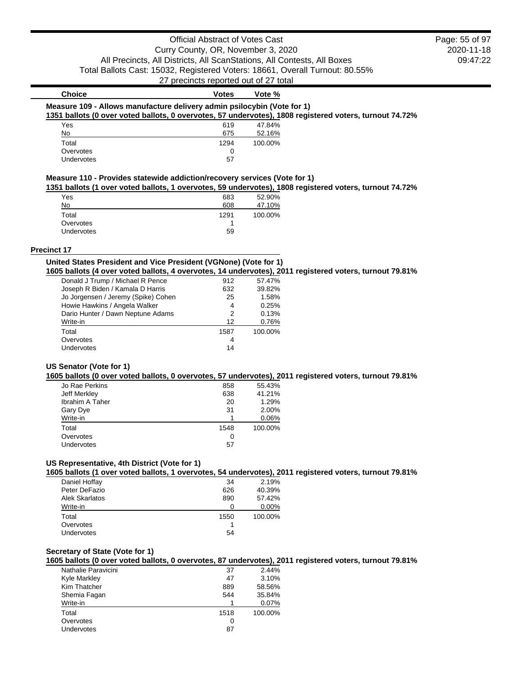2020-11-18 09:47:22 Page: 55 of 97

| <b>Choice</b>                                                           | Votes | Vote %  |                                                                                                         |
|-------------------------------------------------------------------------|-------|---------|---------------------------------------------------------------------------------------------------------|
| Measure 109 - Allows manufacture delivery admin psilocybin (Vote for 1) |       |         |                                                                                                         |
|                                                                         |       |         | 1351 ballots (0 over voted ballots, 0 overvotes, 57 undervotes), 1808 registered voters, turnout 74.72% |
| Yes                                                                     | 619   | 47.84%  |                                                                                                         |
| No                                                                      | 675   | 52.16%  |                                                                                                         |
| Total                                                                   | 1294  | 100.00% |                                                                                                         |
| Overvotes                                                               | 0     |         |                                                                                                         |
| Undervotes                                                              | 57    |         |                                                                                                         |

## **Measure 110 - Provides statewide addiction/recovery services (Vote for 1)**

**1351 ballots (1 over voted ballots, 1 overvotes, 59 undervotes), 1808 registered voters, turnout 74.72%**

| Yes               | 683  | 52.90%  |
|-------------------|------|---------|
| No                | 608  | 47.10%  |
| Total             | 1291 | 100.00% |
| Overvotes         |      |         |
| <b>Undervotes</b> | 59   |         |

#### **Precinct 17**

## **United States President and Vice President (VGNone) (Vote for 1) 1605 ballots (4 over voted ballots, 4 overvotes, 14 undervotes), 2011 registered voters, turnout 79.81%**

| Donald J Trump / Michael R Pence    | 912  | 57.47%  |
|-------------------------------------|------|---------|
| Joseph R Biden / Kamala D Harris    | 632  | 39.82%  |
| Jo Jorgensen / Jeremy (Spike) Cohen | 25   | 1.58%   |
| Howie Hawkins / Angela Walker       | 4    | 0.25%   |
| Dario Hunter / Dawn Neptune Adams   | 2    | 0.13%   |
| Write-in                            | 12   | 0.76%   |
| Total                               | 1587 | 100.00% |
| Overvotes                           | 4    |         |
| <b>Undervotes</b>                   | 14   |         |

#### **US Senator (Vote for 1)**

#### **1605 ballots (0 over voted ballots, 0 overvotes, 57 undervotes), 2011 registered voters, turnout 79.81%**

| Jo Rae Perkins         | 858  | 55.43%  |
|------------------------|------|---------|
| Jeff Merkley           | 638  | 41.21%  |
| <b>Ibrahim A Taher</b> | 20   | 1.29%   |
| Gary Dye               | 31   | 2.00%   |
| Write-in               |      | 0.06%   |
| Total                  | 1548 | 100.00% |
| Overvotes              | 0    |         |
| Undervotes             | 57   |         |
|                        |      |         |

## **US Representative, 4th District (Vote for 1)**

**1605 ballots (1 over voted ballots, 1 overvotes, 54 undervotes), 2011 registered voters, turnout 79.81%**

| Daniel Hoffay  | 34   | 2.19%   |
|----------------|------|---------|
| Peter DeFazio  | 626  | 40.39%  |
| Alek Skarlatos | 890  | 57.42%  |
| Write-in       |      | 0.00%   |
| Total          | 1550 | 100.00% |
| Overvotes      |      |         |
| Undervotes     | 54   |         |

#### **Secretary of State (Vote for 1)**

#### **1605 ballots (0 over voted ballots, 0 overvotes, 87 undervotes), 2011 registered voters, turnout 79.81%**

| Nathalie Paravicini | 37   | 2.44%   |
|---------------------|------|---------|
| <b>Kyle Markley</b> | 47   | 3.10%   |
| Kim Thatcher        | 889  | 58.56%  |
| Shemia Fagan        | 544  | 35.84%  |
| Write-in            |      | 0.07%   |
| Total               | 1518 | 100.00% |
| Overvotes           | Ω    |         |
| Undervotes          | 87   |         |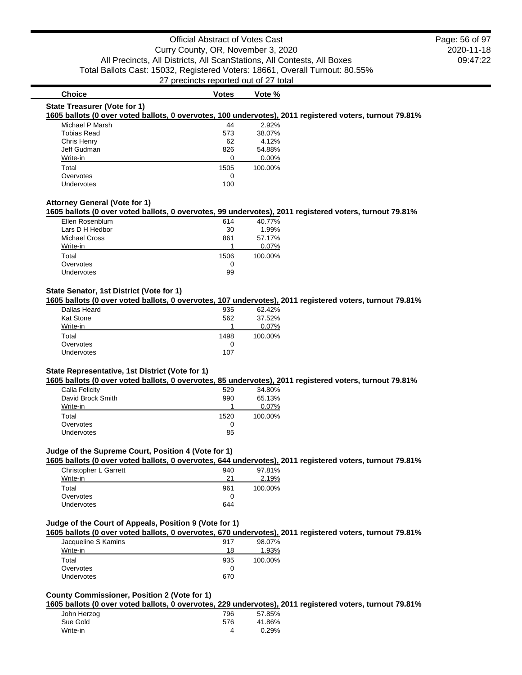#### **Choice Votes Votes Vote** %

#### **State Treasurer (Vote for 1)**

#### **1605 ballots (0 over voted ballots, 0 overvotes, 100 undervotes), 2011 registered voters, turnout 79.81%**

| Michael P Marsh | 44   | 2.92%    |
|-----------------|------|----------|
| Tobias Read     | 573  | 38.07%   |
| Chris Henry     | 62   | 4.12%    |
| Jeff Gudman     | 826  | 54.88%   |
| Write-in        | ∩    | $0.00\%$ |
| Total           | 1505 | 100.00%  |
| Overvotes       | 0    |          |
| Undervotes      | 100  |          |

#### **Attorney General (Vote for 1)**

#### **1605 ballots (0 over voted ballots, 0 overvotes, 99 undervotes), 2011 registered voters, turnout 79.81%**

| Ellen Rosenblum   | 614  | 40.77%  |
|-------------------|------|---------|
| Lars D H Hedbor   | 30   | 1.99%   |
| Michael Cross     | 861  | 57.17%  |
| Write-in          |      | 0.07%   |
| Total             | 1506 | 100.00% |
| Overvotes         | O    |         |
| <b>Undervotes</b> | 99   |         |

#### **State Senator, 1st District (Vote for 1)**

**1605 ballots (0 over voted ballots, 0 overvotes, 107 undervotes), 2011 registered voters, turnout 79.81%**

| 62.42%  |
|---------|
| 37.52%  |
| 0.07%   |
| 100.00% |
|         |
|         |
|         |

#### **State Representative, 1st District (Vote for 1)**

**1605 ballots (0 over voted ballots, 0 overvotes, 85 undervotes), 2011 registered voters, turnout 79.81%**

| Calla Felicity    | 529  | 34.80%  |
|-------------------|------|---------|
| David Brock Smith | 990  | 65.13%  |
| Write-in          |      | 0.07%   |
| Total             | 1520 | 100.00% |
| Overvotes         |      |         |
| <b>Undervotes</b> | 85   |         |

## **Judge of the Supreme Court, Position 4 (Vote for 1)**

**1605 ballots (0 over voted ballots, 0 overvotes, 644 undervotes), 2011 registered voters, turnout 79.81%**

| Christopher L Garrett | 940 | 97.81%  |
|-----------------------|-----|---------|
| Write-in              | 21  | 2.19%   |
| Total                 | 961 | 100.00% |
| Overvotes             |     |         |
| <b>Undervotes</b>     | 644 |         |
|                       |     |         |

## **Judge of the Court of Appeals, Position 9 (Vote for 1)**

## **1605 ballots (0 over voted ballots, 0 overvotes, 670 undervotes), 2011 registered voters, turnout 79.81%**

| Jacqueline S Kamins | 917 | 98.07%  |
|---------------------|-----|---------|
| Write-in            | 18  | 1.93%   |
| Total               | 935 | 100.00% |
| Overvotes           |     |         |
| <b>Undervotes</b>   | 670 |         |

## **County Commissioner, Position 2 (Vote for 1)**

**1605 ballots (0 over voted ballots, 0 overvotes, 229 undervotes), 2011 registered voters, turnout 79.81%**

| John Herzog | 796 | 57.85% |
|-------------|-----|--------|
| Sue Gold    | 576 | 41.86% |
| Write-in    |     | 0.29%  |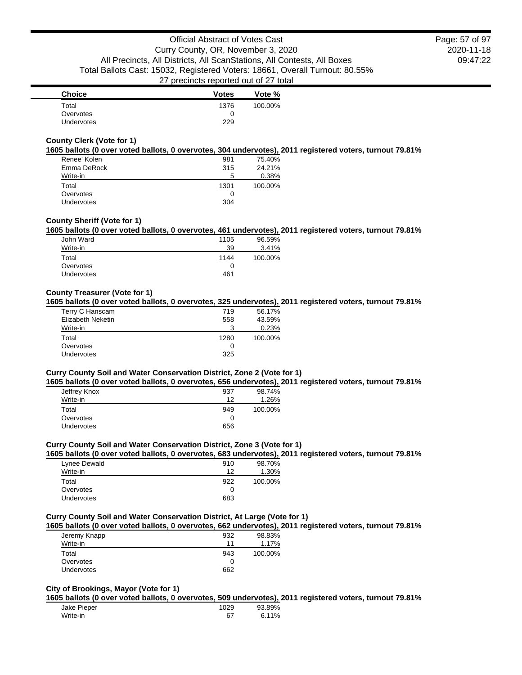| <b>Choice</b> | <b>Votes</b> | Vote %  |
|---------------|--------------|---------|
| Total         | 1376         | 100.00% |
| Overvotes     |              |         |
| Undervotes    | 229          |         |

## **County Clerk (Vote for 1)**

#### **1605 ballots (0 over voted ballots, 0 overvotes, 304 undervotes), 2011 registered voters, turnout 79.81%**

| Renee' Kolen | 981  | 75.40%  |
|--------------|------|---------|
| Emma DeRock  | 315  | 24.21%  |
| Write-in     | 5    | 0.38%   |
| Total        | 1301 | 100.00% |
| Overvotes    | 0    |         |
| Undervotes   | 304  |         |

#### **County Sheriff (Vote for 1)**

## **1605 ballots (0 over voted ballots, 0 overvotes, 461 undervotes), 2011 registered voters, turnout 79.81%**

| John Ward         | 1105 | 96.59%  |
|-------------------|------|---------|
| Write-in          | 39   | 3.41%   |
| Total             | 1144 | 100.00% |
| Overvotes         | 0    |         |
| <b>Undervotes</b> | 461  |         |

#### **County Treasurer (Vote for 1)**

#### **1605 ballots (0 over voted ballots, 0 overvotes, 325 undervotes), 2011 registered voters, turnout 79.81%**

| Terry C Hanscam   | 719  | 56.17%  |
|-------------------|------|---------|
| Elizabeth Neketin | 558  | 43.59%  |
| Write-in          | З    | 0.23%   |
| Total             | 1280 | 100.00% |
| Overvotes         | 0    |         |
| Undervotes        | 325  |         |

## **Curry County Soil and Water Conservation District, Zone 2 (Vote for 1)**

## **1605 ballots (0 over voted ballots, 0 overvotes, 656 undervotes), 2011 registered voters, turnout 79.81%**

| Jeffrey Knox | 937 | 98.74%  |
|--------------|-----|---------|
| Write-in     | 12  | 1.26%   |
| Total        | 949 | 100.00% |
| Overvotes    |     |         |
| Undervotes   | 656 |         |

## **Curry County Soil and Water Conservation District, Zone 3 (Vote for 1)**

## **1605 ballots (0 over voted ballots, 0 overvotes, 683 undervotes), 2011 registered voters, turnout 79.81%**

| Lynee Dewald      | 910 | 98.70%  |
|-------------------|-----|---------|
| Write-in          | 12  | 1.30%   |
| Total             | 922 | 100.00% |
| Overvotes         | 0   |         |
| <b>Undervotes</b> | 683 |         |

#### **Curry County Soil and Water Conservation District, At Large (Vote for 1)**

#### **1605 ballots (0 over voted ballots, 0 overvotes, 662 undervotes), 2011 registered voters, turnout 79.81%**

| Jeremy Knapp      | 932 | 98.83%  |
|-------------------|-----|---------|
| Write-in          | 11  | 1.17%   |
| Total             | 943 | 100.00% |
| Overvotes         |     |         |
| <b>Undervotes</b> | 662 |         |

## **City of Brookings, Mayor (Vote for 1)**

## **1605 ballots (0 over voted ballots, 0 overvotes, 509 undervotes), 2011 registered voters, turnout 79.81%**

| Jake Pieper | 1029 | 93.89% |
|-------------|------|--------|
| Write-in    | 67   | 6.11%  |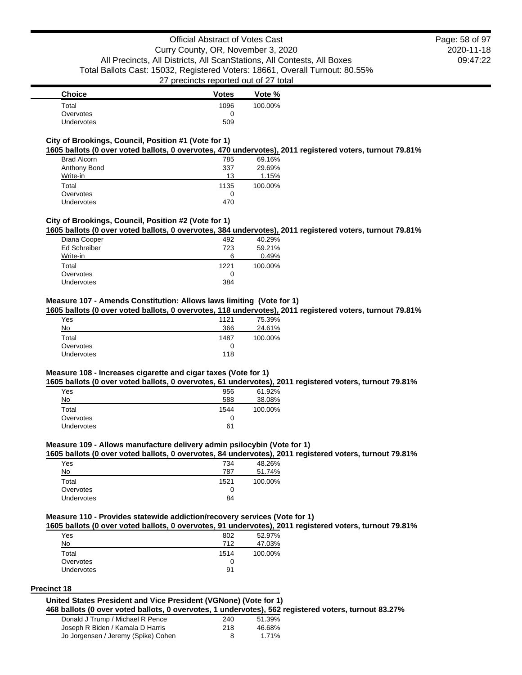| <b>Choice</b> | <b>Votes</b> | Vote %  |
|---------------|--------------|---------|
| Total         | 1096         | 100.00% |
| Overvotes     |              |         |
| Undervotes    | 509          |         |

## **City of Brookings, Council, Position #1 (Vote for 1)**

#### **1605 ballots (0 over voted ballots, 0 overvotes, 470 undervotes), 2011 registered voters, turnout 79.81%**

| <b>Brad Alcorn</b> | 785  | 69.16%  |
|--------------------|------|---------|
| Anthony Bond       | 337  | 29.69%  |
| Write-in           | 13   | 1.15%   |
| Total              | 1135 | 100.00% |
| Overvotes          | O    |         |
| Undervotes         | 470  |         |

#### **City of Brookings, Council, Position #2 (Vote for 1)**

**1605 ballots (0 over voted ballots, 0 overvotes, 384 undervotes), 2011 registered voters, turnout 79.81%**

|                     |      | . .     |
|---------------------|------|---------|
| Diana Cooper        | 492  | 40.29%  |
| <b>Ed Schreiber</b> | 723  | 59.21%  |
| Write-in            | 6    | 0.49%   |
| Total               | 1221 | 100.00% |
| Overvotes           | O    |         |
| <b>Undervotes</b>   | 384  |         |

#### **Measure 107 - Amends Constitution: Allows laws limiting (Vote for 1)**

**1605 ballots (0 over voted ballots, 0 overvotes, 118 undervotes), 2011 registered voters, turnout 79.81%**

| Yes               | 1121 | 75.39%  |
|-------------------|------|---------|
| <u>No</u>         | 366  | 24.61%  |
| Total             | 1487 | 100.00% |
| Overvotes         | 0    |         |
| <b>Undervotes</b> | 118  |         |

#### **Measure 108 - Increases cigarette and cigar taxes (Vote for 1)**

**1605 ballots (0 over voted ballots, 0 overvotes, 61 undervotes), 2011 registered voters, turnout 79.81%**

| Yes        | 956  | 61.92%  |
|------------|------|---------|
| No         | 588  | 38.08%  |
| Total      | 1544 | 100.00% |
| Overvotes  |      |         |
| Undervotes | 61   |         |

## **Measure 109 - Allows manufacture delivery admin psilocybin (Vote for 1)**

#### **1605 ballots (0 over voted ballots, 0 overvotes, 84 undervotes), 2011 registered voters, turnout 79.81%**

| Yes        | 734  | 48.26%  |
|------------|------|---------|
| No         | 787  | 51.74%  |
| Total      | 1521 | 100.00% |
| Overvotes  | O    |         |
| Undervotes | 84   |         |

#### **Measure 110 - Provides statewide addiction/recovery services (Vote for 1)**

#### **1605 ballots (0 over voted ballots, 0 overvotes, 91 undervotes), 2011 registered voters, turnout 79.81%**

| Yes               | 802  | 52.97%  |
|-------------------|------|---------|
| No                | 712  | 47.03%  |
| Total             | 1514 | 100.00% |
| Overvotes         | 0    |         |
| <b>Undervotes</b> | 91   |         |

#### **Precinct 18**

#### **United States President and Vice President (VGNone) (Vote for 1)**

**468 ballots (0 over voted ballots, 0 overvotes, 1 undervotes), 562 registered voters, turnout 83.27%**

| Donald J Trump / Michael R Pence    | 240 | 51.39% |
|-------------------------------------|-----|--------|
| Joseph R Biden / Kamala D Harris    | 218 | 46.68% |
| Jo Jorgensen / Jeremy (Spike) Cohen | 8   | 1.71%  |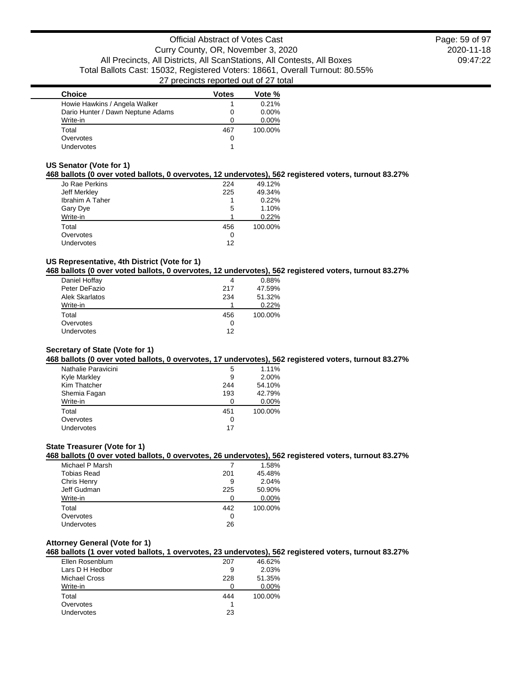2020-11-18 09:47:22 Page: 59 of 97

| <b>Choice</b>                     | <b>Votes</b> | Vote %   |
|-----------------------------------|--------------|----------|
| Howie Hawkins / Angela Walker     |              | 0.21%    |
| Dario Hunter / Dawn Neptune Adams | 0            | $0.00\%$ |
| Write-in                          |              | $0.00\%$ |
| Total                             | 467          | 100.00%  |
| Overvotes                         | Ω            |          |
| Undervotes                        |              |          |

#### **US Senator (Vote for 1)**

## **468 ballots (0 over voted ballots, 0 overvotes, 12 undervotes), 562 registered voters, turnout 83.27%**

| Jo Rae Perkins         | 224 | 49.12%  |
|------------------------|-----|---------|
| Jeff Merkley           | 225 | 49.34%  |
| <b>Ibrahim A Taher</b> |     | 0.22%   |
| Gary Dye               | 5   | 1.10%   |
| Write-in               |     | 0.22%   |
| Total                  | 456 | 100.00% |
| Overvotes              | 0   |         |
| Undervotes             | 12  |         |

## **US Representative, 4th District (Vote for 1)**

#### **468 ballots (0 over voted ballots, 0 overvotes, 12 undervotes), 562 registered voters, turnout 83.27%**

| Daniel Hoffay         | 4   | 0.88%   |
|-----------------------|-----|---------|
| Peter DeFazio         | 217 | 47.59%  |
| <b>Alek Skarlatos</b> | 234 | 51.32%  |
| Write-in              |     | 0.22%   |
| Total                 | 456 | 100.00% |
| Overvotes             | 0   |         |
| Undervotes            | 12  |         |

#### **Secretary of State (Vote for 1)**

#### **468 ballots (0 over voted ballots, 0 overvotes, 17 undervotes), 562 registered voters, turnout 83.27%**

| Nathalie Paravicini | 5   | 1.11%   |
|---------------------|-----|---------|
| Kyle Markley        | 9   | 2.00%   |
| Kim Thatcher        | 244 | 54.10%  |
| Shemia Fagan        | 193 | 42.79%  |
| Write-in            |     | 0.00%   |
| Total               | 451 | 100.00% |
| Overvotes           | O   |         |
| Undervotes          | 17  |         |

## **State Treasurer (Vote for 1)**

#### **468 ballots (0 over voted ballots, 0 overvotes, 26 undervotes), 562 registered voters, turnout 83.27%**

| Michael P Marsh    |     | 1.58%   |
|--------------------|-----|---------|
| <b>Tobias Read</b> | 201 | 45.48%  |
| Chris Henry        | 9   | 2.04%   |
| Jeff Gudman        | 225 | 50.90%  |
| Write-in           |     | 0.00%   |
| Total              | 442 | 100.00% |
| Overvotes          | 0   |         |
| Undervotes         | 26  |         |
|                    |     |         |

## **Attorney General (Vote for 1)**

#### **468 ballots (1 over voted ballots, 1 overvotes, 23 undervotes), 562 registered voters, turnout 83.27%**

| Ellen Rosenblum      | 207 | 46.62%  |
|----------------------|-----|---------|
| Lars D H Hedbor      | 9   | 2.03%   |
| <b>Michael Cross</b> | 228 | 51.35%  |
| Write-in             |     | 0.00%   |
| Total                | 444 | 100.00% |
| Overvotes            |     |         |
| <b>Undervotes</b>    | 23  |         |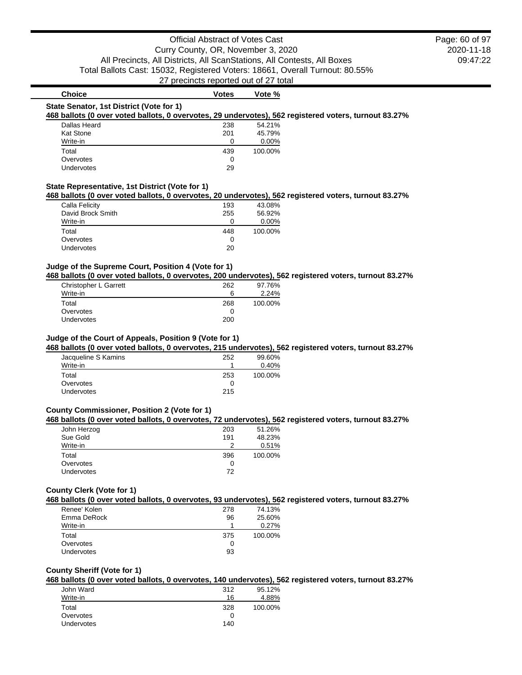2020-11-18 09:47:22 Page: 60 of 97

## **Choice Votes Votes Vote** % **State Senator, 1st District (Vote for 1) 468 ballots (0 over voted ballots, 0 overvotes, 29 undervotes), 562 registered voters, turnout 83.27%** Dallas Heard 238 54.21% Kat Stone 201 45.79% Write-in 0 0.00% Total 439 100.00% Overvotes 0<br>Undervotes 29 Undervotes **State Representative, 1st District (Vote for 1)**

#### **468 ballots (0 over voted ballots, 0 overvotes, 20 undervotes), 562 registered voters, turnout 83.27%**

| Calla Felicity    | 193 | 43.08%  |
|-------------------|-----|---------|
| David Brock Smith | 255 | 56.92%  |
| Write-in          | O   | 0.00%   |
| Total             | 448 | 100.00% |
| Overvotes         | 0   |         |
| Undervotes        | 20  |         |

## **Judge of the Supreme Court, Position 4 (Vote for 1)**

#### **468 ballots (0 over voted ballots, 0 overvotes, 200 undervotes), 562 registered voters, turnout 83.27%**

| Christopher L Garrett | 262 | 97.76%  |
|-----------------------|-----|---------|
| Write-in              | 6   | 2.24%   |
| Total                 | 268 | 100.00% |
| Overvotes             |     |         |
| <b>Undervotes</b>     | 200 |         |

#### **Judge of the Court of Appeals, Position 9 (Vote for 1)**

#### **468 ballots (0 over voted ballots, 0 overvotes, 215 undervotes), 562 registered voters, turnout 83.27%**

| Jacqueline S Kamins | 252 | 99.60%  |
|---------------------|-----|---------|
| Write-in            |     | 0.40%   |
| Total               | 253 | 100.00% |
| Overvotes           |     |         |
| <b>Undervotes</b>   | 215 |         |
|                     |     |         |

## **County Commissioner, Position 2 (Vote for 1)**

#### **468 ballots (0 over voted ballots, 0 overvotes, 72 undervotes), 562 registered voters, turnout 83.27%**

| John Herzog | 203 | 51.26%  |
|-------------|-----|---------|
| Sue Gold    | 191 | 48.23%  |
| Write-in    |     | 0.51%   |
| Total       | 396 | 100.00% |
| Overvotes   |     |         |
| Undervotes  | 72  |         |
|             |     |         |

#### **County Clerk (Vote for 1)**

#### **468 ballots (0 over voted ballots, 0 overvotes, 93 undervotes), 562 registered voters, turnout 83.27%**

| Renee' Kolen      | 278 | 74.13%  |
|-------------------|-----|---------|
| Emma DeRock       | 96  | 25.60%  |
| Write-in          |     | 0.27%   |
| Total             | 375 | 100.00% |
| Overvotes         | 0   |         |
| <b>Undervotes</b> | 93  |         |

#### **County Sheriff (Vote for 1)**

#### **468 ballots (0 over voted ballots, 0 overvotes, 140 undervotes), 562 registered voters, turnout 83.27%**

|                   |     | . .     |
|-------------------|-----|---------|
| John Ward         | 312 | 95.12%  |
| Write-in          | 16  | 4.88%   |
| Total             | 328 | 100.00% |
| Overvotes         |     |         |
| <b>Undervotes</b> | 140 |         |
|                   |     |         |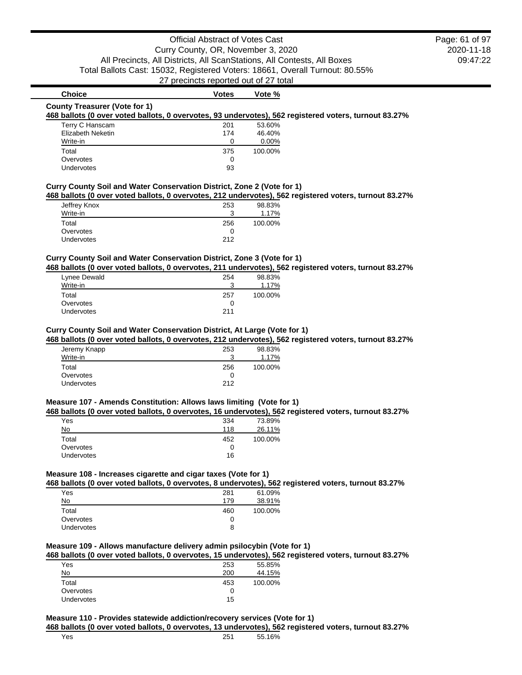## **Choice Votes Votes Vote** %

#### **County Treasurer (Vote for 1)**

#### **468 ballots (0 over voted ballots, 0 overvotes, 93 undervotes), 562 registered voters, turnout 83.27%**

| Terry C Hanscam   | 201 | 53.60%   |
|-------------------|-----|----------|
| Elizabeth Neketin | 174 | 46.40%   |
| Write-in          | 0   | $0.00\%$ |
| Total             | 375 | 100.00%  |
| Overvotes         | O   |          |
| Undervotes        | 93  |          |

## **Curry County Soil and Water Conservation District, Zone 2 (Vote for 1)**

**468 ballots (0 over voted ballots, 0 overvotes, 212 undervotes), 562 registered voters, turnout 83.27%**

| Jeffrey Knox      | 253 | 98.83%  |
|-------------------|-----|---------|
| Write-in          | ີ   | 1.17%   |
| Total             | 256 | 100.00% |
| Overvotes         |     |         |
| <b>Undervotes</b> | 212 |         |

## **Curry County Soil and Water Conservation District, Zone 3 (Vote for 1)**

**468 ballots (0 over voted ballots, 0 overvotes, 211 undervotes), 562 registered voters, turnout 83.27%**

| Lynee Dewald      | 254 | 98.83%  |
|-------------------|-----|---------|
| Write-in          | ີ   | 1.17%   |
| Total             | 257 | 100.00% |
| Overvotes         |     |         |
| <b>Undervotes</b> | 211 |         |

#### **Curry County Soil and Water Conservation District, At Large (Vote for 1)**

**468 ballots (0 over voted ballots, 0 overvotes, 212 undervotes), 562 registered voters, turnout 83.27%**

| Jeremy Knapp<br>Write-in | 253<br>વ | 98.83%<br>1.17% |
|--------------------------|----------|-----------------|
| Total                    | 256      | 100.00%         |
| Overvotes                | 0        |                 |
| <b>Undervotes</b>        | 212      |                 |

#### **Measure 107 - Amends Constitution: Allows laws limiting (Vote for 1)**

#### **468 ballots (0 over voted ballots, 0 overvotes, 16 undervotes), 562 registered voters, turnout 83.27%**

|            |     | ---     |
|------------|-----|---------|
| Yes        | 334 | 73.89%  |
| No         | 118 | 26.11%  |
| Total      | 452 | 100.00% |
| Overvotes  |     |         |
| Undervotes | 16  |         |

## **Measure 108 - Increases cigarette and cigar taxes (Vote for 1)**

**468 ballots (0 over voted ballots, 0 overvotes, 8 undervotes), 562 registered voters, turnout 83.27%**

| Yes               | 281 | 61.09%  |
|-------------------|-----|---------|
| No                | 179 | 38.91%  |
| Total             | 460 | 100.00% |
| Overvotes         | 0   |         |
| <b>Undervotes</b> | 8   |         |

#### **Measure 109 - Allows manufacture delivery admin psilocybin (Vote for 1)**

#### **468 ballots (0 over voted ballots, 0 overvotes, 15 undervotes), 562 registered voters, turnout 83.27%**

| Yes               | 253 | 55.85%  |
|-------------------|-----|---------|
| No                | 200 | 44.15%  |
| Total             | 453 | 100.00% |
| Overvotes         |     |         |
| <b>Undervotes</b> | 15  |         |

#### **Measure 110 - Provides statewide addiction/recovery services (Vote for 1) 468 ballots (0 over voted ballots, 0 overvotes, 13 undervotes), 562 registered voters, turnout 83.27%**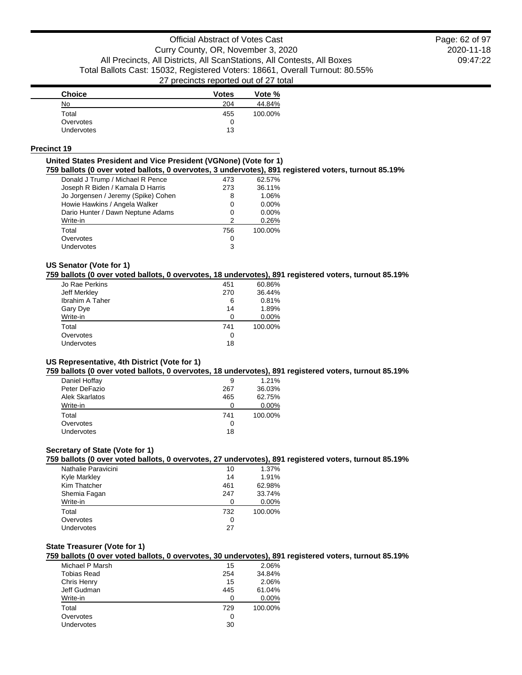2020-11-18 09:47:22 Page: 62 of 97

| <b>Choice</b> | <b>Votes</b> | Vote %  |
|---------------|--------------|---------|
| No            | 204          | 44.84%  |
| Total         | 455          | 100.00% |
| Overvotes     | 0            |         |
| Undervotes    | 13           |         |

#### **Precinct 19**

#### **United States President and Vice President (VGNone) (Vote for 1)**

**759 ballots (0 over voted ballots, 0 overvotes, 3 undervotes), 891 registered voters, turnout 85.19%**

| Donald J Trump / Michael R Pence    | 473 | 62.57%  |
|-------------------------------------|-----|---------|
| Joseph R Biden / Kamala D Harris    | 273 | 36.11%  |
| Jo Jorgensen / Jeremy (Spike) Cohen | 8   | 1.06%   |
| Howie Hawkins / Angela Walker       | 0   | 0.00%   |
| Dario Hunter / Dawn Neptune Adams   | 0   | 0.00%   |
| Write-in                            | 2   | 0.26%   |
| Total                               | 756 | 100.00% |
| Overvotes                           | 0   |         |
| Undervotes                          | 3   |         |
|                                     |     |         |

#### **US Senator (Vote for 1)**

#### **759 ballots (0 over voted ballots, 0 overvotes, 18 undervotes), 891 registered voters, turnout 85.19%**

| Jo Rae Perkins         | 451 | 60.86%  |
|------------------------|-----|---------|
| Jeff Merkley           | 270 | 36.44%  |
| <b>Ibrahim A Taher</b> | 6   | 0.81%   |
| Gary Dye               | 14  | 1.89%   |
| Write-in               | 0   | 0.00%   |
| Total                  | 741 | 100.00% |
| Overvotes              | 0   |         |
| Undervotes             | 18  |         |
|                        |     |         |

#### **US Representative, 4th District (Vote for 1)**

#### **759 ballots (0 over voted ballots, 0 overvotes, 18 undervotes), 891 registered voters, turnout 85.19%**

| Daniel Hoffay     | 9   | 1.21%   |
|-------------------|-----|---------|
| Peter DeFazio     | 267 | 36.03%  |
| Alek Skarlatos    | 465 | 62.75%  |
| Write-in          |     | 0.00%   |
| Total             | 741 | 100.00% |
| Overvotes         | 0   |         |
| <b>Undervotes</b> | 18  |         |
|                   |     |         |

## **Secretary of State (Vote for 1)**

**759 ballots (0 over voted ballots, 0 overvotes, 27 undervotes), 891 registered voters, turnout 85.19%**

| Nathalie Paravicini | 10  | 1.37%   |
|---------------------|-----|---------|
| <b>Kyle Markley</b> | 14  | 1.91%   |
| Kim Thatcher        | 461 | 62.98%  |
| Shemia Fagan        | 247 | 33.74%  |
| Write-in            | ∩   | 0.00%   |
| Total               | 732 | 100.00% |
| Overvotes           | 0   |         |
| Undervotes          | 27  |         |
|                     |     |         |

## **State Treasurer (Vote for 1)**

**759 ballots (0 over voted ballots, 0 overvotes, 30 undervotes), 891 registered voters, turnout 85.19%**

| Michael P Marsh | 15  | 2.06%   |
|-----------------|-----|---------|
| Tobias Read     | 254 | 34.84%  |
| Chris Henry     | 15  | 2.06%   |
| Jeff Gudman     | 445 | 61.04%  |
| Write-in        | 0   | 0.00%   |
| Total           | 729 | 100.00% |
| Overvotes       | O   |         |
| Undervotes      | 30  |         |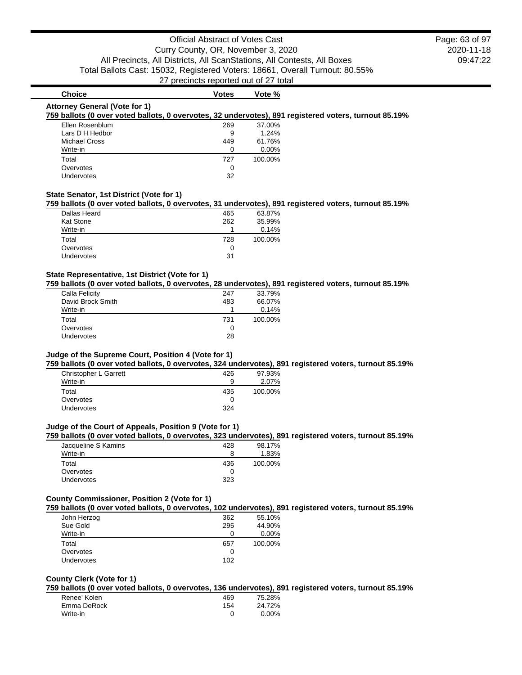2020-11-18 09:47:22 Page: 63 of 97

## **Choice Votes Votes Vote** % **Attorney General (Vote for 1) 759 ballots (0 over voted ballots, 0 overvotes, 32 undervotes), 891 registered voters, turnout 85.19%** Ellen Rosenblum 269 37.00% Lars D H Hedbor 9 1.24% Michael Cross 61.76% Write-in 0 0.00% Total 727 100.00%

#### **State Senator, 1st District (Vote for 1)**

#### **759 ballots (0 over voted ballots, 0 overvotes, 31 undervotes), 891 registered voters, turnout 85.19%**

| Dallas Heard      | 465 | 63.87%  |
|-------------------|-----|---------|
| <b>Kat Stone</b>  | 262 | 35.99%  |
| Write-in          |     | 0.14%   |
| Total             | 728 | 100.00% |
| Overvotes         |     |         |
| <b>Undervotes</b> | 31  |         |

Overvotes and the contract of the contract of the contract of the contract of the contract of the contract of the contract of the contract of the contract of the contract of the contract of the contract of the contract of Undervotes 32

#### **State Representative, 1st District (Vote for 1)**

## **759 ballots (0 over voted ballots, 0 overvotes, 28 undervotes), 891 registered voters, turnout 85.19%**

| Calla Felicity    | 247 | 33.79%  |
|-------------------|-----|---------|
| David Brock Smith | 483 | 66.07%  |
| Write-in          |     | 0.14%   |
| Total             | 731 | 100.00% |
| Overvotes         | 0   |         |
| Undervotes        | 28  |         |
|                   |     |         |

#### **Judge of the Supreme Court, Position 4 (Vote for 1)**

**759 ballots (0 over voted ballots, 0 overvotes, 324 undervotes), 891 registered voters, turnout 85.19%**

| Christopher L Garrett | 426 | 97.93%  |
|-----------------------|-----|---------|
| Write-in              | a   | 2.07%   |
| Total                 | 435 | 100.00% |
| Overvotes             |     |         |
| Undervotes            | 324 |         |
|                       |     |         |

#### **Judge of the Court of Appeals, Position 9 (Vote for 1)**

#### **759 ballots (0 over voted ballots, 0 overvotes, 323 undervotes), 891 registered voters, turnout 85.19%**

| Jacqueline S Kamins | 428 | 98.17%  |
|---------------------|-----|---------|
| Write-in            |     | 1.83%   |
| Total               | 436 | 100.00% |
| Overvotes           |     |         |
| <b>Undervotes</b>   | 323 |         |

#### **County Commissioner, Position 2 (Vote for 1)**

#### **759 ballots (0 over voted ballots, 0 overvotes, 102 undervotes), 891 registered voters, turnout 85.19%**

| John Herzog | 362 | 55.10%  |
|-------------|-----|---------|
| Sue Gold    | 295 | 44.90%  |
| Write-in    |     | 0.00%   |
| Total       | 657 | 100.00% |
| Overvotes   | O   |         |
| Undervotes  | 102 |         |
|             |     |         |

#### **County Clerk (Vote for 1)**

**759 ballots (0 over voted ballots, 0 overvotes, 136 undervotes), 891 registered voters, turnout 85.19%**

| Renee' Kolen | 469 | 75.28% |
|--------------|-----|--------|
| Emma DeRock  | 154 | 24.72% |
| Write-in     |     | 0.00%  |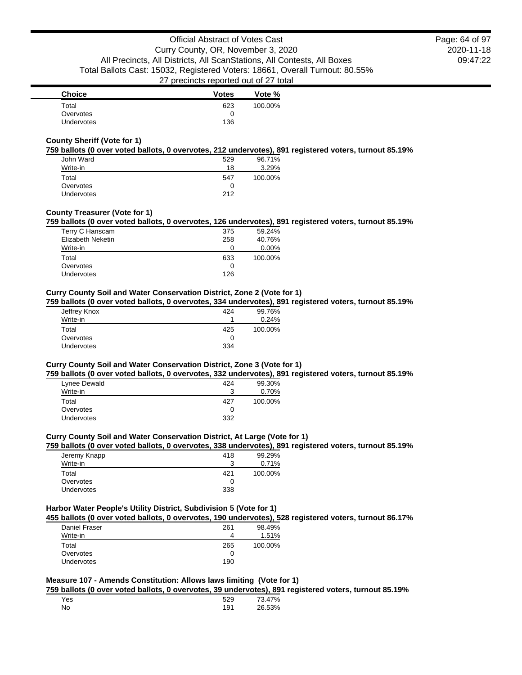| <b>Choice</b> | <b>Votes</b> | Vote %  |
|---------------|--------------|---------|
| Total         | 623          | 100.00% |
| Overvotes     |              |         |
| Undervotes    | 136          |         |

#### **County Sheriff (Vote for 1)**

#### **759 ballots (0 over voted ballots, 0 overvotes, 212 undervotes), 891 registered voters, turnout 85.19%**

| John Ward         | 529 | 96.71%  |
|-------------------|-----|---------|
| Write-in          | 18  | 3.29%   |
| Total             | 547 | 100.00% |
| Overvotes         | O   |         |
| <b>Undervotes</b> | 212 |         |

## **County Treasurer (Vote for 1)**

#### **759 ballots (0 over voted ballots, 0 overvotes, 126 undervotes), 891 registered voters, turnout 85.19%**

| 375 | 59.24%  |
|-----|---------|
| 258 | 40.76%  |
| 0   | 0.00%   |
| 633 | 100.00% |
| 0   |         |
|     |         |
|     | 126     |

#### **Curry County Soil and Water Conservation District, Zone 2 (Vote for 1)**

#### **759 ballots (0 over voted ballots, 0 overvotes, 334 undervotes), 891 registered voters, turnout 85.19%**

| Jeffrey Knox | 424 | 99.76%  |
|--------------|-----|---------|
| Write-in     |     | 0.24%   |
| Total        | 425 | 100.00% |
| Overvotes    |     |         |
| Undervotes   | 334 |         |

## **Curry County Soil and Water Conservation District, Zone 3 (Vote for 1)**

#### **759 ballots (0 over voted ballots, 0 overvotes, 332 undervotes), 891 registered voters, turnout 85.19%**

| 424      | 99.30%  |
|----------|---------|
| າ<br>. . | 0.70%   |
| 427      | 100.00% |
|          |         |
| 332      |         |
|          |         |

#### **Curry County Soil and Water Conservation District, At Large (Vote for 1)**

#### **759 ballots (0 over voted ballots, 0 overvotes, 338 undervotes), 891 registered voters, turnout 85.19%**

| Jeremy Knapp | 418 | 99.29%  |
|--------------|-----|---------|
| Write-in     | 2   | 0.71%   |
| Total        | 421 | 100.00% |
| Overvotes    |     |         |
| Undervotes   | 338 |         |

#### **Harbor Water People's Utility District, Subdivision 5 (Vote for 1)**

**455 ballots (0 over voted ballots, 0 overvotes, 190 undervotes), 528 registered voters, turnout 86.17%**

| Daniel Fraser     | 261 | 98.49%  |
|-------------------|-----|---------|
| Write-in          | Δ   | 1.51%   |
| Total             | 265 | 100.00% |
| Overvotes         |     |         |
| <b>Undervotes</b> | 190 |         |

#### **Measure 107 - Amends Constitution: Allows laws limiting (Vote for 1)**

**759 ballots (0 over voted ballots, 0 overvotes, 39 undervotes), 891 registered voters, turnout 85.19%**

| Yes | 529 | 73.47% |
|-----|-----|--------|
| No. | 191 | 26.53% |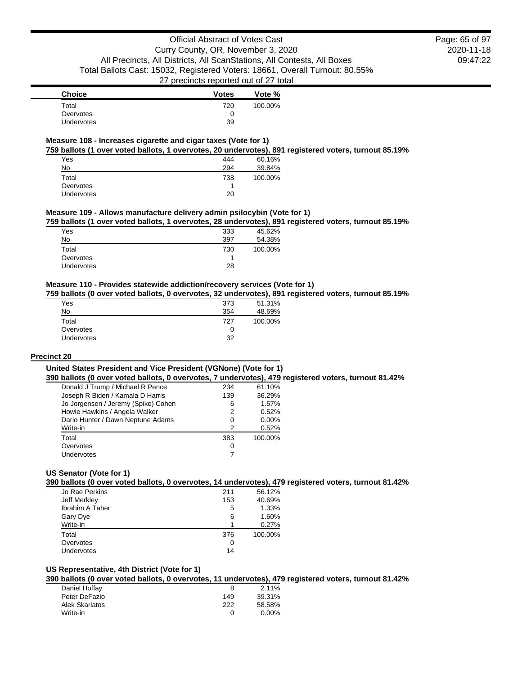2020-11-18 09:47:22 Page: 65 of 97

| <b>Choice</b>     | <b>Votes</b> | Vote %  |
|-------------------|--------------|---------|
| Total             | 720          | 100.00% |
| Overvotes         | 0            |         |
| <b>Undervotes</b> | 39           |         |

#### **Measure 108 - Increases cigarette and cigar taxes (Vote for 1)**

**759 ballots (1 over voted ballots, 1 overvotes, 20 undervotes), 891 registered voters, turnout 85.19%**

| Yes        | 444 | 60.16%  |
|------------|-----|---------|
| No         | 294 | 39.84%  |
| Total      | 738 | 100.00% |
| Overvotes  |     |         |
| Undervotes | 20  |         |

#### **Measure 109 - Allows manufacture delivery admin psilocybin (Vote for 1)**

**759 ballots (1 over voted ballots, 1 overvotes, 28 undervotes), 891 registered voters, turnout 85.19%**

| 333 | 45.62%  |
|-----|---------|
| 397 | 54.38%  |
| 730 | 100.00% |
|     |         |
| 28  |         |
|     |         |

## **Measure 110 - Provides statewide addiction/recovery services (Vote for 1)**

**759 ballots (0 over voted ballots, 0 overvotes, 32 undervotes), 891 registered voters, turnout 85.19%**

| 373 | 51.31%  |
|-----|---------|
| 354 | 48.69%  |
| 727 | 100.00% |
| 0   |         |
| 32  |         |
|     |         |

#### **Precinct 20**

#### **United States President and Vice President (VGNone) (Vote for 1)**

**390 ballots (0 over voted ballots, 0 overvotes, 7 undervotes), 479 registered voters, turnout 81.42%**

| Donald J Trump / Michael R Pence    | 234 | 61.10%  |
|-------------------------------------|-----|---------|
| Joseph R Biden / Kamala D Harris    | 139 | 36.29%  |
| Jo Jorgensen / Jeremy (Spike) Cohen | 6   | 1.57%   |
| Howie Hawkins / Angela Walker       | 2   | 0.52%   |
| Dario Hunter / Dawn Neptune Adams   | 0   | 0.00%   |
| Write-in                            | 2   | 0.52%   |
| Total                               | 383 | 100.00% |
| Overvotes                           | 0   |         |
| Undervotes                          |     |         |

## **US Senator (Vote for 1)**

#### **390 ballots (0 over voted ballots, 0 overvotes, 14 undervotes), 479 registered voters, turnout 81.42%**

| Jo Rae Perkins  | 211 | 56.12%  |
|-----------------|-----|---------|
| Jeff Merkley    | 153 | 40.69%  |
| Ibrahim A Taher | 5   | 1.33%   |
| Gary Dye        | 6   | 1.60%   |
| Write-in        |     | 0.27%   |
| Total           | 376 | 100.00% |
| Overvotes       | O   |         |
| Undervotes      | 14  |         |
|                 |     |         |

#### **US Representative, 4th District (Vote for 1)**

**390 ballots (0 over voted ballots, 0 overvotes, 11 undervotes), 479 registered voters, turnout 81.42%**

| Daniel Hoffay  |     | 2.11%    |
|----------------|-----|----------|
| Peter DeFazio  | 149 | 39.31%   |
| Alek Skarlatos | 222 | 58.58%   |
| Write-in       |     | $0.00\%$ |
|                |     |          |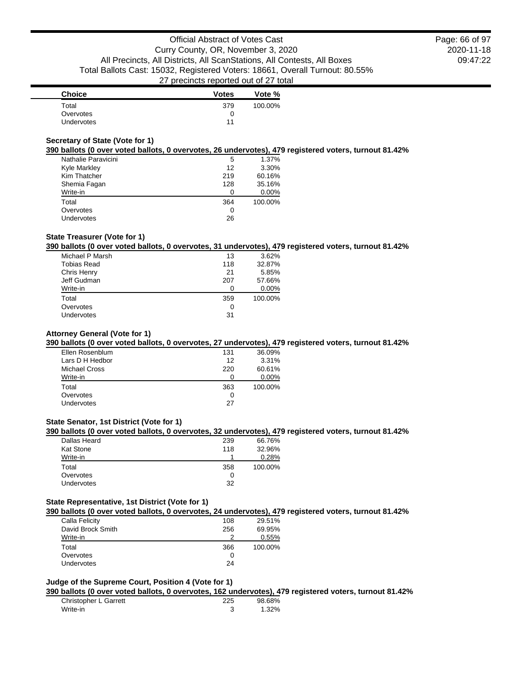| <b>Choice</b> | <b>Votes</b> | Vote %  |
|---------------|--------------|---------|
| Total         | 379          | 100.00% |
| Overvotes     |              |         |
| Undervotes    | 11           |         |

## **Secretary of State (Vote for 1)**

#### **390 ballots (0 over voted ballots, 0 overvotes, 26 undervotes), 479 registered voters, turnout 81.42%**

| Nathalie Paravicini | 5   | 1.37%   |
|---------------------|-----|---------|
| Kyle Markley        | 12  | 3.30%   |
| Kim Thatcher        | 219 | 60.16%  |
| Shemia Fagan        | 128 | 35.16%  |
| Write-in            | O   | 0.00%   |
| Total               | 364 | 100.00% |
| Overvotes           | 0   |         |
| <b>Undervotes</b>   | 26  |         |

## **State Treasurer (Vote for 1)**

#### **390 ballots (0 over voted ballots, 0 overvotes, 31 undervotes), 479 registered voters, turnout 81.42%**

| Michael P Marsh    | 13  | 3.62%   |
|--------------------|-----|---------|
| <b>Tobias Read</b> | 118 | 32.87%  |
| Chris Henry        | 21  | 5.85%   |
| Jeff Gudman        | 207 | 57.66%  |
| Write-in           |     | 0.00%   |
| Total              | 359 | 100.00% |
| Overvotes          | 0   |         |
| Undervotes         | 31  |         |
|                    |     |         |

## **Attorney General (Vote for 1)**

#### **390 ballots (0 over voted ballots, 0 overvotes, 27 undervotes), 479 registered voters, turnout 81.42%**

| Ellen Rosenblum   | 131 | 36.09%  |
|-------------------|-----|---------|
| Lars D H Hedbor   | 12  | 3.31%   |
| Michael Cross     | 220 | 60.61%  |
| Write-in          | ŋ   | 0.00%   |
| Total             | 363 | 100.00% |
| Overvotes         | Ω   |         |
| <b>Undervotes</b> | 27  |         |
|                   |     |         |

#### **State Senator, 1st District (Vote for 1)**

#### **390 ballots (0 over voted ballots, 0 overvotes, 32 undervotes), 479 registered voters, turnout 81.42%**

| Dallas Heard      | 239 | 66.76%  |
|-------------------|-----|---------|
| <b>Kat Stone</b>  | 118 | 32.96%  |
| Write-in          |     | 0.28%   |
| Total             | 358 | 100.00% |
| Overvotes         |     |         |
| <b>Undervotes</b> | 32  |         |
|                   |     |         |

#### **State Representative, 1st District (Vote for 1)**

#### **390 ballots (0 over voted ballots, 0 overvotes, 24 undervotes), 479 registered voters, turnout 81.42%**

| Calla Felicity    | 108 | 29.51%  |
|-------------------|-----|---------|
| David Brock Smith | 256 | 69.95%  |
| Write-in          |     | 0.55%   |
| Total             | 366 | 100.00% |
| Overvotes         | O   |         |
| <b>Undervotes</b> | 24  |         |
|                   |     |         |

#### **Judge of the Supreme Court, Position 4 (Vote for 1)**

#### **390 ballots (0 over voted ballots, 0 overvotes, 162 undervotes), 479 registered voters, turnout 81.42%**

| Christopher L Garrett | 225 | 98.68% |
|-----------------------|-----|--------|
| Write-in              |     | 1.32%  |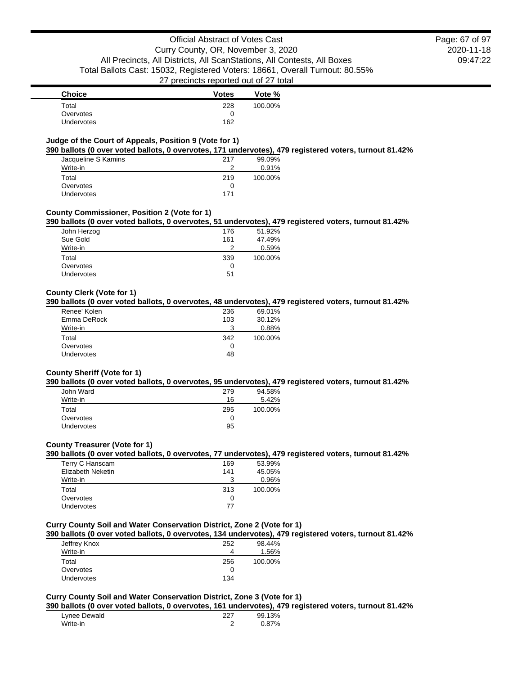2020-11-18 09:47:22 Page: 67 of 97

| <b>Choice</b>     | <b>Votes</b> | Vote %  |
|-------------------|--------------|---------|
| Total             | 228          | 100.00% |
| Overvotes         |              |         |
| <b>Undervotes</b> | 162          |         |

## **Judge of the Court of Appeals, Position 9 (Vote for 1)**

#### **390 ballots (0 over voted ballots, 0 overvotes, 171 undervotes), 479 registered voters, turnout 81.42%**

| Jacqueline S Kamins | 217 | 99.09%  |
|---------------------|-----|---------|
| Write-in            | ≘   | 0.91%   |
| Total               | 219 | 100.00% |
| Overvotes           |     |         |
| Undervotes          | 171 |         |

#### **County Commissioner, Position 2 (Vote for 1)**

#### **390 ballots (0 over voted ballots, 0 overvotes, 51 undervotes), 479 registered voters, turnout 81.42%**

| John Herzog       | 176 | 51.92%  |
|-------------------|-----|---------|
| Sue Gold          | 161 | 47.49%  |
| Write-in          | ົ   | 0.59%   |
| Total             | 339 | 100.00% |
| Overvotes         | O   |         |
| <b>Undervotes</b> | 51  |         |
|                   |     |         |

#### **County Clerk (Vote for 1)**

#### **390 ballots (0 over voted ballots, 0 overvotes, 48 undervotes), 479 registered voters, turnout 81.42%**

| Renee' Kolen | 236 | 69.01%  |
|--------------|-----|---------|
| Emma DeRock  | 103 | 30.12%  |
| Write-in     |     | 0.88%   |
| Total        | 342 | 100.00% |
| Overvotes    | 0   |         |
| Undervotes   | 48  |         |

#### **County Sheriff (Vote for 1)**

#### **390 ballots (0 over voted ballots, 0 overvotes, 95 undervotes), 479 registered voters, turnout 81.42%**

| John Ward         | 279 | 94.58%  |
|-------------------|-----|---------|
| Write-in          | 16  | 5.42%   |
| Total             | 295 | 100.00% |
| Overvotes         | 0   |         |
| <b>Undervotes</b> | 95  |         |

#### **County Treasurer (Vote for 1)**

#### **390 ballots (0 over voted ballots, 0 overvotes, 77 undervotes), 479 registered voters, turnout 81.42%**

| Terry C Hanscam   | 169 | 53.99%  |
|-------------------|-----|---------|
| Elizabeth Neketin | 141 | 45.05%  |
| Write-in          | 3   | 0.96%   |
| Total             | 313 | 100.00% |
| Overvotes         | O   |         |
| Undervotes        | 77  |         |

## **Curry County Soil and Water Conservation District, Zone 2 (Vote for 1)**

#### **390 ballots (0 over voted ballots, 0 overvotes, 134 undervotes), 479 registered voters, turnout 81.42%**

| Jeffrey Knox      | 252 | 98.44%  |
|-------------------|-----|---------|
| Write-in          | 4   | 1.56%   |
| Total             | 256 | 100.00% |
| Overvotes         | 0   |         |
| <b>Undervotes</b> | 134 |         |

## **Curry County Soil and Water Conservation District, Zone 3 (Vote for 1)**

#### **390 ballots (0 over voted ballots, 0 overvotes, 161 undervotes), 479 registered voters, turnout 81.42%**

| Lynee Dewald | 227 | 99.13% |
|--------------|-----|--------|
| Write-in     |     | 0.87%  |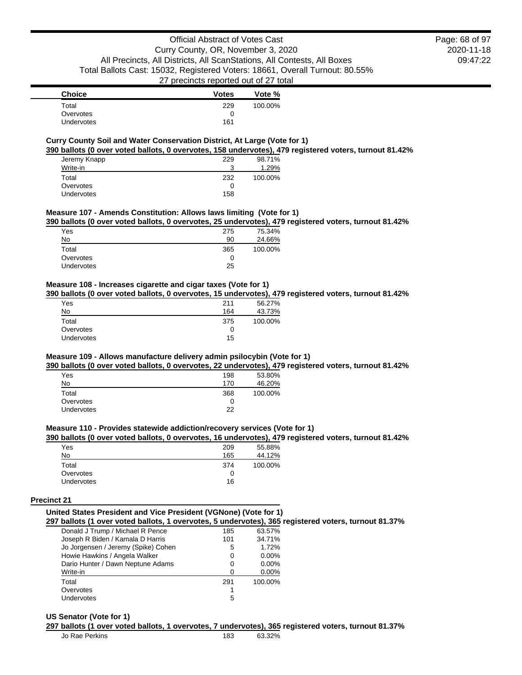| <b>Choice</b>     | <b>Votes</b> | Vote %  |
|-------------------|--------------|---------|
| Total             | 229          | 100.00% |
| Overvotes         |              |         |
| <b>Undervotes</b> | 161          |         |

#### **Curry County Soil and Water Conservation District, At Large (Vote for 1)**

**390 ballots (0 over voted ballots, 0 overvotes, 158 undervotes), 479 registered voters, turnout 81.42%**

| Jeremy Knapp<br>Write-in | 229<br>3 | 98.71%<br>1.29% |
|--------------------------|----------|-----------------|
| Total                    | 232      | 100.00%         |
| Overvotes                | 0        |                 |
| Undervotes               | 158      |                 |

#### **Measure 107 - Amends Constitution: Allows laws limiting (Vote for 1)**

**390 ballots (0 over voted ballots, 0 overvotes, 25 undervotes), 479 registered voters, turnout 81.42%**

| Yes        | 275 | 75.34%  |
|------------|-----|---------|
| No         | 90  | 24.66%  |
| Total      | 365 | 100.00% |
| Overvotes  | 0   |         |
| Undervotes | 25  |         |
|            |     |         |

#### **Measure 108 - Increases cigarette and cigar taxes (Vote for 1)**

**390 ballots (0 over voted ballots, 0 overvotes, 15 undervotes), 479 registered voters, turnout 81.42%**

| Yes        | 211 | 56.27%  |
|------------|-----|---------|
| No         | 164 | 43.73%  |
| Total      | 375 | 100.00% |
| Overvotes  | 0   |         |
| Undervotes | 15  |         |

## **Measure 109 - Allows manufacture delivery admin psilocybin (Vote for 1)**

**390 ballots (0 over voted ballots, 0 overvotes, 22 undervotes), 479 registered voters, turnout 81.42%**

| Yes               | 198 | 53.80%  |
|-------------------|-----|---------|
| No                | 170 | 46.20%  |
| Total             | 368 | 100.00% |
| Overvotes         | 0   |         |
| <b>Undervotes</b> | 22  |         |

## **Measure 110 - Provides statewide addiction/recovery services (Vote for 1)**

#### **390 ballots (0 over voted ballots, 0 overvotes, 16 undervotes), 479 registered voters, turnout 81.42%**

| Yes        | 209 | 55.88%  |
|------------|-----|---------|
| No         | 165 | 44.12%  |
| Total      | 374 | 100.00% |
| Overvotes  |     |         |
| Undervotes | 16  |         |

#### **Precinct 21**

## **United States President and Vice President (VGNone) (Vote for 1)**

#### **297 ballots (1 over voted ballots, 1 overvotes, 5 undervotes), 365 registered voters, turnout 81.37%**

| Donald J Trump / Michael R Pence    | 185 | 63.57%  |
|-------------------------------------|-----|---------|
| Joseph R Biden / Kamala D Harris    | 101 | 34.71%  |
| Jo Jorgensen / Jeremy (Spike) Cohen | 5   | 1.72%   |
| Howie Hawkins / Angela Walker       | 0   | 0.00%   |
| Dario Hunter / Dawn Neptune Adams   | 0   | 0.00%   |
| Write-in                            | ∩   | 0.00%   |
| Total                               | 291 | 100.00% |
| Overvotes                           |     |         |
| Undervotes                          | 5   |         |

#### **US Senator (Vote for 1)**

#### **297 ballots (1 over voted ballots, 1 overvotes, 7 undervotes), 365 registered voters, turnout 81.37%**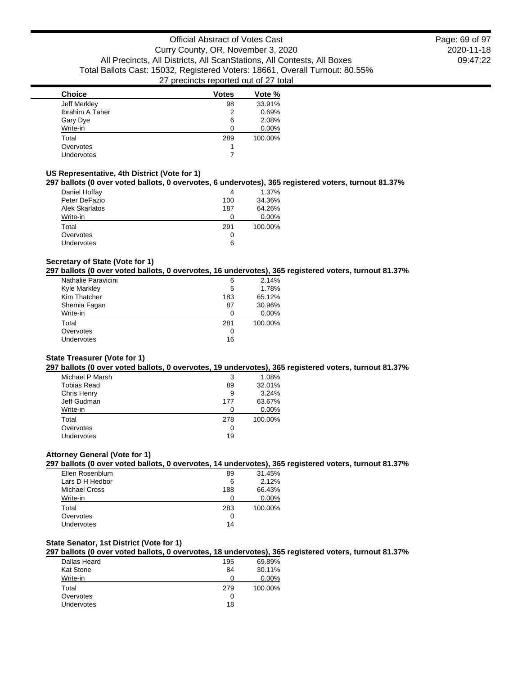2020-11-18 09:47:22 Page: 69 of 97

| <b>Choice</b>   | <b>Votes</b> | Vote %  |
|-----------------|--------------|---------|
| Jeff Merkley    | 98           | 33.91%  |
| Ibrahim A Taher | 2            | 0.69%   |
| Gary Dye        | 6            | 2.08%   |
| Write-in        | O            | 0.00%   |
| Total           | 289          | 100.00% |
| Overvotes       |              |         |
| Undervotes      |              |         |
|                 |              |         |

#### **US Representative, 4th District (Vote for 1)**

## **297 ballots (0 over voted ballots, 0 overvotes, 6 undervotes), 365 registered voters, turnout 81.37%**

| Daniel Hoffay         | 4   | 1.37%   |
|-----------------------|-----|---------|
| Peter DeFazio         | 100 | 34.36%  |
| <b>Alek Skarlatos</b> | 187 | 64.26%  |
| Write-in              |     | 0.00%   |
| Total                 | 291 | 100.00% |
| Overvotes             | O   |         |
| <b>Undervotes</b>     | 6   |         |

## **Secretary of State (Vote for 1)**

## **297 ballots (0 over voted ballots, 0 overvotes, 16 undervotes), 365 registered voters, turnout 81.37%**

| Nathalie Paravicini | 6   | 2.14%   |
|---------------------|-----|---------|
| <b>Kyle Markley</b> | 5   | 1.78%   |
| Kim Thatcher        | 183 | 65.12%  |
| Shemia Fagan        | 87  | 30.96%  |
| Write-in            | O   | 0.00%   |
| Total               | 281 | 100.00% |
| Overvotes           | O   |         |
| Undervotes          | 16  |         |
|                     |     |         |

#### **State Treasurer (Vote for 1)**

## **297 ballots (0 over voted ballots, 0 overvotes, 19 undervotes), 365 registered voters, turnout 81.37%**

| Michael P Marsh    | 3   | 1.08%   |
|--------------------|-----|---------|
| <b>Tobias Read</b> | 89  | 32.01%  |
| Chris Henry        | 9   | 3.24%   |
| Jeff Gudman        | 177 | 63.67%  |
| Write-in           | ∩   | 0.00%   |
| Total              | 278 | 100.00% |
| Overvotes          | 0   |         |
| Undervotes         | 19  |         |
|                    |     |         |

## **Attorney General (Vote for 1)**

## **297 ballots (0 over voted ballots, 0 overvotes, 14 undervotes), 365 registered voters, turnout 81.37%**

| Ellen Rosenblum | 89  | 31.45%  |
|-----------------|-----|---------|
| Lars D H Hedbor | 6   | 2.12%   |
| Michael Cross   | 188 | 66.43%  |
| Write-in        |     | 0.00%   |
| Total           | 283 | 100.00% |
| Overvotes       | O   |         |
| Undervotes      | 14  |         |

## **State Senator, 1st District (Vote for 1)**

#### **297 ballots (0 over voted ballots, 0 overvotes, 18 undervotes), 365 registered voters, turnout 81.37%**

| Dallas Heard     | 195 | 69.89%  |
|------------------|-----|---------|
| <b>Kat Stone</b> | 84  | 30.11%  |
| Write-in         |     | 0.00%   |
| Total            | 279 | 100.00% |
| Overvotes        | Ω   |         |
| Undervotes       | 18  |         |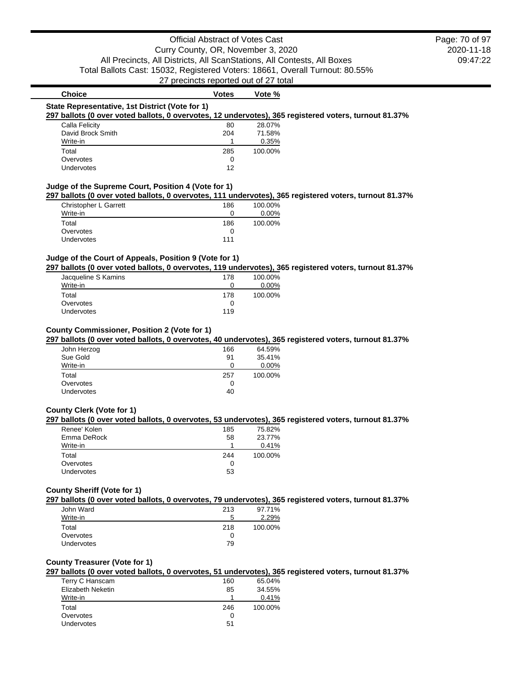## **Choice Votes Votes Vote** % **State Representative, 1st District (Vote for 1) 297 ballots (0 over voted ballots, 0 overvotes, 12 undervotes), 365 registered voters, turnout 81.37%** Calla Felicity 28.07% David Brock Smith 204 71.58% Write-in 2.35% Total 285 100.00% Overvotes 0<br>Undervotes 12 Undervotes **Judge of the Supreme Court, Position 4 (Vote for 1) 297 ballots (0 over voted ballots, 0 overvotes, 111 undervotes), 365 registered voters, turnout 81.37%** Christopher L Garrett 186 100.00%

| Write-in   |     | $0.00\%$ |
|------------|-----|----------|
| Total      | 186 | 100.00%  |
| Overvotes  |     |          |
| Undervotes | 111 |          |

## **Judge of the Court of Appeals, Position 9 (Vote for 1)**

**297 ballots (0 over voted ballots, 0 overvotes, 119 undervotes), 365 registered voters, turnout 81.37%**

| Jacqueline S Kamins | 178 | 100.00% |
|---------------------|-----|---------|
| Write-in            |     | 0.00%   |
| Total               | 178 | 100.00% |
| Overvotes           |     |         |
| <b>Undervotes</b>   | 119 |         |

#### **County Commissioner, Position 2 (Vote for 1)**

## **297 ballots (0 over voted ballots, 0 overvotes, 40 undervotes), 365 registered voters, turnout 81.37%**

| John Herzog       | 166 | 64.59%   |
|-------------------|-----|----------|
| Sue Gold          | 91  | 35.41%   |
| Write-in          | Ω   | $0.00\%$ |
| Total             | 257 | 100.00%  |
| Overvotes         | 0   |          |
| <b>Undervotes</b> | 40  |          |

## **County Clerk (Vote for 1)**

## **297 ballots (0 over voted ballots, 0 overvotes, 53 undervotes), 365 registered voters, turnout 81.37%**

| Renee' Kolen | 185 | 75.82%  |
|--------------|-----|---------|
| Emma DeRock  | 58  | 23.77%  |
| Write-in     |     | 0.41%   |
| Total        | 244 | 100.00% |
| Overvotes    |     |         |
| Undervotes   | 53  |         |
|              |     |         |

#### **County Sheriff (Vote for 1)**

**297 ballots (0 over voted ballots, 0 overvotes, 79 undervotes), 365 registered voters, turnout 81.37%**

| John Ward         | 213 | 97.71%  |
|-------------------|-----|---------|
| Write-in          | 5   | 2.29%   |
| Total             | 218 | 100.00% |
| Overvotes         |     |         |
| <b>Undervotes</b> | 79  |         |

#### **County Treasurer (Vote for 1)**

#### **297 ballots (0 over voted ballots, 0 overvotes, 51 undervotes), 365 registered voters, turnout 81.37%**

| 160 | 65.04%  |
|-----|---------|
| 85  | 34.55%  |
|     | 0.41%   |
| 246 | 100.00% |
| O   |         |
| 51  |         |
|     |         |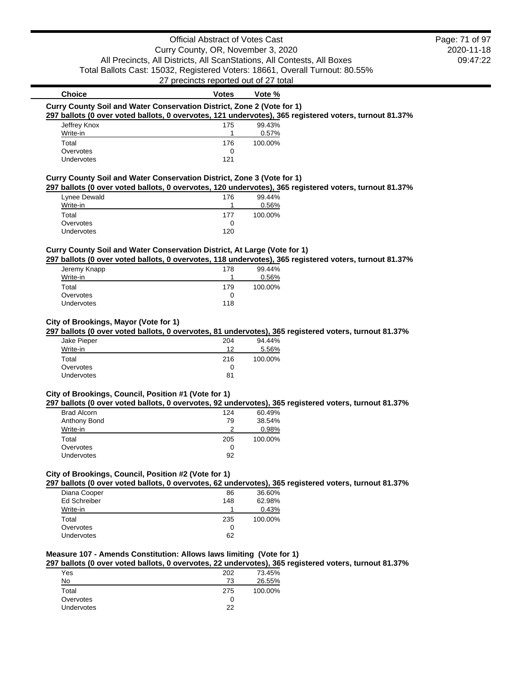## Official Abstract of Votes Cast Curry County, OR, November 3, 2020 All Precincts, All Districts, All ScanStations, All Contests, All Boxes

Total Ballots Cast: 15032, Registered Voters: 18661, Overall Turnout: 80.55%

27 precincts reported out of 27 total

| <b>Choice</b> | <b>Votes</b>                                                           | Vote %  |                                                                                                        |
|---------------|------------------------------------------------------------------------|---------|--------------------------------------------------------------------------------------------------------|
|               | Curry County Soil and Water Conservation District, Zone 2 (Vote for 1) |         |                                                                                                        |
|               |                                                                        |         | 297 ballots (0 over voted ballots, 0 overvotes, 121 undervotes), 365 registered voters, turnout 81.37% |
| Jeffrey Knox  | 175                                                                    | 99.43%  |                                                                                                        |
| Write-in      |                                                                        | 0.57%   |                                                                                                        |
| Total         | 176                                                                    | 100.00% |                                                                                                        |
| Overvotes     | 0                                                                      |         |                                                                                                        |
| Undervotes    | 121                                                                    |         |                                                                                                        |
|               |                                                                        |         |                                                                                                        |

## **Curry County Soil and Water Conservation District, Zone 3 (Vote for 1)**

**297 ballots (0 over voted ballots, 0 overvotes, 120 undervotes), 365 registered voters, turnout 81.37%**

|                   |     | --      |
|-------------------|-----|---------|
| Lynee Dewald      | 176 | 99.44%  |
| Write-in          |     | 0.56%   |
| Total             | 177 | 100.00% |
| Overvotes         |     |         |
| <b>Undervotes</b> | 120 |         |

#### **Curry County Soil and Water Conservation District, At Large (Vote for 1)**

**297 ballots (0 over voted ballots, 0 overvotes, 118 undervotes), 365 registered voters, turnout 81.37%**

| Jeremy Knapp      | 178 | 99.44%  |
|-------------------|-----|---------|
| Write-in          |     | 0.56%   |
| Total             | 179 | 100.00% |
| Overvotes         | 0   |         |
| <b>Undervotes</b> | 118 |         |
|                   |     |         |

## **City of Brookings, Mayor (Vote for 1)**

**297 ballots (0 over voted ballots, 0 overvotes, 81 undervotes), 365 registered voters, turnout 81.37%**

| Jake Pieper       | 204 | 94.44%  |
|-------------------|-----|---------|
| Write-in          | 12  | 5.56%   |
| Total             | 216 | 100.00% |
| Overvotes         | O   |         |
| <b>Undervotes</b> | 81  |         |
|                   |     |         |

#### **City of Brookings, Council, Position #1 (Vote for 1)**

**297 ballots (0 over voted ballots, 0 overvotes, 92 undervotes), 365 registered voters, turnout 81.37%**

| <b>Brad Alcorn</b> | 124 | 60.49%  |
|--------------------|-----|---------|
| Anthony Bond       | 79  | 38.54%  |
| Write-in           | າ   | 0.98%   |
| Total              | 205 | 100.00% |
| Overvotes          | O   |         |
| <b>Undervotes</b>  | 92  |         |

#### **City of Brookings, Council, Position #2 (Vote for 1)**

**297 ballots (0 over voted ballots, 0 overvotes, 62 undervotes), 365 registered voters, turnout 81.37%**

| Diana Cooper      | 86  | 36.60%  |
|-------------------|-----|---------|
| Ed Schreiber      | 148 | 62.98%  |
| Write-in          |     | 0.43%   |
| Total             | 235 | 100.00% |
| Overvotes         | 0   |         |
| <b>Undervotes</b> | 62  |         |

## **Measure 107 - Amends Constitution: Allows laws limiting (Vote for 1)**

**297 ballots (0 over voted ballots, 0 overvotes, 22 undervotes), 365 registered voters, turnout 81.37%**

| Yes        | 202 | 73.45%  |
|------------|-----|---------|
| No         | 73  | 26.55%  |
| Total      | 275 | 100.00% |
| Overvotes  |     |         |
| Undervotes | 22  |         |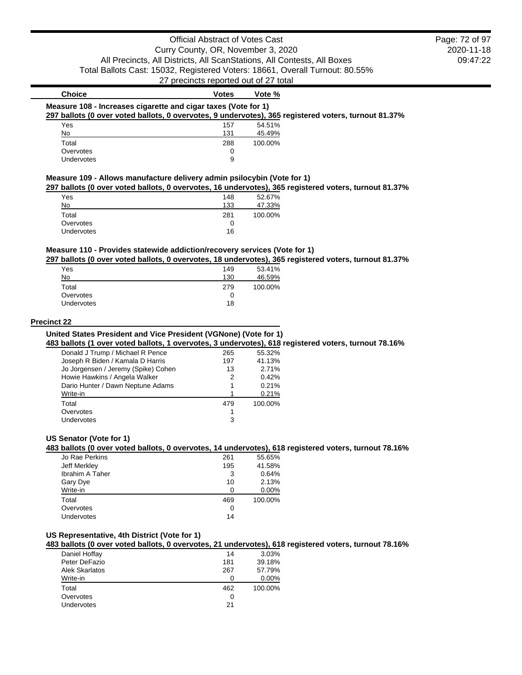## Official Abstract of Votes Cast Curry County, OR, November 3, 2020 All Precincts, All Districts, All ScanStations, All Contests, All Boxes Total Ballots Cast: 15032, Registered Voters: 18661, Overall Turnout: 80.55% 27 precincts reported out of 27 total

2020-11-18 09:47:22 Page: 72 of 97

#### **Choice Votes Votes Vote** % **Measure 108 - Increases cigarette and cigar taxes (Vote for 1) 297 ballots (0 over voted ballots, 0 overvotes, 9 undervotes), 365 registered voters, turnout 81.37%** Yes 34.51% and 157 54.51% No 131 45.49% Total 288 100.00% Overvotes and the contract of the contract of the contract of the contract of the contract of the contract of the contract of the contract of the contract of the contract of the contract of the contract of the contract of

#### **Measure 109 - Allows manufacture delivery admin psilocybin (Vote for 1)**

**297 ballots (0 over voted ballots, 0 overvotes, 16 undervotes), 365 registered voters, turnout 81.37%**

|                   |     | . .     |
|-------------------|-----|---------|
| Yes               | 148 | 52.67%  |
| No                | 133 | 47.33%  |
| Total             | 281 | 100.00% |
| Overvotes         |     |         |
| <b>Undervotes</b> | 16  |         |

Undervotes 9

#### **Measure 110 - Provides statewide addiction/recovery services (Vote for 1)**

**297 ballots (0 over voted ballots, 0 overvotes, 18 undervotes), 365 registered voters, turnout 81.37%**

| Yes               | 149 | 53.41%  |
|-------------------|-----|---------|
| No                | 130 | 46.59%  |
| Total             | 279 | 100.00% |
| Overvotes         | 0   |         |
| <b>Undervotes</b> | 18  |         |

#### **Precinct 22**

#### **United States President and Vice President (VGNone) (Vote for 1)**

**483 ballots (1 over voted ballots, 1 overvotes, 3 undervotes), 618 registered voters, turnout 78.16%**

| Donald J Trump / Michael R Pence    | 265 | 55.32%  |
|-------------------------------------|-----|---------|
| Joseph R Biden / Kamala D Harris    | 197 | 41.13%  |
| Jo Jorgensen / Jeremy (Spike) Cohen | 13  | 2.71%   |
| Howie Hawkins / Angela Walker       | 2   | 0.42%   |
| Dario Hunter / Dawn Neptune Adams   | 1   | 0.21%   |
| Write-in                            |     | 0.21%   |
| Total                               | 479 | 100.00% |
| Overvotes                           |     |         |
| Undervotes                          | 3   |         |
|                                     |     |         |

#### **US Senator (Vote for 1)**

#### **483 ballots (0 over voted ballots, 0 overvotes, 14 undervotes), 618 registered voters, turnout 78.16%**

| Jo Rae Perkins  | 261 | 55.65%  |
|-----------------|-----|---------|
| Jeff Merkley    | 195 | 41.58%  |
| Ibrahim A Taher | 3   | 0.64%   |
| Gary Dye        | 10  | 2.13%   |
| Write-in        | O   | 0.00%   |
| Total           | 469 | 100.00% |
| Overvotes       | 0   |         |
| Undervotes      | 14  |         |
|                 |     |         |

## **US Representative, 4th District (Vote for 1)**

**483 ballots (0 over voted ballots, 0 overvotes, 21 undervotes), 618 registered voters, turnout 78.16%**

| Daniel Hoffay  | 14  | 3.03%   |
|----------------|-----|---------|
| Peter DeFazio  | 181 | 39.18%  |
| Alek Skarlatos | 267 | 57.79%  |
| Write-in       |     | 0.00%   |
| Total          | 462 | 100.00% |
| Overvotes      | O   |         |
| Undervotes     | 21  |         |
|                |     |         |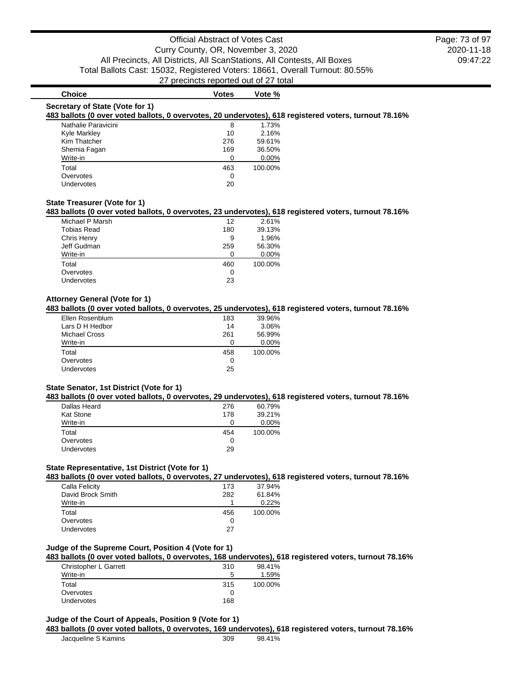# **Choice Votes Votes Vote** %

#### **Secretary of State (Vote for 1)**

### **483 ballots (0 over voted ballots, 0 overvotes, 20 undervotes), 618 registered voters, turnout 78.16%**

| Nathalie Paravicini | 8   | 1.73%   |
|---------------------|-----|---------|
| <b>Kyle Markley</b> | 10  | 2.16%   |
| Kim Thatcher        | 276 | 59.61%  |
| Shemia Fagan        | 169 | 36.50%  |
| Write-in            |     | 0.00%   |
| Total               | 463 | 100.00% |
| Overvotes           | O   |         |
| Undervotes          | 20  |         |

### **State Treasurer (Vote for 1)**

#### **483 ballots (0 over voted ballots, 0 overvotes, 23 undervotes), 618 registered voters, turnout 78.16%**

| Michael P Marsh | 12  | 2.61%    |
|-----------------|-----|----------|
| Tobias Read     | 180 | 39.13%   |
| Chris Henry     | 9   | 1.96%    |
| Jeff Gudman     | 259 | 56.30%   |
| Write-in        | O   | $0.00\%$ |
| Total           | 460 | 100.00%  |
| Overvotes       | 0   |          |
| Undervotes      | 23  |          |

## **Attorney General (Vote for 1)**

## **483 ballots (0 over voted ballots, 0 overvotes, 25 undervotes), 618 registered voters, turnout 78.16%**

| Ellen Rosenblum | 183 | 39.96%  |
|-----------------|-----|---------|
| Lars D H Hedbor | 14  | 3.06%   |
| Michael Cross   | 261 | 56.99%  |
| Write-in        |     | 0.00%   |
| Total           | 458 | 100.00% |
| Overvotes       | 0   |         |
| Undervotes      | 25  |         |

#### **State Senator, 1st District (Vote for 1)**

#### **483 ballots (0 over voted ballots, 0 overvotes, 29 undervotes), 618 registered voters, turnout 78.16%**

| 60.79%  |
|---------|
| 39.21%  |
| 0.00%   |
| 100.00% |
|         |
|         |
|         |

## **State Representative, 1st District (Vote for 1)**

**483 ballots (0 over voted ballots, 0 overvotes, 27 undervotes), 618 registered voters, turnout 78.16%**

| 37.94%  |
|---------|
| 61.84%  |
| 0.22%   |
| 100.00% |
|         |
|         |
|         |

## **Judge of the Supreme Court, Position 4 (Vote for 1)**

## **483 ballots (0 over voted ballots, 0 overvotes, 168 undervotes), 618 registered voters, turnout 78.16%**

| Christopher L Garrett | 310 | 98.41%  |
|-----------------------|-----|---------|
| Write-in              | 5   | 1.59%   |
| Total                 | 315 | 100.00% |
| Overvotes             |     |         |
| <b>Undervotes</b>     | 168 |         |

# **Judge of the Court of Appeals, Position 9 (Vote for 1)**

#### **483 ballots (0 over voted ballots, 0 overvotes, 169 undervotes), 618 registered voters, turnout 78.16%**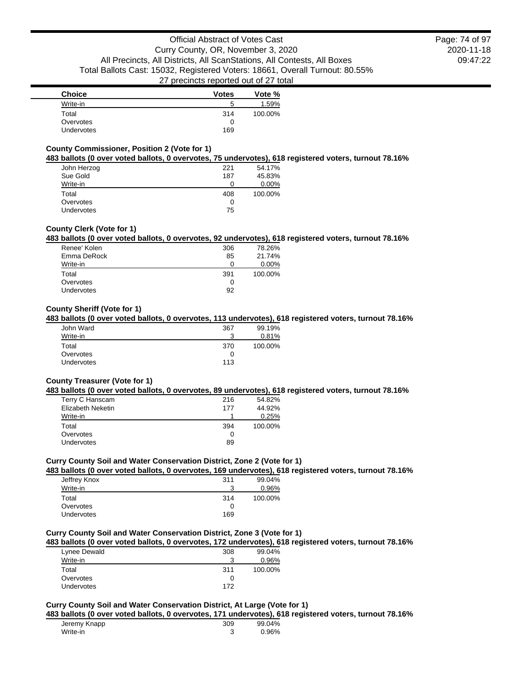| <b>Choice</b>     | <b>Votes</b> | Vote %  |
|-------------------|--------------|---------|
| Write-in          | b            | 1.59%   |
| Total             | 314          | 100.00% |
| Overvotes         |              |         |
| <b>Undervotes</b> | 169          |         |

### **County Commissioner, Position 2 (Vote for 1)**

#### **483 ballots (0 over voted ballots, 0 overvotes, 75 undervotes), 618 registered voters, turnout 78.16%**

|                   |     | . .     |
|-------------------|-----|---------|
| John Herzog       | 221 | 54.17%  |
| Sue Gold          | 187 | 45.83%  |
| Write-in          |     | 0.00%   |
| Total             | 408 | 100.00% |
| Overvotes         |     |         |
| <b>Undervotes</b> | 75  |         |

## **County Clerk (Vote for 1)**

## **483 ballots (0 over voted ballots, 0 overvotes, 92 undervotes), 618 registered voters, turnout 78.16%**

| Renee' Kolen | 306 | 78.26%   |
|--------------|-----|----------|
| Emma DeRock  | 85  | 21.74%   |
| Write-in     |     | $0.00\%$ |
| Total        | 391 | 100.00%  |
| Overvotes    | 0   |          |
| Undervotes   | 92  |          |
|              |     |          |

### **County Sheriff (Vote for 1)**

## **483 ballots (0 over voted ballots, 0 overvotes, 113 undervotes), 618 registered voters, turnout 78.16%**

| 367 | 99.19%  |
|-----|---------|
|     | 0.81%   |
| 370 | 100.00% |
| 0   |         |
| 113 |         |
|     | ว       |

## **County Treasurer (Vote for 1)**

#### **483 ballots (0 over voted ballots, 0 overvotes, 89 undervotes), 618 registered voters, turnout 78.16%**

| Terry C Hanscam          | 216 | 54.82%  |
|--------------------------|-----|---------|
| <b>Elizabeth Neketin</b> | 177 | 44.92%  |
| Write-in                 |     | 0.25%   |
| Total                    | 394 | 100.00% |
| Overvotes                | 0   |         |
| <b>Undervotes</b>        | 89  |         |

### **Curry County Soil and Water Conservation District, Zone 2 (Vote for 1)**

## **483 ballots (0 over voted ballots, 0 overvotes, 169 undervotes), 618 registered voters, turnout 78.16%**

| 99.04%  |
|---------|
| 0.96%   |
| 100.00% |
|         |
|         |
|         |

## **Curry County Soil and Water Conservation District, Zone 3 (Vote for 1)**

### **483 ballots (0 over voted ballots, 0 overvotes, 172 undervotes), 618 registered voters, turnout 78.16%**

| Lynee Dewald      | 308 | 99.04%  |
|-------------------|-----|---------|
| Write-in          | ີ   | 0.96%   |
| Total             | 311 | 100.00% |
| Overvotes         |     |         |
| <b>Undervotes</b> | 172 |         |

## **Curry County Soil and Water Conservation District, At Large (Vote for 1)**

### **483 ballots (0 over voted ballots, 0 overvotes, 171 undervotes), 618 registered voters, turnout 78.16%**

| Jeremy Knapp | 309 | 99.04% |
|--------------|-----|--------|
| Write-in     |     | 0.96%  |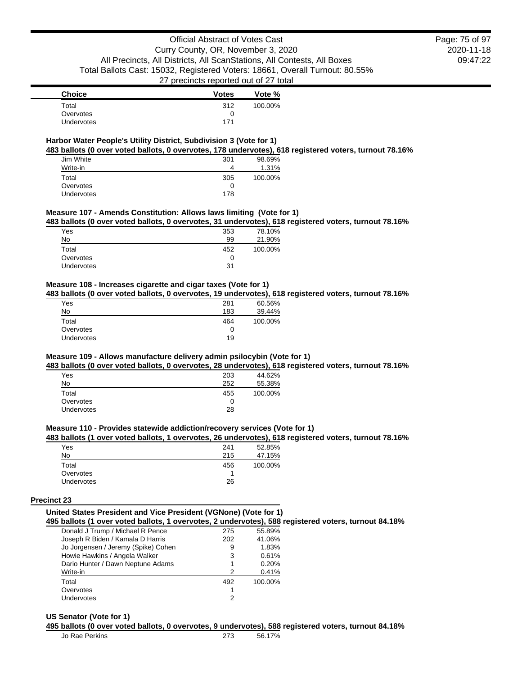| <b>Choice</b> | <b>Votes</b> | Vote %  |
|---------------|--------------|---------|
| Total         | 312          | 100.00% |
| Overvotes     | O            |         |
| Undervotes    | 171          |         |

## **Harbor Water People's Utility District, Subdivision 3 (Vote for 1)**

**483 ballots (0 over voted ballots, 0 overvotes, 178 undervotes), 618 registered voters, turnout 78.16%**

| Jim White  | 301 | 98.69%  |
|------------|-----|---------|
| Write-in   | 4   | 1.31%   |
| Total      | 305 | 100.00% |
| Overvotes  | O   |         |
| Undervotes | 178 |         |

#### **Measure 107 - Amends Constitution: Allows laws limiting (Vote for 1)**

**483 ballots (0 over voted ballots, 0 overvotes, 31 undervotes), 618 registered voters, turnout 78.16%**

| Yes        | 353 | 78.10%  |
|------------|-----|---------|
| No         | 99  | 21.90%  |
| Total      | 452 | 100.00% |
| Overvotes  | 0   |         |
| Undervotes | 31  |         |
|            |     |         |

### **Measure 108 - Increases cigarette and cigar taxes (Vote for 1)**

### **483 ballots (0 over voted ballots, 0 overvotes, 19 undervotes), 618 registered voters, turnout 78.16%**

| Yes               | 281 | 60.56%  |
|-------------------|-----|---------|
| No                | 183 | 39.44%  |
| Total             | 464 | 100.00% |
| Overvotes         | O   |         |
| <b>Undervotes</b> | 19  |         |

## **Measure 109 - Allows manufacture delivery admin psilocybin (Vote for 1)**

**483 ballots (0 over voted ballots, 0 overvotes, 28 undervotes), 618 registered voters, turnout 78.16%**

| Yes               | 203 | 44.62%  |
|-------------------|-----|---------|
| No                | 252 | 55.38%  |
| Total             | 455 | 100.00% |
| Overvotes         |     |         |
| <b>Undervotes</b> | 28  |         |

## **Measure 110 - Provides statewide addiction/recovery services (Vote for 1)**

#### **483 ballots (1 over voted ballots, 1 overvotes, 26 undervotes), 618 registered voters, turnout 78.16%**

| Yes        | 241 | 52.85%  |
|------------|-----|---------|
| No         | 215 | 47.15%  |
| Total      | 456 | 100.00% |
| Overvotes  |     |         |
| Undervotes | 26  |         |

#### **Precinct 23**

## **United States President and Vice President (VGNone) (Vote for 1)**

**495 ballots (1 over voted ballots, 1 overvotes, 2 undervotes), 588 registered voters, turnout 84.18%**

| Donald J Trump / Michael R Pence    | 275 | 55.89%  |
|-------------------------------------|-----|---------|
| Joseph R Biden / Kamala D Harris    | 202 | 41.06%  |
| Jo Jorgensen / Jeremy (Spike) Cohen | 9   | 1.83%   |
| Howie Hawkins / Angela Walker       | 3   | 0.61%   |
| Dario Hunter / Dawn Neptune Adams   | 1   | 0.20%   |
| Write-in                            | 2   | 0.41%   |
| Total                               | 492 | 100.00% |
| Overvotes                           |     |         |
| Undervotes                          | 2   |         |

#### **US Senator (Vote for 1)**

#### **495 ballots (0 over voted ballots, 0 overvotes, 9 undervotes), 588 registered voters, turnout 84.18%**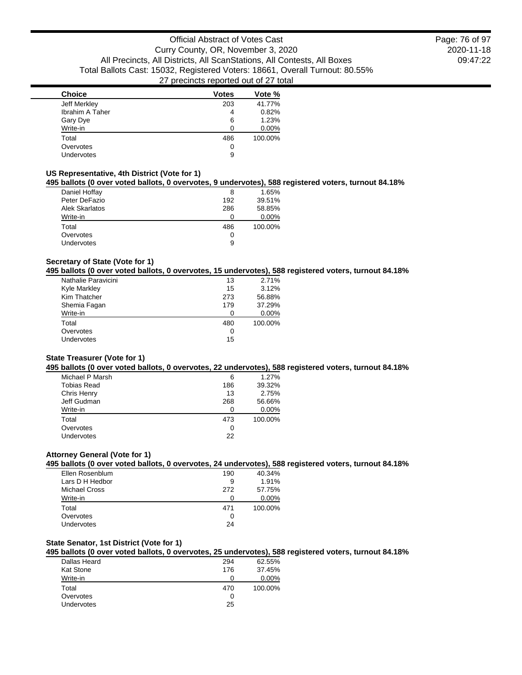| <b>Choice</b>     | <b>Votes</b> | Vote %  |
|-------------------|--------------|---------|
| Jeff Merkley      | 203          | 41.77%  |
| Ibrahim A Taher   | 4            | 0.82%   |
| Gary Dye          | 6            | 1.23%   |
| Write-in          | ∩            | 0.00%   |
| Total             | 486          | 100.00% |
| Overvotes         | 0            |         |
| <b>Undervotes</b> | 9            |         |
|                   |              |         |

## **US Representative, 4th District (Vote for 1)**

## **495 ballots (0 over voted ballots, 0 overvotes, 9 undervotes), 588 registered voters, turnout 84.18%**

| Daniel Hoffay         | 8   | 1.65%   |
|-----------------------|-----|---------|
| Peter DeFazio         | 192 | 39.51%  |
| <b>Alek Skarlatos</b> | 286 | 58.85%  |
| Write-in              | O   | 0.00%   |
| Total                 | 486 | 100.00% |
| Overvotes             | O   |         |
| <b>Undervotes</b>     | 9   |         |

### **Secretary of State (Vote for 1)**

### **495 ballots (0 over voted ballots, 0 overvotes, 15 undervotes), 588 registered voters, turnout 84.18%**

| Nathalie Paravicini | 13  | 2.71%   |
|---------------------|-----|---------|
| Kyle Markley        | 15  | 3.12%   |
| Kim Thatcher        | 273 | 56.88%  |
| Shemia Fagan        | 179 | 37.29%  |
| Write-in            |     | 0.00%   |
| Total               | 480 | 100.00% |
| Overvotes           | O   |         |
| Undervotes          | 15  |         |
|                     |     |         |

### **State Treasurer (Vote for 1)**

#### **495 ballots (0 over voted ballots, 0 overvotes, 22 undervotes), 588 registered voters, turnout 84.18%**

| Michael P Marsh    | 6   | 1.27%    |
|--------------------|-----|----------|
| <b>Tobias Read</b> | 186 | 39.32%   |
| Chris Henry        | 13  | 2.75%    |
| Jeff Gudman        | 268 | 56.66%   |
| Write-in           | 0   | $0.00\%$ |
| Total              | 473 | 100.00%  |
| Overvotes          | 0   |          |
| Undervotes         | 22  |          |
|                    |     |          |

## **Attorney General (Vote for 1)**

## **495 ballots (0 over voted ballots, 0 overvotes, 24 undervotes), 588 registered voters, turnout 84.18%**

| Ellen Rosenblum | 190 | 40.34%  |
|-----------------|-----|---------|
| Lars D H Hedbor | 9   | 1.91%   |
| Michael Cross   | 272 | 57.75%  |
| Write-in        |     | 0.00%   |
| Total           | 471 | 100.00% |
| Overvotes       | O   |         |
| Undervotes      | 24  |         |

## **State Senator, 1st District (Vote for 1)**

## **495 ballots (0 over voted ballots, 0 overvotes, 25 undervotes), 588 registered voters, turnout 84.18%**

| Dallas Heard      | 294 | 62.55%  |
|-------------------|-----|---------|
| Kat Stone         | 176 | 37.45%  |
| Write-in          |     | 0.00%   |
| Total             | 470 | 100.00% |
| Overvotes         | 0   |         |
| <b>Undervotes</b> | 25  |         |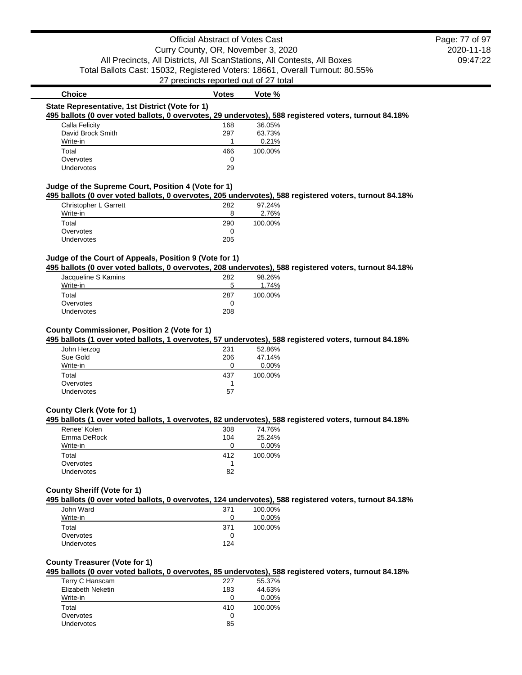| Calla Felicity    | 168 | 36.05%  |  |
|-------------------|-----|---------|--|
| David Brock Smith | 297 | 63.73%  |  |
| Write-in          |     | 0.21%   |  |
| Total             | 466 | 100.00% |  |
| Overvotes         | 0   |         |  |
| Undervotes        | 29  |         |  |

| 8   | 2.76%   |
|-----|---------|
| 290 | 100.00% |
|     |         |
| 205 |         |
|     |         |

## **Judge of the Court of Appeals, Position 9 (Vote for 1)**

**495 ballots (0 over voted ballots, 0 overvotes, 208 undervotes), 588 registered voters, turnout 84.18%**

| Jacqueline S Kamins | 282 | 98.26%  |
|---------------------|-----|---------|
| Write-in            | 5   | 1.74%   |
| Total               | 287 | 100.00% |
| Overvotes           |     |         |
| <b>Undervotes</b>   | 208 |         |

#### **County Commissioner, Position 2 (Vote for 1)**

#### **495 ballots (1 over voted ballots, 1 overvotes, 57 undervotes), 588 registered voters, turnout 84.18%**

| John Herzog       | 231 | 52.86%   |
|-------------------|-----|----------|
| Sue Gold          | 206 | 47.14%   |
| Write-in          | Ω   | $0.00\%$ |
| Total             | 437 | 100.00%  |
| Overvotes         |     |          |
| <b>Undervotes</b> | 57  |          |

## **County Clerk (Vote for 1)**

### **495 ballots (1 over voted ballots, 1 overvotes, 82 undervotes), 588 registered voters, turnout 84.18%**

| Renee' Kolen | 308 | 74.76%  |
|--------------|-----|---------|
| Emma DeRock  | 104 | 25.24%  |
| Write-in     |     | 0.00%   |
| Total        | 412 | 100.00% |
| Overvotes    |     |         |
| Undervotes   | 82  |         |
|              |     |         |

### **County Sheriff (Vote for 1)**

**495 ballots (0 over voted ballots, 0 overvotes, 124 undervotes), 588 registered voters, turnout 84.18%**

| John Ward         | 371 | 100.00% |
|-------------------|-----|---------|
| Write-in          |     | 0.00%   |
| Total             | 371 | 100.00% |
| Overvotes         |     |         |
| <b>Undervotes</b> | 124 |         |

### **County Treasurer (Vote for 1)**

## **495 ballots (0 over voted ballots, 0 overvotes, 85 undervotes), 588 registered voters, turnout 84.18%**

| Terry C Hanscam   | 227 | 55.37%  |
|-------------------|-----|---------|
| Elizabeth Neketin | 183 | 44.63%  |
| Write-in          |     | 0.00%   |
| Total             | 410 | 100.00% |
| Overvotes         | 0   |         |
| Undervotes        | 85  |         |
|                   |     |         |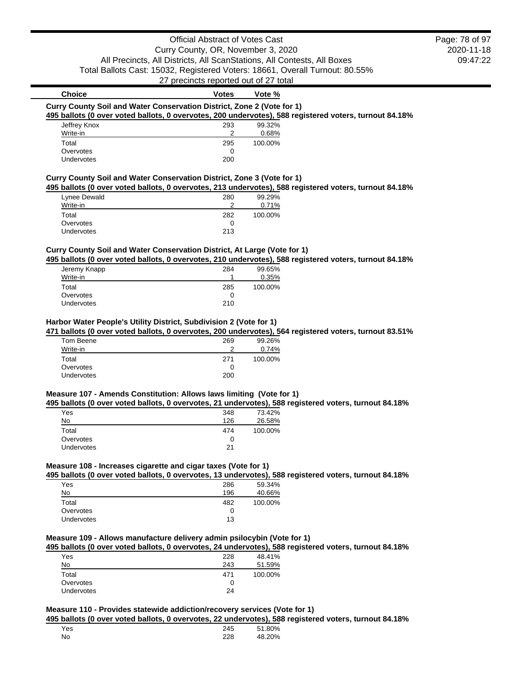## Official Abstract of Votes Cast Curry County, OR, November 3, 2020 All Precincts, All Districts, All ScanStations, All Contests, All Boxes Total Ballots Cast: 15032, Registered Voters: 18661, Overall Turnout: 80.55%

27 precincts reported out of 27 total

# 2020-11-18 09:47:22

Page: 78 of 97

**Choice Votes Votes Vote** % **Curry County Soil and Water Conservation District, Zone 2 (Vote for 1) 495 ballots (0 over voted ballots, 0 overvotes, 200 undervotes), 588 registered voters, turnout 84.18%** Jeffrey Knox 293 99.32% Write-in 2 0.68% Total 295 100.00% Overvotes and the contract of the contract of the contract of the contract of the contract of the contract of the contract of the contract of the contract of the contract of the contract of the contract of the contract of Undervotes 200 **Curry County Soil and Water Conservation District, Zone 3 (Vote for 1) 495 ballots (0 over voted ballots, 0 overvotes, 213 undervotes), 588 registered voters, turnout 84.18%** Lynee Dewald 280 99.29%

| Lynee Dewald      | 280 | 99.29%  |
|-------------------|-----|---------|
| Write-in          |     | 0.71%   |
| Total             | 282 | 100.00% |
| Overvotes         |     |         |
| <b>Undervotes</b> | 213 |         |

## **Curry County Soil and Water Conservation District, At Large (Vote for 1)**

**495 ballots (0 over voted ballots, 0 overvotes, 210 undervotes), 588 registered voters, turnout 84.18%**

| Jeremy Knapp      | 284 | 99.65%  |
|-------------------|-----|---------|
| Write-in          |     | 0.35%   |
| Total             | 285 | 100.00% |
| Overvotes         | 0   |         |
| <b>Undervotes</b> | 210 |         |
|                   |     |         |

### **Harbor Water People's Utility District, Subdivision 2 (Vote for 1)**

**471 ballots (0 over voted ballots, 0 overvotes, 200 undervotes), 564 registered voters, turnout 83.51%**

| Tom Beene         | 269 | 99.26%  |
|-------------------|-----|---------|
| Write-in          | ◠   | 0.74%   |
| Total             | 271 | 100.00% |
| Overvotes         | O   |         |
| <b>Undervotes</b> | 200 |         |
|                   |     |         |

# **Measure 107 - Amends Constitution: Allows laws limiting (Vote for 1)**

**495 ballots (0 over voted ballots, 0 overvotes, 21 undervotes), 588 registered voters, turnout 84.18%**

| Yes        | 348 | 73.42%  |
|------------|-----|---------|
| No         | 126 | 26.58%  |
| Total      | 474 | 100.00% |
| Overvotes  | 0   |         |
| Undervotes | 21  |         |

# **Measure 108 - Increases cigarette and cigar taxes (Vote for 1)**

**495 ballots (0 over voted ballots, 0 overvotes, 13 undervotes), 588 registered voters, turnout 84.18%**

| Yes               | 286 | 59.34%  |
|-------------------|-----|---------|
| No                | 196 | 40.66%  |
| Total             | 482 | 100.00% |
| Overvotes         |     |         |
| <b>Undervotes</b> | 13  |         |

## **Measure 109 - Allows manufacture delivery admin psilocybin (Vote for 1)**

**495 ballots (0 over voted ballots, 0 overvotes, 24 undervotes), 588 registered voters, turnout 84.18%**

| Yes        | 228 | 48.41%  |
|------------|-----|---------|
| No         | 243 | 51.59%  |
| Total      | 471 | 100.00% |
| Overvotes  |     |         |
| Undervotes | 24  |         |

## **Measure 110 - Provides statewide addiction/recovery services (Vote for 1)**

**495 ballots (0 over voted ballots, 0 overvotes, 22 undervotes), 588 registered voters, turnout 84.18%**

| Yes | 245 | 51.80% |
|-----|-----|--------|
| No  | 228 | 48.20% |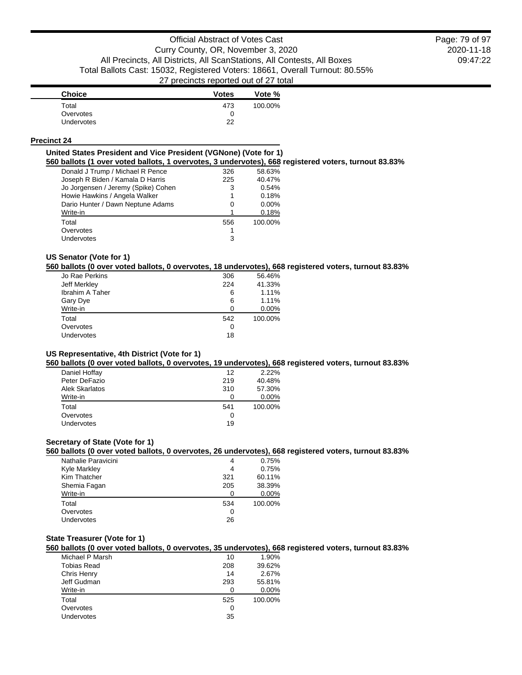2020-11-18 09:47:22 Page: 79 of 97

| <b>Choice</b>     | <b>Votes</b> | Vote %  |
|-------------------|--------------|---------|
| Total             | 473          | 100.00% |
| Overvotes         |              |         |
| <b>Undervotes</b> | つつ           |         |

#### **Precinct 24**

#### **United States President and Vice President (VGNone) (Vote for 1)**

**560 ballots (1 over voted ballots, 1 overvotes, 3 undervotes), 668 registered voters, turnout 83.83%**

| Donald J Trump / Michael R Pence    | 326 | 58.63%  |
|-------------------------------------|-----|---------|
| Joseph R Biden / Kamala D Harris    | 225 | 40.47%  |
| Jo Jorgensen / Jeremy (Spike) Cohen | 3   | 0.54%   |
| Howie Hawkins / Angela Walker       | 1   | 0.18%   |
| Dario Hunter / Dawn Neptune Adams   | 0   | 0.00%   |
| Write-in                            |     | 0.18%   |
| Total                               | 556 | 100.00% |
| Overvotes                           |     |         |
| <b>Undervotes</b>                   | 3   |         |
|                                     |     |         |

# **US Senator (Vote for 1)**

**560 ballots (0 over voted ballots, 0 overvotes, 18 undervotes), 668 registered voters, turnout 83.83%**

| Jo Rae Perkins  | 306 | 56.46%  |
|-----------------|-----|---------|
| Jeff Merkley    | 224 | 41.33%  |
| Ibrahim A Taher | 6   | 1.11%   |
| Gary Dye        | 6   | 1.11%   |
| Write-in        | 0   | 0.00%   |
| Total           | 542 | 100.00% |
| Overvotes       | 0   |         |
| Undervotes      | 18  |         |
|                 |     |         |

## **US Representative, 4th District (Vote for 1)**

**560 ballots (0 over voted ballots, 0 overvotes, 19 undervotes), 668 registered voters, turnout 83.83%**

| Daniel Hoffay  | 12  | 2.22%   |
|----------------|-----|---------|
| Peter DeFazio  | 219 | 40.48%  |
| Alek Skarlatos | 310 | 57.30%  |
| Write-in       |     | 0.00%   |
| Total          | 541 | 100.00% |
| Overvotes      | O   |         |
| Undervotes     | 19  |         |
|                |     |         |

## **Secretary of State (Vote for 1)**

**560 ballots (0 over voted ballots, 0 overvotes, 26 undervotes), 668 registered voters, turnout 83.83%**

| Nathalie Paravicini | 4   | 0.75%   |
|---------------------|-----|---------|
| Kyle Markley        | 4   | 0.75%   |
| Kim Thatcher        | 321 | 60.11%  |
| Shemia Fagan        | 205 | 38.39%  |
| Write-in            | O   | 0.00%   |
| Total               | 534 | 100.00% |
| Overvotes           | 0   |         |
| Undervotes          | 26  |         |
|                     |     |         |

## **State Treasurer (Vote for 1)**

**560 ballots (0 over voted ballots, 0 overvotes, 35 undervotes), 668 registered voters, turnout 83.83%**

| Michael P Marsh    | 10  | 1.90%   |
|--------------------|-----|---------|
| <b>Tobias Read</b> | 208 | 39.62%  |
| Chris Henry        | 14  | 2.67%   |
| Jeff Gudman        | 293 | 55.81%  |
| Write-in           | 0   | 0.00%   |
| Total              | 525 | 100.00% |
| Overvotes          | 0   |         |
| Undervotes         | 35  |         |
|                    |     |         |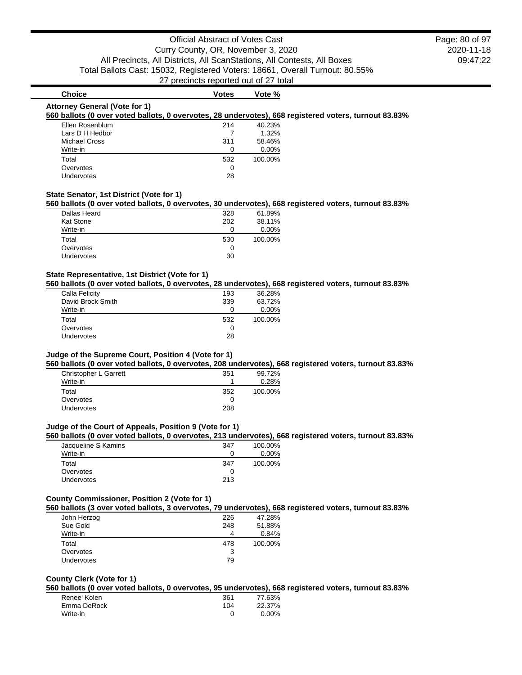2020-11-18 09:47:22 Page: 80 of 97

# **Choice Votes Votes Vote** % **Attorney General (Vote for 1) 560 ballots (0 over voted ballots, 0 overvotes, 28 undervotes), 668 registered voters, turnout 83.83%**

| Ellen Rosenblum      | 214          | 40.23%  |
|----------------------|--------------|---------|
| Lars D H Hedbor      |              | 1.32%   |
| <b>Michael Cross</b> | 311          | 58.46%  |
| Write-in             |              | 0.00%   |
| Total                | 532          | 100.00% |
| Overvotes            | $\mathbf{0}$ |         |
| <b>Undervotes</b>    | 28           |         |

### **State Senator, 1st District (Vote for 1)**

#### **560 ballots (0 over voted ballots, 0 overvotes, 30 undervotes), 668 registered voters, turnout 83.83%**

| Dallas Heard | 328 | 61.89%  |
|--------------|-----|---------|
| Kat Stone    | 202 | 38.11%  |
| Write-in     |     | 0.00%   |
| Total        | 530 | 100.00% |
| Overvotes    |     |         |
| Undervotes   | 30  |         |

### **State Representative, 1st District (Vote for 1)**

## **560 ballots (0 over voted ballots, 0 overvotes, 28 undervotes), 668 registered voters, turnout 83.83%**

| Calla Felicity    | 193 | 36.28%  |
|-------------------|-----|---------|
| David Brock Smith | 339 | 63.72%  |
| Write-in          | 0   | 0.00%   |
| Total             | 532 | 100.00% |
| Overvotes         | O   |         |
| Undervotes        | 28  |         |
|                   |     |         |

### **Judge of the Supreme Court, Position 4 (Vote for 1)**

**560 ballots (0 over voted ballots, 0 overvotes, 208 undervotes), 668 registered voters, turnout 83.83%**

| Christopher L Garrett<br>Write-in | 351 | 99.72%<br>0.28% |
|-----------------------------------|-----|-----------------|
| Total                             | 352 | 100.00%         |
| Overvotes                         |     |                 |
| Undervotes                        | 208 |                 |

## **Judge of the Court of Appeals, Position 9 (Vote for 1)**

### **560 ballots (0 over voted ballots, 0 overvotes, 213 undervotes), 668 registered voters, turnout 83.83%**

| Jacqueline S Kamins | 347 | 100.00% |
|---------------------|-----|---------|
| Write-in            |     | 0.00%   |
| Total               | 347 | 100.00% |
| Overvotes           |     |         |
| <b>Undervotes</b>   | 213 |         |

### **County Commissioner, Position 2 (Vote for 1)**

#### **560 ballots (3 over voted ballots, 3 overvotes, 79 undervotes), 668 registered voters, turnout 83.83%**

| John Herzog<br>Sue Gold | 226<br>248 | 47.28%<br>51.88% |
|-------------------------|------------|------------------|
| Write-in                | 4          | 0.84%            |
| Total                   | 478        | 100.00%          |
| Overvotes               | 3          |                  |
| <b>Undervotes</b>       | 79         |                  |
|                         |            |                  |

### **County Clerk (Vote for 1)**

**560 ballots (0 over voted ballots, 0 overvotes, 95 undervotes), 668 registered voters, turnout 83.83%**

| Renee' Kolen | 361 | 77.63% |
|--------------|-----|--------|
| Emma DeRock  | 104 | 22.37% |
| Write-in     |     | 0.00%  |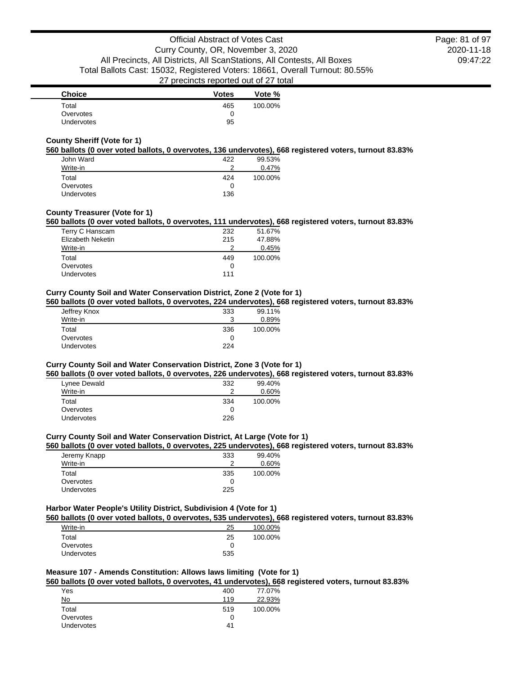| <b>Choice</b> | <b>Votes</b> | Vote %  |
|---------------|--------------|---------|
| Total         | 465          | 100.00% |
| Overvotes     |              |         |
| Undervotes    | 95           |         |

### **County Sheriff (Vote for 1)**

#### **560 ballots (0 over voted ballots, 0 overvotes, 136 undervotes), 668 registered voters, turnout 83.83%**

| John Ward  | 422 | 99.53%  |
|------------|-----|---------|
| Write-in   | ◠   | 0.47%   |
| Total      | 424 | 100.00% |
| Overvotes  |     |         |
| Undervotes | 136 |         |

## **County Treasurer (Vote for 1)**

## **560 ballots (0 over voted ballots, 0 overvotes, 111 undervotes), 668 registered voters, turnout 83.83%**

| 232 | 51.67%  |
|-----|---------|
| 215 | 47.88%  |
| າ   | 0.45%   |
| 449 | 100.00% |
| 0   |         |
|     |         |
|     | 111     |

### **Curry County Soil and Water Conservation District, Zone 2 (Vote for 1)**

### **560 ballots (0 over voted ballots, 0 overvotes, 224 undervotes), 668 registered voters, turnout 83.83%**

| Jeffrey Knox      | 333 | 99.11%  |
|-------------------|-----|---------|
| Write-in          | ີ   | 0.89%   |
| Total             | 336 | 100.00% |
| Overvotes         |     |         |
| <b>Undervotes</b> | 224 |         |

## **Curry County Soil and Water Conservation District, Zone 3 (Vote for 1)**

### **560 ballots (0 over voted ballots, 0 overvotes, 226 undervotes), 668 registered voters, turnout 83.83%**

| 332 | 99.40%  |
|-----|---------|
| າ   | 0.60%   |
| 334 | 100.00% |
|     |         |
| 226 |         |
|     |         |

### **Curry County Soil and Water Conservation District, At Large (Vote for 1)**

#### **560 ballots (0 over voted ballots, 0 overvotes, 225 undervotes), 668 registered voters, turnout 83.83%**

| 99.40%<br>0.60% |
|-----------------|
| 100.00%         |
|                 |
|                 |
|                 |

## **Harbor Water People's Utility District, Subdivision 4 (Vote for 1)**

**560 ballots (0 over voted ballots, 0 overvotes, 535 undervotes), 668 registered voters, turnout 83.83%**

| Write-in          | 25  | 100.00% |
|-------------------|-----|---------|
| Total             | 25  | 100.00% |
| Overvotes         |     |         |
| <b>Undervotes</b> | 535 |         |

## **Measure 107 - Amends Constitution: Allows laws limiting (Vote for 1)**

#### **560 ballots (0 over voted ballots, 0 overvotes, 41 undervotes), 668 registered voters, turnout 83.83%**

| Yes        | 400 | 77.07%  |
|------------|-----|---------|
| No         | 119 | 22.93%  |
| Total      | 519 | 100.00% |
| Overvotes  |     |         |
| Undervotes | 41  |         |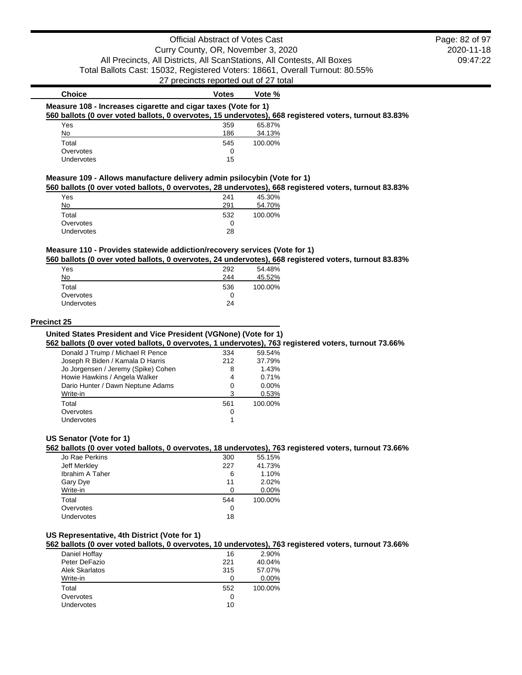## Official Abstract of Votes Cast Curry County, OR, November 3, 2020 All Precincts, All Districts, All ScanStations, All Contests, All Boxes Total Ballots Cast: 15032, Registered Voters: 18661, Overall Turnout: 80.55% 27 precincts reported out of 27 total

### **Choice Votes Votes Vote** % **Measure 108 - Increases cigarette and cigar taxes (Vote for 1) 560 ballots (0 over voted ballots, 0 overvotes, 15 undervotes), 668 registered voters, turnout 83.83%** Yes 359 65.87% No 24.13% Total 545 100.00% Overvotes and the contract of the contract of the contract of the contract of the contract of the contract of the contract of the contract of the contract of the contract of the contract of the contract of the contract of Undervotes 15

## **Measure 109 - Allows manufacture delivery admin psilocybin (Vote for 1)**

**560 ballots (0 over voted ballots, 0 overvotes, 28 undervotes), 668 registered voters, turnout 83.83%**

| Yes               | 241 | 45.30%  |
|-------------------|-----|---------|
| No                | 291 | 54.70%  |
| Total             | 532 | 100.00% |
| Overvotes         |     |         |
| <b>Undervotes</b> | 28  |         |

### **Measure 110 - Provides statewide addiction/recovery services (Vote for 1)**

**560 ballots (0 over voted ballots, 0 overvotes, 24 undervotes), 668 registered voters, turnout 83.83%**

| Yes               | 292 | 54.48%  |
|-------------------|-----|---------|
| No                | 244 | 45.52%  |
| Total             | 536 | 100.00% |
| Overvotes         | 0   |         |
| <b>Undervotes</b> | 24  |         |

#### **Precinct 25**

#### **United States President and Vice President (VGNone) (Vote for 1)**

**562 ballots (0 over voted ballots, 0 overvotes, 1 undervotes), 763 registered voters, turnout 73.66%**

| Donald J Trump / Michael R Pence    | 334 | 59.54%  |
|-------------------------------------|-----|---------|
| Joseph R Biden / Kamala D Harris    | 212 | 37.79%  |
| Jo Jorgensen / Jeremy (Spike) Cohen | 8   | 1.43%   |
| Howie Hawkins / Angela Walker       | 4   | 0.71%   |
| Dario Hunter / Dawn Neptune Adams   | 0   | 0.00%   |
| Write-in                            | 3   | 0.53%   |
| Total                               | 561 | 100.00% |
| Overvotes                           | 0   |         |
| Undervotes                          |     |         |
|                                     |     |         |

#### **US Senator (Vote for 1)**

### **562 ballots (0 over voted ballots, 0 overvotes, 18 undervotes), 763 registered voters, turnout 73.66%**

| Jo Rae Perkins         | 300 | 55.15%  |
|------------------------|-----|---------|
| Jeff Merkley           | 227 | 41.73%  |
| <b>Ibrahim A Taher</b> | 6   | 1.10%   |
| Gary Dye               | 11  | 2.02%   |
| Write-in               | O   | 0.00%   |
| Total                  | 544 | 100.00% |
| Overvotes              | 0   |         |
| Undervotes             | 18  |         |
|                        |     |         |

## **US Representative, 4th District (Vote for 1)**

**562 ballots (0 over voted ballots, 0 overvotes, 10 undervotes), 763 registered voters, turnout 73.66%**

| Daniel Hoffay  | 16  | 2.90%   |
|----------------|-----|---------|
| Peter DeFazio  | 221 | 40.04%  |
| Alek Skarlatos | 315 | 57.07%  |
| Write-in       |     | 0.00%   |
| Total          | 552 | 100.00% |
| Overvotes      | O   |         |
| Undervotes     | 10  |         |
|                |     |         |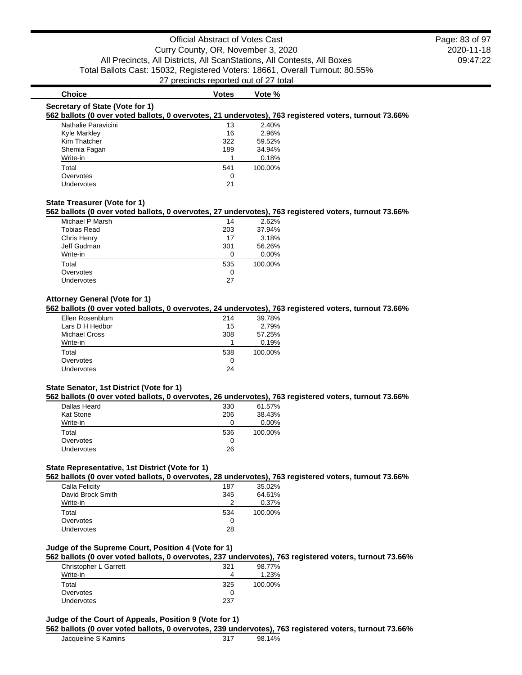# **Choice Votes Votes Vote** %

#### **Secretary of State (Vote for 1)**

### **562 ballots (0 over voted ballots, 0 overvotes, 21 undervotes), 763 registered voters, turnout 73.66%**

| Nathalie Paravicini | 13  | 2.40%   |
|---------------------|-----|---------|
| Kyle Markley        | 16  | 2.96%   |
| Kim Thatcher        | 322 | 59.52%  |
| Shemia Fagan        | 189 | 34.94%  |
| Write-in            |     | 0.18%   |
| Total               | 541 | 100.00% |
| Overvotes           | O   |         |
| Undervotes          | 21  |         |

### **State Treasurer (Vote for 1)**

#### **562 ballots (0 over voted ballots, 0 overvotes, 27 undervotes), 763 registered voters, turnout 73.66%**

| Michael P Marsh    | 14  | 2.62%    |
|--------------------|-----|----------|
| <b>Tobias Read</b> | 203 | 37.94%   |
| Chris Henry        | 17  | 3.18%    |
| Jeff Gudman        | 301 | 56.26%   |
| Write-in           | 0   | $0.00\%$ |
| Total              | 535 | 100.00%  |
| Overvotes          | 0   |          |
| Undervotes         | 27  |          |

## **Attorney General (Vote for 1)**

### **562 ballots (0 over voted ballots, 0 overvotes, 24 undervotes), 763 registered voters, turnout 73.66%**

| Ellen Rosenblum      | 214 | 39.78%  |
|----------------------|-----|---------|
| Lars D H Hedbor      | 15  | 2.79%   |
| <b>Michael Cross</b> | 308 | 57.25%  |
| Write-in             |     | 0.19%   |
| Total                | 538 | 100.00% |
| Overvotes            | 0   |         |
| <b>Undervotes</b>    | 24  |         |

#### **State Senator, 1st District (Vote for 1)**

#### **562 ballots (0 over voted ballots, 0 overvotes, 26 undervotes), 763 registered voters, turnout 73.66%**

| Dallas Heard | 330 | 61.57%  |
|--------------|-----|---------|
| Kat Stone    | 206 | 38.43%  |
| Write-in     |     | 0.00%   |
| Total        | 536 | 100.00% |
| Overvotes    | 0   |         |
| Undervotes   | 26  |         |
|              |     |         |

## **State Representative, 1st District (Vote for 1)**

**562 ballots (0 over voted ballots, 0 overvotes, 28 undervotes), 763 registered voters, turnout 73.66%**

| 64.61%  |
|---------|
| 0.37%   |
| 100.00% |
|         |
|         |
|         |

## **Judge of the Supreme Court, Position 4 (Vote for 1)**

### **562 ballots (0 over voted ballots, 0 overvotes, 237 undervotes), 763 registered voters, turnout 73.66%**

| Christopher L Garrett | 321 | 98.77%  |
|-----------------------|-----|---------|
| Write-in              |     | 1.23%   |
| Total                 | 325 | 100.00% |
| Overvotes             |     |         |
| <b>Undervotes</b>     | 237 |         |

## **Judge of the Court of Appeals, Position 9 (Vote for 1)**

#### **562 ballots (0 over voted ballots, 0 overvotes, 239 undervotes), 763 registered voters, turnout 73.66%**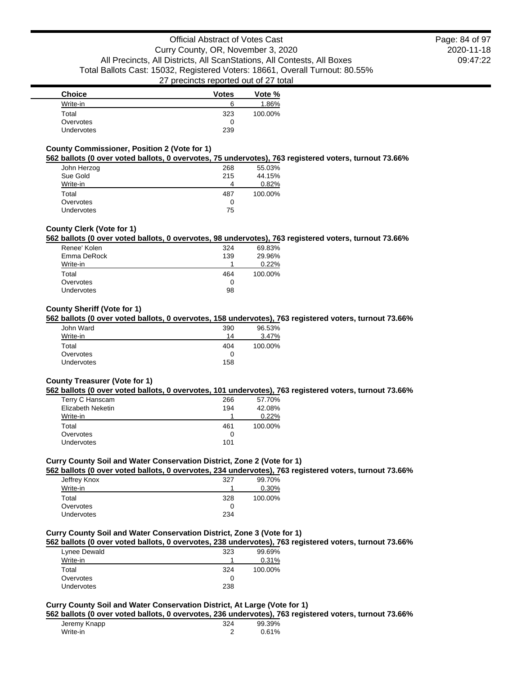2020-11-18 09:47:22 Page: 84 of 97

| <b>Choice</b>     | <b>Votes</b> | Vote %  |
|-------------------|--------------|---------|
| Write-in          |              | 1.86%   |
| Total             | 323          | 100.00% |
| Overvotes         |              |         |
| <b>Undervotes</b> | 239          |         |

### **County Commissioner, Position 2 (Vote for 1)**

#### **562 ballots (0 over voted ballots, 0 overvotes, 75 undervotes), 763 registered voters, turnout 73.66%**

| John Herzog       | 268 | 55.03%  |
|-------------------|-----|---------|
| Sue Gold          | 215 | 44.15%  |
| Write-in          |     | 0.82%   |
| Total             | 487 | 100.00% |
| Overvotes         |     |         |
| <b>Undervotes</b> | 75  |         |

## **County Clerk (Vote for 1)**

### **562 ballots (0 over voted ballots, 0 overvotes, 98 undervotes), 763 registered voters, turnout 73.66%**

| Renee' Kolen      | 324 | 69.83%  |
|-------------------|-----|---------|
| Emma DeRock       | 139 | 29.96%  |
| Write-in          |     | 0.22%   |
| Total             | 464 | 100.00% |
| Overvotes         | 0   |         |
| <b>Undervotes</b> | 98  |         |
|                   |     |         |

### **County Sheriff (Vote for 1)**

### **562 ballots (0 over voted ballots, 0 overvotes, 158 undervotes), 763 registered voters, turnout 73.66%**

| 390<br>14 | 96.53%<br>3.47% |
|-----------|-----------------|
| 404       | 100.00%         |
| 0         |                 |
| 158       |                 |
|           |                 |

## **County Treasurer (Vote for 1)**

#### **562 ballots (0 over voted ballots, 0 overvotes, 101 undervotes), 763 registered voters, turnout 73.66%**

| 266 | 57.70%  |
|-----|---------|
| 194 | 42.08%  |
|     | 0.22%   |
| 461 | 100.00% |
|     |         |
| 0   |         |
|     |         |

### **Curry County Soil and Water Conservation District, Zone 2 (Vote for 1)**

### **562 ballots (0 over voted ballots, 0 overvotes, 234 undervotes), 763 registered voters, turnout 73.66%**

| Jeffrey Knox | 327 | 99.70%  |
|--------------|-----|---------|
| Write-in     |     | 0.30%   |
| Total        | 328 | 100.00% |
| Overvotes    |     |         |
| Undervotes   | 234 |         |
|              |     |         |

## **Curry County Soil and Water Conservation District, Zone 3 (Vote for 1)**

#### **562 ballots (0 over voted ballots, 0 overvotes, 238 undervotes), 763 registered voters, turnout 73.66%**

| Lynee Dewald      | 323 | 99.69%  |
|-------------------|-----|---------|
| Write-in          |     | 0.31%   |
| Total             | 324 | 100.00% |
| Overvotes         |     |         |
| <b>Undervotes</b> | 238 |         |

## **Curry County Soil and Water Conservation District, At Large (Vote for 1)**

### **562 ballots (0 over voted ballots, 0 overvotes, 236 undervotes), 763 registered voters, turnout 73.66%**

| Jeremy Knapp | 324 | 99.39% |
|--------------|-----|--------|
| Write-in     |     | 0.61%  |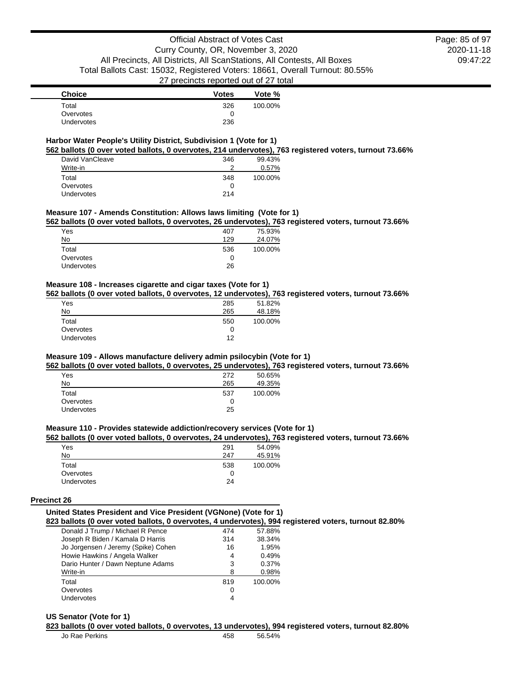| <b>Choice</b> | <b>Votes</b> | Vote %  |
|---------------|--------------|---------|
| Total         | 326          | 100.00% |
| Overvotes     |              |         |
| Undervotes    | 236          |         |

### **Harbor Water People's Utility District, Subdivision 1 (Vote for 1)**

**562 ballots (0 over voted ballots, 0 overvotes, 214 undervotes), 763 registered voters, turnout 73.66%**

| David VanCleave | 346 | 99.43%  |
|-----------------|-----|---------|
| Write-in        | ົ   | 0.57%   |
| Total           | 348 | 100.00% |
| Overvotes       | 0   |         |
| Undervotes      | 214 |         |

## **Measure 107 - Amends Constitution: Allows laws limiting (Vote for 1)**

**562 ballots (0 over voted ballots, 0 overvotes, 26 undervotes), 763 registered voters, turnout 73.66%**

| 407 | 75.93%  |
|-----|---------|
| 129 | 24.07%  |
| 536 | 100.00% |
| 0   |         |
| 26  |         |
|     |         |

### **Measure 108 - Increases cigarette and cigar taxes (Vote for 1)**

**562 ballots (0 over voted ballots, 0 overvotes, 12 undervotes), 763 registered voters, turnout 73.66%**

| Yes               | 285 | 51.82%  |
|-------------------|-----|---------|
| No                | 265 | 48.18%  |
| Total             | 550 | 100.00% |
| Overvotes         | O   |         |
| <b>Undervotes</b> | 12  |         |

## **Measure 109 - Allows manufacture delivery admin psilocybin (Vote for 1)**

**562 ballots (0 over voted ballots, 0 overvotes, 25 undervotes), 763 registered voters, turnout 73.66%**

| 272 | 50.65%  |
|-----|---------|
| 265 | 49.35%  |
| 537 | 100.00% |
| 0   |         |
| 25  |         |
|     |         |

## **Measure 110 - Provides statewide addiction/recovery services (Vote for 1)**

#### **562 ballots (0 over voted ballots, 0 overvotes, 24 undervotes), 763 registered voters, turnout 73.66%**

| Yes               | 291 | 54.09%  |
|-------------------|-----|---------|
| No                | 247 | 45.91%  |
| Total             | 538 | 100.00% |
| Overvotes         |     |         |
| <b>Undervotes</b> | 24  |         |

#### **Precinct 26**

#### **United States President and Vice President (VGNone) (Vote for 1) 823 ballots (0 over voted ballots, 0 overvotes, 4 undervotes), 994 registered voters, turnout 82.80%**

| Donald J Trump / Michael R Pence    | 474 | 57.88%  |
|-------------------------------------|-----|---------|
| Joseph R Biden / Kamala D Harris    | 314 | 38.34%  |
| Jo Jorgensen / Jeremy (Spike) Cohen | 16  | 1.95%   |
| Howie Hawkins / Angela Walker       | 4   | 0.49%   |
| Dario Hunter / Dawn Neptune Adams   | 3   | 0.37%   |
| Write-in                            | 8   | 0.98%   |
| Total                               | 819 | 100.00% |
| Overvotes                           | 0   |         |
| <b>Undervotes</b>                   | 4   |         |

#### **US Senator (Vote for 1)**

**823 ballots (0 over voted ballots, 0 overvotes, 13 undervotes), 994 registered voters, turnout 82.80%**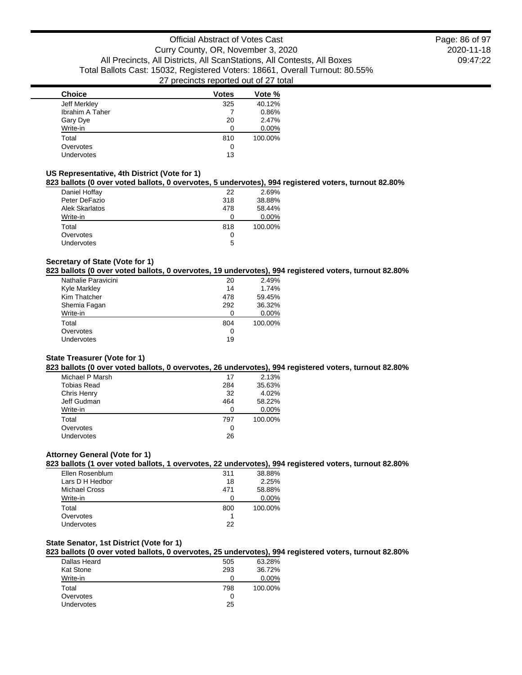| <b>Choice</b>   | <b>Votes</b> | Vote %  |
|-----------------|--------------|---------|
| Jeff Merkley    | 325          | 40.12%  |
| Ibrahim A Taher |              | 0.86%   |
| Gary Dye        | 20           | 2.47%   |
| Write-in        | ∩            | 0.00%   |
| Total           | 810          | 100.00% |
| Overvotes       | 0            |         |
| Undervotes      | 13           |         |
|                 |              |         |

## **US Representative, 4th District (Vote for 1)**

## **823 ballots (0 over voted ballots, 0 overvotes, 5 undervotes), 994 registered voters, turnout 82.80%**

| Daniel Hoffay         | 22  | 2.69%   |
|-----------------------|-----|---------|
| Peter DeFazio         | 318 | 38.88%  |
| <b>Alek Skarlatos</b> | 478 | 58.44%  |
| Write-in              | O   | 0.00%   |
| Total                 | 818 | 100.00% |
| Overvotes             | O   |         |
| <b>Undervotes</b>     | 5   |         |

## **Secretary of State (Vote for 1)**

### **823 ballots (0 over voted ballots, 0 overvotes, 19 undervotes), 994 registered voters, turnout 82.80%**

| Nathalie Paravicini | 20  | 2.49%   |
|---------------------|-----|---------|
| Kyle Markley        | 14  | 1.74%   |
| Kim Thatcher        | 478 | 59.45%  |
| Shemia Fagan        | 292 | 36.32%  |
| Write-in            |     | 0.00%   |
| Total               | 804 | 100.00% |
| Overvotes           | O   |         |
| Undervotes          | 19  |         |
|                     |     |         |

### **State Treasurer (Vote for 1)**

#### **823 ballots (0 over voted ballots, 0 overvotes, 26 undervotes), 994 registered voters, turnout 82.80%**

| Michael P Marsh | 17  | 2.13%   |
|-----------------|-----|---------|
| Tobias Read     | 284 | 35.63%  |
| Chris Henry     | 32  | 4.02%   |
| Jeff Gudman     | 464 | 58.22%  |
| Write-in        | 0   | 0.00%   |
| Total           | 797 | 100.00% |
| Overvotes       | 0   |         |
| Undervotes      | 26  |         |
|                 |     |         |

## **Attorney General (Vote for 1)**

## **823 ballots (1 over voted ballots, 1 overvotes, 22 undervotes), 994 registered voters, turnout 82.80%**

| Ellen Rosenblum | 311 | 38.88%  |
|-----------------|-----|---------|
| Lars D H Hedbor | 18  | 2.25%   |
| Michael Cross   | 471 | 58.88%  |
| Write-in        |     | 0.00%   |
| Total           | 800 | 100.00% |
| Overvotes       |     |         |
| Undervotes      | 22  |         |

## **State Senator, 1st District (Vote for 1)**

### **823 ballots (0 over voted ballots, 0 overvotes, 25 undervotes), 994 registered voters, turnout 82.80%**

| Dallas Heard      | 505 | 63.28%  |
|-------------------|-----|---------|
| Kat Stone         | 293 | 36.72%  |
| Write-in          |     | 0.00%   |
| Total             | 798 | 100.00% |
| Overvotes         | 0   |         |
| <b>Undervotes</b> | 25  |         |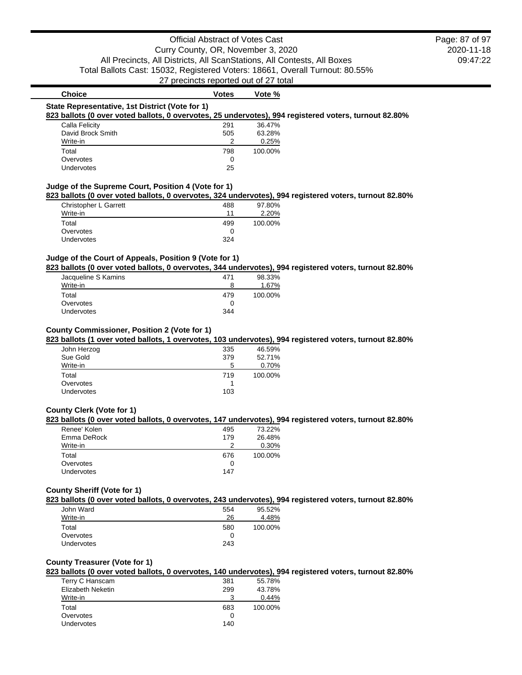| <b>Choice</b><br>State Representative, 1st District (Vote for 1)                                      | <b>Votes</b> | Vote %  |  |
|-------------------------------------------------------------------------------------------------------|--------------|---------|--|
| 823 ballots (0 over voted ballots, 0 overvotes, 25 undervotes), 994 registered voters, turnout 82.80% |              |         |  |
| Calla Felicity                                                                                        | 291          | 36.47%  |  |
| David Brock Smith                                                                                     | 505          | 63.28%  |  |
| Write-in                                                                                              |              | 0.25%   |  |
| Total                                                                                                 | 798          | 100.00% |  |
| Overvotes                                                                                             | 0            |         |  |
| Undervotes                                                                                            | 25           |         |  |

| Christopher L Garrett | 488 | 97.80%  |
|-----------------------|-----|---------|
| Write-in              | 11  | 2.20%   |
| Total                 | 499 | 100.00% |
| Overvotes             |     |         |
| <b>Undervotes</b>     | 324 |         |

## **Judge of the Court of Appeals, Position 9 (Vote for 1)**

**823 ballots (0 over voted ballots, 0 overvotes, 344 undervotes), 994 registered voters, turnout 82.80%**

| Jacqueline S Kamins | 471 | 98.33%  |
|---------------------|-----|---------|
| Write-in            |     | 1.67%   |
| Total               | 479 | 100.00% |
| Overvotes           |     |         |
| <b>Undervotes</b>   | 344 |         |

### **County Commissioner, Position 2 (Vote for 1)**

**823 ballots (1 over voted ballots, 1 overvotes, 103 undervotes), 994 registered voters, turnout 82.80%**

| John Herzog | 335 | 46.59%  |
|-------------|-----|---------|
| Sue Gold    | 379 | 52.71%  |
| Write-in    | 5   | 0.70%   |
| Total       | 719 | 100.00% |
| Overvotes   |     |         |
| Undervotes  | 103 |         |

## **County Clerk (Vote for 1)**

### **823 ballots (0 over voted ballots, 0 overvotes, 147 undervotes), 994 registered voters, turnout 82.80%**

| Renee' Kolen | 495 | 73.22%  |
|--------------|-----|---------|
| Emma DeRock  | 179 | 26.48%  |
| Write-in     |     | 0.30%   |
| Total        | 676 | 100.00% |
| Overvotes    |     |         |
| Undervotes   | 147 |         |

### **County Sheriff (Vote for 1)**

**823 ballots (0 over voted ballots, 0 overvotes, 243 undervotes), 994 registered voters, turnout 82.80%**

| John Ward         | 554 | 95.52%  |
|-------------------|-----|---------|
| Write-in          | 26  | 4.48%   |
| Total             | 580 | 100.00% |
| Overvotes         |     |         |
| <b>Undervotes</b> | 243 |         |

### **County Treasurer (Vote for 1)**

**823 ballots (0 over voted ballots, 0 overvotes, 140 undervotes), 994 registered voters, turnout 82.80%**

|                   |     | . .     |
|-------------------|-----|---------|
| Terry C Hanscam   | 381 | 55.78%  |
| Elizabeth Neketin | 299 | 43.78%  |
| Write-in          | 3   | 0.44%   |
| Total             | 683 | 100.00% |
| Overvotes         | 0   |         |
| <b>Undervotes</b> | 140 |         |
|                   |     |         |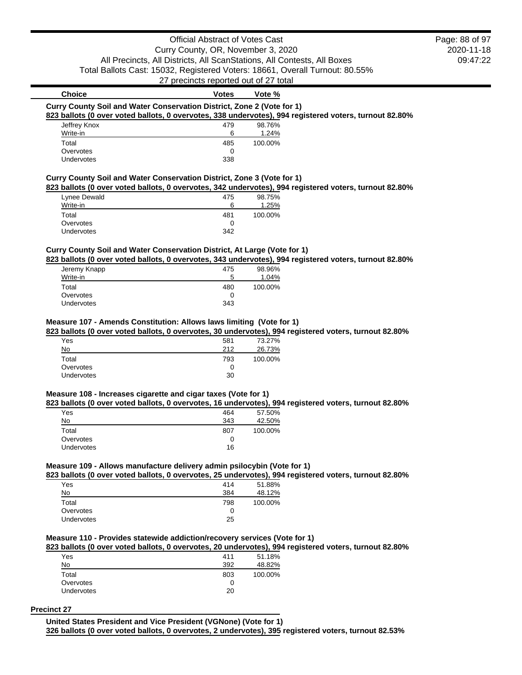# Official Abstract of Votes Cast Curry County, OR, November 3, 2020 All Precincts, All Districts, All ScanStations, All Contests, All Boxes Total Ballots Cast: 15032, Registered Voters: 18661, Overall Turnout: 80.55%

27 precincts reported out of 27 total

# **Choice Votes Votes Vote** % **Curry County Soil and Water Conservation District, Zone 2 (Vote for 1) 823 ballots (0 over voted ballots, 0 overvotes, 338 undervotes), 994 registered voters, turnout 82.80%** Jeffrey Knox 479 98.76%

| Write-in   | 6   | 1.24%   |
|------------|-----|---------|
| Total      | 485 | 100.00% |
| Overvotes  |     |         |
| Undervotes | 338 |         |
|            |     |         |

## **Curry County Soil and Water Conservation District, Zone 3 (Vote for 1)**

### **823 ballots (0 over voted ballots, 0 overvotes, 342 undervotes), 994 registered voters, turnout 82.80%**

|                   |     | .       |
|-------------------|-----|---------|
| Lynee Dewald      | 475 | 98.75%  |
| Write-in          | 6   | 1.25%   |
| Total             | 481 | 100.00% |
| Overvotes         |     |         |
| <b>Undervotes</b> | 342 |         |

## **Curry County Soil and Water Conservation District, At Large (Vote for 1)**

**823 ballots (0 over voted ballots, 0 overvotes, 343 undervotes), 994 registered voters, turnout 82.80%**

| Jeremy Knapp<br>Write-in | 475<br>5 | 98.96%<br>1.04% |
|--------------------------|----------|-----------------|
|                          |          |                 |
| Total                    | 480      | 100.00%         |
| Overvotes                | 0        |                 |
| <b>Undervotes</b>        | 343      |                 |

### **Measure 107 - Amends Constitution: Allows laws limiting (Vote for 1)**

#### **823 ballots (0 over voted ballots, 0 overvotes, 30 undervotes), 994 registered voters, turnout 82.80%**

| Yes        | 581 | 73.27%  |
|------------|-----|---------|
| No         | 212 | 26.73%  |
| Total      | 793 | 100.00% |
| Overvotes  | 0   |         |
| Undervotes | 30  |         |
|            |     |         |

## **Measure 108 - Increases cigarette and cigar taxes (Vote for 1)**

### **823 ballots (0 over voted ballots, 0 overvotes, 16 undervotes), 994 registered voters, turnout 82.80%**

| Yes        | 464 | 57.50%  |
|------------|-----|---------|
| No         | 343 | 42.50%  |
| Total      | 807 | 100.00% |
| Overvotes  | O   |         |
| Undervotes | 16  |         |

### **Measure 109 - Allows manufacture delivery admin psilocybin (Vote for 1)**

## **823 ballots (0 over voted ballots, 0 overvotes, 25 undervotes), 994 registered voters, turnout 82.80%**

| Yes               | 414 | 51.88%  |
|-------------------|-----|---------|
| No                | 384 | 48.12%  |
| Total             | 798 | 100.00% |
| Overvotes         | 0   |         |
| <b>Undervotes</b> | 25  |         |

## **Measure 110 - Provides statewide addiction/recovery services (Vote for 1)**

#### **823 ballots (0 over voted ballots, 0 overvotes, 20 undervotes), 994 registered voters, turnout 82.80%**

| Yes               | 411 | 51.18%  |
|-------------------|-----|---------|
| No                | 392 | 48.82%  |
| Total             | 803 | 100.00% |
| Overvotes         | 0   |         |
| <b>Undervotes</b> | 20  |         |
|                   |     |         |

#### **Precinct 27**

**United States President and Vice President (VGNone) (Vote for 1)**

**326 ballots (0 over voted ballots, 0 overvotes, 2 undervotes), 395 registered voters, turnout 82.53%**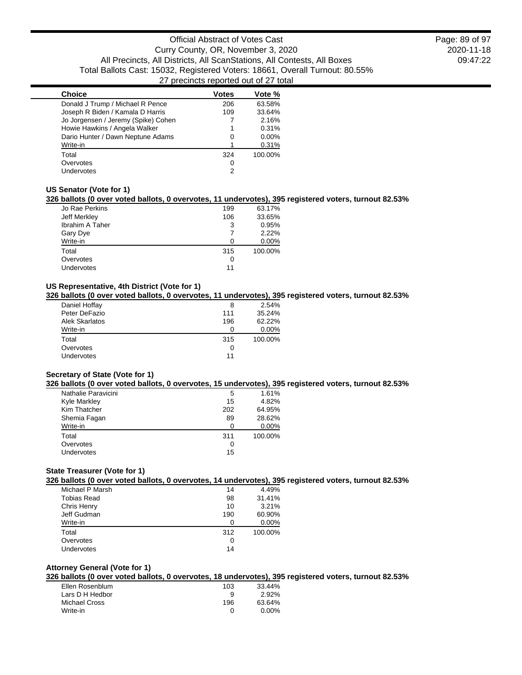| <b>Choice</b>                       | Votes        | Vote %   |
|-------------------------------------|--------------|----------|
| Donald J Trump / Michael R Pence    | 206          | 63.58%   |
| Joseph R Biden / Kamala D Harris    | 109          | 33.64%   |
| Jo Jorgensen / Jeremy (Spike) Cohen |              | 2.16%    |
| Howie Hawkins / Angela Walker       |              | 0.31%    |
| Dario Hunter / Dawn Neptune Adams   | $\mathbf{0}$ | $0.00\%$ |
| Write-in                            |              | 0.31%    |
| Total                               | 324          | 100.00%  |
| Overvotes                           | 0            |          |
| Undervotes                          | 2            |          |

### **US Senator (Vote for 1)**

#### **326 ballots (0 over voted ballots, 0 overvotes, 11 undervotes), 395 registered voters, turnout 82.53%**

| Jo Rae Perkins  | 199 | 63.17%  |
|-----------------|-----|---------|
| Jeff Merkley    | 106 | 33.65%  |
| Ibrahim A Taher | 3   | 0.95%   |
| Gary Dye        |     | 2.22%   |
| Write-in        | O   | 0.00%   |
| Total           | 315 | 100.00% |
| Overvotes       | 0   |         |
| Undervotes      | 11  |         |

## **US Representative, 4th District (Vote for 1)**

## **326 ballots (0 over voted ballots, 0 overvotes, 11 undervotes), 395 registered voters, turnout 82.53%**

| Daniel Hoffay         | 8   | 2.54%   |
|-----------------------|-----|---------|
| Peter DeFazio         | 111 | 35.24%  |
| <b>Alek Skarlatos</b> | 196 | 62.22%  |
| Write-in              | 0   | 0.00%   |
| Total                 | 315 | 100.00% |
| Overvotes             | 0   |         |
| <b>Undervotes</b>     | 11  |         |
|                       |     |         |

## **Secretary of State (Vote for 1)**

#### **326 ballots (0 over voted ballots, 0 overvotes, 15 undervotes), 395 registered voters, turnout 82.53%**

| Nathalie Paravicini | 5   | 1.61%    |
|---------------------|-----|----------|
| Kyle Markley        | 15  | 4.82%    |
| Kim Thatcher        | 202 | 64.95%   |
| Shemia Fagan        | 89  | 28.62%   |
| Write-in            | O   | $0.00\%$ |
| Total               | 311 | 100.00%  |
| Overvotes           | 0   |          |
| Undervotes          | 15  |          |

## **State Treasurer (Vote for 1)**

### **326 ballots (0 over voted ballots, 0 overvotes, 14 undervotes), 395 registered voters, turnout 82.53%**

| Michael P Marsh | 14  | 4.49%   |
|-----------------|-----|---------|
| Tobias Read     | 98  | 31.41%  |
| Chris Henry     | 10  | 3.21%   |
| Jeff Gudman     | 190 | 60.90%  |
| Write-in        | ∩   | 0.00%   |
| Total           | 312 | 100.00% |
| Overvotes       | 0   |         |
| Undervotes      | 14  |         |

## **Attorney General (Vote for 1)**

# **326 ballots (0 over voted ballots, 0 overvotes, 18 undervotes), 395 registered voters, turnout 82.53%**

| Ellen Rosenblum | 103 | 33.44%   |
|-----------------|-----|----------|
| Lars D H Hedbor | я   | 2.92%    |
| Michael Cross   | 196 | 63.64%   |
| Write-in        | O   | $0.00\%$ |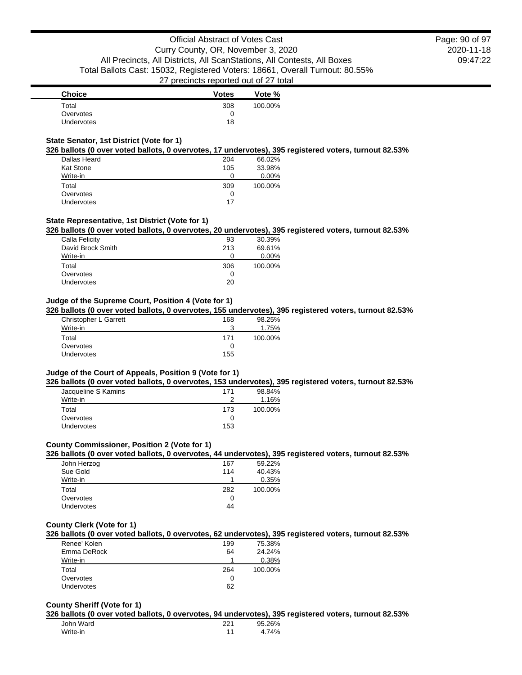| <b>Choice</b> | <b>Votes</b> | Vote %  |
|---------------|--------------|---------|
| Total         | 308          | 100.00% |
| Overvotes     |              |         |
| Undervotes    | 18           |         |

## **State Senator, 1st District (Vote for 1)**

### **326 ballots (0 over voted ballots, 0 overvotes, 17 undervotes), 395 registered voters, turnout 82.53%**

| Dallas Heard      | 204 | 66.02%  |
|-------------------|-----|---------|
| <b>Kat Stone</b>  | 105 | 33.98%  |
| Write-in          | 0   | 0.00%   |
| Total             | 309 | 100.00% |
| Overvotes         | 0   |         |
| <b>Undervotes</b> | 17  |         |

### **State Representative, 1st District (Vote for 1)**

### **326 ballots (0 over voted ballots, 0 overvotes, 20 undervotes), 395 registered voters, turnout 82.53%**

| 93  | 30.39%   |
|-----|----------|
| 213 | 69.61%   |
| 0   | $0.00\%$ |
| 306 | 100.00%  |
| O   |          |
| 20  |          |
|     |          |

#### **Judge of the Supreme Court, Position 4 (Vote for 1)**

#### **326 ballots (0 over voted ballots, 0 overvotes, 155 undervotes), 395 registered voters, turnout 82.53%**

| Christopher L Garrett | 168 | 98.25%  |
|-----------------------|-----|---------|
| Write-in              | ີ   | 1.75%   |
| Total                 | 171 | 100.00% |
| Overvotes             | O   |         |
| Undervotes            | 155 |         |

#### **Judge of the Court of Appeals, Position 9 (Vote for 1)**

**326 ballots (0 over voted ballots, 0 overvotes, 153 undervotes), 395 registered voters, turnout 82.53%**

| Jacqueline S Kamins | 171 | 98.84%  |
|---------------------|-----|---------|
| Write-in            | ◠   | 1.16%   |
| Total               | 173 | 100.00% |
| Overvotes           |     |         |
| <b>Undervotes</b>   | 153 |         |

#### **County Commissioner, Position 2 (Vote for 1)**

### **326 ballots (0 over voted ballots, 0 overvotes, 44 undervotes), 395 registered voters, turnout 82.53%**

| John Herzog | 167 | 59.22%  |
|-------------|-----|---------|
| Sue Gold    | 114 | 40.43%  |
| Write-in    |     | 0.35%   |
| Total       | 282 | 100.00% |
| Overvotes   | O   |         |
| Undervotes  | 44  |         |

## **County Clerk (Vote for 1)**

## **326 ballots (0 over voted ballots, 0 overvotes, 62 undervotes), 395 registered voters, turnout 82.53%**

| Renee' Kolen      | 199 | 75.38%  |
|-------------------|-----|---------|
| Emma DeRock       | 64  | 24.24%  |
| Write-in          |     | 0.38%   |
| Total             | 264 | 100.00% |
| Overvotes         |     |         |
| <b>Undervotes</b> | 62  |         |

#### **County Sheriff (Vote for 1)**

#### **326 ballots (0 over voted ballots, 0 overvotes, 94 undervotes), 395 registered voters, turnout 82.53%**

| John Ward | つつ 1 | 95.26% |
|-----------|------|--------|
| Write-in  |      | 4.74%  |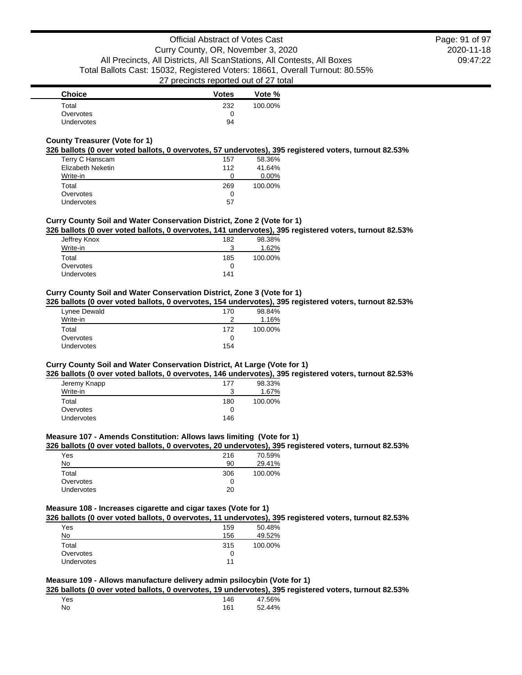| <b>Choice</b>     | <b>Votes</b> | Vote %  |
|-------------------|--------------|---------|
| Total             | 232          | 100.00% |
| Overvotes         |              |         |
| <b>Undervotes</b> | 94           |         |

## **County Treasurer (Vote for 1)**

### **326 ballots (0 over voted ballots, 0 overvotes, 57 undervotes), 395 registered voters, turnout 82.53%**

| Terry C Hanscam   | 157 | 58.36%  |
|-------------------|-----|---------|
| Elizabeth Neketin | 112 | 41.64%  |
| Write-in          | O   | 0.00%   |
| Total             | 269 | 100.00% |
| Overvotes         | O   |         |
| Undervotes        | 57  |         |

### **Curry County Soil and Water Conservation District, Zone 2 (Vote for 1)**

## **326 ballots (0 over voted ballots, 0 overvotes, 141 undervotes), 395 registered voters, turnout 82.53%**

| Jeffrey Knox | 182 | 98.38%  |
|--------------|-----|---------|
| Write-in     | 2   | 1.62%   |
| Total        | 185 | 100.00% |
| Overvotes    | 0   |         |
| Undervotes   | 141 |         |

### **Curry County Soil and Water Conservation District, Zone 3 (Vote for 1)**

### **326 ballots (0 over voted ballots, 0 overvotes, 154 undervotes), 395 registered voters, turnout 82.53%**

| Lynee Dewald      | 170 | 98.84%  |
|-------------------|-----|---------|
| Write-in          | ≘   | 1.16%   |
| Total             | 172 | 100.00% |
| Overvotes         |     |         |
| <b>Undervotes</b> | 154 |         |

## **Curry County Soil and Water Conservation District, At Large (Vote for 1)**

### **326 ballots (0 over voted ballots, 0 overvotes, 146 undervotes), 395 registered voters, turnout 82.53%**

| 177 | 98.33%  |
|-----|---------|
| 2   | 1.67%   |
| 180 | 100.00% |
| 0   |         |
| 146 |         |
|     |         |

#### **Measure 107 - Amends Constitution: Allows laws limiting (Vote for 1)**

## **326 ballots (0 over voted ballots, 0 overvotes, 20 undervotes), 395 registered voters, turnout 82.53%**

| Yes        | 216 | 70.59%  |
|------------|-----|---------|
| No         | 90  | 29.41%  |
| Total      | 306 | 100.00% |
| Overvotes  |     |         |
| Undervotes | 20  |         |

## **Measure 108 - Increases cigarette and cigar taxes (Vote for 1)**

## **326 ballots (0 over voted ballots, 0 overvotes, 11 undervotes), 395 registered voters, turnout 82.53%**

| Yes               | 159 | 50.48%  |
|-------------------|-----|---------|
| No                | 156 | 49.52%  |
| Total             | 315 | 100.00% |
| Overvotes         | 0   |         |
| <b>Undervotes</b> | 11  |         |

## **Measure 109 - Allows manufacture delivery admin psilocybin (Vote for 1)**

**326 ballots (0 over voted ballots, 0 overvotes, 19 undervotes), 395 registered voters, turnout 82.53%**

| Yes | 146 | 47.56% |
|-----|-----|--------|
| No  | 161 | 52.44% |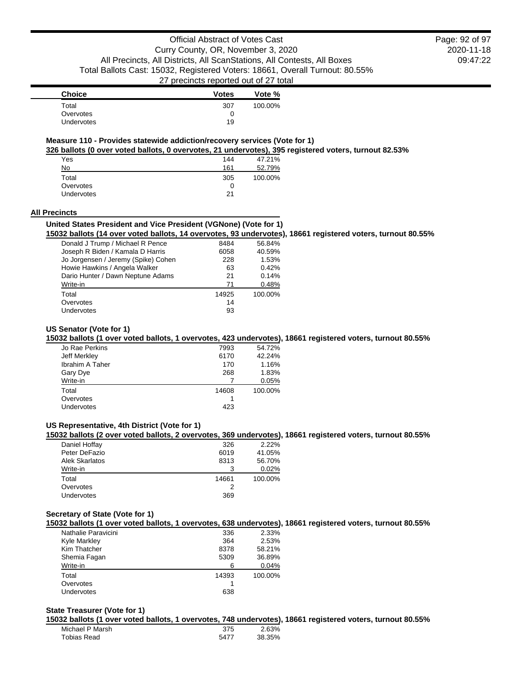2020-11-18 09:47:22 Page: 92 of 97

| <b>Choice</b>     | <b>Votes</b> | Vote %  |
|-------------------|--------------|---------|
| Total             | 307          | 100.00% |
| Overvotes         |              |         |
| <b>Undervotes</b> | 19           |         |

## **Measure 110 - Provides statewide addiction/recovery services (Vote for 1)**

**326 ballots (0 over voted ballots, 0 overvotes, 21 undervotes), 395 registered voters, turnout 82.53%**

| Yes        | 144 | 47.21%  |
|------------|-----|---------|
| No         | 161 | 52.79%  |
| Total      | 305 | 100.00% |
| Overvotes  | O   |         |
| Undervotes | 21  |         |

#### **All Precincts**

#### **United States President and Vice President (VGNone) (Vote for 1)**

**15032 ballots (14 over voted ballots, 14 overvotes, 93 undervotes), 18661 registered voters, turnout 80.55%**

| Donald J Trump / Michael R Pence    | 8484  | 56.84%  |
|-------------------------------------|-------|---------|
| Joseph R Biden / Kamala D Harris    | 6058  | 40.59%  |
| Jo Jorgensen / Jeremy (Spike) Cohen | 228   | 1.53%   |
| Howie Hawkins / Angela Walker       | 63    | 0.42%   |
| Dario Hunter / Dawn Neptune Adams   | 21    | 0.14%   |
| Write-in                            | 71    | 0.48%   |
| Total                               | 14925 | 100.00% |
| Overvotes                           | 14    |         |
| Undervotes                          | 93    |         |
|                                     |       |         |

## **US Senator (Vote for 1)**

**15032 ballots (1 over voted ballots, 1 overvotes, 423 undervotes), 18661 registered voters, turnout 80.55%**

| Jo Rae Perkins  | 7993  | 54.72%  |
|-----------------|-------|---------|
| Jeff Merkley    | 6170  | 42.24%  |
| Ibrahim A Taher | 170   | 1.16%   |
| Gary Dye        | 268   | 1.83%   |
| Write-in        |       | 0.05%   |
| Total           | 14608 | 100.00% |
| Overvotes       |       |         |
| Undervotes      | 423   |         |
|                 |       |         |

## **US Representative, 4th District (Vote for 1)**

**15032 ballots (2 over voted ballots, 2 overvotes, 369 undervotes), 18661 registered voters, turnout 80.55%**

| Daniel Hoffay         | 326   | 2.22%   |
|-----------------------|-------|---------|
| Peter DeFazio         | 6019  | 41.05%  |
| <b>Alek Skarlatos</b> | 8313  | 56.70%  |
| Write-in              |       | 0.02%   |
| Total                 | 14661 | 100.00% |
| Overvotes             |       |         |
| <b>Undervotes</b>     | 369   |         |

## **Secretary of State (Vote for 1)**

**15032 ballots (1 over voted ballots, 1 overvotes, 638 undervotes), 18661 registered voters, turnout 80.55%**

| Nathalie Paravicini | 336   | 2.33%   |
|---------------------|-------|---------|
| <b>Kyle Markley</b> | 364   | 2.53%   |
| Kim Thatcher        | 8378  | 58.21%  |
| Shemia Fagan        | 5309  | 36.89%  |
| Write-in            | ิค    | 0.04%   |
| Total               | 14393 | 100.00% |
| Overvotes           |       |         |
| Undervotes          | 638   |         |
|                     |       |         |

## **State Treasurer (Vote for 1)**

**15032 ballots (1 over voted ballots, 1 overvotes, 748 undervotes), 18661 registered voters, turnout 80.55%**

| Michael P Marsh | 375  | 2.63%  |
|-----------------|------|--------|
| Tobias Read     | 5477 | 38.35% |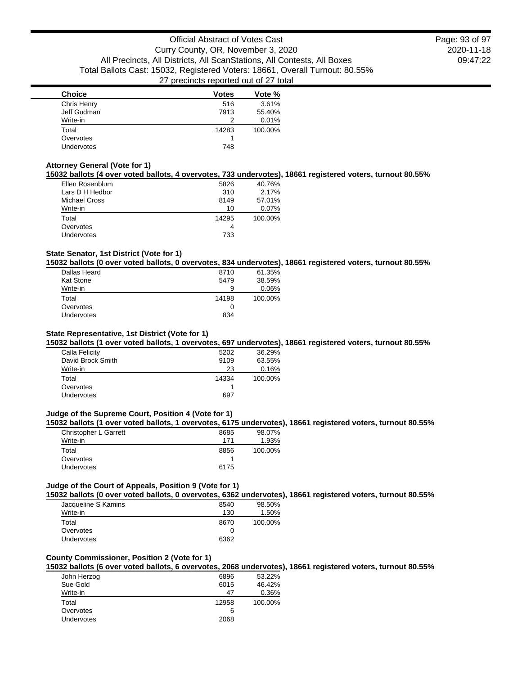| <b>Choice</b>     | <b>Votes</b> | Vote %  |
|-------------------|--------------|---------|
| Chris Henry       | 516          | 3.61%   |
| Jeff Gudman       | 7913         | 55.40%  |
| Write-in          |              | 0.01%   |
| Total             | 14283        | 100.00% |
| Overvotes         |              |         |
| <b>Undervotes</b> | 748          |         |

## **Attorney General (Vote for 1)**

**15032 ballots (4 over voted ballots, 4 overvotes, 733 undervotes), 18661 registered voters, turnout 80.55%**

| Ellen Rosenblum      | 5826  | 40.76%  |
|----------------------|-------|---------|
| Lars D H Hedbor      | 310   | 2.17%   |
| <b>Michael Cross</b> | 8149  | 57.01%  |
| Write-in             | 10    | 0.07%   |
| Total                | 14295 | 100.00% |
| Overvotes            | 4     |         |
| <b>Undervotes</b>    | 733   |         |
|                      |       |         |

## **State Senator, 1st District (Vote for 1)**

**15032 ballots (0 over voted ballots, 0 overvotes, 834 undervotes), 18661 registered voters, turnout 80.55%**

| Dallas Heard     | 8710  | 61.35%  |
|------------------|-------|---------|
| <b>Kat Stone</b> | 5479  | 38.59%  |
| Write-in         | 9     | 0.06%   |
| Total            | 14198 | 100.00% |
| Overvotes        | 0     |         |
| Undervotes       | 834   |         |
|                  |       |         |

### **State Representative, 1st District (Vote for 1)**

**15032 ballots (1 over voted ballots, 1 overvotes, 697 undervotes), 18661 registered voters, turnout 80.55%**

| Calla Felicity    | 5202  | 36.29%  |
|-------------------|-------|---------|
| David Brock Smith | 9109  | 63.55%  |
| Write-in          | 23    | 0.16%   |
| Total             | 14334 | 100.00% |
| Overvotes         |       |         |
| Undervotes        | 697   |         |
|                   |       |         |

### **Judge of the Supreme Court, Position 4 (Vote for 1)**

**15032 ballots (1 over voted ballots, 1 overvotes, 6175 undervotes), 18661 registered voters, turnout 80.55%**

| Christopher L Garrett | 8685 | 98.07%  |
|-----------------------|------|---------|
| Write-in              | 171  | 1.93%   |
| Total                 | 8856 | 100.00% |
| Overvotes             |      |         |
| Undervotes            | 6175 |         |
|                       |      |         |

## **Judge of the Court of Appeals, Position 9 (Vote for 1)**

**15032 ballots (0 over voted ballots, 0 overvotes, 6362 undervotes), 18661 registered voters, turnout 80.55%**

| Jacqueline S Kamins | 8540 | 98.50%  |
|---------------------|------|---------|
| Write-in            | 130  | 1.50%   |
| Total               | 8670 | 100.00% |
| Overvotes           |      |         |
| <b>Undervotes</b>   | 6362 |         |

## **County Commissioner, Position 2 (Vote for 1)**

**15032 ballots (6 over voted ballots, 6 overvotes, 2068 undervotes), 18661 registered voters, turnout 80.55%**

| John Herzog | 6896  | 53.22%  |
|-------------|-------|---------|
| Sue Gold    | 6015  | 46.42%  |
| Write-in    | 47    | 0.36%   |
| Total       | 12958 | 100.00% |
| Overvotes   | 6     |         |
| Undervotes  | 2068  |         |
|             |       |         |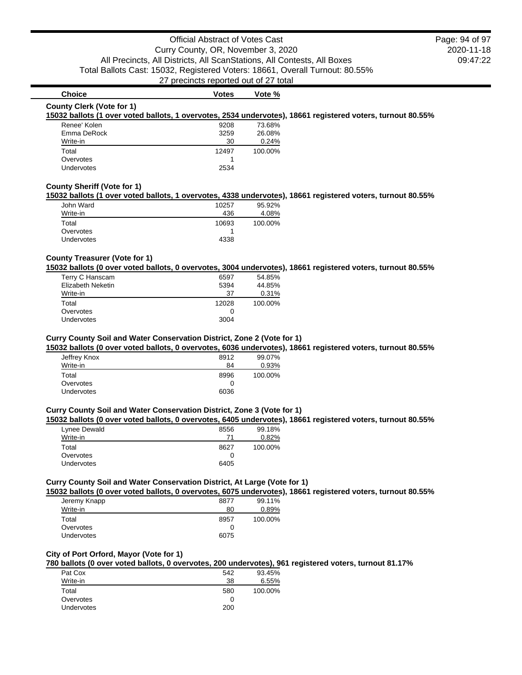2020-11-18 09:47:22 Page: 94 of 97

# **Choice Votes Votes Vote % County Clerk (Vote for 1)**

### **15032 ballots (1 over voted ballots, 1 overvotes, 2534 undervotes), 18661 registered voters, turnout 80.55%**

| Renee' Kolen      | 9208  | 73.68%  |
|-------------------|-------|---------|
| Emma DeRock       | 3259  | 26.08%  |
| Write-in          | 30    | 0.24%   |
| Total             | 12497 | 100.00% |
| Overvotes         |       |         |
| <b>Undervotes</b> | 2534  |         |
|                   |       |         |

## **County Sheriff (Vote for 1)**

### **15032 ballots (1 over voted ballots, 1 overvotes, 4338 undervotes), 18661 registered voters, turnout 80.55%**

| John Ward         | 10257 | 95.92%  |
|-------------------|-------|---------|
| Write-in          | 436   | 4.08%   |
| Total             | 10693 | 100.00% |
| Overvotes         |       |         |
| <b>Undervotes</b> | 4338  |         |

## **County Treasurer (Vote for 1)**

**15032 ballots (0 over voted ballots, 0 overvotes, 3004 undervotes), 18661 registered voters, turnout 80.55%**

| Terry C Hanscam   | 6597  | 54.85%  |
|-------------------|-------|---------|
| Elizabeth Neketin | 5394  | 44.85%  |
| Write-in          | 37    | 0.31%   |
| Total             | 12028 | 100.00% |
| Overvotes         |       |         |
| Undervotes        | 3004  |         |
|                   |       |         |

### **Curry County Soil and Water Conservation District, Zone 2 (Vote for 1)**

**15032 ballots (0 over voted ballots, 0 overvotes, 6036 undervotes), 18661 registered voters, turnout 80.55%**

| 8912 | 99.07%  |
|------|---------|
| 84   | 0.93%   |
| 8996 | 100.00% |
| 0    |         |
| 6036 |         |
|      |         |

### **Curry County Soil and Water Conservation District, Zone 3 (Vote for 1)**

|  | 15032 ballots (0 over voted ballots, 0 overvotes, 6405 undervotes), 18661 registered voters, turnout 80.55% |  |  |  |  |  |
|--|-------------------------------------------------------------------------------------------------------------|--|--|--|--|--|
|--|-------------------------------------------------------------------------------------------------------------|--|--|--|--|--|

| Lynee Dewald      | 8556 | 99.18%  |
|-------------------|------|---------|
| Write-in          | 71   | 0.82%   |
| Total             | 8627 | 100.00% |
| Overvotes         |      |         |
| <b>Undervotes</b> | 6405 |         |

## **Curry County Soil and Water Conservation District, At Large (Vote for 1)**

**15032 ballots (0 over voted ballots, 0 overvotes, 6075 undervotes), 18661 registered voters, turnout 80.55%**

| Jeremy Knapp      | 8877 | 99.11%  |
|-------------------|------|---------|
| Write-in          | 80   | 0.89%   |
| Total             | 8957 | 100.00% |
| Overvotes         |      |         |
| <b>Undervotes</b> | 6075 |         |
|                   |      |         |

### **City of Port Orford, Mayor (Vote for 1)**

## **780 ballots (0 over voted ballots, 0 overvotes, 200 undervotes), 961 registered voters, turnout 81.17%**

| Pat Cox           | 542 | 93.45%  |
|-------------------|-----|---------|
| Write-in          | 38  | 6.55%   |
| Total             | 580 | 100.00% |
| Overvotes         | 0   |         |
| <b>Undervotes</b> | 200 |         |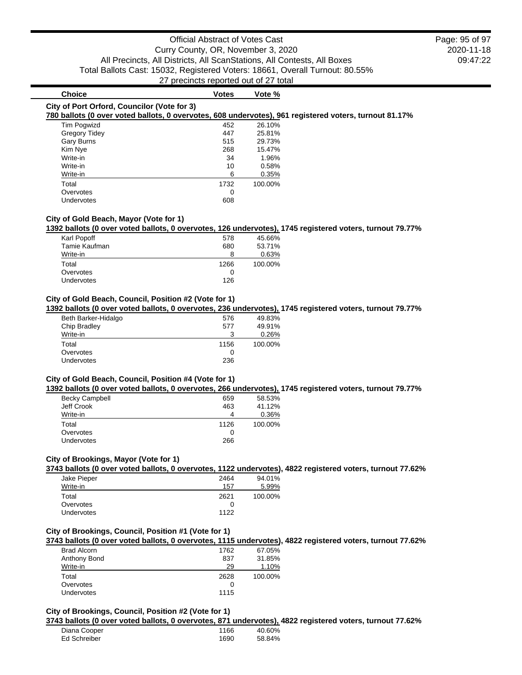# **Choice Votes Votes Vote** %

### **City of Port Orford, Councilor (Vote for 3)**

### **780 ballots (0 over voted ballots, 0 overvotes, 608 undervotes), 961 registered voters, turnout 81.17%**

| <b>Tim Pogwizd</b>   | 452  | 26.10%  |
|----------------------|------|---------|
| <b>Gregory Tidey</b> | 447  | 25.81%  |
| <b>Gary Burns</b>    | 515  | 29.73%  |
| Kim Nye              | 268  | 15.47%  |
| Write-in             | 34   | 1.96%   |
| Write-in             | 10   | 0.58%   |
| Write-in             | 6    | 0.35%   |
| Total                | 1732 | 100.00% |
| Overvotes            | 0    |         |
| <b>Undervotes</b>    | 608  |         |

### **City of Gold Beach, Mayor (Vote for 1)**

#### **1392 ballots (0 over voted ballots, 0 overvotes, 126 undervotes), 1745 registered voters, turnout 79.77%**

|                   |      | __      |
|-------------------|------|---------|
| Karl Popoff       | 578  | 45.66%  |
| Tamie Kaufman     | 680  | 53.71%  |
| Write-in          | 8    | 0.63%   |
| Total             | 1266 | 100.00% |
| Overvotes         | O    |         |
| <b>Undervotes</b> | 126  |         |
|                   |      |         |

## **City of Gold Beach, Council, Position #2 (Vote for 1)**

### **1392 ballots (0 over voted ballots, 0 overvotes, 236 undervotes), 1745 registered voters, turnout 79.77%**

| 576  | 49.83%  |
|------|---------|
| 577  | 49.91%  |
|      | 0.26%   |
| 1156 | 100.00% |
|      |         |
|      |         |
|      | 236     |

### **City of Gold Beach, Council, Position #4 (Vote for 1)**

### **1392 ballots (0 over voted ballots, 0 overvotes, 266 undervotes), 1745 registered voters, turnout 79.77%**

| <b>Becky Campbell</b> | 659  | 58.53%  |
|-----------------------|------|---------|
| Jeff Crook            | 463  | 41.12%  |
| Write-in              | 4    | 0.36%   |
| Total                 | 1126 | 100.00% |
| Overvotes             | 0    |         |
| Undervotes            | 266  |         |

## **City of Brookings, Mayor (Vote for 1)**

**3743 ballots (0 over voted ballots, 0 overvotes, 1122 undervotes), 4822 registered voters, turnout 77.62%**

| 2464 | 94.01%  |
|------|---------|
| 157  | 5.99%   |
| 2621 | 100.00% |
|      |         |
| 1122 |         |
|      |         |

#### **City of Brookings, Council, Position #1 (Vote for 1)**

#### **3743 ballots (0 over voted ballots, 0 overvotes, 1115 undervotes), 4822 registered voters, turnout 77.62%**

| <b>Brad Alcorn</b> | 1762 | 67.05%  |
|--------------------|------|---------|
| Anthony Bond       | 837  | 31.85%  |
| Write-in           | 29   | 1.10%   |
| Total              | 2628 | 100.00% |
| Overvotes          |      |         |
| <b>Undervotes</b>  | 1115 |         |

#### **City of Brookings, Council, Position #2 (Vote for 1)**

#### **3743 ballots (0 over voted ballots, 0 overvotes, 871 undervotes), 4822 registered voters, turnout 77.62%**

| Diana Cooper | 1166 | 40.60% |
|--------------|------|--------|
| Ed Schreiber | 1690 | 58.84% |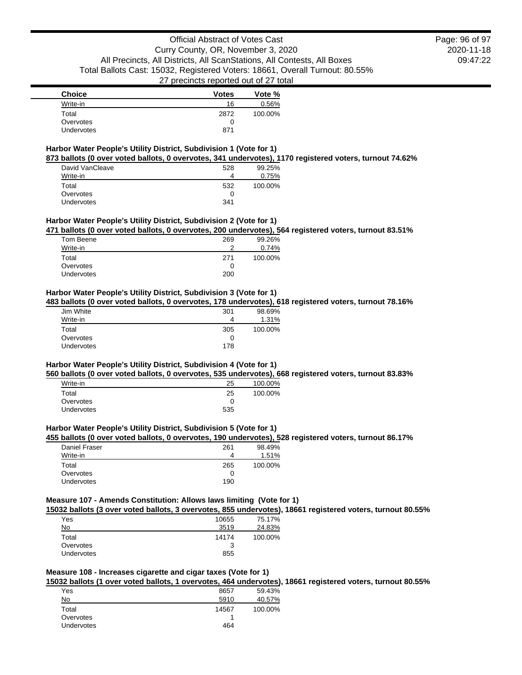| <b>Choice</b> | <b>Votes</b> | Vote %  |
|---------------|--------------|---------|
| Write-in      | 16           | 0.56%   |
| Total         | 2872         | 100.00% |
| Overvotes     |              |         |
| Undervotes    | 871          |         |

#### **Harbor Water People's Utility District, Subdivision 1 (Vote for 1) 873 ballots (0 over voted ballots, 0 overvotes, 341 undervotes), 1170 registered voters, turnout 74.62%**

| David VanCleave | 528 | 99.25%  |
|-----------------|-----|---------|
| Write-in        | Δ   | 0.75%   |
| Total           | 532 | 100.00% |
| Overvotes       |     |         |
| Undervotes      | 341 |         |

### **Harbor Water People's Utility District, Subdivision 2 (Vote for 1)**

**471 ballots (0 over voted ballots, 0 overvotes, 200 undervotes), 564 registered voters, turnout 83.51%**

| Tom Beene  | 269 | 99.26%  |
|------------|-----|---------|
| Write-in   | ົ   | 0.74%   |
| Total      | 271 | 100.00% |
| Overvotes  | O   |         |
| Undervotes | 200 |         |

## **Harbor Water People's Utility District, Subdivision 3 (Vote for 1)**

**483 ballots (0 over voted ballots, 0 overvotes, 178 undervotes), 618 registered voters, turnout 78.16%**

| Jim White         | 301 | 98.69%  |
|-------------------|-----|---------|
| Write-in          | 4   | 1.31%   |
| Total             | 305 | 100.00% |
| Overvotes         |     |         |
| <b>Undervotes</b> | 178 |         |

## **Harbor Water People's Utility District, Subdivision 4 (Vote for 1)**

**560 ballots (0 over voted ballots, 0 overvotes, 535 undervotes), 668 registered voters, turnout 83.83%**

| Write-in   | 25  | 100.00% |
|------------|-----|---------|
| Total      | 25  | 100.00% |
| Overvotes  |     |         |
| Undervotes | 535 |         |

### **Harbor Water People's Utility District, Subdivision 5 (Vote for 1)**

## **455 ballots (0 over voted ballots, 0 overvotes, 190 undervotes), 528 registered voters, turnout 86.17%**

| Daniel Fraser     | 261 | 98.49%  |
|-------------------|-----|---------|
| Write-in          |     | 1.51%   |
| Total             | 265 | 100.00% |
| Overvotes         |     |         |
| <b>Undervotes</b> | 190 |         |

### **Measure 107 - Amends Constitution: Allows laws limiting (Vote for 1)**

**15032 ballots (3 over voted ballots, 3 overvotes, 855 undervotes), 18661 registered voters, turnout 80.55%**

| Yes        | 10655 | 75.17%  |
|------------|-------|---------|
| No         | 3519  | 24.83%  |
| Total      | 14174 | 100.00% |
| Overvotes  | 3     |         |
| Undervotes | 855   |         |
|            |       |         |

# **Measure 108 - Increases cigarette and cigar taxes (Vote for 1)**

**15032 ballots (1 over voted ballots, 1 overvotes, 464 undervotes), 18661 registered voters, turnout 80.55%**

| Yes        | 8657  | 59.43%  |
|------------|-------|---------|
| No         | 5910  | 40.57%  |
| Total      | 14567 | 100.00% |
| Overvotes  |       |         |
| Undervotes | 464   |         |